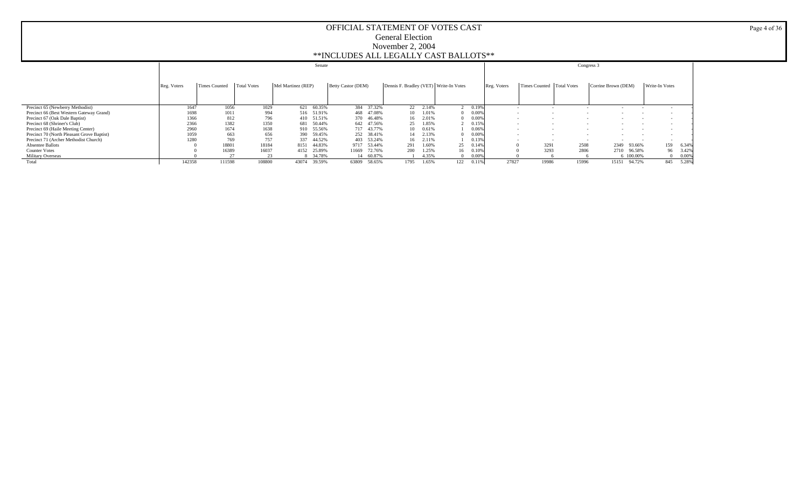|                                            |             |               |                    | Senate             |                    |                                        |          |              |             |                             |        | Congress 3          |                          |          |
|--------------------------------------------|-------------|---------------|--------------------|--------------------|--------------------|----------------------------------------|----------|--------------|-------------|-----------------------------|--------|---------------------|--------------------------|----------|
|                                            | Reg. Voters | Times Counted | <b>Total Votes</b> | Mel Martinez (REP) | Betty Castor (DEM) | Dennis F. Bradley (VET) Write-In Votes |          |              | Reg. Voters | Times Counted   Total Votes |        | Corrine Brown (DEM) | Write-In Votes           |          |
| Precinct 65 (Newberry Methodist)           | 1647        | 1056          | 1029               | 60.35%<br>621      | 384 37.32%         |                                        | 22 2.14% | 0.19%        |             |                             |        |                     |                          |          |
| Precinct 66 (Best Western Gateway Grand)   | 1698        | 1011          | 994                | 516 51.91%         | 468 47.08%         | 10.                                    | 1.01%    | 0.00%        |             |                             |        |                     |                          |          |
| Precinct 67 (Oak Dale Baptist)             | 1366        | 812           | 796                | 51.51%<br>410      | 370<br>46.48%      | 16                                     | 2.01%    | 0.00%        |             | $\overline{\phantom{a}}$    |        |                     | $\overline{\phantom{a}}$ |          |
| Precinct 68 (Shriner's Club)               | 2366        | 1382          | 1350               | 50.44%<br>681      | 642 47.56%         | 25                                     | 1.85%    | 0.15%        |             | $\overline{\phantom{a}}$    |        |                     |                          |          |
| Precinct 69 (Haile Meeting Center)         | 2960        | 1674          | 1638               | 55.56%<br>910.     | 717 43.77%         | 10                                     | 0.61%    | 0.06%        |             |                             |        |                     | $\overline{\phantom{a}}$ |          |
| Precinct 70 (North Pleasant Grove Baptist) | 1059        | 663           | 656                | 59.45%<br>390      | 252 38.41%         | 14                                     | 2.13%    | 0.00%        |             | $\sim$                      | $\sim$ | $\sim$              | $\overline{\phantom{a}}$ |          |
| Precinct 71 (Archer Methodist Church)      | 1280        | 769           | 757                | 44.52%<br>337      | 403 53.24%         | 16                                     | 2.11%    | 0.13%        |             |                             |        |                     |                          |          |
| Absentee Ballots                           |             | 18801         | 18184              | 44.83%<br>8151     | 9717<br>53.44%     | 291                                    | 1.60%    | 25<br>0.14%  |             | 3291                        | 2508   | 93.66%<br>2349      | 159                      | 6.34%    |
| <b>Counter Votes</b>                       |             | 16389         | 16037              | 25.89%<br>4152     | 72.76%<br>11669    | 200                                    | 1.25%    | 16<br>0.10%  |             | 3293                        | 2806   | 2710<br>96.58%      |                          | 96 3.42% |
| <b>Military Overseas</b>                   |             |               |                    | 8 34.78%           | 60.87%             |                                        | 4.35%    | 0.00%        |             |                             |        | 6 100,00%           |                          | 0.00%    |
| Total                                      | 142358      | 111598        | 108800             | 43074<br>39.59%    | 63809<br>58.65%    | 1795                                   | 1.65%    | 122<br>0.11% | 27827       | 19986                       | 15996  | 94.72%<br>15151     | 845                      | 5.28%    |

Page 4 of 36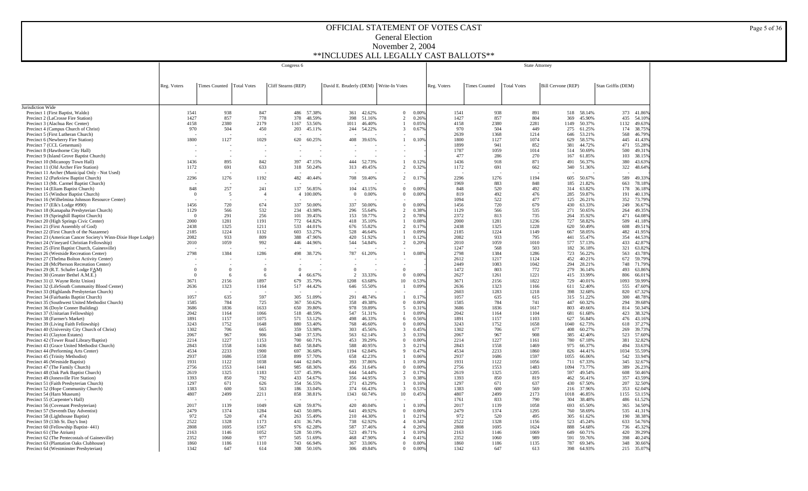|                                                                                             |                  |                             |                | Congress 6            |                  |                                        |                  |                                  |                |              | State Attorney       |                    |                    |                  |                    |                  |
|---------------------------------------------------------------------------------------------|------------------|-----------------------------|----------------|-----------------------|------------------|----------------------------------------|------------------|----------------------------------|----------------|--------------|----------------------|--------------------|--------------------|------------------|--------------------|------------------|
|                                                                                             |                  |                             |                |                       |                  |                                        |                  |                                  |                |              |                      |                    |                    |                  |                    |                  |
|                                                                                             |                  |                             |                |                       |                  |                                        |                  |                                  |                |              |                      |                    |                    |                  |                    |                  |
|                                                                                             | Reg. Voters      | Times Counted   Total Votes |                | Cliff Stearns (REP)   |                  | David E. Bruderly (DEM) Write-In Votes |                  |                                  |                | Reg. Voters  | <b>Times Counted</b> | <b>Total Votes</b> | Bill Cervone (REP) |                  | Stan Griffis (DEM) |                  |
|                                                                                             |                  |                             |                |                       |                  |                                        |                  |                                  |                |              |                      |                    |                    |                  |                    |                  |
|                                                                                             |                  |                             |                |                       |                  |                                        |                  |                                  |                |              |                      |                    |                    |                  |                    |                  |
| Jurisdiction Wide<br>Precinct 1 (First Baptist, Waldo)                                      | 1541             | 938                         | 847            |                       | 486 57.38%       | 361                                    | 42.62%           | $\overline{0}$                   | 0.00%          | 1541         | 938                  | 891                | 518                | 58.14%           |                    | 373 41.86%       |
| Precinct 2 (LaCrosse Fire Station)                                                          | 1427             | 857                         | 778            | 378                   | 48.59%           | 398                                    | 51.16%           | $\overline{2}$                   | 0.26%          | 1427         | 857                  | 804                | 369                | 45.90%           | 435                | 54.10%           |
| Precinct 3 (Alachua Rec Center)                                                             | 4158             | 2380                        | 2179           | 1167                  | 53.56%           | 1011                                   | 46.40%           | -1                               | 0.05%          | 4158         | 2380                 | 2281               | 1149               | 50.37%           | 1132               | 49.63%           |
| Precinct 4 (Campus Church of Christ)<br>Precinct 5 (First Lutheran Church)                  | 970              | 504                         | 450            | 203                   | 45.11%           | 244                                    | 54.22%           | 3                                | 0.67%          | 970<br>2639  | 504<br>1368          | 449<br>1214        | 275<br>646         | 61.25%<br>53.21% | 174<br>568         | 38.75%<br>46.79% |
| Precinct 6 (Newberry Fire Station)                                                          | 1800             | 1127                        | 1029           | 620                   | 60.25%           | 408                                    | 39.65%           | -1                               | 0.10%          | 1800         | 1127                 | 1074               | 629                | 58.57%           | 445                | 41.43%           |
| Precinct 7 (CCL Getsemani)                                                                  |                  |                             |                |                       |                  |                                        |                  |                                  |                | 1899         | 941                  | 852                | 381                | 44.72%           | 471                | 55.28%           |
| Precinct 8 (Hawthorne City Hall)<br>Precinct 9 (Island Grove Baptist Church)                |                  |                             |                |                       |                  |                                        |                  |                                  |                | 1787<br>477  | 1059<br>286          | 1014<br>270        | 514<br>167         | 50.69%<br>61.85% | 500<br>103         | 49.31%<br>38.15% |
| Precinct 10 (Micanopy Town Hall)                                                            | 1436             | 895                         | 842            | 397                   | 47.15%           | 444                                    | 52.73%           |                                  | 0.12%          | 1436         | 918                  | 871                | 491                | 56.37%           | 380                | 43.63%           |
| Precinct 11 (Old Archer Fire Station)                                                       | 1172             | 691                         | 633            | 318                   | 50.24%           | 313                                    | 49.45%           | 2                                | 0.32%          | 1172         | 691                  | 662                | 340                | 51.36%           | 322                | 48.64%           |
| Precinct 11 Archer (Municipal Only - Not Used)<br>Precinct 12 (Parkview Baptist Church)     | 2296             | 1276                        | 1192           | 482                   | 40.44%           |                                        |                  | $\overline{2}$                   | 0.17%          | 2296         | 1276                 | 1194               | 605                | 50.67%           | 589                | 49.33%           |
| Precinct 13 (Mt. Carmel Baptist Church)                                                     |                  |                             |                |                       |                  | 708                                    | 59.40%           |                                  |                | 1969         | 883                  | 848                | 185                | 21.82%           | 663                | 78.18%           |
| Precinct 14 (Eliam Baptist Church)                                                          | 848              | 257                         | 241            |                       | 137 56.85%       |                                        | 104 43.15%       | $\mathbf{0}$                     | 0.00%          | 848          | 520                  | 492                | 314                | 63.82%           | 178                | 36.18%           |
| Precinct 15 (Windsor Baptist Church)                                                        | $\Omega$         | 5                           | $\overline{4}$ |                       | 4 100.00%        | $\Omega$                               | 0.00%            | $\Omega$                         | 0.00%          | 819          | 492                  | 476                | 285                | 59.87%           | 191                | 40.13%           |
| Precinct 16 (Wilhelmina Johnson Resource Center)<br>Precinct 17 (Elk's Lodge #990)          | 1456             | 720                         | 674            | 337                   | 50.00%           | 337                                    | 50.00%           | $\Omega$                         | 0.00%          | 1094<br>1456 | 522<br>720           | 477<br>679         | 125<br>430         | 26.21%<br>63.33% | 352<br>249         | 73.79%<br>36.67% |
| Precinct 18 (Kanapaha Presbyterian Church)                                                  | 1129             | 566                         | 532            | 234                   | 43.98%           | 296                                    | 55.64%           | $\overline{c}$                   | 0.38%          | 1129         | 566                  | 535                | 271                | 50.65%           | 264                | 49.35%           |
| Precinct 19 (Springhill Baptist Church)                                                     | $\Omega$         | 291                         | 256            | 101                   | 39.45%           | 153                                    | 59.77%           | $\overline{c}$                   | 0.78%          | 2372         | 813                  | 735                | 264                | 35.92%           | 471                | 64.08%           |
| Precinct 20 (High Springs Civic Center)                                                     | 2000             | 1281                        | 1191           | 772                   | 64.82%           | 418                                    | 35.10%           |                                  | 0.08%          | 2000         | 1281                 | 1236               | 727                | 58.82%           | 509                | 41.18%           |
| Precinct 21 (First Assembly of God)<br>Precinct 22 (First Church of the Nazarene)           | 2438<br>2185     | 1325<br>1224                | 1211<br>1132   | 533<br>603            | 44.01%<br>53.27% | 676<br>528                             | 55.82%<br>46.64% | $\overline{c}$<br>-1             | 0.17%<br>0.09% | 2438<br>2185 | 1325<br>1224         | 1228<br>1149       | 620<br>667         | 50.49%<br>58.05% | 608<br>482         | 49.51%<br>41.95% |
| Precinct 23 (American Cancer Society's Winn-Dixie Hope Lodge)                               | 2082             | 933                         | 809            | 388                   | 47.96%           | 420                                    | 51.92%           |                                  | 0.12%          | 2082         | 933                  | 795                | 441                | 55.47%           | 354                | 44.53%           |
| Precinct 24 (Vineyard Christian Fellowship)                                                 | 2010             | 1059                        | 992            | 446                   | 44.96%           | 544                                    | 54.84%           | 2                                | 0.20%          | 2010         | 1059                 | 1010               | 577                | 57.13%           | 433                | 42.87%           |
| Precinct 25 (First Baptist Church, Gainesville)<br>Precinct 26 (Westside Recreation Center) | 2798             | 1384                        | 1286           | 498                   | 38.72%           | 787                                    | 61.20%           | $\mathbf{1}$                     | 0.08%          | 1247<br>2798 | 568<br>1384          | 503<br>1286        | 182<br>723         | 36.18%<br>56.22% | 321<br>563         | 63.82%<br>43.78% |
| Precinct 27 (Thelma Bolton Activity Center)                                                 |                  |                             |                |                       |                  |                                        |                  |                                  |                | 2612         | 1217                 | 1124               | 452                | 40.21%           | 672                | 59.79%           |
| Precinct 28 (McPherson Recreation Center)                                                   |                  |                             |                |                       |                  |                                        |                  |                                  |                | 2449         | 1083                 | 1042               | 294                | 28.21%           | 748                | 71.79%           |
| Precinct 29 (R.T. Schafer Lodge FAM)                                                        | $\theta$         | $\mathbf{0}$                | $\Omega$       | $\Omega$              |                  | $\Omega$                               |                  | $\Omega$                         |                | 1472         | 803                  | 772                | 279                | 36.14%           | 493                | 63.86%           |
| Precinct 30 (Greater Bethel A.M.E.)<br>Precinct 31 (J. Wayne Reitz Union)                   | $\Omega$<br>3671 | -6<br>2156                  | 6<br>1897      | $\overline{4}$<br>679 | 66.67%<br>35.79% | 2<br>1208                              | 33.33%<br>63.68% | $\overline{0}$<br>10             | 0.00%<br>0.53% | 2627<br>3671 | 1261<br>2156         | 1221<br>1822       | 415<br>729         | 33.99%<br>40.01% | 806<br>1093        | 66.01%<br>59.99% |
| Precinct 32 (LifeSouth Community Blood Center)                                              | 2636             | 1323                        | 1164           | 517                   | 44.42%           | 646                                    | 55.50%           | -1                               | 0.09%          | 2636         | 1323                 | 1166               | 611                | 52.40%           | 555                | 47.60%           |
| Precinct 33 (Highlands Presbyterian Church)                                                 |                  |                             |                |                       |                  |                                        |                  |                                  |                | 2603         | 1283                 | 1218               | 398                | 32.68%           | 820                | 67.32%           |
| Precinct 34 (Fairbanks Baptist Church)                                                      | 1057<br>1585     | 635<br>784                  | 597<br>725     | 305<br>367            | 51.09%<br>50.62% | 291<br>358                             | 48.74%<br>49.38% | $\mathbf{1}$<br>$\theta$         | 0.17%<br>0.00% | 1057<br>1585 | 635<br>784           | 615<br>741         | 315<br>447         | 51.22%<br>60.32% | 300<br>294         | 48.78%<br>39.68% |
| Precinct 35 (Southwest United Methodist Church)<br>Precinct 36 (Doyle Conner Building)      | 3686             | 1836                        | 1633           | 650                   | 39.80%           | 978                                    | 59.89%           | 5                                | 0.31%          | 3686         | 1836                 | 1617               | 803                | 49.66%           | 814                | 50.34%           |
| Precinct 37 (Unitarian Fellowship)                                                          | 2042             | 1164                        | 1066           | 518                   | 48.59%           | 547                                    | 51.31%           |                                  | 0.09%          | 2042         | 1164                 | 1104               | 681                | 61.68%           | 423                | 38.32%           |
| Precinct 38 (Farmer's Market)                                                               | 1891             | 1157                        | 1075           | 571                   | 53.12%           | 498                                    | 46.33%           | 6                                | 0.56%          | 1891         | 1157                 | 1103               | 627                | 56.84%           | 476                | 43.16%           |
| Precinct 39 (Living Faith Fellowship)<br>Precinct 40 (University City Church of Christ)     | 3243<br>1302     | 1752<br>706                 | 1648<br>665    | 880<br>359            | 53.40%<br>53.98% | 768<br>303                             | 46.60%<br>45.56% | $\Omega$<br>3                    | 0.00%<br>0.45% | 3243<br>1302 | 1752<br>706          | 1658<br>677        | 1040<br>408        | 62.73%<br>60.27% | 618<br>269         | 37.27%<br>39.73% |
| Precinct 41 (Clayton Estates)                                                               | 2067             | 967                         | 906            | 340                   | 37.53%           | 563                                    | 62.14%           | 3                                | 0.33%          | 2067         | 967                  | 908                | 385                | 42.40%           | 523                | 57.60%           |
| Precinct 42 (Tower Road Library/Baptist)                                                    | 2214             | 1227                        | 1153           | 700                   | 60.71%           | 453                                    | 39.29%           | $\overline{0}$                   | 0.00%          | 2214         | 1227                 | 1161               | 780                | 67.18%           | 381                | 32.82%           |
| Precinct 43 (Grace United Methodist Church)<br>Precinct 44 (Performing Arts Center)         | 2843<br>4534     | 1558<br>2233                | 1436<br>1900   | 845<br>697            | 58.84%<br>36.68% | 588<br>1194                            | 40.95%<br>62.84% | 3<br>$\mathbf{Q}$                | 0.21%<br>0.47% | 2843<br>4534 | 1558<br>2233         | 1469<br>1860       | 975<br>826         | 66.37%<br>44.41% | 494<br>1034        | 33.63%<br>55.59% |
| Precinct 45 (Trinity Methodist)                                                             | 2937             | 1686                        | 1558           | 899                   | 57.70%           | 658                                    | 42.23%           |                                  | 0.06%          | 2937         | 1686                 | 1597               | 1055               | 66.06%           | 542                | 33.94%           |
| Precinct 46 (Westside Baptist)                                                              | 1931             | 1122                        | 1038           | 644                   | 62.04%           | 393                                    | 37.86%           | -1                               | 0.10%          | 1931         | 1122                 | 1056               | 711                | 67.33%           | 345                | 32.67%           |
| Precinct 47 (The Family Church)                                                             | 2756             | 1553                        | 1441           | 985                   | 68.36%           | 456                                    | 31.64%           | $\theta$                         | 0.00%          | 2756         | 1553                 | 1483               | 1094               | 73.77%           | 389                | 26.23%           |
| Precinct 48 (Oak Park Baptist Church)<br>Precinct 49 (Jonesville Fire Station)              | 2619<br>1393     | 1325<br>850                 | 1183<br>792    | 537<br>433            | 45.39%<br>54.67% | 644<br>356                             | 54.44%<br>44.95% | $\overline{2}$<br>-3             | 0.17%<br>0.38% | 2619<br>1393 | 1325<br>850          | 1205<br>819        | 597<br>462         | 49.54%<br>56.41% | 608<br>357         | 50.46%<br>43.59% |
| Precinct 51 (Faith Presbyterian Church)                                                     | 1297             | 671                         | 626            | 354                   | 56.55%           | 271                                    | 43.29%           | -1                               | 0.16%          | 1297         | 671                  | 637                | 430                | 67.50%           | 207                | 32.50%           |
| Precinct 52 (Hope Community Church)                                                         | 1383             | 600                         | 563            | 186                   | 33.04%           | 374                                    | 66.43%           | 3                                | 0.53%          | 1383         | 600                  | 569                | 216                | 37.96%           | 353                | 62.04%           |
| Precinct 54 (Harn Museum)                                                                   | 4807             | 2499                        | 2211           | 858                   | 38.81%           | 1343                                   | 60.74%           | 10                               | 0.45%          | 4807         | 2499                 | 2173               | 1018               | 46.85%           | 1155               | 53.15%           |
| Precinct 55 (Carpenter's Hall)<br>Precinct 56 (Covenant Presbyterian)                       | 2017             | 1139                        | 1049           | 628                   | 59.87%           | 420                                    | 40.04%           | -1                               | 0.10%          | 1761<br>2017 | 833<br>1139          | 790<br>1058        | 304<br>693         | 38.48%<br>65.50% | 486<br>365         | 61.52%<br>34.50% |
| Precinct 57 (Seventh Day Adventist)                                                         | 2479             | 1374                        | 1284           | 643                   | 50.08%           | 641                                    | 49.92%           | $\overline{0}$                   | 0.00%          | 2479         | 1374                 | 1295               | 760                | 58.69%           | 535                | 41.31%           |
| Precinct 58 (Lighthouse Baptist)                                                            | 972              | 520                         | 474            | 263                   | 55.49%           | 210                                    | 44.30%           |                                  | 0.21%          | 972          | 520                  | 495                | 305                | 61.62%           | 190                | 38.38%           |
| Precinct 59 (13th St. Day's Inn)<br>Precinct 60 (Fellowship Baptist-441)                    | 2522<br>2808     | 1328<br>1695                | 1173<br>1567   | 431<br>976            | 36.74%<br>62.28% | 738<br>587                             | 62.92%<br>37.46% | $\overline{4}$<br>$\overline{4}$ | 0.34%<br>0.26% | 2522<br>2808 | 1328<br>1695         | 1156<br>1624       | 523<br>888         | 45.24%<br>54.68% | 633<br>736         | 54.76%<br>45.32% |
| Precinct 61 (The Atrium)                                                                    | 2163             | 1146                        | 1052           | 528                   | 50.19%           | 523                                    | 49.71%           |                                  | 0.10%          | 2163         | 1146                 | 1069               | 649                | 60.71%           | 420                | 39.29%           |
| Precinct 62 (The Pentecostals of Gainesville)                                               | 2352             | 1060                        | 977            | 505                   | 51.69%           | 468                                    | 47.90%           | $\overline{4}$                   | 0.41%          | 2352         | 1060                 | 989                | 591                | 59.76%           | 398                | 40.24%           |
| Precinct 63 (Plantation Oaks Clubhouse)                                                     | 1860             | 1186                        | 1110           | 743                   | 66.94%           | 367                                    | 33.06%           | $\Omega$                         | 0.00%          | 1860         | 1186                 | 1135               | 787                | 69.34%           | 348                | 30.66%           |
| Precinct 64 (Westminster Presbyterian)                                                      | 1342             | 647                         | 614            | 308                   | 50.16%           | 306                                    | 49.84%           | $\Omega$                         | 0.00%          | 1342         | 647                  | 613                | 398                | 64.93%           |                    | 215 35.07%       |

Page 5 of 36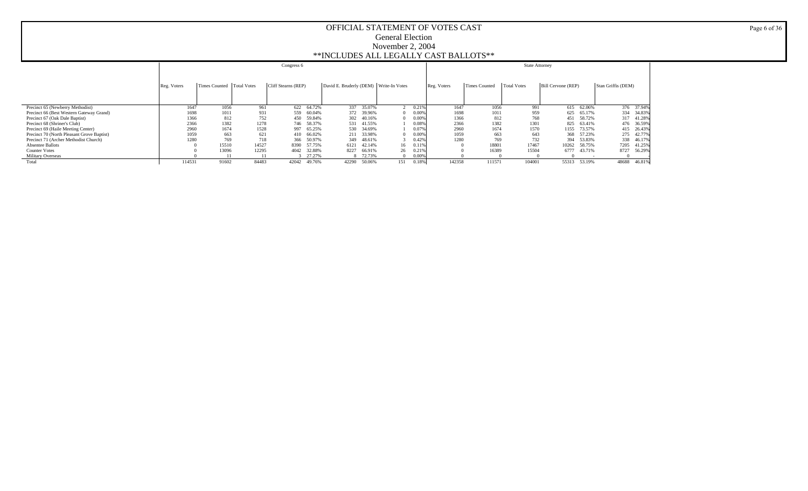|                                            |             |                             |       | Congress 6          |                                        |              |             |                      | <b>State Attorney</b> |                    |             |                    |        |
|--------------------------------------------|-------------|-----------------------------|-------|---------------------|----------------------------------------|--------------|-------------|----------------------|-----------------------|--------------------|-------------|--------------------|--------|
|                                            |             |                             |       |                     |                                        |              |             |                      |                       |                    |             |                    |        |
|                                            | Reg. Voters | Times Counted   Total Votes |       | Cliff Stearns (REP) | David E. Bruderly (DEM) Write-In Votes |              | Reg. Voters | <b>Times Counted</b> | <b>Total Votes</b>    | Bill Cervone (REP) |             | Stan Griffis (DEM) |        |
|                                            |             |                             |       |                     |                                        |              |             |                      |                       |                    |             |                    |        |
|                                            |             |                             |       |                     |                                        |              |             |                      |                       |                    |             |                    |        |
| Precinct 65 (Newberry Methodist)           | 1647        | 1056                        | 961   | 622 64.72%          | 337<br>35.07%                          | 0.219        | 1647        | 1056                 | 991                   |                    | 615 62.06%  | 376 37.94%         |        |
| Precinct 66 (Best Western Gateway Grand)   | 1698        | 1011                        | 931   | 559 60.04%          | 39.96%<br>372                          | 0.00%        | 1698        | 1011                 | 959                   |                    | 625 65.17%  | 334 34.83%         |        |
| Precinct 67 (Oak Dale Baptist)             | 1366        | 812                         | 752   | 450 59.84%          | 40.16%<br>302                          | 0.00%        | 1366        | 812                  | 768                   |                    | 451 58.72%  | 317 41.28%         |        |
| Precinct 68 (Shriner's Club)               | 2366        | 1382                        | 1278  | 746 58.37%          | 41.55%<br>531                          | 0.08%        | 2366        | 1382                 | 1301                  |                    | 825 63.41%  | 476 36.59%         |        |
| Precinct 69 (Haile Meeting Center)         | 2960        | 1674                        | 1528  | 997 65.25%          | 530<br>34.69%                          | 0.07%        | 2960        | 1674                 | 1570                  |                    | 1155 73.57% | 415 26.43%         |        |
| Precinct 70 (North Pleasant Grove Baptist) | 1059        | 663                         | 621   | 410 66.02%          | 33.98%<br>211                          | 0.00%        | 1059        | 663                  | 643                   | 368                | 57.23%      | 275 42.77%         |        |
| Precinct 71 (Archer Methodist Church)      | 1280        | 769                         | 718   | 366 50.97%          | 48.61%<br>349                          | 0.42%        | 1280        | 769                  | 732                   | 394                | 53.83%      | 338 46.17%         |        |
| <b>Absentee Ballots</b>                    |             | 15510                       | 14527 | 8390 57.75%         | 42.14%<br>6121                         | 0.11%<br>16  |             | 18801                | 17467                 | 10262              | 58.75%      | 7205 41.25%        |        |
| <b>Counter Votes</b>                       |             | 13096                       | 12295 | 4042 32.88%         | 8227<br>66.91%                         | 26<br>0.21%  |             | 16389                | 15504                 | 6777               | 43.71%      | 8727               | 56.29% |
| <b>Military Overseas</b>                   |             |                             |       | 27.27%              | 8 72.73%                               | 0.00%        |             |                      |                       |                    |             |                    |        |
| Total                                      | 114531      | 91602                       | 84483 | 49.76%<br>42042     | 42290<br>50.06%                        | 151<br>0.18% | 142358      | 111571               | 104001                | 55313              | 53.19%      | 48688              | 46.81% |

Page 6 of 36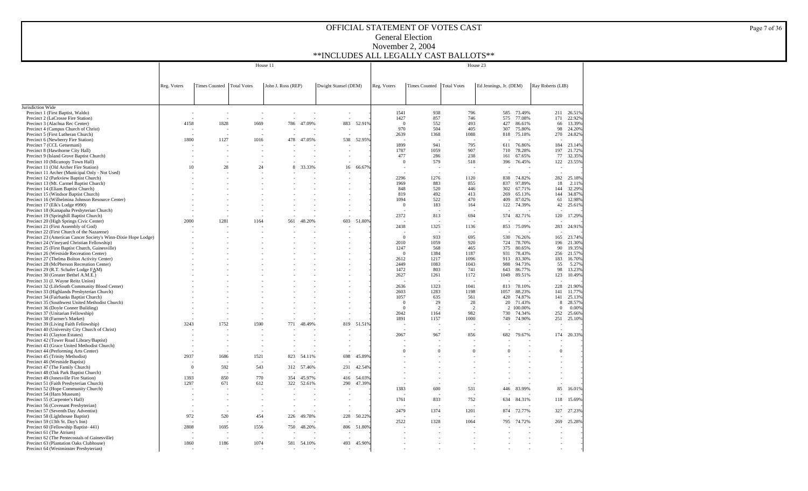| Reg. Voters<br>Times Counted   Total Votes<br>John J. Ross (REP)<br>Dwight Stansel (DEM)<br>Reg. Voters<br>Times Counted   Total Votes<br>Ed Jennings, Jr. (DEM)<br>Ray Roberts (LIB)<br>Precinct 1 (First Baptist, Waldo)<br>1541<br>938<br>796<br>585<br>73.49%<br>211<br>26.51%<br>1427<br>857<br>77.08%<br>22.92%<br>Precinct 2 (LaCrosse Fire Station)<br>746<br>575<br>171<br>883<br>4158<br>1828<br>1669<br>47.09%<br>52.91%<br>552<br>493<br>427<br>86.61%<br>13.39%<br>Precinct 3 (Alachua Rec Center)<br>786<br>$\mathbf{0}$<br>66<br>970<br>504<br>405<br>24.20%<br>Precinct 4 (Campus Church of Christ)<br>307<br>75.80%<br>98<br>Precinct 5 (First Lutheran Church)<br>2639<br>1368<br>1088<br>818<br>75.18%<br>270<br>24.82%<br>Precinct 6 (Newberry Fire Station)<br>1800<br>1127<br>47.05%<br>538<br>52.95%<br>1016<br>478<br>Precinct 7 (CCL Getsemani)<br>941<br>184<br>1899<br>795<br>611<br>76.86%<br>23.14%<br>Precinct 8 (Hawthorne City Hall)<br>1787<br>1059<br>907<br>78.28%<br>197<br>21.72%<br>710<br>238<br>77<br>32.35%<br>Precinct 9 (Island Grove Baptist Church)<br>477<br>286<br>161<br>67.65%<br>Precinct 10 (Micanopy Town Hall)<br>579<br>396<br>76.45%<br>122<br>518<br>$\Omega$<br>Precinct 11 (Old Archer Fire Station)<br>10<br>28<br>24<br>8<br>33.33%<br>16<br>66.679<br>Precinct 11 Archer (Municipal Only - Not Used)<br>Precinct 12 (Parkview Baptist Church)<br>2296<br>1276<br>1120<br>838<br>74.82%<br>282<br>25.18%<br>Precinct 13 (Mt. Carmel Baptist Church)<br>1969<br>883<br>855<br>837<br>97.89%<br>18<br>2.11%<br>Precinct 14 (Eliam Baptist Church)<br>848<br>520<br>446<br>302<br>67.71%<br>144<br>Precinct 15 (Windsor Baptist Church)<br>492<br>819<br>413<br>269<br>65.13%<br>144<br>Precinct 16 (Wilhelmina Johnson Resource Center)<br>1094<br>522<br>87.02%<br>470<br>409<br>61<br>Precinct 17 (Elk's Lodge #990)<br>183<br>$\mathbf{0}$<br>164<br>122<br>74.39%<br>42<br>Precinct 18 (Kanapaha Presbyterian Church)<br>Precinct 19 (Springhill Baptist Church)<br>2372<br>813<br>694<br>574<br>82.71%<br>120<br>Precinct 20 (High Springs Civic Center)<br>2000<br>1281<br>1164<br>561<br>48.20%<br>603<br>51.809<br>Precinct 21 (First Assembly of God)<br>2438<br>1325<br>1136<br>853<br>75.09%<br>283<br>Precinct 22 (First Church of the Nazarene)<br>٠<br>Precinct 23 (American Cancer Society's Winn-Dixie Hope Lodge)<br>933<br>695<br>23.74%<br>$\Omega$<br>530<br>76.26%<br>165<br>21.30%<br>Precinct 24 (Vineyard Christian Fellowship)<br>2010<br>1059<br>920<br>724<br>78.70%<br>196<br>Precinct 25 (First Baptist Church, Gainesville)<br>1247<br>568<br>465<br>375<br>80.65%<br>90<br>19.35%<br>Precinct 26 (Westside Recreation Center)<br>1384<br>1187<br>931<br>78.43%<br>21.57%<br>$\Omega$<br>256<br>1217<br>Precinct 27 (Thelma Bolton Activity Center)<br>2612<br>1096<br>913<br>83.30%<br>183<br>16.70%<br>Precinct 28 (McPherson Recreation Center)<br>2449<br>1083<br>1043<br>988<br>94.73%<br>55<br>5.27%<br>1472<br>741<br>Precinct 29 (R.T. Schafer Lodge FAM)<br>803<br>643<br>86.77%<br>98<br>13.23%<br>2627<br>10.49%<br>Precinct 30 (Greater Bethel A.M.E.)<br>1261<br>1172<br>1049<br>89.51%<br>123<br>Precinct 31 (J. Wayne Reitz Union)<br>228<br>Precinct 32 (LifeSouth Community Blood Center)<br>2636<br>1323<br>1041<br>813<br>78.10%<br>21.90%<br>Precinct 33 (Highlands Presbyterian Church)<br>2603<br>1283<br>1198<br>88.23%<br>11.77%<br>1057<br>141<br>Precinct 34 (Fairbanks Baptist Church)<br>1057<br>635<br>561<br>420<br>74.87%<br>141<br>25.13%<br>Precinct 35 (Southwest United Methodist Church)<br>29<br>28<br>20<br>71.43%<br>28.57%<br>$\Omega$<br>8<br>2<br>$\overline{2}$<br>2 100.00%<br>Precinct 36 (Doyle Conner Building)<br>$\Omega$<br>$\Omega$<br>0.00%<br>2042<br>982<br>74.34%<br>252<br>Precinct 37 (Unitarian Fellowship)<br>1164<br>730<br>25.66%<br>1000<br>74.90%<br>Precinct 38 (Farmer's Market)<br>1891<br>1157<br>749<br>251<br>1752<br>Precinct 39 (Living Faith Fellowship)<br>3243<br>1590<br>771<br>819<br>51.51%<br>48.49%<br>Precinct 40 (University City Church of Christ)<br>967<br>Precinct 41 (Clayton Estates)<br>2067<br>856<br>682<br>79.67%<br>174<br>Precinct 42 (Tower Road Library/Baptist)<br>Precinct 43 (Grace United Methodist Church)<br>$\overline{0}$<br>Precinct 44 (Performing Arts Center)<br>$\overline{0}$<br>$\Omega$<br>$\mathbf{0}$<br>$\Omega$<br>Precinct 45 (Trinity Methodist)<br>2937<br>1521<br>45.899<br>1686<br>823<br>54.11%<br>698<br>Precinct 46 (Westside Baptist)<br>Precinct 47 (The Family Church)<br>592<br>543<br>42.549<br>$\Omega$<br>312 57.46%<br>231<br>Precinct 48 (Oak Park Baptist Church)<br>Precinct 49 (Jonesville Fire Station)<br>1393<br>850<br>770<br>45.97%<br>54.03%<br>354<br>416<br>47.39%<br>Precinct 51 (Faith Presbyterian Church)<br>1297<br>671<br>612<br>322<br>52.61%<br>290<br>1383<br>600<br>Precinct 52 (Hope Community Church)<br>531<br>83.99%<br>85<br>16.01%<br>446<br>Precinct 54 (Harn Museum)<br>Precinct 55 (Carpenter's Hall)<br>1761<br>833<br>752<br>634<br>84.31%<br>118<br>Precinct 56 (Covenant Presbyterian)<br>Precinct 57 (Seventh Day Adventist)<br>2479<br>1374<br>1201<br>874<br>72.77%<br>327<br>Precinct 58 (Lighthouse Baptist)<br>972<br>520<br>454<br>228<br>50.22%<br>226<br>49.78%<br>2522<br>Precinct 59 (13th St. Day's Inn)<br>1328<br>1064<br>795<br>74.72%<br>269<br>51.80%<br>Precinct 60 (Fellowship Baptist-441)<br>2808<br>1695<br>1556<br>750<br>806<br>48.20%<br>Precinct 61 (The Atrium)<br>Precinct 62 (The Pentecostals of Gainesville)<br>Precinct 63 (Plantation Oaks Clubhouse)<br>1860<br>1074<br>493<br>45.90%<br>1186<br>581<br>54.10% |                                        |  | House 11 |  |  |  | House 23 |  |  |
|----------------------------------------------------------------------------------------------------------------------------------------------------------------------------------------------------------------------------------------------------------------------------------------------------------------------------------------------------------------------------------------------------------------------------------------------------------------------------------------------------------------------------------------------------------------------------------------------------------------------------------------------------------------------------------------------------------------------------------------------------------------------------------------------------------------------------------------------------------------------------------------------------------------------------------------------------------------------------------------------------------------------------------------------------------------------------------------------------------------------------------------------------------------------------------------------------------------------------------------------------------------------------------------------------------------------------------------------------------------------------------------------------------------------------------------------------------------------------------------------------------------------------------------------------------------------------------------------------------------------------------------------------------------------------------------------------------------------------------------------------------------------------------------------------------------------------------------------------------------------------------------------------------------------------------------------------------------------------------------------------------------------------------------------------------------------------------------------------------------------------------------------------------------------------------------------------------------------------------------------------------------------------------------------------------------------------------------------------------------------------------------------------------------------------------------------------------------------------------------------------------------------------------------------------------------------------------------------------------------------------------------------------------------------------------------------------------------------------------------------------------------------------------------------------------------------------------------------------------------------------------------------------------------------------------------------------------------------------------------------------------------------------------------------------------------------------------------------------------------------------------------------------------------------------------------------------------------------------------------------------------------------------------------------------------------------------------------------------------------------------------------------------------------------------------------------------------------------------------------------------------------------------------------------------------------------------------------------------------------------------------------------------------------------------------------------------------------------------------------------------------------------------------------------------------------------------------------------------------------------------------------------------------------------------------------------------------------------------------------------------------------------------------------------------------------------------------------------------------------------------------------------------------------------------------------------------------------------------------------------------------------------------------------------------------------------------------------------------------------------------------------------------------------------------------------------------------------------------------------------------------------------------------------------------------------------------------------------------------------------------------------------------------------------------------------------------------------------------------------------------------------------------------------------------------------------------------------------------------------------------------------------------------------------------------------------------------------------------------------------------------------------------------------------------------------------------------------------------------------------------------------------------------------------------------------------------------------------------------------------------------------------------------------------------------------------------------------------------------------------------------------------------------------------------------------------------------------------------------------------------------------------------------------------------------------------------------------------------------------------------------------------------------------------------------------------------------------|----------------------------------------|--|----------|--|--|--|----------|--|--|
|                                                                                                                                                                                                                                                                                                                                                                                                                                                                                                                                                                                                                                                                                                                                                                                                                                                                                                                                                                                                                                                                                                                                                                                                                                                                                                                                                                                                                                                                                                                                                                                                                                                                                                                                                                                                                                                                                                                                                                                                                                                                                                                                                                                                                                                                                                                                                                                                                                                                                                                                                                                                                                                                                                                                                                                                                                                                                                                                                                                                                                                                                                                                                                                                                                                                                                                                                                                                                                                                                                                                                                                                                                                                                                                                                                                                                                                                                                                                                                                                                                                                                                                                                                                                                                                                                                                                                                                                                                                                                                                                                                                                                                                                                                                                                                                                                                                                                                                                                                                                                                                                                                                                                                                                                                                                                                                                                                                                                                                                                                                                                                                                                                                                                                                |                                        |  |          |  |  |  |          |  |  |
|                                                                                                                                                                                                                                                                                                                                                                                                                                                                                                                                                                                                                                                                                                                                                                                                                                                                                                                                                                                                                                                                                                                                                                                                                                                                                                                                                                                                                                                                                                                                                                                                                                                                                                                                                                                                                                                                                                                                                                                                                                                                                                                                                                                                                                                                                                                                                                                                                                                                                                                                                                                                                                                                                                                                                                                                                                                                                                                                                                                                                                                                                                                                                                                                                                                                                                                                                                                                                                                                                                                                                                                                                                                                                                                                                                                                                                                                                                                                                                                                                                                                                                                                                                                                                                                                                                                                                                                                                                                                                                                                                                                                                                                                                                                                                                                                                                                                                                                                                                                                                                                                                                                                                                                                                                                                                                                                                                                                                                                                                                                                                                                                                                                                                                                |                                        |  |          |  |  |  |          |  |  |
|                                                                                                                                                                                                                                                                                                                                                                                                                                                                                                                                                                                                                                                                                                                                                                                                                                                                                                                                                                                                                                                                                                                                                                                                                                                                                                                                                                                                                                                                                                                                                                                                                                                                                                                                                                                                                                                                                                                                                                                                                                                                                                                                                                                                                                                                                                                                                                                                                                                                                                                                                                                                                                                                                                                                                                                                                                                                                                                                                                                                                                                                                                                                                                                                                                                                                                                                                                                                                                                                                                                                                                                                                                                                                                                                                                                                                                                                                                                                                                                                                                                                                                                                                                                                                                                                                                                                                                                                                                                                                                                                                                                                                                                                                                                                                                                                                                                                                                                                                                                                                                                                                                                                                                                                                                                                                                                                                                                                                                                                                                                                                                                                                                                                                                                |                                        |  |          |  |  |  |          |  |  |
|                                                                                                                                                                                                                                                                                                                                                                                                                                                                                                                                                                                                                                                                                                                                                                                                                                                                                                                                                                                                                                                                                                                                                                                                                                                                                                                                                                                                                                                                                                                                                                                                                                                                                                                                                                                                                                                                                                                                                                                                                                                                                                                                                                                                                                                                                                                                                                                                                                                                                                                                                                                                                                                                                                                                                                                                                                                                                                                                                                                                                                                                                                                                                                                                                                                                                                                                                                                                                                                                                                                                                                                                                                                                                                                                                                                                                                                                                                                                                                                                                                                                                                                                                                                                                                                                                                                                                                                                                                                                                                                                                                                                                                                                                                                                                                                                                                                                                                                                                                                                                                                                                                                                                                                                                                                                                                                                                                                                                                                                                                                                                                                                                                                                                                                |                                        |  |          |  |  |  |          |  |  |
| 23.55%<br>32.29%<br>34.87%<br>12.98%<br>25.61%<br>17.29%<br>24.91%<br>25.10%<br>20.33%<br>15.69%<br>27.23%<br>25.28%                                                                                                                                                                                                                                                                                                                                                                                                                                                                                                                                                                                                                                                                                                                                                                                                                                                                                                                                                                                                                                                                                                                                                                                                                                                                                                                                                                                                                                                                                                                                                                                                                                                                                                                                                                                                                                                                                                                                                                                                                                                                                                                                                                                                                                                                                                                                                                                                                                                                                                                                                                                                                                                                                                                                                                                                                                                                                                                                                                                                                                                                                                                                                                                                                                                                                                                                                                                                                                                                                                                                                                                                                                                                                                                                                                                                                                                                                                                                                                                                                                                                                                                                                                                                                                                                                                                                                                                                                                                                                                                                                                                                                                                                                                                                                                                                                                                                                                                                                                                                                                                                                                                                                                                                                                                                                                                                                                                                                                                                                                                                                                                           | Jurisdiction Wide                      |  |          |  |  |  |          |  |  |
|                                                                                                                                                                                                                                                                                                                                                                                                                                                                                                                                                                                                                                                                                                                                                                                                                                                                                                                                                                                                                                                                                                                                                                                                                                                                                                                                                                                                                                                                                                                                                                                                                                                                                                                                                                                                                                                                                                                                                                                                                                                                                                                                                                                                                                                                                                                                                                                                                                                                                                                                                                                                                                                                                                                                                                                                                                                                                                                                                                                                                                                                                                                                                                                                                                                                                                                                                                                                                                                                                                                                                                                                                                                                                                                                                                                                                                                                                                                                                                                                                                                                                                                                                                                                                                                                                                                                                                                                                                                                                                                                                                                                                                                                                                                                                                                                                                                                                                                                                                                                                                                                                                                                                                                                                                                                                                                                                                                                                                                                                                                                                                                                                                                                                                                |                                        |  |          |  |  |  |          |  |  |
|                                                                                                                                                                                                                                                                                                                                                                                                                                                                                                                                                                                                                                                                                                                                                                                                                                                                                                                                                                                                                                                                                                                                                                                                                                                                                                                                                                                                                                                                                                                                                                                                                                                                                                                                                                                                                                                                                                                                                                                                                                                                                                                                                                                                                                                                                                                                                                                                                                                                                                                                                                                                                                                                                                                                                                                                                                                                                                                                                                                                                                                                                                                                                                                                                                                                                                                                                                                                                                                                                                                                                                                                                                                                                                                                                                                                                                                                                                                                                                                                                                                                                                                                                                                                                                                                                                                                                                                                                                                                                                                                                                                                                                                                                                                                                                                                                                                                                                                                                                                                                                                                                                                                                                                                                                                                                                                                                                                                                                                                                                                                                                                                                                                                                                                |                                        |  |          |  |  |  |          |  |  |
|                                                                                                                                                                                                                                                                                                                                                                                                                                                                                                                                                                                                                                                                                                                                                                                                                                                                                                                                                                                                                                                                                                                                                                                                                                                                                                                                                                                                                                                                                                                                                                                                                                                                                                                                                                                                                                                                                                                                                                                                                                                                                                                                                                                                                                                                                                                                                                                                                                                                                                                                                                                                                                                                                                                                                                                                                                                                                                                                                                                                                                                                                                                                                                                                                                                                                                                                                                                                                                                                                                                                                                                                                                                                                                                                                                                                                                                                                                                                                                                                                                                                                                                                                                                                                                                                                                                                                                                                                                                                                                                                                                                                                                                                                                                                                                                                                                                                                                                                                                                                                                                                                                                                                                                                                                                                                                                                                                                                                                                                                                                                                                                                                                                                                                                |                                        |  |          |  |  |  |          |  |  |
|                                                                                                                                                                                                                                                                                                                                                                                                                                                                                                                                                                                                                                                                                                                                                                                                                                                                                                                                                                                                                                                                                                                                                                                                                                                                                                                                                                                                                                                                                                                                                                                                                                                                                                                                                                                                                                                                                                                                                                                                                                                                                                                                                                                                                                                                                                                                                                                                                                                                                                                                                                                                                                                                                                                                                                                                                                                                                                                                                                                                                                                                                                                                                                                                                                                                                                                                                                                                                                                                                                                                                                                                                                                                                                                                                                                                                                                                                                                                                                                                                                                                                                                                                                                                                                                                                                                                                                                                                                                                                                                                                                                                                                                                                                                                                                                                                                                                                                                                                                                                                                                                                                                                                                                                                                                                                                                                                                                                                                                                                                                                                                                                                                                                                                                |                                        |  |          |  |  |  |          |  |  |
|                                                                                                                                                                                                                                                                                                                                                                                                                                                                                                                                                                                                                                                                                                                                                                                                                                                                                                                                                                                                                                                                                                                                                                                                                                                                                                                                                                                                                                                                                                                                                                                                                                                                                                                                                                                                                                                                                                                                                                                                                                                                                                                                                                                                                                                                                                                                                                                                                                                                                                                                                                                                                                                                                                                                                                                                                                                                                                                                                                                                                                                                                                                                                                                                                                                                                                                                                                                                                                                                                                                                                                                                                                                                                                                                                                                                                                                                                                                                                                                                                                                                                                                                                                                                                                                                                                                                                                                                                                                                                                                                                                                                                                                                                                                                                                                                                                                                                                                                                                                                                                                                                                                                                                                                                                                                                                                                                                                                                                                                                                                                                                                                                                                                                                                |                                        |  |          |  |  |  |          |  |  |
|                                                                                                                                                                                                                                                                                                                                                                                                                                                                                                                                                                                                                                                                                                                                                                                                                                                                                                                                                                                                                                                                                                                                                                                                                                                                                                                                                                                                                                                                                                                                                                                                                                                                                                                                                                                                                                                                                                                                                                                                                                                                                                                                                                                                                                                                                                                                                                                                                                                                                                                                                                                                                                                                                                                                                                                                                                                                                                                                                                                                                                                                                                                                                                                                                                                                                                                                                                                                                                                                                                                                                                                                                                                                                                                                                                                                                                                                                                                                                                                                                                                                                                                                                                                                                                                                                                                                                                                                                                                                                                                                                                                                                                                                                                                                                                                                                                                                                                                                                                                                                                                                                                                                                                                                                                                                                                                                                                                                                                                                                                                                                                                                                                                                                                                |                                        |  |          |  |  |  |          |  |  |
|                                                                                                                                                                                                                                                                                                                                                                                                                                                                                                                                                                                                                                                                                                                                                                                                                                                                                                                                                                                                                                                                                                                                                                                                                                                                                                                                                                                                                                                                                                                                                                                                                                                                                                                                                                                                                                                                                                                                                                                                                                                                                                                                                                                                                                                                                                                                                                                                                                                                                                                                                                                                                                                                                                                                                                                                                                                                                                                                                                                                                                                                                                                                                                                                                                                                                                                                                                                                                                                                                                                                                                                                                                                                                                                                                                                                                                                                                                                                                                                                                                                                                                                                                                                                                                                                                                                                                                                                                                                                                                                                                                                                                                                                                                                                                                                                                                                                                                                                                                                                                                                                                                                                                                                                                                                                                                                                                                                                                                                                                                                                                                                                                                                                                                                |                                        |  |          |  |  |  |          |  |  |
|                                                                                                                                                                                                                                                                                                                                                                                                                                                                                                                                                                                                                                                                                                                                                                                                                                                                                                                                                                                                                                                                                                                                                                                                                                                                                                                                                                                                                                                                                                                                                                                                                                                                                                                                                                                                                                                                                                                                                                                                                                                                                                                                                                                                                                                                                                                                                                                                                                                                                                                                                                                                                                                                                                                                                                                                                                                                                                                                                                                                                                                                                                                                                                                                                                                                                                                                                                                                                                                                                                                                                                                                                                                                                                                                                                                                                                                                                                                                                                                                                                                                                                                                                                                                                                                                                                                                                                                                                                                                                                                                                                                                                                                                                                                                                                                                                                                                                                                                                                                                                                                                                                                                                                                                                                                                                                                                                                                                                                                                                                                                                                                                                                                                                                                |                                        |  |          |  |  |  |          |  |  |
|                                                                                                                                                                                                                                                                                                                                                                                                                                                                                                                                                                                                                                                                                                                                                                                                                                                                                                                                                                                                                                                                                                                                                                                                                                                                                                                                                                                                                                                                                                                                                                                                                                                                                                                                                                                                                                                                                                                                                                                                                                                                                                                                                                                                                                                                                                                                                                                                                                                                                                                                                                                                                                                                                                                                                                                                                                                                                                                                                                                                                                                                                                                                                                                                                                                                                                                                                                                                                                                                                                                                                                                                                                                                                                                                                                                                                                                                                                                                                                                                                                                                                                                                                                                                                                                                                                                                                                                                                                                                                                                                                                                                                                                                                                                                                                                                                                                                                                                                                                                                                                                                                                                                                                                                                                                                                                                                                                                                                                                                                                                                                                                                                                                                                                                |                                        |  |          |  |  |  |          |  |  |
|                                                                                                                                                                                                                                                                                                                                                                                                                                                                                                                                                                                                                                                                                                                                                                                                                                                                                                                                                                                                                                                                                                                                                                                                                                                                                                                                                                                                                                                                                                                                                                                                                                                                                                                                                                                                                                                                                                                                                                                                                                                                                                                                                                                                                                                                                                                                                                                                                                                                                                                                                                                                                                                                                                                                                                                                                                                                                                                                                                                                                                                                                                                                                                                                                                                                                                                                                                                                                                                                                                                                                                                                                                                                                                                                                                                                                                                                                                                                                                                                                                                                                                                                                                                                                                                                                                                                                                                                                                                                                                                                                                                                                                                                                                                                                                                                                                                                                                                                                                                                                                                                                                                                                                                                                                                                                                                                                                                                                                                                                                                                                                                                                                                                                                                |                                        |  |          |  |  |  |          |  |  |
|                                                                                                                                                                                                                                                                                                                                                                                                                                                                                                                                                                                                                                                                                                                                                                                                                                                                                                                                                                                                                                                                                                                                                                                                                                                                                                                                                                                                                                                                                                                                                                                                                                                                                                                                                                                                                                                                                                                                                                                                                                                                                                                                                                                                                                                                                                                                                                                                                                                                                                                                                                                                                                                                                                                                                                                                                                                                                                                                                                                                                                                                                                                                                                                                                                                                                                                                                                                                                                                                                                                                                                                                                                                                                                                                                                                                                                                                                                                                                                                                                                                                                                                                                                                                                                                                                                                                                                                                                                                                                                                                                                                                                                                                                                                                                                                                                                                                                                                                                                                                                                                                                                                                                                                                                                                                                                                                                                                                                                                                                                                                                                                                                                                                                                                |                                        |  |          |  |  |  |          |  |  |
|                                                                                                                                                                                                                                                                                                                                                                                                                                                                                                                                                                                                                                                                                                                                                                                                                                                                                                                                                                                                                                                                                                                                                                                                                                                                                                                                                                                                                                                                                                                                                                                                                                                                                                                                                                                                                                                                                                                                                                                                                                                                                                                                                                                                                                                                                                                                                                                                                                                                                                                                                                                                                                                                                                                                                                                                                                                                                                                                                                                                                                                                                                                                                                                                                                                                                                                                                                                                                                                                                                                                                                                                                                                                                                                                                                                                                                                                                                                                                                                                                                                                                                                                                                                                                                                                                                                                                                                                                                                                                                                                                                                                                                                                                                                                                                                                                                                                                                                                                                                                                                                                                                                                                                                                                                                                                                                                                                                                                                                                                                                                                                                                                                                                                                                |                                        |  |          |  |  |  |          |  |  |
|                                                                                                                                                                                                                                                                                                                                                                                                                                                                                                                                                                                                                                                                                                                                                                                                                                                                                                                                                                                                                                                                                                                                                                                                                                                                                                                                                                                                                                                                                                                                                                                                                                                                                                                                                                                                                                                                                                                                                                                                                                                                                                                                                                                                                                                                                                                                                                                                                                                                                                                                                                                                                                                                                                                                                                                                                                                                                                                                                                                                                                                                                                                                                                                                                                                                                                                                                                                                                                                                                                                                                                                                                                                                                                                                                                                                                                                                                                                                                                                                                                                                                                                                                                                                                                                                                                                                                                                                                                                                                                                                                                                                                                                                                                                                                                                                                                                                                                                                                                                                                                                                                                                                                                                                                                                                                                                                                                                                                                                                                                                                                                                                                                                                                                                |                                        |  |          |  |  |  |          |  |  |
|                                                                                                                                                                                                                                                                                                                                                                                                                                                                                                                                                                                                                                                                                                                                                                                                                                                                                                                                                                                                                                                                                                                                                                                                                                                                                                                                                                                                                                                                                                                                                                                                                                                                                                                                                                                                                                                                                                                                                                                                                                                                                                                                                                                                                                                                                                                                                                                                                                                                                                                                                                                                                                                                                                                                                                                                                                                                                                                                                                                                                                                                                                                                                                                                                                                                                                                                                                                                                                                                                                                                                                                                                                                                                                                                                                                                                                                                                                                                                                                                                                                                                                                                                                                                                                                                                                                                                                                                                                                                                                                                                                                                                                                                                                                                                                                                                                                                                                                                                                                                                                                                                                                                                                                                                                                                                                                                                                                                                                                                                                                                                                                                                                                                                                                |                                        |  |          |  |  |  |          |  |  |
|                                                                                                                                                                                                                                                                                                                                                                                                                                                                                                                                                                                                                                                                                                                                                                                                                                                                                                                                                                                                                                                                                                                                                                                                                                                                                                                                                                                                                                                                                                                                                                                                                                                                                                                                                                                                                                                                                                                                                                                                                                                                                                                                                                                                                                                                                                                                                                                                                                                                                                                                                                                                                                                                                                                                                                                                                                                                                                                                                                                                                                                                                                                                                                                                                                                                                                                                                                                                                                                                                                                                                                                                                                                                                                                                                                                                                                                                                                                                                                                                                                                                                                                                                                                                                                                                                                                                                                                                                                                                                                                                                                                                                                                                                                                                                                                                                                                                                                                                                                                                                                                                                                                                                                                                                                                                                                                                                                                                                                                                                                                                                                                                                                                                                                                |                                        |  |          |  |  |  |          |  |  |
|                                                                                                                                                                                                                                                                                                                                                                                                                                                                                                                                                                                                                                                                                                                                                                                                                                                                                                                                                                                                                                                                                                                                                                                                                                                                                                                                                                                                                                                                                                                                                                                                                                                                                                                                                                                                                                                                                                                                                                                                                                                                                                                                                                                                                                                                                                                                                                                                                                                                                                                                                                                                                                                                                                                                                                                                                                                                                                                                                                                                                                                                                                                                                                                                                                                                                                                                                                                                                                                                                                                                                                                                                                                                                                                                                                                                                                                                                                                                                                                                                                                                                                                                                                                                                                                                                                                                                                                                                                                                                                                                                                                                                                                                                                                                                                                                                                                                                                                                                                                                                                                                                                                                                                                                                                                                                                                                                                                                                                                                                                                                                                                                                                                                                                                |                                        |  |          |  |  |  |          |  |  |
|                                                                                                                                                                                                                                                                                                                                                                                                                                                                                                                                                                                                                                                                                                                                                                                                                                                                                                                                                                                                                                                                                                                                                                                                                                                                                                                                                                                                                                                                                                                                                                                                                                                                                                                                                                                                                                                                                                                                                                                                                                                                                                                                                                                                                                                                                                                                                                                                                                                                                                                                                                                                                                                                                                                                                                                                                                                                                                                                                                                                                                                                                                                                                                                                                                                                                                                                                                                                                                                                                                                                                                                                                                                                                                                                                                                                                                                                                                                                                                                                                                                                                                                                                                                                                                                                                                                                                                                                                                                                                                                                                                                                                                                                                                                                                                                                                                                                                                                                                                                                                                                                                                                                                                                                                                                                                                                                                                                                                                                                                                                                                                                                                                                                                                                |                                        |  |          |  |  |  |          |  |  |
|                                                                                                                                                                                                                                                                                                                                                                                                                                                                                                                                                                                                                                                                                                                                                                                                                                                                                                                                                                                                                                                                                                                                                                                                                                                                                                                                                                                                                                                                                                                                                                                                                                                                                                                                                                                                                                                                                                                                                                                                                                                                                                                                                                                                                                                                                                                                                                                                                                                                                                                                                                                                                                                                                                                                                                                                                                                                                                                                                                                                                                                                                                                                                                                                                                                                                                                                                                                                                                                                                                                                                                                                                                                                                                                                                                                                                                                                                                                                                                                                                                                                                                                                                                                                                                                                                                                                                                                                                                                                                                                                                                                                                                                                                                                                                                                                                                                                                                                                                                                                                                                                                                                                                                                                                                                                                                                                                                                                                                                                                                                                                                                                                                                                                                                |                                        |  |          |  |  |  |          |  |  |
|                                                                                                                                                                                                                                                                                                                                                                                                                                                                                                                                                                                                                                                                                                                                                                                                                                                                                                                                                                                                                                                                                                                                                                                                                                                                                                                                                                                                                                                                                                                                                                                                                                                                                                                                                                                                                                                                                                                                                                                                                                                                                                                                                                                                                                                                                                                                                                                                                                                                                                                                                                                                                                                                                                                                                                                                                                                                                                                                                                                                                                                                                                                                                                                                                                                                                                                                                                                                                                                                                                                                                                                                                                                                                                                                                                                                                                                                                                                                                                                                                                                                                                                                                                                                                                                                                                                                                                                                                                                                                                                                                                                                                                                                                                                                                                                                                                                                                                                                                                                                                                                                                                                                                                                                                                                                                                                                                                                                                                                                                                                                                                                                                                                                                                                |                                        |  |          |  |  |  |          |  |  |
|                                                                                                                                                                                                                                                                                                                                                                                                                                                                                                                                                                                                                                                                                                                                                                                                                                                                                                                                                                                                                                                                                                                                                                                                                                                                                                                                                                                                                                                                                                                                                                                                                                                                                                                                                                                                                                                                                                                                                                                                                                                                                                                                                                                                                                                                                                                                                                                                                                                                                                                                                                                                                                                                                                                                                                                                                                                                                                                                                                                                                                                                                                                                                                                                                                                                                                                                                                                                                                                                                                                                                                                                                                                                                                                                                                                                                                                                                                                                                                                                                                                                                                                                                                                                                                                                                                                                                                                                                                                                                                                                                                                                                                                                                                                                                                                                                                                                                                                                                                                                                                                                                                                                                                                                                                                                                                                                                                                                                                                                                                                                                                                                                                                                                                                |                                        |  |          |  |  |  |          |  |  |
|                                                                                                                                                                                                                                                                                                                                                                                                                                                                                                                                                                                                                                                                                                                                                                                                                                                                                                                                                                                                                                                                                                                                                                                                                                                                                                                                                                                                                                                                                                                                                                                                                                                                                                                                                                                                                                                                                                                                                                                                                                                                                                                                                                                                                                                                                                                                                                                                                                                                                                                                                                                                                                                                                                                                                                                                                                                                                                                                                                                                                                                                                                                                                                                                                                                                                                                                                                                                                                                                                                                                                                                                                                                                                                                                                                                                                                                                                                                                                                                                                                                                                                                                                                                                                                                                                                                                                                                                                                                                                                                                                                                                                                                                                                                                                                                                                                                                                                                                                                                                                                                                                                                                                                                                                                                                                                                                                                                                                                                                                                                                                                                                                                                                                                                |                                        |  |          |  |  |  |          |  |  |
|                                                                                                                                                                                                                                                                                                                                                                                                                                                                                                                                                                                                                                                                                                                                                                                                                                                                                                                                                                                                                                                                                                                                                                                                                                                                                                                                                                                                                                                                                                                                                                                                                                                                                                                                                                                                                                                                                                                                                                                                                                                                                                                                                                                                                                                                                                                                                                                                                                                                                                                                                                                                                                                                                                                                                                                                                                                                                                                                                                                                                                                                                                                                                                                                                                                                                                                                                                                                                                                                                                                                                                                                                                                                                                                                                                                                                                                                                                                                                                                                                                                                                                                                                                                                                                                                                                                                                                                                                                                                                                                                                                                                                                                                                                                                                                                                                                                                                                                                                                                                                                                                                                                                                                                                                                                                                                                                                                                                                                                                                                                                                                                                                                                                                                                |                                        |  |          |  |  |  |          |  |  |
|                                                                                                                                                                                                                                                                                                                                                                                                                                                                                                                                                                                                                                                                                                                                                                                                                                                                                                                                                                                                                                                                                                                                                                                                                                                                                                                                                                                                                                                                                                                                                                                                                                                                                                                                                                                                                                                                                                                                                                                                                                                                                                                                                                                                                                                                                                                                                                                                                                                                                                                                                                                                                                                                                                                                                                                                                                                                                                                                                                                                                                                                                                                                                                                                                                                                                                                                                                                                                                                                                                                                                                                                                                                                                                                                                                                                                                                                                                                                                                                                                                                                                                                                                                                                                                                                                                                                                                                                                                                                                                                                                                                                                                                                                                                                                                                                                                                                                                                                                                                                                                                                                                                                                                                                                                                                                                                                                                                                                                                                                                                                                                                                                                                                                                                |                                        |  |          |  |  |  |          |  |  |
|                                                                                                                                                                                                                                                                                                                                                                                                                                                                                                                                                                                                                                                                                                                                                                                                                                                                                                                                                                                                                                                                                                                                                                                                                                                                                                                                                                                                                                                                                                                                                                                                                                                                                                                                                                                                                                                                                                                                                                                                                                                                                                                                                                                                                                                                                                                                                                                                                                                                                                                                                                                                                                                                                                                                                                                                                                                                                                                                                                                                                                                                                                                                                                                                                                                                                                                                                                                                                                                                                                                                                                                                                                                                                                                                                                                                                                                                                                                                                                                                                                                                                                                                                                                                                                                                                                                                                                                                                                                                                                                                                                                                                                                                                                                                                                                                                                                                                                                                                                                                                                                                                                                                                                                                                                                                                                                                                                                                                                                                                                                                                                                                                                                                                                                |                                        |  |          |  |  |  |          |  |  |
|                                                                                                                                                                                                                                                                                                                                                                                                                                                                                                                                                                                                                                                                                                                                                                                                                                                                                                                                                                                                                                                                                                                                                                                                                                                                                                                                                                                                                                                                                                                                                                                                                                                                                                                                                                                                                                                                                                                                                                                                                                                                                                                                                                                                                                                                                                                                                                                                                                                                                                                                                                                                                                                                                                                                                                                                                                                                                                                                                                                                                                                                                                                                                                                                                                                                                                                                                                                                                                                                                                                                                                                                                                                                                                                                                                                                                                                                                                                                                                                                                                                                                                                                                                                                                                                                                                                                                                                                                                                                                                                                                                                                                                                                                                                                                                                                                                                                                                                                                                                                                                                                                                                                                                                                                                                                                                                                                                                                                                                                                                                                                                                                                                                                                                                |                                        |  |          |  |  |  |          |  |  |
|                                                                                                                                                                                                                                                                                                                                                                                                                                                                                                                                                                                                                                                                                                                                                                                                                                                                                                                                                                                                                                                                                                                                                                                                                                                                                                                                                                                                                                                                                                                                                                                                                                                                                                                                                                                                                                                                                                                                                                                                                                                                                                                                                                                                                                                                                                                                                                                                                                                                                                                                                                                                                                                                                                                                                                                                                                                                                                                                                                                                                                                                                                                                                                                                                                                                                                                                                                                                                                                                                                                                                                                                                                                                                                                                                                                                                                                                                                                                                                                                                                                                                                                                                                                                                                                                                                                                                                                                                                                                                                                                                                                                                                                                                                                                                                                                                                                                                                                                                                                                                                                                                                                                                                                                                                                                                                                                                                                                                                                                                                                                                                                                                                                                                                                |                                        |  |          |  |  |  |          |  |  |
|                                                                                                                                                                                                                                                                                                                                                                                                                                                                                                                                                                                                                                                                                                                                                                                                                                                                                                                                                                                                                                                                                                                                                                                                                                                                                                                                                                                                                                                                                                                                                                                                                                                                                                                                                                                                                                                                                                                                                                                                                                                                                                                                                                                                                                                                                                                                                                                                                                                                                                                                                                                                                                                                                                                                                                                                                                                                                                                                                                                                                                                                                                                                                                                                                                                                                                                                                                                                                                                                                                                                                                                                                                                                                                                                                                                                                                                                                                                                                                                                                                                                                                                                                                                                                                                                                                                                                                                                                                                                                                                                                                                                                                                                                                                                                                                                                                                                                                                                                                                                                                                                                                                                                                                                                                                                                                                                                                                                                                                                                                                                                                                                                                                                                                                |                                        |  |          |  |  |  |          |  |  |
|                                                                                                                                                                                                                                                                                                                                                                                                                                                                                                                                                                                                                                                                                                                                                                                                                                                                                                                                                                                                                                                                                                                                                                                                                                                                                                                                                                                                                                                                                                                                                                                                                                                                                                                                                                                                                                                                                                                                                                                                                                                                                                                                                                                                                                                                                                                                                                                                                                                                                                                                                                                                                                                                                                                                                                                                                                                                                                                                                                                                                                                                                                                                                                                                                                                                                                                                                                                                                                                                                                                                                                                                                                                                                                                                                                                                                                                                                                                                                                                                                                                                                                                                                                                                                                                                                                                                                                                                                                                                                                                                                                                                                                                                                                                                                                                                                                                                                                                                                                                                                                                                                                                                                                                                                                                                                                                                                                                                                                                                                                                                                                                                                                                                                                                |                                        |  |          |  |  |  |          |  |  |
|                                                                                                                                                                                                                                                                                                                                                                                                                                                                                                                                                                                                                                                                                                                                                                                                                                                                                                                                                                                                                                                                                                                                                                                                                                                                                                                                                                                                                                                                                                                                                                                                                                                                                                                                                                                                                                                                                                                                                                                                                                                                                                                                                                                                                                                                                                                                                                                                                                                                                                                                                                                                                                                                                                                                                                                                                                                                                                                                                                                                                                                                                                                                                                                                                                                                                                                                                                                                                                                                                                                                                                                                                                                                                                                                                                                                                                                                                                                                                                                                                                                                                                                                                                                                                                                                                                                                                                                                                                                                                                                                                                                                                                                                                                                                                                                                                                                                                                                                                                                                                                                                                                                                                                                                                                                                                                                                                                                                                                                                                                                                                                                                                                                                                                                |                                        |  |          |  |  |  |          |  |  |
|                                                                                                                                                                                                                                                                                                                                                                                                                                                                                                                                                                                                                                                                                                                                                                                                                                                                                                                                                                                                                                                                                                                                                                                                                                                                                                                                                                                                                                                                                                                                                                                                                                                                                                                                                                                                                                                                                                                                                                                                                                                                                                                                                                                                                                                                                                                                                                                                                                                                                                                                                                                                                                                                                                                                                                                                                                                                                                                                                                                                                                                                                                                                                                                                                                                                                                                                                                                                                                                                                                                                                                                                                                                                                                                                                                                                                                                                                                                                                                                                                                                                                                                                                                                                                                                                                                                                                                                                                                                                                                                                                                                                                                                                                                                                                                                                                                                                                                                                                                                                                                                                                                                                                                                                                                                                                                                                                                                                                                                                                                                                                                                                                                                                                                                |                                        |  |          |  |  |  |          |  |  |
|                                                                                                                                                                                                                                                                                                                                                                                                                                                                                                                                                                                                                                                                                                                                                                                                                                                                                                                                                                                                                                                                                                                                                                                                                                                                                                                                                                                                                                                                                                                                                                                                                                                                                                                                                                                                                                                                                                                                                                                                                                                                                                                                                                                                                                                                                                                                                                                                                                                                                                                                                                                                                                                                                                                                                                                                                                                                                                                                                                                                                                                                                                                                                                                                                                                                                                                                                                                                                                                                                                                                                                                                                                                                                                                                                                                                                                                                                                                                                                                                                                                                                                                                                                                                                                                                                                                                                                                                                                                                                                                                                                                                                                                                                                                                                                                                                                                                                                                                                                                                                                                                                                                                                                                                                                                                                                                                                                                                                                                                                                                                                                                                                                                                                                                |                                        |  |          |  |  |  |          |  |  |
|                                                                                                                                                                                                                                                                                                                                                                                                                                                                                                                                                                                                                                                                                                                                                                                                                                                                                                                                                                                                                                                                                                                                                                                                                                                                                                                                                                                                                                                                                                                                                                                                                                                                                                                                                                                                                                                                                                                                                                                                                                                                                                                                                                                                                                                                                                                                                                                                                                                                                                                                                                                                                                                                                                                                                                                                                                                                                                                                                                                                                                                                                                                                                                                                                                                                                                                                                                                                                                                                                                                                                                                                                                                                                                                                                                                                                                                                                                                                                                                                                                                                                                                                                                                                                                                                                                                                                                                                                                                                                                                                                                                                                                                                                                                                                                                                                                                                                                                                                                                                                                                                                                                                                                                                                                                                                                                                                                                                                                                                                                                                                                                                                                                                                                                |                                        |  |          |  |  |  |          |  |  |
|                                                                                                                                                                                                                                                                                                                                                                                                                                                                                                                                                                                                                                                                                                                                                                                                                                                                                                                                                                                                                                                                                                                                                                                                                                                                                                                                                                                                                                                                                                                                                                                                                                                                                                                                                                                                                                                                                                                                                                                                                                                                                                                                                                                                                                                                                                                                                                                                                                                                                                                                                                                                                                                                                                                                                                                                                                                                                                                                                                                                                                                                                                                                                                                                                                                                                                                                                                                                                                                                                                                                                                                                                                                                                                                                                                                                                                                                                                                                                                                                                                                                                                                                                                                                                                                                                                                                                                                                                                                                                                                                                                                                                                                                                                                                                                                                                                                                                                                                                                                                                                                                                                                                                                                                                                                                                                                                                                                                                                                                                                                                                                                                                                                                                                                |                                        |  |          |  |  |  |          |  |  |
|                                                                                                                                                                                                                                                                                                                                                                                                                                                                                                                                                                                                                                                                                                                                                                                                                                                                                                                                                                                                                                                                                                                                                                                                                                                                                                                                                                                                                                                                                                                                                                                                                                                                                                                                                                                                                                                                                                                                                                                                                                                                                                                                                                                                                                                                                                                                                                                                                                                                                                                                                                                                                                                                                                                                                                                                                                                                                                                                                                                                                                                                                                                                                                                                                                                                                                                                                                                                                                                                                                                                                                                                                                                                                                                                                                                                                                                                                                                                                                                                                                                                                                                                                                                                                                                                                                                                                                                                                                                                                                                                                                                                                                                                                                                                                                                                                                                                                                                                                                                                                                                                                                                                                                                                                                                                                                                                                                                                                                                                                                                                                                                                                                                                                                                |                                        |  |          |  |  |  |          |  |  |
|                                                                                                                                                                                                                                                                                                                                                                                                                                                                                                                                                                                                                                                                                                                                                                                                                                                                                                                                                                                                                                                                                                                                                                                                                                                                                                                                                                                                                                                                                                                                                                                                                                                                                                                                                                                                                                                                                                                                                                                                                                                                                                                                                                                                                                                                                                                                                                                                                                                                                                                                                                                                                                                                                                                                                                                                                                                                                                                                                                                                                                                                                                                                                                                                                                                                                                                                                                                                                                                                                                                                                                                                                                                                                                                                                                                                                                                                                                                                                                                                                                                                                                                                                                                                                                                                                                                                                                                                                                                                                                                                                                                                                                                                                                                                                                                                                                                                                                                                                                                                                                                                                                                                                                                                                                                                                                                                                                                                                                                                                                                                                                                                                                                                                                                |                                        |  |          |  |  |  |          |  |  |
|                                                                                                                                                                                                                                                                                                                                                                                                                                                                                                                                                                                                                                                                                                                                                                                                                                                                                                                                                                                                                                                                                                                                                                                                                                                                                                                                                                                                                                                                                                                                                                                                                                                                                                                                                                                                                                                                                                                                                                                                                                                                                                                                                                                                                                                                                                                                                                                                                                                                                                                                                                                                                                                                                                                                                                                                                                                                                                                                                                                                                                                                                                                                                                                                                                                                                                                                                                                                                                                                                                                                                                                                                                                                                                                                                                                                                                                                                                                                                                                                                                                                                                                                                                                                                                                                                                                                                                                                                                                                                                                                                                                                                                                                                                                                                                                                                                                                                                                                                                                                                                                                                                                                                                                                                                                                                                                                                                                                                                                                                                                                                                                                                                                                                                                |                                        |  |          |  |  |  |          |  |  |
|                                                                                                                                                                                                                                                                                                                                                                                                                                                                                                                                                                                                                                                                                                                                                                                                                                                                                                                                                                                                                                                                                                                                                                                                                                                                                                                                                                                                                                                                                                                                                                                                                                                                                                                                                                                                                                                                                                                                                                                                                                                                                                                                                                                                                                                                                                                                                                                                                                                                                                                                                                                                                                                                                                                                                                                                                                                                                                                                                                                                                                                                                                                                                                                                                                                                                                                                                                                                                                                                                                                                                                                                                                                                                                                                                                                                                                                                                                                                                                                                                                                                                                                                                                                                                                                                                                                                                                                                                                                                                                                                                                                                                                                                                                                                                                                                                                                                                                                                                                                                                                                                                                                                                                                                                                                                                                                                                                                                                                                                                                                                                                                                                                                                                                                |                                        |  |          |  |  |  |          |  |  |
|                                                                                                                                                                                                                                                                                                                                                                                                                                                                                                                                                                                                                                                                                                                                                                                                                                                                                                                                                                                                                                                                                                                                                                                                                                                                                                                                                                                                                                                                                                                                                                                                                                                                                                                                                                                                                                                                                                                                                                                                                                                                                                                                                                                                                                                                                                                                                                                                                                                                                                                                                                                                                                                                                                                                                                                                                                                                                                                                                                                                                                                                                                                                                                                                                                                                                                                                                                                                                                                                                                                                                                                                                                                                                                                                                                                                                                                                                                                                                                                                                                                                                                                                                                                                                                                                                                                                                                                                                                                                                                                                                                                                                                                                                                                                                                                                                                                                                                                                                                                                                                                                                                                                                                                                                                                                                                                                                                                                                                                                                                                                                                                                                                                                                                                |                                        |  |          |  |  |  |          |  |  |
|                                                                                                                                                                                                                                                                                                                                                                                                                                                                                                                                                                                                                                                                                                                                                                                                                                                                                                                                                                                                                                                                                                                                                                                                                                                                                                                                                                                                                                                                                                                                                                                                                                                                                                                                                                                                                                                                                                                                                                                                                                                                                                                                                                                                                                                                                                                                                                                                                                                                                                                                                                                                                                                                                                                                                                                                                                                                                                                                                                                                                                                                                                                                                                                                                                                                                                                                                                                                                                                                                                                                                                                                                                                                                                                                                                                                                                                                                                                                                                                                                                                                                                                                                                                                                                                                                                                                                                                                                                                                                                                                                                                                                                                                                                                                                                                                                                                                                                                                                                                                                                                                                                                                                                                                                                                                                                                                                                                                                                                                                                                                                                                                                                                                                                                |                                        |  |          |  |  |  |          |  |  |
|                                                                                                                                                                                                                                                                                                                                                                                                                                                                                                                                                                                                                                                                                                                                                                                                                                                                                                                                                                                                                                                                                                                                                                                                                                                                                                                                                                                                                                                                                                                                                                                                                                                                                                                                                                                                                                                                                                                                                                                                                                                                                                                                                                                                                                                                                                                                                                                                                                                                                                                                                                                                                                                                                                                                                                                                                                                                                                                                                                                                                                                                                                                                                                                                                                                                                                                                                                                                                                                                                                                                                                                                                                                                                                                                                                                                                                                                                                                                                                                                                                                                                                                                                                                                                                                                                                                                                                                                                                                                                                                                                                                                                                                                                                                                                                                                                                                                                                                                                                                                                                                                                                                                                                                                                                                                                                                                                                                                                                                                                                                                                                                                                                                                                                                |                                        |  |          |  |  |  |          |  |  |
|                                                                                                                                                                                                                                                                                                                                                                                                                                                                                                                                                                                                                                                                                                                                                                                                                                                                                                                                                                                                                                                                                                                                                                                                                                                                                                                                                                                                                                                                                                                                                                                                                                                                                                                                                                                                                                                                                                                                                                                                                                                                                                                                                                                                                                                                                                                                                                                                                                                                                                                                                                                                                                                                                                                                                                                                                                                                                                                                                                                                                                                                                                                                                                                                                                                                                                                                                                                                                                                                                                                                                                                                                                                                                                                                                                                                                                                                                                                                                                                                                                                                                                                                                                                                                                                                                                                                                                                                                                                                                                                                                                                                                                                                                                                                                                                                                                                                                                                                                                                                                                                                                                                                                                                                                                                                                                                                                                                                                                                                                                                                                                                                                                                                                                                |                                        |  |          |  |  |  |          |  |  |
|                                                                                                                                                                                                                                                                                                                                                                                                                                                                                                                                                                                                                                                                                                                                                                                                                                                                                                                                                                                                                                                                                                                                                                                                                                                                                                                                                                                                                                                                                                                                                                                                                                                                                                                                                                                                                                                                                                                                                                                                                                                                                                                                                                                                                                                                                                                                                                                                                                                                                                                                                                                                                                                                                                                                                                                                                                                                                                                                                                                                                                                                                                                                                                                                                                                                                                                                                                                                                                                                                                                                                                                                                                                                                                                                                                                                                                                                                                                                                                                                                                                                                                                                                                                                                                                                                                                                                                                                                                                                                                                                                                                                                                                                                                                                                                                                                                                                                                                                                                                                                                                                                                                                                                                                                                                                                                                                                                                                                                                                                                                                                                                                                                                                                                                |                                        |  |          |  |  |  |          |  |  |
|                                                                                                                                                                                                                                                                                                                                                                                                                                                                                                                                                                                                                                                                                                                                                                                                                                                                                                                                                                                                                                                                                                                                                                                                                                                                                                                                                                                                                                                                                                                                                                                                                                                                                                                                                                                                                                                                                                                                                                                                                                                                                                                                                                                                                                                                                                                                                                                                                                                                                                                                                                                                                                                                                                                                                                                                                                                                                                                                                                                                                                                                                                                                                                                                                                                                                                                                                                                                                                                                                                                                                                                                                                                                                                                                                                                                                                                                                                                                                                                                                                                                                                                                                                                                                                                                                                                                                                                                                                                                                                                                                                                                                                                                                                                                                                                                                                                                                                                                                                                                                                                                                                                                                                                                                                                                                                                                                                                                                                                                                                                                                                                                                                                                                                                |                                        |  |          |  |  |  |          |  |  |
|                                                                                                                                                                                                                                                                                                                                                                                                                                                                                                                                                                                                                                                                                                                                                                                                                                                                                                                                                                                                                                                                                                                                                                                                                                                                                                                                                                                                                                                                                                                                                                                                                                                                                                                                                                                                                                                                                                                                                                                                                                                                                                                                                                                                                                                                                                                                                                                                                                                                                                                                                                                                                                                                                                                                                                                                                                                                                                                                                                                                                                                                                                                                                                                                                                                                                                                                                                                                                                                                                                                                                                                                                                                                                                                                                                                                                                                                                                                                                                                                                                                                                                                                                                                                                                                                                                                                                                                                                                                                                                                                                                                                                                                                                                                                                                                                                                                                                                                                                                                                                                                                                                                                                                                                                                                                                                                                                                                                                                                                                                                                                                                                                                                                                                                |                                        |  |          |  |  |  |          |  |  |
|                                                                                                                                                                                                                                                                                                                                                                                                                                                                                                                                                                                                                                                                                                                                                                                                                                                                                                                                                                                                                                                                                                                                                                                                                                                                                                                                                                                                                                                                                                                                                                                                                                                                                                                                                                                                                                                                                                                                                                                                                                                                                                                                                                                                                                                                                                                                                                                                                                                                                                                                                                                                                                                                                                                                                                                                                                                                                                                                                                                                                                                                                                                                                                                                                                                                                                                                                                                                                                                                                                                                                                                                                                                                                                                                                                                                                                                                                                                                                                                                                                                                                                                                                                                                                                                                                                                                                                                                                                                                                                                                                                                                                                                                                                                                                                                                                                                                                                                                                                                                                                                                                                                                                                                                                                                                                                                                                                                                                                                                                                                                                                                                                                                                                                                | Precinct 64 (Westminster Presbyterian) |  |          |  |  |  |          |  |  |

Page 7 of 36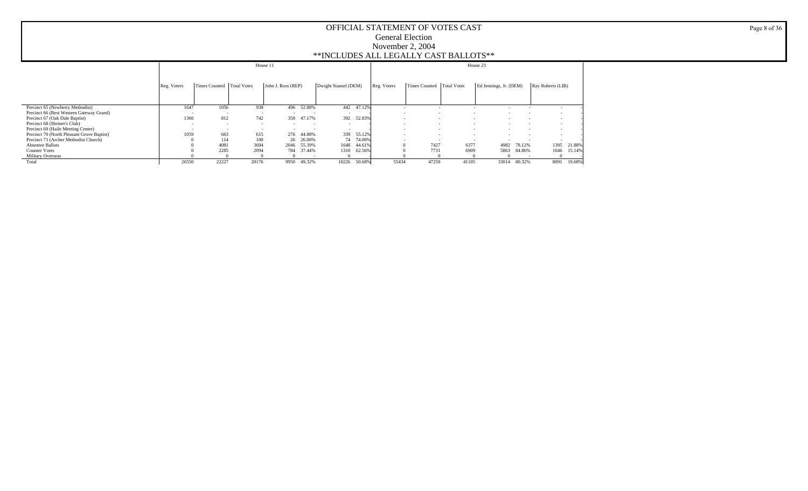|                                            |                          |                             | House 11                 |                          |                          |                          |        |             |                             |                                      | House 23                           |        |                   |
|--------------------------------------------|--------------------------|-----------------------------|--------------------------|--------------------------|--------------------------|--------------------------|--------|-------------|-----------------------------|--------------------------------------|------------------------------------|--------|-------------------|
|                                            | Reg. Voters              | Times Counted   Total Votes |                          | John J. Ross (REP)       |                          | Dwight Stansel (DEM)     |        | Reg. Voters | Times Counted   Total Votes |                                      | Ed Jennings, Jr. (DEM)             |        | Ray Roberts (LIB) |
| Precinct 65 (Newberry Methodist)           | 1647                     | 1056                        | 938                      | 496                      | 52.88%                   | 442                      | 47.12% |             |                             |                                      |                                    |        |                   |
| Precinct 66 (Best Western Gateway Grand)   | $\overline{\phantom{a}}$ |                             | $\sim$                   |                          | $\overline{\phantom{a}}$ |                          |        | $\sim$      |                             |                                      | ۰.<br>$\sim$                       |        |                   |
| Precinct 67 (Oak Dale Baptist)             | 1366                     | 812                         | 742                      | 350                      | 47.17%                   | 392                      | 52.83% | $\sim$      |                             |                                      |                                    |        |                   |
| Precinct 68 (Shriner's Club)               | $\overline{a}$           | $\overline{\phantom{a}}$    | $\sim$                   | $\overline{\phantom{a}}$ | $\sim$                   | $\overline{\phantom{a}}$ |        | $\sim$      |                             | $\overline{\phantom{a}}$             | $\sim$<br>$\overline{\phantom{a}}$ |        |                   |
| Precinct 69 (Haile Meeting Center)         | $\overline{\phantom{a}}$ | $\overline{\phantom{a}}$    | $\overline{\phantom{a}}$ |                          | $\overline{\phantom{a}}$ | $\overline{\phantom{a}}$ |        | $\sim$      |                             |                                      |                                    |        |                   |
| Precinct 70 (North Pleasant Grove Baptist) | 1059                     | 663                         | 615                      | 276                      | 44.88%                   | 339                      | 55.12% | $\sim$      |                             | $\overline{\phantom{a}}$             | $\sim$<br>$\overline{\phantom{a}}$ |        |                   |
| Precinct 71 (Archer Methodist Church)      |                          | 114                         | 100                      | 26                       | 26.00%                   | 74                       | 74.00% | $\sim$      |                             | $\overline{\phantom{a}}$<br><b>.</b> |                                    |        |                   |
| <b>Absentee Ballots</b>                    |                          | 4081                        | 3694                     | 2046                     | 55.39%                   | 1648                     | 44.61% |             | 7427                        | 6377                                 | 4982                               | 78.12% | 1395<br>21.88%    |
| <b>Counter Votes</b>                       |                          | 2285                        | 2094                     | 784                      | 37.44%                   | 1310                     | 62.56% |             | 7731                        | 6909                                 | 5863                               | 84.86% | 1046<br>15.14%    |
| <b>Military Overseas</b>                   |                          |                             |                          |                          |                          |                          |        |             |                             |                                      |                                    |        |                   |
| Total                                      | 26550                    | 22227                       | 20176                    | 9950                     | 49.32%                   | 10226                    | 50.68% | 55434       | 47259                       | 41105                                | 33014                              | 80.32% | 8091<br>19.68%    |

Page 8 of 36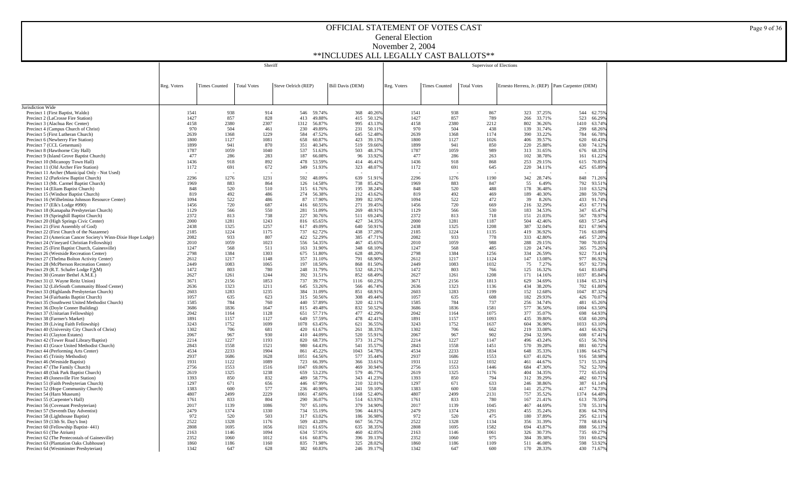|                                                                                           |              |                      | Sheriff            |                     |                      |                         |                  |              |                      | Supervisor of Elections |                                                |                  |              |                  |
|-------------------------------------------------------------------------------------------|--------------|----------------------|--------------------|---------------------|----------------------|-------------------------|------------------|--------------|----------------------|-------------------------|------------------------------------------------|------------------|--------------|------------------|
|                                                                                           |              |                      |                    |                     |                      |                         |                  |              |                      |                         |                                                |                  |              |                  |
|                                                                                           | Reg. Voters  | <b>Times Counted</b> | <b>Total Votes</b> | Steve Oelrich (REP) |                      | <b>Bill Davis (DEM)</b> |                  | Reg. Voters  | <b>Times Counted</b> | <b>Total Votes</b>      | Ernesto Herrera, Jr. (REP) Pam Carpenter (DEM) |                  |              |                  |
|                                                                                           |              |                      |                    |                     |                      |                         |                  |              |                      |                         |                                                |                  |              |                  |
|                                                                                           |              |                      |                    |                     |                      |                         |                  |              |                      |                         |                                                |                  |              |                  |
| Jurisdiction Wide                                                                         |              |                      |                    |                     |                      |                         |                  |              |                      |                         |                                                |                  |              |                  |
| Precinct 1 (First Baptist, Waldo)<br>Precinct 2 (LaCrosse Fire Station)                   | 1541<br>1427 | 938<br>857           | 914<br>828         | 413                 | 546 59.74%<br>49.88% | 368<br>415              | 40.26%<br>50.12% | 1541<br>1427 | 938<br>857           | 867<br>789              | 323<br>266                                     | 37.25%<br>33.71% | 544<br>523   | 62.75%<br>66.29% |
| Precinct 3 (Alachua Rec Center)                                                           | 4158         | 2380                 | 2307               | 1312                | 56.87%               | 995                     | 43.13%           | 4158         | 2380                 | 2212                    | 802                                            | 36.26%           | 1410         | 63.74%           |
| Precinct 4 (Campus Church of Christ)                                                      | 970          | 504                  | 461                | 230                 | 49.89%               | 231                     | 50.11%           | 970          | 504                  | 438                     | 139                                            | 31.74%           | 299          | 68.269           |
| Precinct 5 (First Lutheran Church)<br>Precinct 6 (Newberry Fire Station)                  | 2639<br>1800 | 1368<br>1127         | 1229<br>1081       | 584<br>658          | 47.52%<br>60.87%     | 645<br>423              | 52.48%<br>39.13% | 2639<br>1800 | 1368<br>1127         | 1174<br>1026            | 390<br>406                                     | 33.22%<br>39.57% | 784<br>620   | 66.789<br>60.439 |
| Precinct 7 (CCL Getsemani)                                                                | 1899         | 941                  | 870                | 351                 | 40.34%               | 519                     | 59.66%           | 1899         | 941                  | 850                     | 220                                            | 25.88%           | 630          | 74.129           |
| Precinct 8 (Hawthorne City Hall)                                                          | 1787         | 1059                 | 1040               | 537                 | 51.63%               | 503                     | 48.37%           | 1787         | 1059                 | 989                     | 313                                            | 31.65%           | 676          | 68.359           |
| Precinct 9 (Island Grove Baptist Church)                                                  | 477<br>1436  | 286<br>918           | 283<br>892         | 187<br>478          | 66.08%<br>53.59%     | 96<br>414               | 33.92%<br>46.41% | 477<br>1436  | 286<br>918           | 263<br>868              | 102<br>253                                     | 38.78%<br>29.15% | 161<br>615   | 61.229<br>70.859 |
| Precinct 10 (Micanopy Town Hall)<br>Precinct 11 (Old Archer Fire Station)                 | 1172         | 691                  | 672                | 349                 | 51.93%               | 323                     | 48.07%           | 1172         | 691                  | 645                     | 220                                            | 34.11%           | 425          | 65.89%           |
| Precinct 11 Archer (Municipal Only - Not Used)                                            |              |                      |                    |                     |                      |                         |                  |              |                      |                         |                                                |                  |              |                  |
| Precinct 12 (Parkview Baptist Church)<br>Precinct 13 (Mt. Carmel Baptist Church)          | 2296<br>1969 | 1276<br>883          | 1231<br>864        | 592<br>126          | 48.09%<br>14.58%     | 639<br>738              | 51.91%<br>85.42% | 2296<br>1969 | 1276<br>883          | 1190<br>847             | 342<br>55                                      | 28.74%<br>6.49%  | 848<br>792   | 71.269<br>93.51% |
| Precinct 14 (Eliam Baptist Church)                                                        | 848          | 520                  | 510                | 315                 | 61.76%               | 195                     | 38.24%           | 848          | 520                  | 488                     | 178                                            | 36.48%           | 310          | 63.52%           |
| Precinct 15 (Windsor Baptist Church)                                                      | 819          | 492                  | 486                | 274                 | 56.38%               | 212                     | 43.62%           | 819          | 492                  | 469                     | 189                                            | 40.30%           | 280          | 59.70%           |
| Precinct 16 (Wilhelmina Johnson Resource Center)                                          | 1094         | 522                  | 486                | 87                  | 17.90%               | 399                     | 82.10%           | 1094         | 522                  | 472                     | 39                                             | 8.26%            | 433          | 91.749           |
| Precinct 17 (Elk's Lodge #990)<br>Precinct 18 (Kanapaha Presbyterian Church)              | 1456<br>1129 | 720<br>566           | 687<br>550         | 416<br>281          | 60.55%<br>51.09%     | 271<br>269              | 39.45%<br>48.91% | 1456<br>1129 | 720<br>566           | 669<br>530              | 216<br>183                                     | 32.29%<br>34.53% | 453<br>347   | 67.719<br>65.479 |
| Precinct 19 (Springhill Baptist Church)                                                   | 2372         | 813                  | 738                | 227                 | 30.76%               | 511                     | 69.24%           | 2372         | 813                  | 718                     | 151                                            | 21.03%           | 567          | 78.979           |
| Precinct 20 (High Springs Civic Center)                                                   | 2000         | 1281                 | 1243               | 816                 | 65.65%               | 427                     | 34.35%           | 2000         | 1281                 | 1187                    | 504                                            | 42.46%           | 683          | 57.549           |
| Precinct 21 (First Assembly of God)<br>Precinct 22 (First Church of the Nazarene)         | 2438<br>2185 | 1325<br>1224         | 1257<br>1175       | 617<br>737          | 49.09%<br>62.72%     | 640<br>438              | 50.91%<br>37.28% | 2438<br>2185 | 1325<br>1224         | 1208<br>1135            | 387<br>419                                     | 32.04%<br>36.92% | 821<br>716   | 67.96%<br>63.089 |
| Precinct 23 (American Cancer Society's Winn-Dixie Hope Lodge)                             | 2082         | 933                  | 807                | 422                 | 52.29%               | 385                     | 47.71%           | 2082         | 933                  | 778                     | 333                                            | 42.80%           | 445          | 57.209           |
| Precinct 24 (Vineyard Christian Fellowship)                                               | 2010         | 1059                 | 1023               | 556                 | 54.35%               | 467                     | 45.65%           | 2010         | 1059                 | 988                     | 288                                            | 29.15%           | 700          | 70.85%           |
| Precinct 25 (First Baptist Church, Gainesville)                                           | 1247         | 568                  | 511                | 163                 | 31.90%               | 348                     | 68.10%           | 1247         | 568                  | 485                     | 120                                            | 24.74%           | 365          | 75.26%           |
| Precinct 26 (Westside Recreation Center)<br>Precinct 27 (Thelma Bolton Activity Center)   | 2798<br>2612 | 1384<br>1217         | 1303<br>1148       | 675<br>357          | 51.80%<br>31.10%     | 628<br>791              | 48.20%<br>68.90% | 2798<br>2612 | 1384<br>1217         | 1256<br>1124            | 334<br>147                                     | 26.59%<br>13.08% | 922<br>977   | 73.419<br>86.929 |
| Precinct 28 (McPherson Recreation Center)                                                 | 2449         | 1083                 | 1065               | 197                 | 18.50%               | 868                     | 81.50%           | 2449         | 1083                 | 1032                    | 75                                             | 7.27%            | 957          | 92.739           |
| Precinct 29 (R.T. Schafer Lodge FAM)                                                      | 1472         | 803                  | 780                | 248                 | 31.79%               | 532                     | 68.219           | 1472         | 803                  | 766                     | 125                                            | 16.32%           | 641          | 83.689           |
| Precinct 30 (Greater Bethel A.M.E.)<br>Precinct 31 (J. Wayne Reitz Union)                 | 2627<br>3671 | 1261<br>2156         | 1244<br>1853       | 392<br>737          | 31.51%<br>39.77%     | 852<br>1116             | 68.49%<br>60.23% | 2627<br>3671 | 1261<br>2156         | 1208<br>1813            | 171<br>629                                     | 14.16%<br>34.69% | 1037<br>1184 | 85.849<br>65.319 |
| Precinct 32 (LifeSouth Community Blood Center)                                            | 2636         | 1323                 | 1211               | 645                 | 53.26%               | 566                     | 46.74%           | 2636         | 1323                 | 1136                    | 434                                            | 38.20%           | 702          | 61.809           |
| Precinct 33 (Highlands Presbyterian Church)                                               | 2603         | 1283                 | 1235               | 384                 | 31.09%               | 851                     | 68.91%           | 2603         | 1283                 | 1199                    | 152                                            | 12.68%           | 1047         | 87.329           |
| Precinct 34 (Fairbanks Baptist Church)<br>Precinct 35 (Southwest United Methodist Church) | 1057<br>1585 | 635<br>784           | 623<br>760         | 315<br>440          | 50.56%<br>57.89%     | 308<br>320              | 49.44%<br>42.11% | 1057<br>1585 | 635<br>784           | 608<br>737              | 182<br>256                                     | 29.93%<br>34.74% | 426<br>481   | 70.079<br>65.269 |
| Precinct 36 (Doyle Conner Building)                                                       | 3686         | 1836                 | 1647               | 815                 | 49.48%               | 832                     | 50.52%           | 3686         | 1836                 | 1581                    | 577                                            | 36.50%           | 1004         | 63.50%           |
| Precinct 37 (Unitarian Fellowship)                                                        | 2042         | 1164                 | 1128               | 651                 | 57.71%               | 477                     | 42.29%           | 2042         | 1164                 | 1075                    | 377                                            | 35.07%           | 698          | 64.93%           |
| Precinct 38 (Farmer's Market)                                                             | 1891         | 1157                 | 1127               | 649                 | 57.59%               | 478                     | 42.41%           | 1891         | 1157                 | 1093                    | 435                                            | 39.80%           | 658          | 60.20%           |
| Precinct 39 (Living Faith Fellowship)<br>Precinct 40 (University City Church of Christ)   | 3243<br>1302 | 1752<br>706          | 1699<br>681        | 1078<br>420         | 63.45%<br>61.67%     | 621<br>261              | 36.55%<br>38.33% | 3243<br>1302 | 1752<br>706          | 1637<br>662             | 604<br>219                                     | 36.90%<br>33.08% | 1033<br>443  | 63.10%<br>66.92% |
| Precinct 41 (Clayton Estates)                                                             | 2067         | 967                  | 930                | 410                 | 44.09%               | 520                     | 55.91%           | 2067         | 967                  | 902                     | 294                                            | 32.59%           | 608          | 67.41%           |
| Precinct 42 (Tower Road Library/Baptist)                                                  | 2214         | 1227                 | 1193               | 820                 | 68.73%               | 373                     | 31.27%           | 2214         | 1227                 | 1147                    | 496                                            | 43.24%           | 651          | 56.76%           |
| Precinct 43 (Grace United Methodist Church)<br>Precinct 44 (Performing Arts Center)       | 2843<br>4534 | 1558<br>2233         | 1521<br>1904       | 980<br>861          | 64.43%<br>45.22%     | 541<br>1043             | 35.57%<br>54.78% | 2843<br>4534 | 1558<br>2233         | 1451<br>1834            | 570<br>648                                     | 39.28%<br>35.33% | 881<br>1186  | 60.72%<br>64.67% |
| Precinct 45 (Trinity Methodist)                                                           | 2937         | 1686                 | 1628               | 1051                | 64.56%               | 577                     | 35.44%           | 2937         | 1686                 | 1553                    | 637                                            | 41.02%           | 916          | 58.98%           |
| Precinct 46 (Westside Baptist)                                                            | 1931         | 1122                 | 1089               | 723                 | 66.39%               | 366                     | 33.61%           | 1931         | 1122                 | 1032                    | 461                                            | 44.67%           | 571          | 55.339           |
| Precinct 47 (The Family Church)<br>Precinct 48 (Oak Park Baptist Church)                  | 2756<br>2619 | 1553<br>1325         | 1516<br>1238       | 1047<br>659         | 69.06%<br>53.23%     | 469<br>579              | 30.94%<br>46.77% | 2756<br>2619 | 1553<br>1325         | 1446<br>1176            | 684<br>404                                     | 47.30%<br>34.35% | 762<br>772   | 52.70%<br>65.65% |
| Precinct 49 (Jonesville Fire Station)                                                     | 1393         | 850                  | 832                | 489                 | 58.77%               | 343                     | 41.23%           | 1393         | 850                  | 794                     | 312                                            | 39.29%           | 482          | 60.71%           |
| Precinct 51 (Faith Presbyterian Church)                                                   | 1297         | 671                  | 656                | 446                 | 67.99%               | 210                     | 32.01%           | 1297         | 671                  | 633                     | 246                                            | 38.86%           | 387          | 61.14%           |
| Precinct 52 (Hope Community Church)                                                       | 1383         | 600                  | 577                | 236                 | 40.90%               | 341                     | 59.10%           | 1383         | 600                  | 558                     | 141                                            | 25.27%           | 417          | 74.739           |
| Precinct 54 (Harn Museum)<br>Precinct 55 (Carpenter's Hall)                               | 4807<br>1761 | 2499<br>833          | 2229<br>804        | 1061<br>290         | 47.60%<br>36.07%     | 1168<br>514             | 52.40%<br>63.93% | 4807<br>1761 | 2499<br>833          | 2131<br>780             | 757<br>167                                     | 35.52%<br>21.41% | 1374<br>613  | 64.489<br>78.599 |
| Precinct 56 (Covenant Presbyterian)                                                       | 2017         | 1139                 | 1086               | 707                 | 65.10%               | 379                     | 34.90%           | 2017         | 1139                 | 1045                    | 467                                            | 44.69%           | 578          | 55.319           |
| Precinct 57 (Seventh Day Adventist)                                                       | 2479         | 1374                 | 1330               | 734                 | 55.19%               | 596                     | 44.81%           | 2479         | 1374                 | 1291                    | 455                                            | 35.24%           | 836          | 64.76%           |
| Precinct 58 (Lighthouse Baptist)<br>Precinct 59 (13th St. Day's Inn)                      | 972<br>2522  | 520<br>1328          | 503<br>1176        | 317<br>509          | 63.02%<br>43.28%     | 186<br>667              | 36.98%<br>56.72% | 972<br>2522  | 520<br>1328          | 475<br>1134             | 180<br>356                                     | 37.89%<br>31.39% | 295<br>778   | 62.119<br>68.619 |
| Precinct 60 (Fellowship Baptist-441)                                                      | 2808         | 1695                 | 1656               | 1021                | 61.65%               | 635                     | 38.35%           | 2808         | 1695                 | 1582                    | 694                                            | 43.87%           | 888          | 56.13%           |
| Precinct 61 (The Atrium)                                                                  | 2163         | 1146                 | 1094               | 634                 | 57.95%               | 460                     | 42.05%           | 2163         | 1146                 | 1061                    | 326                                            | 30.73%           | 735          | 69.27%           |
| Precinct 62 (The Pentecostals of Gainesville)<br>Precinct 63 (Plantation Oaks Clubhouse)  | 2352<br>1860 | 1060<br>1186         | 1012<br>1160       | 616<br>835          | 60.87%<br>71.98%     | 396<br>325              | 39.13%<br>28.02% | 2352<br>1860 | 1060<br>1186         | 975<br>1109             | 384<br>511                                     | 39.38%<br>46.08% | 591<br>598   | 60.62%<br>53.92% |
| Precinct 64 (Westminster Presbyterian)                                                    | 1342         | 647                  | 628                | 382                 | 60.83%               | 246                     | 39.17%           | 1342         | 647                  | 600                     | 170                                            | 28.33%           | 430          | 71.67%           |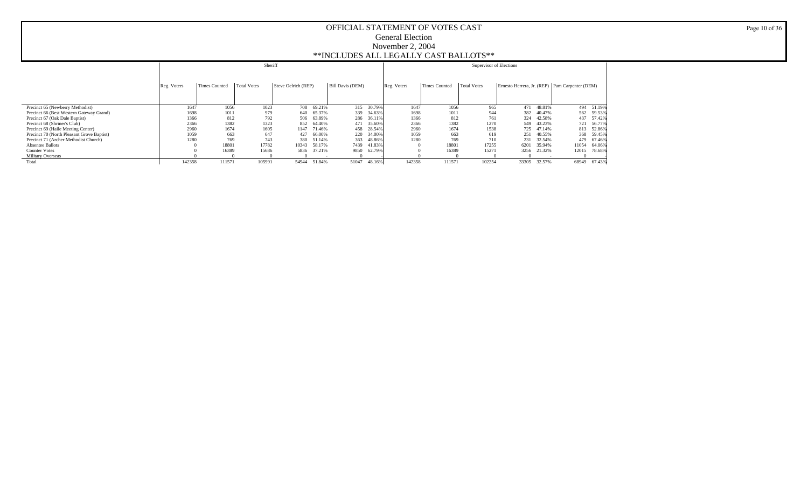|                                            |             |               | Sheriff     |                     |            |                         |        |             |               | Supervisor of Elections |       |            |                                                |              |
|--------------------------------------------|-------------|---------------|-------------|---------------------|------------|-------------------------|--------|-------------|---------------|-------------------------|-------|------------|------------------------------------------------|--------------|
|                                            | Reg. Voters | Times Counted | Total Votes | Steve Oelrich (REP) |            | <b>Bill Davis (DEM)</b> |        | Reg. Voters | Times Counted | Total Votes             |       |            | Ernesto Herrera, Jr. (REP) Pam Carpenter (DEM) |              |
| Precinct 65 (Newberry Methodist)           | 1647        | 1056          | 1023        | 708                 | 69.21%     | 315                     | 30.79% | 1647        | 1056          | 965                     |       | 471 48.81% |                                                | 494 51.19%   |
| Precinct 66 (Best Western Gateway Grand)   | 1698        | 1011          | 979         | 640                 | 65.37%     | 339                     | 34.63% | 1698        | 1011          | 944                     |       | 382 40.47% |                                                | 562 59.53%   |
| Precinct 67 (Oak Dale Baptist)             | 1366        | 812           | 792         |                     | 506 63.89% | 286                     | 36.11% | 1366        | 812           | 761                     |       | 324 42.58% |                                                | 437 57.42%   |
| Precinct 68 (Shriner's Club)               | 2366        | 1382          | 1323        | 852                 | 64.40%     | 471                     | 35.60% | 2366        | 1382          | 1270                    |       | 549 43.23% |                                                | 721 56,77%   |
| Precinct 69 (Haile Meeting Center)         | 2960        | 1674          | 1605        | 1147                | 71.46%     | 458                     | 28.54% | 2960        | 1674          | 1538                    |       | 725 47.14% |                                                | 813 52.86%   |
| Precinct 70 (North Pleasant Grove Baptist) | 1059        | 663           | 647         | 427                 | 66.00%     | 220                     | 34.00% | 1059        | 663           | 619                     | 251   | 40.55%     |                                                | 368 59.45%   |
| Precinct 71 (Archer Methodist Church)      | 1280        | 769           | 743         | 380                 | 51.14%     | 363                     | 48.86% | 1280        | 769           | 710                     |       | 231 32.54% |                                                | 479 67.46%   |
| <b>Absentee Ballots</b>                    |             | 18801         | 17782       | 10343               | 58.17%     | 7439                    | 41.83% |             | 18801         | 17255                   | 6201  | 35.94%     | 11054                                          | 64.06%       |
| <b>Counter Votes</b>                       |             | 16389         | 15686       | 5836                | 37.21%     | 9850                    | 62.79% |             | 16389         | 15271                   | 3256  | 21.32%     |                                                | 12015 78.68% |
| Military Overseas                          |             |               |             |                     |            |                         |        |             |               |                         |       |            |                                                |              |
| Total                                      | 142358      | 111571        | 105991      | 54944               | 51.84%     | 51047                   | 48.16% | 142358      | 111571        | 102254                  | 33305 | 32.57%     |                                                | 68949 67.43% |

Page 10 of 36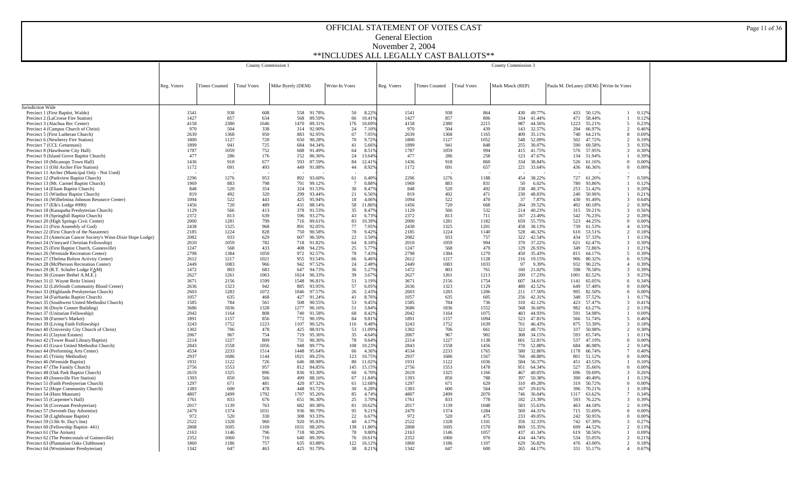|                                                                                                              |              |                      | County Commission 1 |                                 |                |                 |              |                      |                    | County Commission 3 |                  |                                       |                          |                |
|--------------------------------------------------------------------------------------------------------------|--------------|----------------------|---------------------|---------------------------------|----------------|-----------------|--------------|----------------------|--------------------|---------------------|------------------|---------------------------------------|--------------------------|----------------|
|                                                                                                              |              |                      |                     |                                 |                |                 |              |                      |                    |                     |                  |                                       |                          |                |
|                                                                                                              |              |                      |                     |                                 |                |                 |              |                      |                    |                     |                  |                                       |                          |                |
|                                                                                                              | Reg. Voters  | <b>Times Counted</b> | <b>Total Votes</b>  | Mike Byerly (DEM)               | Write-In Votes |                 | Reg. Voters  | <b>Times Counted</b> | <b>Total Votes</b> | Mark Minck (REP)    |                  | Paula M. DeLaney (DEM) Write-In Votes |                          |                |
|                                                                                                              |              |                      |                     |                                 |                |                 |              |                      |                    |                     |                  |                                       |                          |                |
|                                                                                                              |              |                      |                     |                                 |                |                 |              |                      |                    |                     |                  |                                       |                          |                |
| Jurisdiction Wide                                                                                            |              |                      |                     |                                 |                |                 |              |                      |                    |                     |                  |                                       |                          |                |
| Precinct 1 (First Baptist, Waldo)<br>Precinct 2 (LaCrosse Fire Station)                                      | 1541<br>1427 | 938<br>857           | 608<br>634          | 558<br>91.78%<br>568<br>89.59%  | 50<br>66       | 8.22%<br>10.41% | 1541<br>1427 | 938<br>857           | 864<br>806         | 430<br>334          | 49.77%<br>41.44% | 433<br>50.12%<br>471<br>58.44%        |                          | 0.12%<br>0.12% |
| Precinct 3 (Alachua Rec Center)                                                                              | 4158         | 2380                 | 1646                | 1470<br>89.31%                  | 176            | 10.69%          | 4158         | 2380                 | 2215               | 987                 | 44.56%           | 55.21%<br>1223                        | $\overline{5}$           | 0.23%          |
| Precinct 4 (Campus Church of Christ)                                                                         | 970          | 504                  | 338                 | 314<br>92.90%                   | 24             | 7.10%           | 970          | 504                  | 439                | 143                 | 32.57%           | 294<br>66.97%                         | $\mathcal{D}$            | 0.46%          |
| Precinct 5 (First Lutheran Church)                                                                           | 2639         | 1368                 | 950                 | 883<br>92.95%                   | 67             | 7.05%           | 2639         | 1368                 | 1165               | 409                 | 35.11%           | 64.21%<br>748                         | 8                        | 0.69%          |
| Precinct 6 (Newberry Fire Station)                                                                           | 1800         | 1127                 | 720                 | 650<br>90.28%                   | 70             | 9.72%           | 1800         | 1127                 | 1052               | 548                 | 52.09%           | 502<br>47.72%                         | $\overline{2}$           | 0.19%          |
| Precinct 7 (CCL Getsemani)                                                                                   | 1899         | 941                  | 725                 | 684<br>94.34%                   | 41             | 5.66%           | 1899         | 941                  | 848                | 255                 | 30.07%           | 69.58%<br>590                         | 3                        | 0.35%          |
| Precinct 8 (Hawthorne City Hall)                                                                             | 1787<br>477  | 1059<br>286          | 752<br>176          | 688<br>91.49%<br>152<br>86.36%  | 64<br>24       | 8.51%<br>13.64% | 1787<br>477  | 1059<br>286          | 994<br>258         | 415<br>123          | 41.75%<br>47.67% | 576<br>57.95%<br>51.94%               | 3                        | 0.30%<br>0.39% |
| Precinct 9 (Island Grove Baptist Church)<br>Precinct 10 (Micanopy Town Hall)                                 | 1436         | 918                  | 677                 | 593<br>87.59%                   | 84             | 12.41%          | 1436         | 918                  | 860                | 334                 | 38.84%           | 134<br>526<br>61.16%                  | $\Omega$                 | 0.00%          |
| Precinct 11 (Old Archer Fire Station)                                                                        | 1172         | 691                  | 493                 | 449<br>91.08%                   | 44             | 8.92%           | 1172         | 691                  | 657                | 221                 | 33.64%           | 66.36%<br>436                         | $\Omega$                 | 0.00%          |
| Precinct 11 Archer (Municipal Only - Not Used)                                                               |              |                      |                     |                                 |                |                 |              |                      |                    |                     |                  |                                       |                          |                |
| Precinct 12 (Parkview Baptist Church)                                                                        | 2296         | 1276                 | 953                 | 892<br>93.60%                   | 61             | 6.40%           | 2296         | 1276                 | 1188               | 454                 | 38.22%           | 727<br>61.20%                         | $\tau$                   | 0.59%          |
| Precinct 13 (Mt. Carmel Baptist Church)                                                                      | 1969         | 883                  | 798                 | 791<br>99.12%                   | -7             | 0.88%           | 1969         | 883                  | 831                | 50                  | 6.02%            | 780<br>93.86%                         |                          | 0.12%          |
| Precinct 14 (Eliam Baptist Church)                                                                           | 848<br>819   | 520<br>492           | 354<br>320          | 324<br>91.53%<br>299<br>93.44%  | 30<br>21       | 8.47%<br>6.56%  | 848<br>819   | 520<br>492           | 492<br>471         | 238<br>230          | 48.37%<br>48.83% | 253<br>51.42%<br>240<br>50.96%        | -1                       | 0.20%<br>0.21% |
| Precinct 15 (Windsor Baptist Church)<br>Precinct 16 (Wilhelmina Johnson Resource Center)                     | 1094         | 522                  | 443                 | 425<br>95.94%                   | 18             | 4.06%           | 1094         | 522                  | 470                | 37                  | 7.87%            | 430<br>91.49%                         | 3                        | 0.64%          |
| Precinct 17 (Elk's Lodge #990)                                                                               | 1456         | 720                  | 489                 | 431<br>88.14%                   | 58             | 11.86%          | 1456         | 720                  | 668                | 264                 | 39.52%           | 402<br>60.18%                         | $\mathcal{D}$            | 0.30%          |
| Precinct 18 (Kanapaha Presbyterian Church)                                                                   | 1129         | 566                  | 413                 | 378<br>91.53%                   | 35             | 8.47%           | 1129         | 566                  | 532                | 214                 | 40.23%           | 59.21%<br>315                         | 3                        | 0.56%          |
| Precinct 19 (Springhill Baptist Church)                                                                      | 2372         | 813                  | 639                 | 596<br>93.27%                   | 43             | 6.73%           | 2372         | 813                  | 711                | 167                 | 23.49%           | 76.23%<br>542                         | 2                        | 0.28%          |
| Precinct 20 (High Springs Civic Center)                                                                      | 2000         | 1281                 | 799                 | 716<br>89.61%                   | 83             | 10.39%          | 2000         | 1281                 | 1182               | 659                 | 55.75%           | 523<br>44.25%                         | $\Omega$                 | 0.00%          |
| Precinct 21 (First Assembly of God)                                                                          | 2438         | 1325                 | 968                 | 891<br>92.05%                   | 77             | 7.95%           | 2438         | 1325                 | 1201               | 458                 | 38.13%           | 739<br>61.53%                         | $\overline{4}$           | 0.33%          |
| Precinct 22 (First Church of the Nazarene)                                                                   | 2185<br>2082 | 1224<br>933          | 828<br>629          | 90.58%<br>750<br>607<br>96.50%  | 78<br>22       | 9.42%<br>3.50%  | 2185<br>2082 | 1224<br>933          | 1140<br>757        | 528<br>322          | 46.32%<br>42.54% | 610<br>53.51%<br>434<br>57.33%        | $\overline{2}$<br>-1     | 0.18%<br>0.13% |
| Precinct 23 (American Cancer Society's Winn-Dixie Hope Lodge)<br>Precinct 24 (Vineyard Christian Fellowship) | 2010         | 1059                 | 782                 | 91.82%<br>718                   | 64             | 8.18%           | 2010         | 1059                 | 994                | 370                 | 37.22%           | 62.47%<br>621                         | 3                        | 0.30%          |
| Precinct 25 (First Baptist Church, Gainesville)                                                              | 1247         | 568                  | 433                 | 94.23%<br>408                   | 25             | 5.77%           | 1247         | 568                  | 479                | 129                 | 26.93%           | 72.86%<br>349                         |                          | 0.21%          |
| Precinct 26 (Westside Recreation Center)                                                                     | 2798         | 1384                 | 1050                | 972<br>92.57%                   | 78             | 7.43%           | 2798         | 1384                 | 1270               | 450                 | 35.43%           | 64.17%<br>815                         | 5                        | 0.39%          |
| Precinct 27 (Thelma Bolton Activity Center)                                                                  | 2612         | 1217                 | 1021                | 955<br>93.54%                   | 66             | 6.46%           | 2612         | 1217                 | 1128               | 216                 | 19.15%           | 906<br>80.32%                         | 6                        | 0.53%          |
| Precinct 28 (McPherson Recreation Center)                                                                    | 2449         | 1083                 | 966                 | 942<br>97.52%                   | 24             | 2.48%           | 2449         | 1083                 | 1033               | 97                  | 9.39%            | 932<br>90.22%                         | $\overline{A}$           | 0.39%          |
| Precinct 29 (R.T. Schafer Lodge FAM)<br>Precinct 30 (Greater Bethel A.M.E.)                                  | 1472<br>2627 | 803<br>1261          | 683<br>1063         | 647<br>94.73%<br>1024<br>96.33% | 36<br>39       | 5.27%<br>3.67%  | 1472<br>2627 | 803<br>1261          | 761<br>1213        | 160<br>209          | 21.02%<br>17.23% | 598<br>78.58%<br>82.52%<br>1001       | 3<br>$\mathbf{3}$        | 0.39%<br>0.25% |
| Precinct 31 (J. Wayne Reitz Union)                                                                           | 3671         | 2156                 | 1599                | 1548<br>96.81%                  | 51             | 3.19%           | 3671         | 2156                 | 1754               | 607                 | 34.61%           | 65.05%<br>1141                        | 6                        | 0.34%          |
| Precinct 32 (LifeSouth Community Blood Center)                                                               | 2636         | 1323                 | 942                 | 93.95%<br>885                   | 57             | 6.05%           | 2636         | 1323                 | 1129               | 480                 | 42.52%           | 57.48%<br>649                         | $\Omega$                 | 0.00%          |
| Precinct 33 (Highlands Presbyterian Church)                                                                  | 2603         | 1283                 | 1072                | 97.57%<br>1046                  | 26             | 2.43%           | 2603         | 1283                 | 1206               | 211                 | 17.50%           | 995<br>82.50%                         | $\Omega$                 | 0.00%          |
| Precinct 34 (Fairbanks Baptist Church)                                                                       | 1057         | 635                  | 468                 | 427<br>91.24%                   | 41             | 8.76%           | 1057         | 635                  | 605                | 256                 | 42.31%           | 348<br>57.52%                         |                          | 0.17%          |
| Precinct 35 (Southwest United Methodist Church)                                                              | 1585         | 784                  | 561                 | 508<br>90.55%                   | 53             | 9.45%           | 1585         | 784                  | 736                | 310                 | 42.12%           | 57.47%<br>423                         | 3                        | 0.41%          |
| Precinct 36 (Doyle Conner Building)<br>Precinct 37 (Unitarian Fellowship)                                    | 3686<br>2042 | 1836<br>1164         | 1328<br>808         | 1277<br>96.16%<br>91.58%<br>740 | 51<br>68       | 3.84%<br>8.42%  | 3686<br>2042 | 1836<br>1164         | 1552<br>1075       | 568<br>483          | 36.60%<br>44.93% | 982<br>63.27%<br>591<br>54.98%        | $\overline{2}$           | 0.13%<br>0.09% |
| Precinct 38 (Farmer's Market)                                                                                | 1891         | 1157                 | 856                 | 772<br>90.19%                   | 84             | 9.81%           | 1891         | 1157                 | 1094               | 523                 | 47.81%           | 51.74%<br>566                         | 5                        | 0.46%          |
| Precinct 39 (Living Faith Fellowship)                                                                        | 3243         | 1752                 | 1223                | 1107<br>90.52%                  | 116            | 9.48%           | 3243         | 1752                 | 1639               | 761                 | 46.43%           | 875<br>53.39%                         | 3                        | 0.18%          |
| Precinct 40 (University City Church of Christ)                                                               | 1302         | 706                  | 478                 | 425<br>88.91%                   | 53             | 11.09%          | 1302         | 706                  | 661                | 322                 | 48.71%           | 337<br>50.98%                         | $\overline{2}$           | 0.30%          |
| Precinct 41 (Clayton Estates)                                                                                | 2067         | 967                  | 754                 | 719<br>95.36%                   | 35             | 4.64%           | 2067         | 967                  | 902                | 308                 | 34.15%           | 593<br>65.74%                         |                          | 0.11%          |
| Precinct 42 (Tower Road Library/Baptist)                                                                     | 2214         | 1227                 | 809                 | 90.36%<br>731                   | 78             | 9.64%           | 2214         | 1227                 | 1138               | 601                 | 52.81%           | 537<br>47.19%                         | $\Omega$                 | 0.00%          |
| Precinct 43 (Grace United Methodist Church)                                                                  | 2843<br>4534 | 1558<br>2233         | 1056<br>1514        | 948<br>89.77%<br>95.64%<br>1448 | 108<br>66      | 10.23%<br>4.36% | 2843<br>4534 | 1558<br>2233         | 1456<br>1765       | 770<br>580          | 52.88%<br>32.86% | 684<br>46.98%<br>66.74%<br>1178       | $\mathfrak{D}$<br>$\tau$ | 0.14%<br>0.40% |
| Precinct 44 (Performing Arts Center)<br>Precinct 45 (Trinity Methodist)                                      | 2937         | 1686                 | 1144                | 89.25%<br>1021                  | 123            | 10.75%          | 2937         | 1686                 | 1567               | 766                 | 48.88%           | 51.12%<br>801                         | $\Omega$                 | 0.00%          |
| Precinct 46 (Westside Baptist)                                                                               | 1931         | 1122                 | 726                 | 646<br>88.98%                   | -80            | 11.02%          | 1931         | 1122                 | 1036               | 584                 | 56.37%           | 451<br>43.53%                         | $\mathbf{1}$             | 0.10%          |
| Precinct 47 (The Family Church)                                                                              | 2756         | 1553                 | 957                 | 812<br>84.85%                   | 145            | 15.15%          | 2756         | 1553                 | 1478               | 951                 | 64.34%           | 527<br>35.66%                         | $\Omega$                 | 0.00%          |
| Precinct 48 (Oak Park Baptist Church)                                                                        | 2619         | 1325                 | 896                 | 836<br>93.30%                   | -60            | 6.70%           | 2619         | 1325                 | 1166               | 467                 | 40.05%           | 59.69%<br>696                         | 3                        | 0.26%          |
| Precinct 49 (Jonesville Fire Station)                                                                        | 1393         | 850                  | 566                 | 499<br>88.16%                   | 67             | 11.84%          | 1393         | 850                  | 788                | 397                 | 50.38%           | 390<br>49.49%                         | -1                       | 0.13%          |
| Precinct 51 (Faith Presbyterian Church)                                                                      | 1297<br>1383 | 671<br>600           | 481<br>478          | 420<br>87.32%<br>93.72%<br>448  | 61<br>30       | 12.68%<br>6.28% | 1297<br>1383 | 671<br>600           | 629<br>564         | 310                 | 49.28%           | 50.72%<br>319<br>70.21%<br>396        | $\Omega$                 | 0.00%<br>0.18% |
| Precinct 52 (Hope Community Church)<br>Precinct 54 (Harn Museum)                                             | 4807         | 2499                 | 1792                | 1707<br>95.26%                  | 85             | 4.74%           | 4807         | 2499                 | 2070               | 167<br>746          | 29.61%<br>36.04% | 63.62%<br>1317                        | 7                        | 0.34%          |
| Precinct 55 (Carpenter's Hall)                                                                               | 1761         | 833                  | 676                 | 651<br>96.30%                   | 25             | 3.709           | 1761         | 833                  | 778                | 182                 | 23.39%           | 593<br>76.22%                         | 3                        | 0.39%          |
| Precinct 56 (Covenant Presbyterian)                                                                          | 2017         | 1139                 | 763                 | 682<br>89.38%                   | 81             | 10.629          | 2017         | 1139                 | 1048               | 583                 | 55.63%           | 463<br>44.18%                         | $\overline{c}$           | 0.19%          |
| Precinct 57 (Seventh Day Adventist)                                                                          | 2479         | 1374                 | 1031                | 936<br>90.79%                   | 95             | 9.21%           | 2479         | 1374                 | 1284               | 569                 | 44.31%           | 55.69%<br>715                         | $\Omega$                 | 0.00%          |
| Precinct 58 (Lighthouse Baptist)                                                                             | 972          | 520                  | 330                 | 308<br>93.33%                   | 22             | 6.679           | 972          | 520                  | 475                | 233                 | 49.05%           | 242<br>50.95%                         | $\Omega$                 | 0.00%          |
| Precinct 59 (13th St. Day's Inn)                                                                             | 2522<br>2808 | 1328<br>1695         | 960<br>1169         | 920<br>95.83%<br>1031           | 40<br>138      | 4.17%<br>11.80% | 2522<br>2808 | 1328<br>1695         | 1101<br>1570       | 356<br>869          | 32.33%<br>55.35% | 67.39%<br>742<br>44.52%<br>699        | $\mathbf{3}$<br>2        | 0.27%<br>0.13% |
| Precinct 60 (Fellowship Baptist-441)<br>Precinct 61 (The Atrium)                                             | 2163         | 1146                 | 796                 | 88.20%<br>718<br>90.20%         | 78             | 9.80%           | 2163         | 1146                 | 1057               | 437                 | 41.34%           | 58.56%<br>619                         | -1                       | 0.09%          |
| Precinct 62 (The Pentecostals of Gainesville)                                                                | 2352         | 1060                 | 716                 | 640<br>89.39%                   | 76             | 10.61%          | 2352         | 1060                 | 970                | 434                 | 44.74%           | 534<br>55.05%                         | 2                        | 0.21%          |
| Precinct 63 (Plantation Oaks Clubhouse)                                                                      | 1860         | 1186                 | 757                 | 635<br>83.88%                   | 122            | 16.12%          | 1860         | 1186                 | 1107               | 629                 | 56.82%           | 43.00%<br>476                         | 2                        | 0.18%          |
| Precinct 64 (Westminster Presbyterian)                                                                       | 1342         | 647                  | 463                 | 425<br>91.79%                   | 38             | 8.21%           | 1342         | 647                  | 600                | 265                 | 44.17%           | 331<br>55.17%                         | $\overline{4}$           | 0.67%          |

Page 11 of 36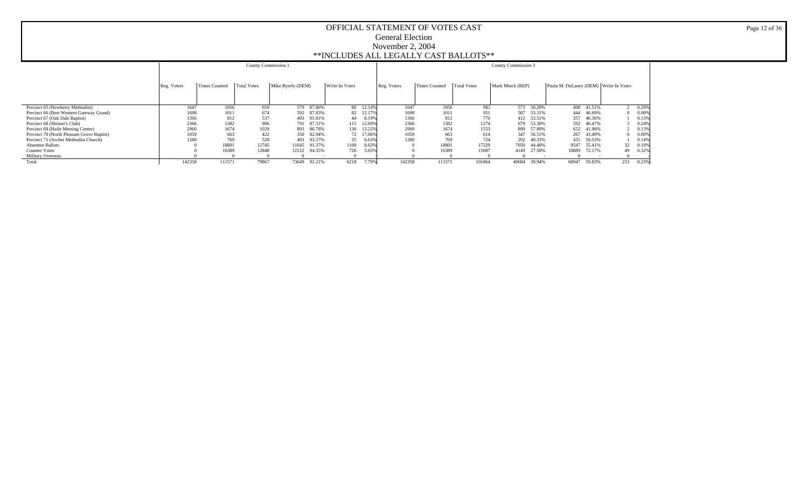|                                            |             |                      | County Commission 1 |                   |        |                |           |             |                      |                    | <b>County Commission 3</b> |        |                                       |            |     |         |
|--------------------------------------------|-------------|----------------------|---------------------|-------------------|--------|----------------|-----------|-------------|----------------------|--------------------|----------------------------|--------|---------------------------------------|------------|-----|---------|
|                                            |             |                      |                     |                   |        |                |           |             |                      |                    |                            |        |                                       |            |     |         |
|                                            |             |                      |                     |                   |        |                |           |             |                      |                    |                            |        |                                       |            |     |         |
|                                            | Reg. Voters | <b>Times Counted</b> | <b>Total Votes</b>  | Mike Byerly (DEM) |        | Write-In Votes |           | Reg. Voters | <b>Times Counted</b> | <b>Total Votes</b> | Mark Minck (REP)           |        | Paula M. DeLaney (DEM) Write-In Votes |            |     |         |
|                                            |             |                      |                     |                   |        |                |           |             |                      |                    |                            |        |                                       |            |     |         |
|                                            |             |                      |                     |                   |        |                |           |             |                      |                    |                            |        |                                       |            |     |         |
| Precinct 65 (Newberry Methodist)           | 1647        | 1056                 | 659                 | 579               | 87.86% |                | 80 12.14% | 1647        | 1056                 | 983                | 573                        | 58.29% |                                       | 408 41.51% |     | 2 0.20% |
| Precinct 66 (Best Western Gateway Grand)   | 1698        | 1011                 | 674                 | 592               | 87.83% | 82             | 12.17%    | 1698        | 1011                 | 951                | 507                        | 53.31% | 444                                   | 46.69%     |     | 0.00%   |
| Precinct 67 (Oak Dale Baptist)             | 1366        | 812                  | 537                 | 493               | 91.81% | 44             | 8.19%     | 1366        | 812                  | 770                | 412                        | 53.51% |                                       | 357 46.36% |     | 0.139   |
| Precinct 68 (Shriner's Club)               | 2366        | 1382                 | 906                 | 791               | 87.31% | 115            | 12.69%    | 2366        | 1382                 | 1274               | 679                        | 53.30% |                                       | 592 46.47% |     | 0.24%   |
| Precinct 69 (Haile Meeting Center)         | 2960        | 1674                 | 1029                | 893               | 86.78% | 136            | 13.22%    | 2960        | 1674                 | 1553               | 899                        | 57.89% |                                       | 652 41.98% |     | 0.13%   |
| Precinct 70 (North Pleasant Grove Baptist) | 1059        | 663                  | 422                 | 350               | 82.94% |                | 72 17.06% | 1059        | 663                  | 614                | 347                        | 56.51% |                                       | 267 43.49% |     | 0.00%   |
| Precinct 71 (Archer Methodist Church)      | 1280        | 769                  | 528                 | 493               | 93.37% | 35             | 6.63%     | 1280        | 769                  | 724                | 292                        | 40.33% | 431                                   | 59.53%     |     | 0.14%   |
| <b>Absentee Ballots</b>                    |             | 18801                | 12745               | 11645             | 91.37% | 1100           | 8.63%     |             | 18801                | 17229              | 7650                       | 44.40% | 9547                                  | 55.41%     | 32  | 0.19%   |
| <b>Counter Votes</b>                       |             | 16389                | 12848               | 12122             | 94.35% | 726            | 5.65%     |             | 16389                | 15087              | 4149                       | 27.50% | 10889                                 | 72.17%     | 49  | 0.32%   |
| <b>Military Overseas</b>                   |             |                      |                     |                   |        |                |           |             |                      |                    |                            |        |                                       |            |     |         |
| Total                                      | 142358      | 111571               | 79867               | 73649             | 92.21% | 6218           | 7.79%     | 142358      | 111571               | 101864             | 40684                      | 39.94% | 60947                                 | 59.83%     | 233 | 0.23%   |

Page 12 of 36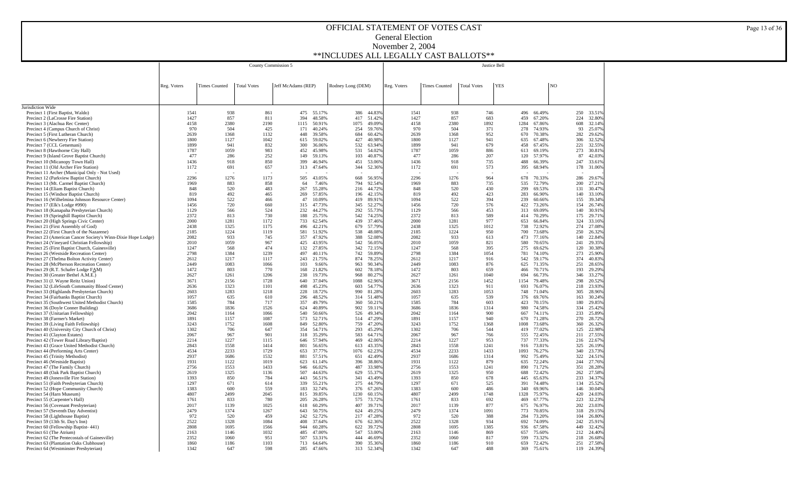|                                                                                                              |              |                      | County Commission 5 |                    |                  |                   | Justice Bell     |              |                      |                    |             |                                |                |            |                  |
|--------------------------------------------------------------------------------------------------------------|--------------|----------------------|---------------------|--------------------|------------------|-------------------|------------------|--------------|----------------------|--------------------|-------------|--------------------------------|----------------|------------|------------------|
|                                                                                                              |              |                      |                     |                    |                  |                   |                  |              |                      |                    |             |                                |                |            |                  |
|                                                                                                              |              |                      |                     |                    |                  |                   |                  |              |                      |                    | <b>YES</b>  |                                | N <sub>O</sub> |            |                  |
|                                                                                                              | Reg. Voters  | <b>Times Counted</b> | <b>Total Votes</b>  | Jeff McAdams (REP) |                  | Rodney Long (DEM) |                  | Reg. Voters  | <b>Times Counted</b> | <b>Total Votes</b> |             |                                |                |            |                  |
|                                                                                                              |              |                      |                     |                    |                  |                   |                  |              |                      |                    |             |                                |                |            |                  |
|                                                                                                              |              |                      |                     |                    |                  |                   |                  |              |                      |                    |             |                                |                |            |                  |
| Jurisdiction Wide<br>Precinct 1 (First Baptist, Waldo)                                                       | 1541         | 938                  | 861                 | 475                | 55.17%           | 386               | 44.83%           | 1541         | 938                  | 746                |             | 496<br>66.49%                  |                | 250        | 33.519           |
| Precinct 2 (LaCrosse Fire Station)                                                                           | 1427         | 857                  | 811                 | 394                | 48.58%           | 417               | 51.42%           | 1427         | 857                  | 683                |             | 459<br>67.20%                  |                | 224        | 32.809           |
| Precinct 3 (Alachua Rec Center)                                                                              | 4158<br>970  | 2380<br>504          | 2190<br>425         | 1115               | 50.91%           | 1075              | 49.09%<br>59.76% | 4158<br>970  | 2380<br>504          | 1892<br>371        | 1284        | 67.86%<br>278                  |                | 608        | 32.149<br>25,079 |
| Precinct 4 (Campus Church of Christ)<br>Precinct 5 (First Lutheran Church)                                   | 2639         | 1368                 | 1132                | 171<br>448         | 40.24%<br>39.58% | 254<br>684        | 60.42%           | 2639         | 1368                 | 952                |             | 74.93%<br>670<br>70.38%        |                | 93<br>282  | 29.629           |
| Precinct 6 (Newberry Fire Station)                                                                           | 1800         | 1127                 | 1042                | 615                | 59.02%           | 427               | 40.98%           | 1800         | 1127                 | 941                |             | 635<br>67.48%                  |                | 306        | 32.529           |
| Precinct 7 (CCL Getsemani)                                                                                   | 1899         | 941                  | 832                 | 300                | 36.06%           | 532               | 63.94%           | 1899         | 941                  | 679                |             | 458<br>67.45%                  |                | 221        | 32.559           |
| Precinct 8 (Hawthorne City Hall)<br>Precinct 9 (Island Grove Baptist Church)                                 | 1787<br>477  | 1059<br>286          | 983<br>252          | 452<br>149         | 45.98%<br>59.13% | 531<br>103        | 54.02%<br>40.87% | 1787<br>477  | 1059<br>286          | 886<br>207         |             | 613<br>69.19%<br>120<br>57.97% |                | 273<br>87  | 30.819<br>42.039 |
| Precinct 10 (Micanopy Town Hall)                                                                             | 1436         | 918                  | 850                 | 399                | 46.94%           | 451               | 53.06%           | 1436         | 918                  | 735                |             | 488<br>66.39%                  |                | 247        | 33.619           |
| Precinct 11 (Old Archer Fire Station)                                                                        | 1172         | 691                  | 657                 | 313                | 47.64%           | 344               | 52.36%           | 1172         | 691                  | 573                |             | 395<br>68.94%                  |                | 178        | 31.069           |
| Precinct 11 Archer (Municipal Only - Not Used)                                                               |              |                      |                     |                    |                  |                   |                  |              |                      |                    |             |                                |                |            |                  |
| Precinct 12 (Parkview Baptist Church)<br>Precinct 13 (Mt. Carmel Baptist Church)                             | 2296<br>1969 | 1276<br>883          | 1173<br>858         | 505<br>64          | 43.05%<br>7.46%  | 668<br>794        | 56.95%<br>92.54% | 2296<br>1969 | 1276<br>883          | 964<br>735         |             | 678<br>70.33%<br>72.79%<br>535 |                | 286<br>200 | 29.679<br>27.219 |
| Precinct 14 (Eliam Baptist Church)                                                                           | 848          | 520                  | 483                 | 267                | 55.28%           | 216               | 44.72%           | 848          | 520                  | 430                | 299         | 69.53%                         |                | 131        | 30.479           |
| Precinct 15 (Windsor Baptist Church)                                                                         | 819          | 492                  | 465                 | 269                | 57.85%           | 196               | 42.15%           | 819          | 492                  | 423                |             | 283<br>66.90%                  |                | 140        | 33.109           |
| Precinct 16 (Wilhelmina Johnson Resource Center)                                                             | 1094         | 522                  | 466                 | 47                 | 10.09%           | 419               | 89.91%           | 1094         | 522                  | 394                |             | 239<br>60.66%                  |                | 155        | 39.349           |
| Precinct 17 (Elk's Lodge #990)                                                                               | 1456         | 720                  | 660                 | 315                | 47.73%           | 345<br>292        | 52.27%           | 1456         | 720                  | 576<br>453         |             | 422<br>73.26%                  |                | 154        | 26.749           |
| Precinct 18 (Kanapaha Presbyterian Church)<br>Precinct 19 (Springhill Baptist Church)                        | 1129<br>2372 | 566<br>813           | 524<br>730          | 232<br>188         | 44.27%<br>25.75% | 542               | 55.73%<br>74.25% | 1129<br>2372 | 566<br>813           | 589                |             | 313<br>69.09%<br>414<br>70.29% |                | 140<br>175 | 30.919<br>29.719 |
| Precinct 20 (High Springs Civic Center)                                                                      | 2000         | 1281                 | 1172                | 733                | 62.54%           | 439               | 37.46%           | 2000         | 1281                 | 977                | 653         | 66.84%                         |                | 324        | 33.169           |
| Precinct 21 (First Assembly of God)                                                                          | 2438         | 1325                 | 1175                | 496                | 42.21%           | 679               | 57.79%           | 2438         | 1325                 | 1012               | 738         | 72.92%                         |                | 274        | 27.089           |
| Precinct 22 (First Church of the Nazarene)                                                                   | 2185         | 1224                 | 1119                | 581                | 51.92%           | 538               | 48.08%           | 2185         | 1224                 | 950                | 700         | 73.68%                         |                | 250        | 26.329           |
| Precinct 23 (American Cancer Society's Winn-Dixie Hope Lodge)<br>Precinct 24 (Vineyard Christian Fellowship) | 2082<br>2010 | 933<br>1059          | 745<br>967          | 357<br>425         | 47.92%<br>43.95% | 388<br>542        | 52.08%<br>56.05% | 2082<br>2010 | 933<br>1059          | 613<br>821         | 473<br>580  | 77.16%<br>70.65%               |                | 140<br>241 | 22.849<br>29.359 |
| Precinct 25 (First Baptist Church, Gainesville)                                                              | 1247         | 568                  | 474                 | 132                | 27.85%           | 342               | 72.15%           | 1247         | 568                  | 395                | 275         | 69.62%                         |                | 120        | 30.389           |
| Precinct 26 (Westside Recreation Center)                                                                     | 2798         | 1384                 | 1239                | 497                | 40.11%           | 742               | 59.89%           | 2798         | 1384                 | 1054               | 781         | 74.10%                         |                | 273        | 25.909           |
| Precinct 27 (Thelma Bolton Activity Center)                                                                  | 2612         | 1217                 | 1117                | 243                | 21.75%           | 874               | 78.25%           | 2612         | 1217                 | 916                | 542         | 59.17%                         |                | 374        | 40.839           |
| Precinct 28 (McPherson Recreation Center)<br>Precinct 29 (R.T. Schafer Lodge FAM)                            | 2449<br>1472 | 1083<br>803          | 1066<br>770         | 103<br>168         | 9.66%<br>21.82%  | 963<br>602        | 90.34%<br>78.18% | 2449<br>1472 | 1083<br>803          | 876<br>659         | 625<br>466  | 71.35%<br>70.71%               |                | 251<br>193 | 28.659<br>29.299 |
| Precinct 30 (Greater Bethel A.M.E.)                                                                          | 2627         | 1261                 | 1206                | 238                | 19.73%           | 968               | 80.27%           | 2627         | 1261                 | 1040               | 694         | 66.73%                         |                | 346        | 33.279           |
| Precinct 31 (J. Wayne Reitz Union)                                                                           | 3671         | 2156                 | 1728                | 640                | 37.04%           | 1088              | 62.96%           | 3671         | 2156                 | 1452               | 1154        | 79.48%                         |                | 298        | 20.529           |
| Precinct 32 (LifeSouth Community Blood Center)                                                               | 2636         | 1323                 | 1101                | 498                | 45.23%           | 603               | 54.77%           | 2636         | 1323                 | 911                |             | 76.07%<br>693                  |                | 218        | 23.939           |
| Precinct 33 (Highlands Presbyterian Church)                                                                  | 2603         | 1283                 | 1218                | 228                | 18.72%           | 990               | 81.28%           | 2603         | 1283                 | 1053               |             | 748<br>71.04%                  |                | 305        | 28.969           |
| Precinct 34 (Fairbanks Baptist Church)<br>Precinct 35 (Southwest United Methodist Church)                    | 1057<br>1585 | 635<br>784           | 610<br>717          | 296<br>357         | 48.52%<br>49.79% | 314<br>360        | 51.48%<br>50.21% | 1057<br>1585 | 635<br>784           | 539<br>603         |             | 376<br>69.76%<br>423<br>70.15% |                | 163<br>180 | 30.249<br>29.859 |
| Precinct 36 (Doyle Conner Building)                                                                          | 3686         | 1836                 | 1526                | 624                | 40.89%           | 902               | 59.11%           | 3686         | 1836                 | 1314               |             | 980<br>74.58%                  |                | 334        | 25.429           |
| Precinct 37 (Unitarian Fellowship)                                                                           | 2042         | 1164                 | 1066                | 540                | 50.66%           | 526               | 49.34%           | 2042         | 1164                 | 900                | 667         | 74.11%                         |                | 233        | 25.899           |
| Precinct 38 (Farmer's Market)                                                                                | 1891         | 1157                 | 1087                | 573                | 52.71%           | 514               | 47.29%           | 1891         | 1157                 | 940                |             | 71.28%<br>670                  |                | 270        | 28.729           |
| Precinct 39 (Living Faith Fellowship)<br>Precinct 40 (University City Church of Christ)                      | 3243<br>1302 | 1752<br>706          | 1608<br>647         | 849<br>354         | 52.80%<br>54.71% | 759<br>293        | 47.20%<br>45.29% | 3243<br>1302 | 1752<br>706          | 1368<br>544        | 1008        | 73.68%<br>419<br>77.02%        |                | 360<br>125 | 26.329<br>22.989 |
| Precinct 41 (Clayton Estates)                                                                                | 2067         | 967                  | 901                 | 318                | 35.29%           | 583               | 64.71%           | 2067         | 967                  | 766                |             | 555<br>72.45%                  |                | 211        | 27.559           |
| Precinct 42 (Tower Road Library/Baptist)                                                                     | 2214         | 1227                 | 1115                | 646                | 57.94%           | 469               | 42.06%           | 2214         | 1227                 | 953                |             | 737<br>77.33%                  |                | 216        | 22.679           |
| Precinct 43 (Grace United Methodist Church)                                                                  | 2843<br>4534 | 1558<br>2233         | 1414<br>1729        | 801                | 56.65%           | 613<br>1076       | 43.35%<br>62.23% | 2843<br>4534 | 1558<br>2233         | 1241<br>1433       | 916<br>1093 | 73.81%                         |                | 325<br>340 | 26.199<br>23.739 |
| Precinct 44 (Performing Arts Center)<br>Precinct 45 (Trinity Methodist)                                      | 2937         | 1686                 | 1532                | 653<br>881         | 37.77%<br>57.51% | 651               | 42.49%           | 2937         | 1686                 | 1314               |             | 76.27%<br>992<br>75.49%        |                | 322        | 24.519           |
| Precinct 46 (Westside Baptist)                                                                               | 1931         | 1122                 | 1019                | 623                | 61.14%           | 396               | 38.86%           | 1931         | 1122                 | 879                |             | 635<br>72.24%                  |                | 244        | 27.769           |
| Precinct 47 (The Family Church)                                                                              | 2756         | 1553                 | 1433                | 946                | 66.02%           | 487               | 33.98%           | 2756         | 1553                 | 1241               | 890         | 71.72%                         |                | 351        | 28.289           |
| Precinct 48 (Oak Park Baptist Church)                                                                        | 2619         | 1325                 | 1136                | 507                | 44.63%           | 629               | 55.37%           | 2619         | 1325                 | 950                |             | 688<br>72.42%                  |                | 262        | 27.589           |
| Precinct 49 (Jonesville Fire Station)<br>Precinct 51 (Faith Presbyterian Church)                             | 1393<br>1297 | 850<br>671           | 784<br>614          | 443<br>339         | 56.51%<br>55.21% | 341<br>275        | 43.49%<br>44.79% | 1393<br>1297 | 850<br>671           | 678<br>525         | 445<br>391  | 65.63%<br>74.48%               |                | 233<br>134 | 34.379<br>25.529 |
| Precinct 52 (Hope Community Church)                                                                          | 1383         | 600                  | 559                 | 183                | 32.74%           | 376               | 67.26%           | 1383         | 600                  | 486                | 340         | 69.96%                         |                | 146        | 30.049           |
| Precinct 54 (Harn Museum)                                                                                    | 4807         | 2499                 | 2045                | 815                | 39.85%           | 1230              | 60.15%           | 4807         | 2499                 | 1748               | 1328        | 75.97%                         |                | 420        | 24.039           |
| Precinct 55 (Carpenter's Hall)                                                                               | 1761         | 833                  | 780                 | 205                | 26.28%           | 575               | 73.72%           | 1761         | 833                  | 692                | 469         | 67.77%                         |                | 223        | 32.239           |
| Precinct 56 (Covenant Presbyterian)<br>Precinct 57 (Seventh Day Adventist)                                   | 2017<br>2479 | 1139<br>1374         | 1025<br>1267        | 618<br>643         | 60.29%<br>50.75% | 407<br>624        | 39.71%<br>49.25% | 2017<br>2479 | 1139<br>1374         | 877<br>1091        | 773         | 675<br>76.97%<br>70.85%        |                | 202<br>318 | 23.039<br>29.159 |
| Precinct 58 (Lighthouse Baptist)                                                                             | 972          | 520                  | 459                 | 242                | 52.72%           | 217               | 47.28%           | 972          | 520                  | 388                | 284         | 73.20%                         |                | 104        | 26.809           |
| Precinct 59 (13th St. Day's Inn)                                                                             | 2522         | 1328                 | 1084                | 408                | 37.64%           | 676               | 62.36%           | 2522         | 1328                 | 934                |             | 692<br>74.09%                  |                | 242        | 25.919           |
| Precinct 60 (Fellowship Baptist-441)                                                                         | 2808         | 1695                 | 1566                | 944                | 60.28%           | 622               | 39.72%           | 2808         | 1695                 | 1385               |             | 936<br>67.58%                  |                | 449        | 32.429           |
| Precinct 61 (The Atrium)<br>Precinct 62 (The Pentecostals of Gainesville)                                    | 2163<br>2352 | 1146<br>1060         | 1032<br>951         | 485<br>507         | 47.00%<br>53.31% | 547<br>444        | 53.00%<br>46.69% | 2163<br>2352 | 1146<br>1060         | 869<br>817         | 657<br>599  | 75.60%<br>73.32%               |                | 212<br>218 | 24.409<br>26.689 |
| Precinct 63 (Plantation Oaks Clubhouse)                                                                      | 1860         | 1186                 | 1103                | 713                | 64.64%           | 390               | 35.36%           | 1860         | 1186                 | 910                |             | 659<br>72.42%                  |                | 251        | 27.589           |
| Precinct 64 (Westminster Presbyterian)                                                                       | 1342         | 647                  | 598                 | 285                | 47.66%           | 313               | 52.34%           | 1342         | 647                  | 488                |             | 369<br>75.61%                  |                | 119        | 24.39%           |

Page 13 of 36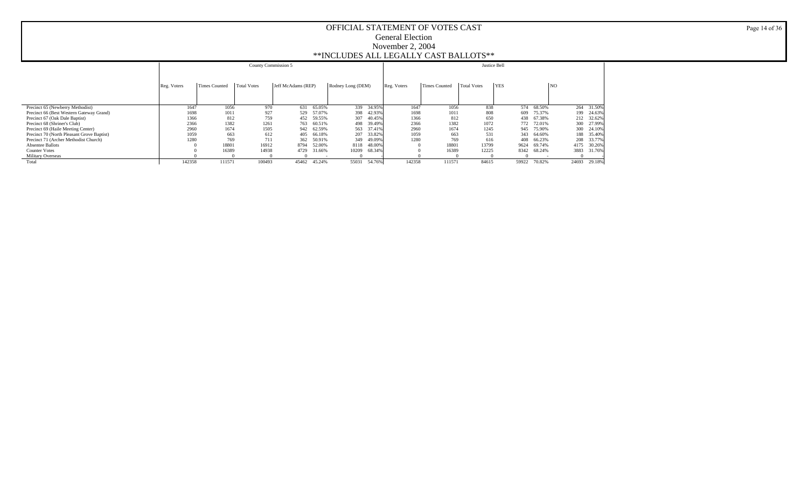|                                            |             |                      | County Commission 5 |                    |            |                   |        |             |               |                    | Justice Bell |        |       |            |
|--------------------------------------------|-------------|----------------------|---------------------|--------------------|------------|-------------------|--------|-------------|---------------|--------------------|--------------|--------|-------|------------|
|                                            | Reg. Voters | <b>Times Counted</b> | <b>Total Votes</b>  | Jeff McAdams (REP) |            | Rodney Long (DEM) |        | Reg. Voters | Times Counted | <b>Total Votes</b> | <b>YES</b>   |        | NO    |            |
|                                            |             |                      |                     |                    |            |                   |        |             |               |                    |              |        |       |            |
| Precinct 65 (Newberry Methodist)           | 1647        | 1056                 | 970                 | 631                | 65.05%     | 339               | 34.95% | 1647        | 1056          | 838                | 574          | 68.50% |       | 264 31.50% |
| Precinct 66 (Best Western Gateway Grand)   | 1698        | 1011                 | 927                 | 529                | 57.07%     | 398               | 42.93% | 1698        | 1011          | 808                | 609          | 75.37% |       | 199 24.63% |
| Precinct 67 (Oak Dale Baptist)             | 1366        | 812                  | 759                 | 452                | 59.55%     | 307               | 40.45% | 1366        | 812           | 650                | 438          | 67.38% |       | 212 32.62% |
| Precinct 68 (Shriner's Club)               | 2366        | 1382                 | 1261                | 763                | 60.51%     | 498               | 39.49% | 2366        | 1382          | 1072               | 772          | 72.01% | 300   | 27.99%     |
| Precinct 69 (Haile Meeting Center)         | 2960        | 1674                 | 1505                |                    | 942 62.59% | 563               | 37.41% | 2960        | 1674          | 1245               | 945          | 75.90% | 300   | 24.10%     |
| Precinct 70 (North Pleasant Grove Baptist) | 1059        | 663                  | 612                 | 405                | 66.18%     | 207               | 33.82% | 1059        | 663           | 531                | 343          | 64.60% |       | 188 35.40% |
| Precinct 71 (Archer Methodist Church)      | 1280        | 769                  | 711                 | 362                | 50.91%     | 349               | 49.09% | 1280        | 769           | 616                | 408          | 66.23% | 208   | 33.77%     |
| <b>Absentee Ballots</b>                    |             | 18801                | 16912               | 8794               | 52.00%     | 8118              | 48.00% |             | 18801         | 13799              | 9624         | 69.74% | 4175  | 30.26%     |
| <b>Counter Votes</b>                       |             | 16389                | 14938               | 4729               | 31.66%     | 10209             | 68.34% |             | 16389         | 12225              | 8342         | 68.24% | 3883  | 31.76%     |
| Military Overseas                          |             |                      |                     |                    |            |                   |        |             |               |                    |              |        |       |            |
| Total                                      | 142358      | 111571               | 100493              | 45462              | 45.24%     | 55031             | 54.76% | 142358      | 111571        | 84615              | 59922        | 70.82% | 24693 | 29.18%     |

Page 14 of 36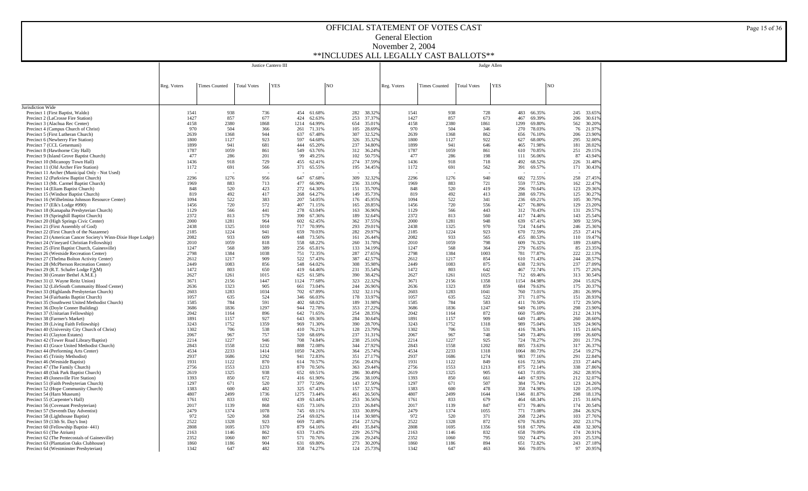|                                                                                                             |              |                      |                    | Justice Cantero III |             |                  |    |            |                  |              |                      |                    | Judge Allen |             |                  |                |            |                  |
|-------------------------------------------------------------------------------------------------------------|--------------|----------------------|--------------------|---------------------|-------------|------------------|----|------------|------------------|--------------|----------------------|--------------------|-------------|-------------|------------------|----------------|------------|------------------|
|                                                                                                             |              |                      |                    |                     |             |                  |    |            |                  |              |                      |                    |             |             |                  |                |            |                  |
|                                                                                                             |              |                      |                    |                     |             |                  |    |            |                  |              |                      |                    |             |             |                  |                |            |                  |
|                                                                                                             | Reg. Voters  | <b>Times Counted</b> | <b>Total Votes</b> | <b>YES</b>          |             |                  | NO |            |                  | Reg. Voters  | <b>Times Counted</b> | <b>Total Votes</b> | <b>YES</b>  |             |                  | N <sub>O</sub> |            |                  |
|                                                                                                             |              |                      |                    |                     |             |                  |    |            |                  |              |                      |                    |             |             |                  |                |            |                  |
|                                                                                                             |              |                      |                    |                     |             |                  |    |            |                  |              |                      |                    |             |             |                  |                |            |                  |
| Jurisdiction Wide<br>Precinct 1 (First Baptist, Waldo)                                                      | 1541         | 938                  | 736                |                     | 454         | 61.68%           |    | 282        | 38.329           | 1541         | 938                  | 728                |             | 483         | 66.35%           |                | 245        | 33.65%           |
| Precinct 2 (LaCrosse Fire Station)                                                                          | 1427         | 857                  | 677                |                     | 424         | 62.63%           |    | 253        | 37.379           | 1427         | 857                  | 673                |             | 467         | 69.39%           |                | 206        | 30.61%           |
| Precinct 3 (Alachua Rec Center)                                                                             | 4158         | 2380                 | 1868               |                     | 1214        | 64.99%           |    | 654        | 35.019           | 4158         | 2380                 | 1861               |             | 1299        | 69.80%           |                | 562        | 30.20%           |
| Precinct 4 (Campus Church of Christ)<br>Precinct 5 (First Lutheran Church)                                  | 970<br>2639  | 504<br>1368          | 366<br>944         |                     | 261<br>637  | 71.31%<br>67.48% |    | 105<br>307 | 28.699<br>32.529 | 970<br>2639  | 504<br>1368          | 346<br>862         |             | 270<br>656  | 78.03%<br>76.10% |                | 76<br>206  | 21.97%<br>23.90% |
| Precinct 6 (Newberry Fire Station)                                                                          | 1800         | 1127                 | 923                |                     | 597         | 64.68%           |    | 326        | 35.329           | 1800         | 1127                 | 922                |             | 627         | 68.00%           |                | 295        | 32.00%           |
| Precinct 7 (CCL Getsemani)                                                                                  | 1899         | 941                  | 681                |                     | 444         | 65.20%           |    | 237        | 34.809           | 1899         | 941                  | 646                |             | 465         | 71.98%           |                | 181        | 28.02%           |
| Precinct 8 (Hawthorne City Hall)<br>Precinct 9 (Island Grove Baptist Church)                                | 1787<br>477  | 1059<br>286          | 861<br>201         |                     | 549<br>99   | 63.76%<br>49.25% |    | 312<br>102 | 36.249<br>50.75% | 1787<br>477  | 1059<br>286          | 861<br>198         |             | 610<br>111  | 70.85%<br>56.06% |                | 251<br>87  | 29.15%<br>43.94% |
| Precinct 10 (Micanopy Town Hall)                                                                            | 1436         | 918                  | 729                |                     | 455         | 62.41%           |    | 274        | 37.59%           | 1436         | 918                  | 718                |             | 492         | 68.52%           |                | 226        | 31.48%           |
| Precinct 11 (Old Archer Fire Station)                                                                       | 1172         | 691                  | 566                |                     | 371         | 65.55%           |    | 195        | 34.45%           | 1172         | 691                  | 562                |             | 391         | 69.57%           |                | 171        | 30.43%           |
| Precinct 11 Archer (Municipal Only - Not Used)                                                              |              |                      |                    |                     |             |                  |    |            |                  |              |                      |                    |             |             |                  |                |            |                  |
| Precinct 12 (Parkview Baptist Church)<br>Precinct 13 (Mt. Carmel Baptist Church)                            | 2296<br>1969 | 1276<br>883          | 956<br>713         |                     | 647<br>477  | 67.68%<br>66.90% |    | 309<br>236 | 32.329<br>33.109 | 2296<br>1969 | 1276<br>883          | 940<br>721         |             | 682<br>559  | 72.55%<br>77.53% |                | 258<br>162 | 27.45%<br>22.47% |
| Precinct 14 (Eliam Baptist Church)                                                                          | 848          | 520                  | 423                |                     | 272         | 64.30%           |    | 151        | 35.709           | 848          | 520                  | 419                |             | 296         | 70.64%           |                | 123        | 29.36%           |
| Precinct 15 (Windsor Baptist Church)                                                                        | 819          | 492                  | 417                |                     | 268         | 64.27%           |    | 149        | 35.739           | 819          | 492                  | 413                |             | 288         | 69.73%           |                | 125        | 30.27%           |
| Precinct 16 (Wilhelmina Johnson Resource Center)                                                            | 1094         | 522                  | 383                |                     | 207         | 54.05%           |    | 176        | 45.95%           | 1094         | 522                  | 341                |             | 236         | 69.21%           |                | 105        | 30.79%           |
| Precinct 17 (Elk's Lodge #990)<br>Precinct 18 (Kanapaha Presbyterian Church)                                | 1456<br>1129 | 720<br>566           | 572<br>441         |                     | 407<br>278  | 71.15%<br>63.04% |    | 165<br>163 | 28.85%<br>36.96% | 1456<br>1129 | 720<br>566           | 556<br>443         |             | 427<br>312  | 76.80%<br>70.43% |                | 129<br>131 | 23.20%<br>29.57% |
| Precinct 19 (Springhill Baptist Church)                                                                     | 2372         | 813                  | 579                |                     | 390         | 67.36%           |    | 189        | 32.64%           | 2372         | 813                  | 560                |             | 417         | 74.46%           |                | 143        | 25.54%           |
| Precinct 20 (High Springs Civic Center)                                                                     | 2000         | 1281                 | 964                |                     | 602         | 62.45%           |    | 362        | 37.55%           | 2000         | 1281                 | 948                |             | 639         | 67.41%           |                | 309        | 32.59%           |
| Precinct 21 (First Assembly of God)                                                                         | 2438         | 1325                 | 1010               |                     | 717         | 70.99%           |    | 293        | 29.01%           | 2438         | 1325                 | 970                |             | 724         | 74.64%           |                | 246<br>253 | 25.36%           |
| Precinct 22 (First Church of the Nazarene)<br>Precinct 23 (American Cancer Society's Winn-Dixie Hope Lodge) | 2185<br>2082 | 1224<br>933          | 941<br>609         |                     | 659<br>448  | 70.03%<br>73.56% |    | 282<br>161 | 29.97%<br>26.449 | 2185<br>2082 | 1224<br>933          | 923<br>565         |             | 670<br>455  | 72.59%<br>80.53% |                | 110        | 27.41%<br>19.47% |
| Precinct 24 (Vineyard Christian Fellowship)                                                                 | 2010         | 1059                 | 818                |                     | 558         | 68.22%           |    | 260        | 31.789           | 2010         | 1059                 | 798                |             | 609         | 76.32%           |                | 189        | 23.68%           |
| Precinct 25 (First Baptist Church, Gainesville)                                                             | 1247         | 568                  | 389                |                     | 256         | 65.81%           |    | 133        | 34.199           | 1247         | 568                  | 364                |             | 279         | 76.65%           |                | 85         | 23.35%           |
| Precinct 26 (Westside Recreation Center)<br>Precinct 27 (Thelma Bolton Activity Center)                     | 2798<br>2612 | 1384<br>1217         | 1038<br>909        |                     | 751<br>522  | 72.35%<br>57.43% |    | 287<br>387 | 27.659<br>42.579 | 2798<br>2612 | 1384<br>1217         | 1003<br>854        |             | 781<br>610  | 77.87%<br>71.43% |                | 222<br>244 | 22.13%<br>28.57% |
| Precinct 28 (McPherson Recreation Center)                                                                   | 2449         | 1083                 | 856                |                     | 548         | 64.02%           |    | 308        | 35.989           | 2449         | 1083                 | 875                |             | 638         | 72.91%           |                | 237        | 27.09%           |
| Precinct 29 (R.T. Schafer Lodge FAM)                                                                        | 1472         | 803                  | 650                |                     | 419         | 64.46%           |    | 231        | 35.549           | 1472         | 803                  | 642                |             | 467         | 72.74%           |                | 175        | 27.26%           |
| Precinct 30 (Greater Bethel A.M.E.)                                                                         | 2627         | 1261                 | 1015               |                     | 625         | 61.58%           |    | 390        | 38.429           | 2627         | 1261                 | 1025               |             | 712         | 69.46%           |                | 313        | 30.54%           |
| Precinct 31 (J. Wayne Reitz Union)<br>Precinct 32 (LifeSouth Community Blood Center)                        | 3671<br>2636 | 2156<br>1323         | 1447<br>905        |                     | 1124<br>661 | 77.68%<br>73.04% |    | 323<br>244 | 22.329<br>26.96% | 3671<br>2636 | 2156<br>1323         | 1358<br>859        |             | 1154<br>684 | 84.98%<br>79.63% |                | 204<br>175 | 15.02%<br>20.37% |
| Precinct 33 (Highlands Presbyterian Church)                                                                 | 2603         | 1283                 | 1034               |                     | 702         | 67.89%           |    | 332        | 32.119           | 2603         | 1283                 | 1041               |             | 760         | 73.01%           |                | 281        | 26.99%           |
| Precinct 34 (Fairbanks Baptist Church)                                                                      | 1057         | 635                  | 524                |                     | 346         | 66.03%           |    | 178        | 33.979           | 1057         | 635                  | 522                |             | 371         | 71.07%           |                | 151        | 28.93%           |
| Precinct 35 (Southwest United Methodist Church)                                                             | 1585<br>3686 | 784<br>1836          | 591<br>1297        |                     | 402<br>944  | 68.02%<br>72.78% |    | 189<br>353 | 31.98%<br>27.229 | 1585<br>3686 | 784<br>1836          | 583<br>1247        |             | 411<br>949  | 70.50%<br>76.10% |                | 172<br>298 | 29.50%<br>23.90% |
| Precinct 36 (Doyle Conner Building)<br>Precinct 37 (Unitarian Fellowship)                                   | 2042         | 1164                 | 896                |                     | 642         | 71.65%           |    | 254        | 28.359           | 2042         | 1164                 | 872                |             | 660         | 75.69%           |                | 212        | 24.31%           |
| Precinct 38 (Farmer's Market)                                                                               | 1891         | 1157                 | 927                |                     | 643         | 69.36%           |    | 284        | 30.649           | 1891         | 1157                 | 909                |             | 649         | 71.40%           |                | 260        | 28.60%           |
| Precinct 39 (Living Faith Fellowship)                                                                       | 3243         | 1752                 | 1359               |                     | 969         | 71.30%           |    | 390        | 28.709           | 3243         | 1752                 | 1318               |             | 989         | 75.04%           |                | 329        | 24.96%           |
| Precinct 40 (University City Church of Christ)<br>Precinct 41 (Clayton Estates)                             | 1302<br>2067 | 706<br>967           | 538<br>757         |                     | 410<br>520  | 76.21%<br>68.69% |    | 128<br>237 | 23.799<br>31.319 | 1302<br>2067 | 706<br>967           | 531<br>748         |             | 416<br>549  | 78.34%<br>73.40% |                | 115<br>199 | 21.66%<br>26.60% |
| Precinct 42 (Tower Road Library/Baptist)                                                                    | 2214         | 1227                 | 946                |                     | 708         | 74.84%           |    | 238        | 25.16%           | 2214         | 1227                 | 925                |             | 724         | 78.27%           |                | 201        | 21.73%           |
| Precinct 43 (Grace United Methodist Church)                                                                 | 2843         | 1558                 | 1232               |                     | 888         | 72.08%           |    | 344        | 27.92%           | 2843         | 1558                 | 1202               |             | 885         | 73.63%           |                | 317        | 26.37%           |
| Precinct 44 (Performing Arts Center)                                                                        | 4534         | 2233                 | 1414               |                     | 1050        | 74.26%           |    | 364        | 25.74%           | 4534         | 2233                 | 1318               |             | 1064        | 80.73%           |                | 254        | 19.27%           |
| Precinct 45 (Trinity Methodist)<br>Precinct 46 (Westside Baptist)                                           | 2937<br>1931 | 1686<br>1122         | 1292<br>870        |                     | 941<br>614  | 72.83%<br>70.57% |    | 351<br>256 | 27.17%<br>29.43% | 2937<br>1931 | 1686<br>1122         | 1274<br>849        |             | 983<br>616  | 77.16%<br>72.56% |                | 291<br>233 | 22.84%<br>27.44% |
| Precinct 47 (The Family Church)                                                                             | 2756         | 1553                 | 1233               |                     | 870         | 70.56%           |    | 363        | 29.44%           | 2756         | 1553                 | 1213               |             | 875         | 72.14%           |                | 338        | 27.86%           |
| Precinct 48 (Oak Park Baptist Church)                                                                       | 2619         | 1325                 | 938                |                     | 652         | 69.51%           |    | 286        | 30.49%           | 2619         | 1325                 | 905                |             | 643         | 71.05%           |                | 262        | 28.95%           |
| Precinct 49 (Jonesville Fire Station)                                                                       | 1393<br>1297 | 850<br>671           | 672<br>520         |                     | 416<br>377  | 61.90%<br>72.50% |    | 256<br>143 | 38.109<br>27.509 | 1393<br>1297 | 850<br>671           | 661<br>507         |             | 449<br>384  | 67.93%<br>75.74% |                | 212<br>123 | 32.07%<br>24.26% |
| Precinct 51 (Faith Presbyterian Church)<br>Precinct 52 (Hope Community Church)                              | 1383         | 600                  | 482                |                     | 325         | 67.43%           |    | 157        | 32.579           | 1383         | 600                  | 478                |             | 358         | 74.90%           |                | 120        | 25.10%           |
| Precinct 54 (Harn Museum)                                                                                   | 4807         | 2499                 | 1736               |                     | 1275        | 73.44%           |    | 461        | 26.569           | 4807         | 2499                 | 1644               |             | 1346        | 81.87%           |                | 298        | 18.13%           |
| Precinct 55 (Carpenter's Hall)                                                                              | 1761         | 833                  | 692                |                     | 439         | 63.44%           |    | 253        | 36.569           | 1761         | 833                  | 679                |             | 464         | 68.34%           |                | 215        | 31.66%           |
| Precinct 56 (Covenant Presbyterian)<br>Precinct 57 (Seventh Day Adventist)                                  | 2017<br>2479 | 1139<br>1374         | 868<br>1078        |                     | 635<br>745  | 73.16%<br>69.11% |    | 233<br>333 | 26.849<br>30.899 | 2017<br>2479 | 1139<br>1374         | 847<br>1055        |             | 673<br>771  | 79.46%<br>73.08% |                | 174<br>284 | 20.54%<br>26.92% |
| Precinct 58 (Lighthouse Baptist)                                                                            | 972          | 520                  | 368                |                     | 254         | 69.02%           |    | 114        | 30.989           | 972          | 520                  | 371                |             | 268         | 72.24%           |                | 103        | 27.76%           |
| Precinct 59 (13th St. Day's Inn)                                                                            | 2522         | 1328                 | 923                |                     | 669         | 72.48%           |    | 254        | 27.529           | 2522         | 1328                 | 872                |             | 670         | 76.83%           |                | 202        | 23.17%           |
| Precinct 60 (Fellowship Baptist-441)                                                                        | 2808         | 1695                 | 1370               |                     | 879         | 64.16%           |    | 491        | 35.849           | 2808         | 1695                 | 1356               |             | 918         | 67.70%           |                | 438        | 32.30%           |
| Precinct 61 (The Atrium)<br>Precinct 62 (The Pentecostals of Gainesville)                                   | 2163<br>2352 | 1146<br>1060         | 862<br>807         |                     | 633<br>571  | 73.43%<br>70.76% |    | 229<br>236 | 26.579<br>29.24% | 2163<br>2352 | 1146<br>1060         | 832<br>795         |             | 658<br>592  | 79.09%<br>74.47% |                | 174<br>203 | 20.91%<br>25.53% |
| Precinct 63 (Plantation Oaks Clubhouse)                                                                     | 1860         | 1186                 | 904                |                     | 631         | 69.80%           |    | 273        | 30.20%           | 1860         | 1186                 | 894                |             | 651         | 72.82%           |                | 243        | 27.18%           |
| Precinct 64 (Westminster Presbyterian)                                                                      | 1342         | 647                  | 482                |                     | 358         | 74.27%           |    | 124        | 25.73%           | 1342         | 647                  | 463                |             | 366         | 79.05%           |                | 97         | 20.95%           |

Page 15 of 36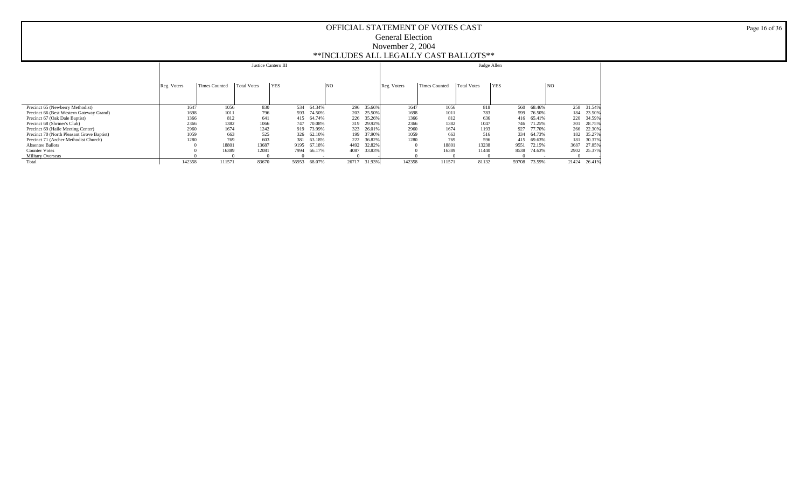|                                            |             |               |                    | Justice Cantero III |            |                |        |             |                      | Judge Allen |            |            |                |            |
|--------------------------------------------|-------------|---------------|--------------------|---------------------|------------|----------------|--------|-------------|----------------------|-------------|------------|------------|----------------|------------|
|                                            | Reg. Voters | Times Counted | <b>Total Votes</b> | <b>YES</b>          |            | N <sub>O</sub> |        | Reg. Voters | <b>Times Counted</b> | Total Votes | <b>YES</b> |            | N <sub>O</sub> |            |
|                                            |             |               |                    |                     |            |                |        |             |                      |             |            |            |                |            |
| Precinct 65 (Newberry Methodist)           | 1647        | 1056          | 830                |                     | 534 64.34% | 296            | 35.66% | 1647        | 1056                 | 818         |            | 560 68.46% |                | 258 31.54% |
| Precinct 66 (Best Western Gateway Grand)   | 1698        | 1011          | 796                | 593                 | 74.50%     | 203            | 25.50% | 1698        | 1011                 | 783         | 599        | 76.50%     | 184            | 23.50%     |
| Precinct 67 (Oak Dale Baptist)             | 1366        | 812           | 641                | 415                 | 64.74%     | 226            | 35.26% | 1366        | 812                  | 636         |            | 416 65.41% | 220            | 34.59%     |
| Precinct 68 (Shriner's Club)               | 2366        | 1382          | 1066               | 747                 | 70.08%     | 319            | 29.92% | 2366        | 1382                 | 1047        |            | 746 71.25% | 301            | 28.75%     |
| Precinct 69 (Haile Meeting Center)         | 2960        | 1674          | 1242               | 919                 | 73.99%     | 323            | 26.01% | 2960        | 1674                 | 1193        | 927        | 77.70%     | 266            | 22.30%     |
| Precinct 70 (North Pleasant Grove Baptist) | 1059        | 663           | 525                | 326                 | 62.10%     | 199            | 37.90% | 1059        | 663                  | 516         | 334        | 64.73%     | 182            | 35.27%     |
| Precinct 71 (Archer Methodist Church)      | 1280        | 769           | 603                | 381                 | 63.18%     | 222            | 36.82% | 1280        | 769                  | 596         | 415        | 69.63%     | 181            | 30.37%     |
| <b>Absentee Ballots</b>                    |             | 18801         | 13687              | 9195                | 67.18%     | 4492           | 32.82% |             | 18801                | 13238       | 9551       | 72.15%     | 3687           | 27.85%     |
| <b>Counter Votes</b>                       |             | 16389         | 12081              | 7994                | 66.17%     | 4087           | 33.83% |             | 16389                | 11440       | 8538       | 74.63%     | 2902           | 25.37%     |
| <b>Military Overseas</b>                   |             |               |                    |                     |            |                |        |             |                      |             |            |            |                |            |
| Total                                      | 142358      | 111571        | 83670              | 56953               | 68.07%     | 26717          | 31.93% | 142358      | 111571               | 81132       | 59708      | 73.59%     | 21424          | 26.41%     |

Page 16 of 36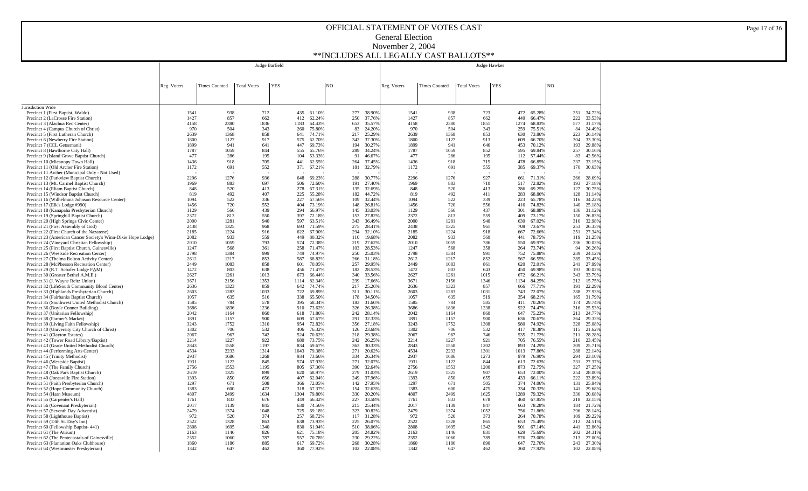|                                                                                                             |              |                      |                    | Judge Barfield |             |                  |                |            |                  |              |                      |                    | <b>Judge Hawkes</b> |             |                  |                |            |                  |
|-------------------------------------------------------------------------------------------------------------|--------------|----------------------|--------------------|----------------|-------------|------------------|----------------|------------|------------------|--------------|----------------------|--------------------|---------------------|-------------|------------------|----------------|------------|------------------|
|                                                                                                             |              |                      |                    |                |             |                  |                |            |                  |              |                      |                    |                     |             |                  |                |            |                  |
|                                                                                                             | Reg. Voters  | <b>Times Counted</b> | <b>Total Votes</b> | <b>YES</b>     |             |                  | N <sub>O</sub> |            |                  | Reg. Voters  | <b>Times Counted</b> | <b>Total Votes</b> | <b>YES</b>          |             |                  | N <sub>O</sub> |            |                  |
|                                                                                                             |              |                      |                    |                |             |                  |                |            |                  |              |                      |                    |                     |             |                  |                |            |                  |
|                                                                                                             |              |                      |                    |                |             |                  |                |            |                  |              |                      |                    |                     |             |                  |                |            |                  |
| Jurisdiction Wide                                                                                           |              |                      |                    |                |             |                  |                |            |                  |              |                      |                    |                     |             |                  |                |            |                  |
| Precinct 1 (First Baptist, Waldo)                                                                           | 1541         | 938                  | 712                |                | 435         | 61.10%           |                | 277        | 38.90%           | 1541         | 938                  |                    | 723                 | 472         | 65.28%           |                | 251        | 34.72%           |
| Precinct 2 (LaCrosse Fire Station)<br>Precinct 3 (Alachua Rec Center)                                       | 1427<br>4158 | 857<br>2380          | 662<br>1836        |                | 412<br>1183 | 62.24%<br>64.43% |                | 250<br>653 | 37.76%<br>35.57% | 1427<br>4158 | 857<br>2380          | 1851               | 662                 | 440<br>1274 | 66.47%<br>68.83% |                | 222<br>577 | 33.53%<br>31.17% |
| Precinct 4 (Campus Church of Christ)                                                                        | 970          | 504                  | 343                |                | 260         | 75.80%           |                | 83         | 24.20%           | 970          | 504                  |                    | 343                 | 259         | 75.51%           |                | 84         | 24.49%           |
| Precinct 5 (First Lutheran Church)                                                                          | 2639         | 1368                 | 858                |                | 641         | 74.71%           |                | 217        | 25.29%           | 2639         | 1368                 |                    | 853                 | 630         | 73.86%           |                | 223        | 26.14%           |
| Precinct 6 (Newberry Fire Station)<br>Precinct 7 (CCL Getsemani)                                            | 1800<br>1899 | 1127<br>941          | 917<br>641         |                | 575<br>447  | 62.70%<br>69.73% |                | 342<br>194 | 37.30%<br>30.27% | 1800<br>1899 | 1127<br>941          |                    | 913<br>646          | 609<br>453  | 66.70%<br>70.12% |                | 304<br>193 | 33.30%<br>29.88% |
| Precinct 8 (Hawthorne City Hall)                                                                            | 1787         | 1059                 | 844                |                | 555         | 65.76%           |                | 289        | 34.24%           | 1787         | 1059                 |                    | 852                 | 595         | 69.84%           |                | 257        | 30.16%           |
| Precinct 9 (Island Grove Baptist Church)                                                                    | 477          | 286                  | 195                |                | 104         | 53.33%           |                | 91         | 46.67%           | 477          | 286                  |                    | 195                 | 112         | 57.44%           |                | 83         | 42.56%           |
| Precinct 10 (Micanopy Town Hall)<br>Precinct 11 (Old Archer Fire Station)                                   | 1436<br>1172 | 918<br>691           | 705<br>552         |                | 441<br>371  | 62.55%<br>67.21% |                | 264<br>181 | 37.45%<br>32.79% | 1436<br>1172 | 918<br>691           |                    | 715<br>555          | 478<br>385  | 66.85%<br>69.37% |                | 237<br>170 | 33.15%<br>30.63% |
| Precinct 11 Archer (Municipal Only - Not Used)                                                              |              |                      |                    |                |             |                  |                |            |                  |              |                      |                    |                     |             |                  |                |            |                  |
| Precinct 12 (Parkview Baptist Church)                                                                       | 2296         | 1276                 | 936                |                | 648         | 69.23%           |                | 288        | 30.77%           | 2296         | 1276                 |                    | 927                 | 661         | 71.31%           |                | 266        | 28.69%           |
| Precinct 13 (Mt. Carmel Baptist Church)<br>Precinct 14 (Eliam Baptist Church)                               | 1969<br>848  | 883<br>520           | 697<br>413         |                | 506<br>278  | 72.60%<br>67.31% |                | 191<br>135 | 27.40%<br>32.69% | 1969<br>848  | 883<br>520           |                    | 710<br>413          | 517<br>286  | 72.82%<br>69.25% |                | 193<br>127 | 27.18%<br>30.75% |
| Precinct 15 (Windsor Baptist Church)                                                                        | 819          | 492                  | 407                |                | 225         | 55.28%           |                | 182        | 44.72%           | 819          | 492                  |                    | 411                 | 283         | 68.86%           |                | 128        | 31.14%           |
| Precinct 16 (Wilhelmina Johnson Resource Center)                                                            | 1094         | 522                  | 336                |                | 227         | 67.56%           |                | 109        | 32.44%           | 1094         | 522                  |                    | 339                 | 223         | 65.78%           |                | 116        | 34.22%           |
| Precinct 17 (Elk's Lodge #990)                                                                              | 1456         | 720                  | 552<br>439         |                | 404<br>294  | 73.19%           |                | 148        | 26.81%           | 1456         | 720<br>566           |                    | 556<br>437          | 416         | 74.82%           |                | 140        | 25.18%           |
| Precinct 18 (Kanapaha Presbyterian Church)<br>Precinct 19 (Springhill Baptist Church)                       | 1129<br>2372 | 566<br>813           | 550                |                | 397         | 66.97%<br>72.18% |                | 145<br>153 | 33.03%<br>27.82% | 1129<br>2372 | 813                  |                    | 559                 | 301<br>409  | 68.88%<br>73.17% |                | 136<br>150 | 31.12%<br>26.83% |
| Precinct 20 (High Springs Civic Center)                                                                     | 2000         | 1281                 | 940                |                | 597         | 63.51%           |                | 343        | 36.49%           | 2000         | 1281                 |                    | 940                 | 630         | 67.02%           |                | 310        | 32.98%           |
| Precinct 21 (First Assembly of God)                                                                         | 2438         | 1325                 | 968                |                | 693         | 71.59%           |                | 275        | 28.41%           | 2438         | 1325                 |                    | 961                 | 708         | 73.67%           |                | 253        | 26.33%           |
| Precinct 22 (First Church of the Nazarene)<br>Precinct 23 (American Cancer Society's Winn-Dixie Hope Lodge) | 2185<br>2082 | 1224<br>933          | 916<br>559         |                | 622<br>449  | 67.90%<br>80.32% |                | 294<br>110 | 32.10%<br>19.68% | 2185<br>2082 | 1224<br>933          |                    | 918<br>560          | 667<br>441  | 72.66%<br>78.75% |                | 251<br>119 | 27.34%<br>21.25% |
| Precinct 24 (Vineyard Christian Fellowship)                                                                 | 2010         | 1059                 | 793                |                | 574         | 72.38%           |                | 219        | 27.62%           | 2010         | 1059                 |                    | 786                 | 550         | 69.97%           |                | 236        | 30.03%           |
| Precinct 25 (First Baptist Church, Gainesville)                                                             | 1247         | 568                  | 361                |                | 258         | 71.47%           |                | 103        | 28.53%           | 1247         | 568                  |                    | 358                 | 264         | 73.74%           |                | 94         | 26.26%           |
| Precinct 26 (Westside Recreation Center)<br>Precinct 27 (Thelma Bolton Activity Center)                     | 2798<br>2612 | 1384<br>1217         | 999<br>853         |                | 749<br>587  | 74.97%<br>68.82% |                | 250<br>266 | 25.039<br>31.189 | 2798<br>2612 | 1384<br>1217         |                    | 991<br>852          | 752<br>567  | 75.88%<br>66.55% |                | 239<br>285 | 24.12%<br>33.45% |
| Precinct 28 (McPherson Recreation Center)                                                                   | 2449         | 1083                 | 858                |                | 601         | 70.05%           |                | 257        | 29.959           | 2449         | 1083                 |                    | 861                 | 620         | 72.01%           |                | 241        | 27.99%           |
| Precinct 29 (R.T. Schafer Lodge FAM)                                                                        | 1472         | 803                  | 638                |                | 456         | 71.47%           |                | 182        | 28.53%           | 1472         | 803                  |                    | 643                 | 450         | 69.98%           |                | 193        | 30.02%           |
| Precinct 30 (Greater Bethel A.M.E.)                                                                         | 2627         | 1261                 | 1013               |                | 673         | 66.44%           |                | 340        | 33.56%           | 2627         | 1261                 | 1015               |                     | 672         | 66.21%           |                | 343        | 33.79%           |
| Precinct 31 (J. Wayne Reitz Union)<br>Precinct 32 (LifeSouth Community Blood Center)                        | 3671<br>2636 | 2156<br>1323         | 1353<br>859        |                | 1114<br>642 | 82.34%<br>74.74% |                | 239<br>217 | 17.66%<br>25.26% | 3671<br>2636 | 2156<br>1323         | 1346               | 857                 | 1134<br>666 | 84.25%<br>77.71% |                | 212<br>191 | 15.75%<br>22.29% |
| Precinct 33 (Highlands Presbyterian Church)                                                                 | 2603         | 1283                 | 1033               |                | 722         | 69.89%           |                | 311        | 30.11%           | 2603         | 1283                 | 1031               |                     | 743         | 72.07%           |                | 288        | 27.93%           |
| Precinct 34 (Fairbanks Baptist Church)                                                                      | 1057         | 635                  | 516                |                | 338         | 65.50%           |                | 178        | 34.50%           | 1057         | 635                  |                    | 519                 | 354         | 68.21%           |                | 165        | 31.79%           |
| Precinct 35 (Southwest United Methodist Church)<br>Precinct 36 (Doyle Conner Building)                      | 1585<br>3686 | 784<br>1836          | 578<br>1236        |                | 395<br>910  | 68.34%<br>73.62% |                | 183<br>326 | 31.66%<br>26.38% | 1585<br>3686 | 784<br>1836          | 1238               | 585                 | 411<br>922  | 70.26%<br>74.47% |                | 174<br>316 | 29.74%<br>25.53% |
| Precinct 37 (Unitarian Fellowship)                                                                          | 2042         | 1164                 | 860                |                | 618         | 71.86%           |                | 242        | 28.14%           | 2042         | 1164                 |                    | 860                 | 647         | 75.23%           |                | 213        | 24.77%           |
| Precinct 38 (Farmer's Market)                                                                               | 1891         | 1157                 | 900                |                | 609         | 67.67%           |                | 291        | 32.33%           | 1891         | 1157                 |                    | 900                 | 636         | 70.67%           |                | 264        | 29.33%           |
| Precinct 39 (Living Faith Fellowship)                                                                       | 3243         | 1752                 | 1310               |                | 954         | 72.82%           |                | 356        | 27.18%           | 3243         | 1752                 | 1308               |                     | 980         | 74.92%           |                | 328        | 25.08%           |
| Precinct 40 (University City Church of Christ)<br>Precinct 41 (Clayton Estates)                             | 1302<br>2067 | 706<br>967           | 532<br>742         |                | 406<br>524  | 76.32%<br>70.62% |                | 126<br>218 | 23.68%<br>29.38% | 1302<br>2067 | 706<br>967           |                    | 532<br>746          | 417<br>535  | 78.38%<br>71.72% |                | 115<br>211 | 21.62%<br>28.28% |
| Precinct 42 (Tower Road Library/Baptist)                                                                    | 2214         | 1227                 | 922                |                | 680         | 73.75%           |                | 242        | 26.25%           | 2214         | 1227                 |                    | 921                 | 705         | 76.55%           |                | 216        | 23.45%           |
| Precinct 43 (Grace United Methodist Church)                                                                 | 2843         | 1558                 | 1197               |                | 834         | 69.67%           |                | 363        | 30.33%           | 2843         | 1558                 | 1202               |                     | 893         | 74.29%           |                | 309<br>288 | 25.71%           |
| Precinct 44 (Performing Arts Center)<br>Precinct 45 (Trinity Methodist)                                     | 4534<br>2937 | 2233<br>1686         | 1314<br>1268       |                | 1043<br>934 | 79.38%<br>73.66% |                | 271<br>334 | 20.62%<br>26.34% | 4534<br>2937 | 2233<br>1686         | 1301<br>1273       |                     | 1013<br>979 | 77.86%<br>76.90% |                | 294        | 22.14%<br>23.10% |
| Precinct 46 (Westside Baptist)                                                                              | 1931         | 1122                 | 845                |                | 574         | 67.93%           |                | 271        | 32.07%           | 1931         | 1122                 |                    | 844                 | 613         | 72.63%           |                | 231        | 27.37%           |
| Precinct 47 (The Family Church)                                                                             | 2756         | 1553                 | 1195               |                | 805         | 67.36%           |                | 390        | 32.64%           | 2756         | 1553                 | 1200               |                     | 873         | 72.75%           |                | 327        | 27.25%           |
| Precinct 48 (Oak Park Baptist Church)<br>Precinct 49 (Jonesville Fire Station)                              | 2619<br>1393 | 1325<br>850          | 899<br>656         |                | 620<br>407  | 68.97%<br>62.04% |                | 279<br>249 | 31.03%<br>37.96% | 2619<br>1393 | 1325<br>850          |                    | 907<br>655          | 653<br>433  | 72.00%<br>66.11% |                | 254<br>222 | 28,00%<br>33.89% |
| Precinct 51 (Faith Presbyterian Church)                                                                     | 1297         | 671                  | 508                |                | 366         | 72.05%           |                | 142        | 27.95%           | 1297         | 671                  |                    | 505                 | 374         | 74.06%           |                | 131        | 25.94%           |
| Precinct 52 (Hope Community Church)                                                                         | 1383         | 600                  | 472                |                | 318         | 67.37%           |                | 154        | 32.63%           | 1383         | 600                  |                    | 475                 | 334         | 70.32%           |                | 141        | 29.68%           |
| Precinct 54 (Harn Museum)                                                                                   | 4807         | 2499                 | 1634               |                | 1304        | 79.80%           |                | 330        | 20.20%           | 4807         | 2499                 | 1625               |                     | 1289        | 79.32%           |                | 336        | 20.68%           |
| Precinct 55 (Carpenter's Hall)<br>Precinct 56 (Covenant Presbyterian)                                       | 1761<br>2017 | 833<br>1139          | 676<br>845         |                | 449<br>630  | 66.42%<br>74.56% |                | 227<br>215 | 33.58%<br>25.44% | 1761<br>2017 | 833<br>1139          |                    | 678<br>847          | 460<br>663  | 67.85%<br>78.28% |                | 218<br>184 | 32.15%<br>21.72% |
| Precinct 57 (Seventh Day Adventist)                                                                         | 2479         | 1374                 | 1048               |                | 725         | 69.18%           |                | 323        | 30.829           | 2479         | 1374                 | 1052               |                     | 756         | 71.86%           |                | 296        | 28.14%           |
| Precinct 58 (Lighthouse Baptist)                                                                            | 972          | 520                  | 374                |                | 257         | 68.72%           |                | 117        | 31.28%           | 972          | 520                  |                    | 373                 | 264         | 70.78%           |                | 109        | 29.22%           |
| Precinct 59 (13th St. Day's Inn)<br>Precinct 60 (Fellowship Baptist-441)                                    | 2522<br>2808 | 1328<br>1695         | 863<br>1340        |                | 638<br>830  | 73.93%<br>61.94% |                | 225<br>510 | 26.07%<br>38.06% | 2522<br>2808 | 1328<br>1695         | 1342               | 865                 | 653<br>901  | 75.49%<br>67.14% |                | 212<br>441 | 24.51%<br>32.86% |
| Precinct 61 (The Atrium)                                                                                    | 2163         | 1146                 | 826                |                | 621         | 75.18%           |                | 205        | 24.82%           | 2163         | 1146                 |                    | 831                 | 629         | 75.69%           |                | 202        | 24.31%           |
| Precinct 62 (The Pentecostals of Gainesville)                                                               | 2352         | 1060                 | 787                |                | 557         | 70.78%           |                | 230        | 29.22%           | 2352         | 1060                 |                    | 789                 | 576         | 73.00%           |                | 213        | 27.00%           |
| Precinct 63 (Plantation Oaks Clubhouse)<br>Precinct 64 (Westminster Presbyterian)                           | 1860<br>1342 | 1186<br>647          | 885<br>462         |                | 617<br>360  | 69.72%<br>77.92% |                | 268<br>102 | 30.28%<br>22.08% | 1860<br>1342 | 1186<br>647          |                    | 890<br>462          | 647<br>360  | 72.70%<br>77.92% |                | 243<br>102 | 27.30%<br>22.08% |
|                                                                                                             |              |                      |                    |                |             |                  |                |            |                  |              |                      |                    |                     |             |                  |                |            |                  |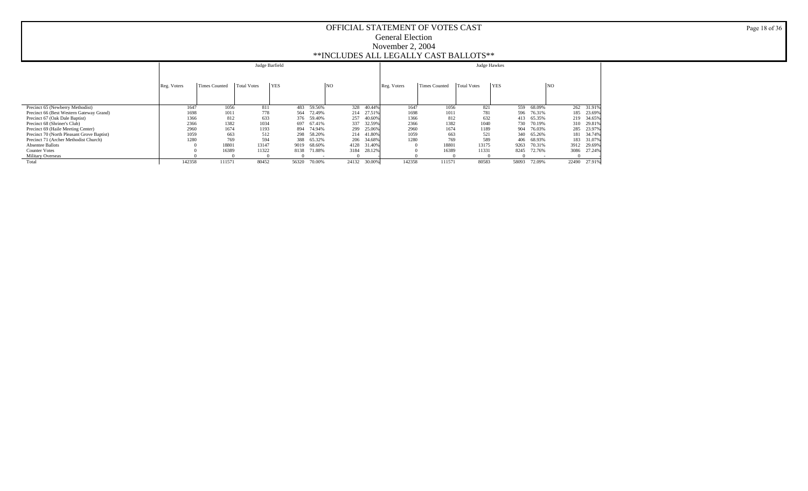|                                            |             |               | Judge Barfield     |            |        |       |        |             |               | Judge Hawkes       |            |            |                |            |
|--------------------------------------------|-------------|---------------|--------------------|------------|--------|-------|--------|-------------|---------------|--------------------|------------|------------|----------------|------------|
|                                            | Reg. Voters | Times Counted | <b>Total Votes</b> | <b>YES</b> |        | NO    |        | Reg. Voters | Times Counted | <b>Total Votes</b> | <b>YES</b> |            | N <sub>O</sub> |            |
| Precinct 65 (Newberry Methodist)           | 1647        | 1056          | 811                | 483        | 59.56% | 328   | 40.44% | 1647        | 1056          | 821                | 559        | 68.09%     |                | 262 31.91% |
| Precinct 66 (Best Western Gateway Grand)   | 1698        | 1011          | 778                | 564        | 72.49% | 214   | 27.51% | 1698        | 1011          | 781                |            | 596 76.31% | 185            | 23.69%     |
| Precinct 67 (Oak Dale Baptist)             | 1366        | 812           | 633                | 376        | 59.40% | 257   | 40.60% | 1366        | 812           | 632                | 413        | 65.35%     |                | 219 34.65% |
| Precinct 68 (Shriner's Club)               | 2366        | 1382          | 1034               | 697        | 67.41% | 337   | 32.59% | 2366        | 1382          | 1040               | 730        | 70.19%     |                | 310 29.81% |
| Precinct 69 (Haile Meeting Center)         | 2960        | 1674          | 1193               | 894        | 74.94% | 299   | 25.06% | 2960        | 1674          | 1189               | 904        | 76.03%     | 285            | 23.97%     |
| Precinct 70 (North Pleasant Grove Baptist) | 1059        | 663           | 512                | 298        | 58.20% | 214   | 41.80% | 1059        | 663           | 521                | 340        | 65.26%     | 181            | 34.74%     |
| Precinct 71 (Archer Methodist Church)      | 1280        | 769           | 594                | 388        | 65.32% | 206   | 34.68% | 1280        | 769           | 589                | 406        | 68.93%     | 183            | 31.07%     |
| <b>Absentee Ballots</b>                    |             | 18801         | 13147              | 9019       | 68.60% | 4128  | 31.40% |             | 18801         | 13175              | 9263       | 70.31%     | 3912           | 29.69%     |
| <b>Counter Votes</b>                       |             | 16389         | 11322              | 8138       | 71.88% | 3184  | 28.12% |             | 16389         | 11331              | 8245       | 72.76%     | 3086           | 27.24%     |
| Military Overseas                          |             |               |                    |            |        |       |        |             |               |                    |            |            |                |            |
| Total                                      | 142358      | 111571        | 80452              | 56320      | 70.00% | 24132 | 30.00% | 142358      | 111571        | 80583              | 58093      | 72.09%     | 22490          | 27.91%     |

Page 18 of 36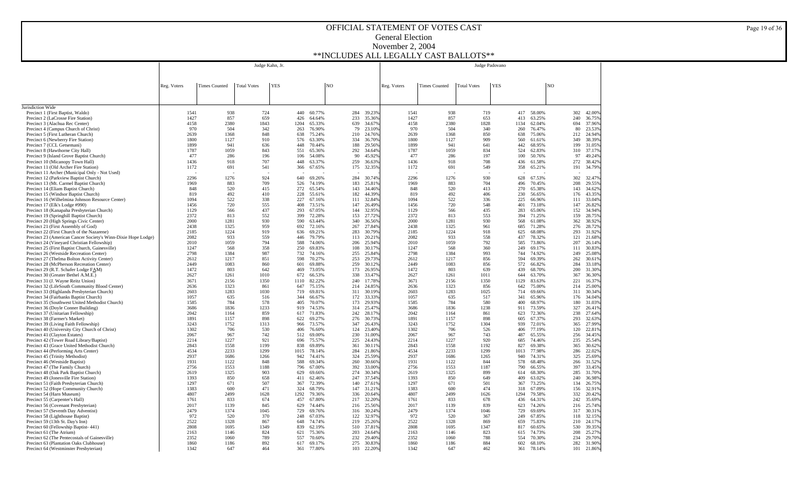|                                                                                             |              |                      |                    | Judge Kahn, Jr. |             |                  |    |            |                  |              |                      |                    | Judge Padovano |             |                  |                |            |                  |
|---------------------------------------------------------------------------------------------|--------------|----------------------|--------------------|-----------------|-------------|------------------|----|------------|------------------|--------------|----------------------|--------------------|----------------|-------------|------------------|----------------|------------|------------------|
|                                                                                             |              |                      |                    |                 |             |                  |    |            |                  |              |                      |                    |                |             |                  |                |            |                  |
|                                                                                             | Reg. Voters  | <b>Times Counted</b> | <b>Total Votes</b> | <b>YES</b>      |             |                  | NO |            |                  | Reg. Voters  | <b>Times Counted</b> | <b>Total Votes</b> | <b>YES</b>     |             |                  | N <sub>O</sub> |            |                  |
|                                                                                             |              |                      |                    |                 |             |                  |    |            |                  |              |                      |                    |                |             |                  |                |            |                  |
|                                                                                             |              |                      |                    |                 |             |                  |    |            |                  |              |                      |                    |                |             |                  |                |            |                  |
| Jurisdiction Wide                                                                           |              |                      |                    |                 |             |                  |    |            |                  |              |                      |                    |                |             |                  |                |            |                  |
| Precinct 1 (First Baptist, Waldo)                                                           | 1541         | 938                  | 724                |                 | 440         | 60.77%           |    | 284        | 39.23%           | 1541         | 938                  | 719                |                | 417         | 58.00%           |                | 302        | 42.00%           |
| Precinct 2 (LaCrosse Fire Station)                                                          | 1427<br>4158 | 857<br>2380          | 659<br>1843        |                 | 426<br>1204 | 64.64%<br>65.33% |    | 233<br>639 | 35.36%<br>34.679 | 1427<br>4158 | 857<br>2380          | 653<br>1828        |                | 413<br>1134 | 63.25%<br>62.04% |                | 240<br>694 | 36.75%<br>37.96% |
| Precinct 3 (Alachua Rec Center)<br>Precinct 4 (Campus Church of Christ)                     | 970          | 504                  | 342                |                 | 263         | 76.90%           |    | 79         | 23.109           | 970          | 504                  | 340                |                | 260         | 76.47%           |                | 80         | 23.53%           |
| Precinct 5 (First Lutheran Church)                                                          | 2639         | 1368                 | 848                |                 | 638         | 75.24%           |    | 210        | 24.76%           | 2639         | 1368                 | 850                |                | 638         | 75.06%           |                | 212        | 24.94%           |
| Precinct 6 (Newberry Fire Station)                                                          | 1800         | 1127                 | 910                |                 | 576         | 63.30%           |    | 334        | 36.709           | 1800         | 1127                 | 909                |                | 560         | 61.61%           |                | 349        | 38.39%           |
| Precinct 7 (CCL Getsemani)<br>Precinct 8 (Hawthorne City Hall)                              | 1899<br>1787 | 941<br>1059          | 636<br>843         |                 | 448<br>551  | 70.44%<br>65.36% |    | 188<br>292 | 29.56%<br>34.64% | 1899<br>1787 | 941<br>1059          | 641<br>834         |                | 442<br>524  | 68.95%<br>62.83% |                | 199<br>310 | 31.05%<br>37.17% |
| Precinct 9 (Island Grove Baptist Church)                                                    | 477          | 286                  | 196                |                 | 106         | 54.08%           |    | 90         | 45.929           | 477          | 286                  | 197                |                | 100         | 50.76%           |                | 97         | 49.24%           |
| Precinct 10 (Micanopy Town Hall)                                                            | 1436         | 918                  | 707                |                 | 448         | 63.37%           |    | 259        | 36.639           | 1436         | 918                  | 708                |                | 436         | 61.58%           |                | 272        | 38.42%           |
| Precinct 11 (Old Archer Fire Station)                                                       | 1172         | 691                  | 541                |                 | 366         | 67.65%           |    | 175        | 32.359           | 1172         | 691                  | 549                |                | 358         | 65.21%           |                | 191        | 34.79%           |
| Precinct 11 Archer (Municipal Only - Not Used)<br>Precinct 12 (Parkview Baptist Church)     | 2296         | 1276                 | 924                |                 | 640         | 69.26%           |    | 284        | 30.749           | 2296         | 1276                 | 930                |                | 628         | 67.53%           |                | 302        | 32.47%           |
| Precinct 13 (Mt. Carmel Baptist Church)                                                     | 1969         | 883                  | 709                |                 | 526         | 74.19%           |    | 183        | 25.819           | 1969         | 883                  | 704                |                | 496         | 70.45%           |                | 208        | 29.55%           |
| Precinct 14 (Eliam Baptist Church)                                                          | 848          | 520                  | 415                |                 | 272         | 65.54%           |    | 143        | 34.46%           | 848          | 520                  | 413                |                | 270         | 65.38%           |                | 143        | 34.62%           |
| Precinct 15 (Windsor Baptist Church)<br>Precinct 16 (Wilhelmina Johnson Resource Center)    | 819<br>1094  | 492<br>522           | 410<br>338         |                 | 228<br>227  | 55.61%<br>67.16% |    | 182<br>111 | 44.39%<br>32.84% | 819<br>1094  | 492<br>522           | 406<br>336         |                | 230<br>225  | 56.65%<br>66.96% |                | 176<br>111 | 43.35%<br>33.04% |
| Precinct 17 (Elk's Lodge #990)                                                              | 1456         | 720                  | 555                |                 | 408         | 73.51%           |    | 147        | 26.49%           | 1456         | 720                  | 548                |                | 401         | 73.18%           |                | 147        | 26.82%           |
| Precinct 18 (Kanapaha Presbyterian Church)                                                  | 1129         | 566                  | 437                |                 | 293         | 67.05%           |    | 144        | 32.95%           | 1129         | 566                  | 435                |                | 283         | 65.06%           |                | 152        | 34.94%           |
| Precinct 19 (Springhill Baptist Church)                                                     | 2372         | 813                  | 552                |                 | 399         | 72.28%           |    | 153        | 27.72%           | 2372         | 813                  | 553                |                | 394         | 71.25%           |                | 159        | 28.75%           |
| Precinct 20 (High Springs Civic Center)<br>Precinct 21 (First Assembly of God)              | 2000<br>2438 | 1281<br>1325         | 930<br>959         |                 | 590<br>692  | 63.44%<br>72.16% |    | 340<br>267 | 36.56%<br>27.84% | 2000<br>2438 | 1281<br>1325         | 930<br>961         |                | 568<br>685  | 61.08%<br>71.28% |                | 362<br>276 | 38.92%<br>28.72% |
| Precinct 22 (First Church of the Nazarene)                                                  | 2185         | 1224                 | 919                |                 | 636         | 69.21%           |    | 283        | 30.79%           | 2185         | 1224                 | 918                |                | 625         | 68.08%           |                | 293        | 31.92%           |
| Precinct 23 (American Cancer Society's Winn-Dixie Hope Lodge)                               | 2082         | 933                  | 559                |                 | 446         | 79.79%           |    | 113        | 20.219           | 2082         | 933                  | 558                |                | 437         | 78.32%           |                | 121        | 21.68%           |
| Precinct 24 (Vineyard Christian Fellowship)                                                 | 2010<br>1247 | 1059<br>568          | 794<br>358         |                 | 588<br>250  | 74.06%<br>69.83% |    | 206<br>108 | 25.949<br>30.179 | 2010<br>1247 | 1059<br>568          | 792<br>360         |                | 585<br>249  | 73.86%<br>69.17% |                | 207<br>111 | 26.14%<br>30.83% |
| Precinct 25 (First Baptist Church, Gainesville)<br>Precinct 26 (Westside Recreation Center) | 2798         | 1384                 | 987                |                 | 732         | 74.16%           |    | 255        | 25.849           | 2798         | 1384                 | 993                |                | 744         | 74.92%           |                | 249        | 25.08%           |
| Precinct 27 (Thelma Bolton Activity Center)                                                 | 2612         | 1217                 | 851                |                 | 598         | 70.27%           |    | 253        | 29.739           | 2612         | 1217                 | 856                |                | 594         | 69.39%           |                | 262        | 30.61%           |
| Precinct 28 (McPherson Recreation Center)                                                   | 2449         | 1083                 | 860                |                 | 601         | 69.88%           |    | 259        | 30.129           | 2449         | 1083                 | 856                |                | 572         | 66.82%           |                | 284        | 33.18%           |
| Precinct 29 (R.T. Schafer Lodge FAM)<br>Precinct 30 (Greater Bethel A.M.E.)                 | 1472<br>2627 | 803<br>1261          | 642<br>1010        |                 | 469<br>672  | 73.05%<br>66.53% |    | 173<br>338 | 26.959<br>33.479 | 1472<br>2627 | 803<br>1261          | 639<br>1011        |                | 439<br>644  | 68.70%<br>63.70% |                | 200<br>367 | 31.30%<br>36.30% |
| Precinct 31 (J. Wayne Reitz Union)                                                          | 3671         | 2156                 | 1350               |                 | 1110        | 82.22%           |    | 240        | 17.789           | 3671         | 2156                 | 1350               |                | 1129        | 83.63%           |                | 221        | 16.37%           |
| Precinct 32 (LifeSouth Community Blood Center)                                              | 2636         | 1323                 | 861                |                 | 647         | 75.15%           |    | 214        | 24.859           | 2636         | 1323                 | 856                |                | 642         | 75.00%           |                | 214        | 25.00%           |
| Precinct 33 (Highlands Presbyterian Church)                                                 | 2603         | 1283                 | 1030               |                 | 719         | 69.81%           |    | 311        | 30.199           | 2603         | 1283                 | 1025               |                | 714         | 69.66%           |                | 311        | 30.34%           |
| Precinct 34 (Fairbanks Baptist Church)<br>Precinct 35 (Southwest United Methodist Church)   | 1057<br>1585 | 635<br>784           | 516<br>578         |                 | 344<br>405  | 66.67%<br>70.07% |    | 172<br>173 | 33.33%<br>29.93% | 1057<br>1585 | 635<br>784           | 517<br>580         |                | 341<br>400  | 65.96%<br>68.97% |                | 176<br>180 | 34.04%<br>31.03% |
| Precinct 36 (Doyle Conner Building)                                                         | 3686         | 1836                 | 1233               |                 | 919         | 74.53%           |    | 314        | 25.479           | 3686         | 1836                 | 1238               |                | 911         | 73.59%           |                | 327        | 26.41%           |
| Precinct 37 (Unitarian Fellowship)                                                          | 2042         | 1164                 | 859                |                 | 617         | 71.83%           |    | 242        | 28.179           | 2042         | 1164                 | 861                |                | 623         | 72.36%           |                | 238        | 27.64%           |
| Precinct 38 (Farmer's Market)                                                               | 1891         | 1157<br>1752         | 898                |                 | 622         | 69.27%           |    | 276        | 30.739           | 1891         | 1157<br>1752         | 898<br>1304        |                | 605<br>939  | 67.37%<br>72.01% |                | 293        | 32.63%           |
| Precinct 39 (Living Faith Fellowship)<br>Precinct 40 (University City Church of Christ)     | 3243<br>1302 | 706                  | 1313<br>530        |                 | 966<br>406  | 73.57%<br>76.60% |    | 347<br>124 | 26.439<br>23.409 | 3243<br>1302 | 706                  | 526                |                | 406         | 77.19%           |                | 365<br>120 | 27.99%<br>22.81% |
| Precinct 41 (Clayton Estates)                                                               | 2067         | 967                  | 742                |                 | 512         | 69.00%           |    | 230        | 31.009           | 2067         | 967                  | 743                |                | 487         | 65.55%           |                | 256        | 34.45%           |
| Precinct 42 (Tower Road Library/Baptist)                                                    | 2214         | 1227                 | 921                |                 | 696         | 75.57%           |    | 225        | 24.43%           | 2214         | 1227                 | 920                |                | 685         | 74.46%           |                | 235        | 25.54%           |
| Precinct 43 (Grace United Methodist Church)<br>Precinct 44 (Performing Arts Center)         | 2843<br>4534 | 1558<br>2233         | 1199<br>1299       |                 | 838<br>1015 | 69.89%<br>78.14% |    | 361<br>284 | 30.119<br>21.86% | 2843<br>4534 | 1558<br>2233         | 1192<br>1299       |                | 827<br>1013 | 69.38%<br>77.98% |                | 365<br>286 | 30.62%<br>22.02% |
| Precinct 45 (Trinity Methodist)                                                             | 2937         | 1686                 | 1266               |                 | 942         | 74.41%           |    | 324        | 25.59%           | 2937         | 1686                 | 1265               |                | 940         | 74.31%           |                | 325        | 25.69%           |
| Precinct 46 (Westside Baptist)                                                              | 1931         | 1122                 | 848                |                 | 588         | 69.34%           |    | 260        | 30.66%           | 1931         | 1122                 | 844                |                | 578         | 68.48%           |                | 266        | 31.52%           |
| Precinct 47 (The Family Church)                                                             | 2756         | 1553                 | 1188               |                 | 796         | 67.00%           |    | 392        | 33.00%           | 2756         | 1553                 | 1187               |                | 790         | 66.55%           |                | 397        | 33.45%           |
| Precinct 48 (Oak Park Baptist Church)<br>Precinct 49 (Jonesville Fire Station)              | 2619<br>1393 | 1325<br>850          | 903<br>658         |                 | 629<br>411  | 69.66%<br>62.46% |    | 274<br>247 | 30.34%<br>37.54% | 2619<br>1393 | 1325<br>850          | 899<br>649         |                | 614<br>409  | 68.30%<br>63.02% |                | 285<br>240 | 31.70%<br>36.98% |
| Precinct 51 (Faith Presbyterian Church)                                                     | 1297         | 671                  | 507                |                 | 367         | 72.39%           |    | 140        | 27.619           | 1297         | 671                  | 501                |                | 367         | 73.25%           |                | 134        | 26.75%           |
| Precinct 52 (Hope Community Church)                                                         | 1383         | 600                  | 471                |                 | 324         | 68.79%           |    | 147        | 31.219           | 1383         | 600                  | 474                |                | 318         | 67.09%           |                | 156        | 32.91%           |
| Precinct 54 (Harn Museum)                                                                   | 4807<br>1761 | 2499<br>833          | 1628<br>674        |                 | 1292<br>457 | 79.36%<br>67.80% |    | 336<br>217 | 20.649           | 4807         | 2499<br>833          | 1626<br>678        |                | 1294        | 79.58%<br>64.31% |                | 332<br>242 | 20.42%<br>35.69% |
| Precinct 55 (Carpenter's Hall)<br>Precinct 56 (Covenant Presbyterian)                       | 2017         | 1139                 | 845                |                 | 629         | 74.44%           |    | 216        | 32.209<br>25.569 | 1761<br>2017 | 1139                 | 839                |                | 436<br>623  | 74.26%           |                | 216        | 25.74%           |
| Precinct 57 (Seventh Day Adventist)                                                         | 2479         | 1374                 | 1045               |                 | 729         | 69.76%           |    | 316        | 30.249           | 2479         | 1374                 | 1046               |                | 729         | 69.69%           |                | 317        | 30.31%           |
| Precinct 58 (Lighthouse Baptist)                                                            | 972          | 520                  | 370                |                 | 248         | 67.03%           |    | 122        | 32.979           | 972          | 520                  | 367                |                | 249         | 67.85%           |                | 118        | 32.15%           |
| Precinct 59 (13th St. Day's Inn)<br>Precinct 60 (Fellowship Baptist-441)                    | 2522<br>2808 | 1328<br>1695         | 867<br>1349        |                 | 648<br>839  | 74.74%<br>62.19% |    | 219<br>510 | 25.269<br>37.819 | 2522<br>2808 | 1328<br>1695         | 869<br>1347        |                | 659<br>817  | 75.83%<br>60.65% |                | 210<br>530 | 24.17%<br>39.35% |
| Precinct 61 (The Atrium)                                                                    | 2163         | 1146                 | 824                |                 | 621         | 75.36%           |    | 203        | 24.64%           | 2163         | 1146                 | 823                |                | 615         | 74.73%           |                | 208        | 25.27%           |
| Precinct 62 (The Pentecostals of Gainesville)                                               | 2352         | 1060                 | 789                |                 | 557         | 70.60%           |    | 232        | 29.40%           | 2352         | 1060                 | 788                |                | 554         | 70.30%           |                | 234        | 29.70%           |
| Precinct 63 (Plantation Oaks Clubhouse)                                                     | 1860         | 1186                 | 892                |                 | 617         | 69.17%           |    | 275        | 30.83%           | 1860         | 1186                 | 884                |                | 602         | 68.10%           |                | 282        | 31.90%           |
| Precinct 64 (Westminster Presbyterian)                                                      | 1342         | 647                  | 464                |                 | 361         | 77.80%           |    | 103        | 22.20%           | 1342         | 647                  | 462                |                | 361         | 78.14%           |                | 101        | 21.86%           |

Page 19 of 36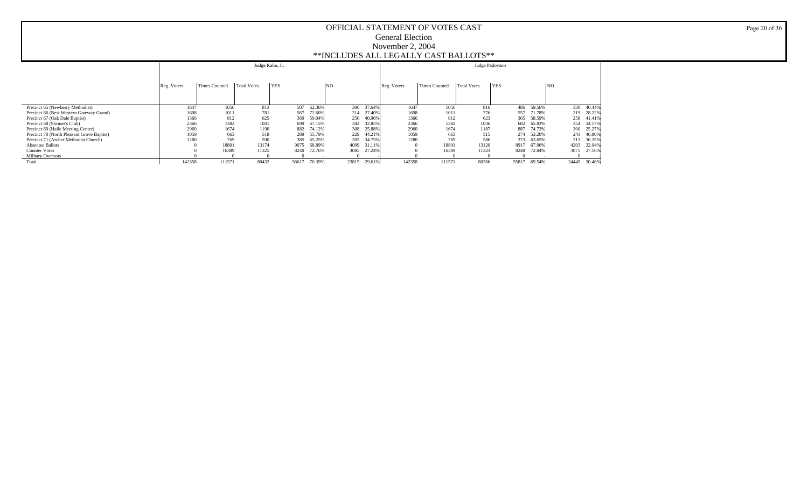|                                            |             |               | Judge Kahn, Jr.    |            |        |       |        |             |                      | Judge Padovano     |            |        |                 |        |
|--------------------------------------------|-------------|---------------|--------------------|------------|--------|-------|--------|-------------|----------------------|--------------------|------------|--------|-----------------|--------|
|                                            | Reg. Voters | Times Counted | <b>Total Votes</b> | <b>YES</b> |        | 'NO   |        | Reg. Voters | <b>Times Counted</b> | <b>Total Votes</b> | <b>YES</b> |        | NO <sub>1</sub> |        |
| Precinct 65 (Newberry Methodist)           | 1647        | 1056          | 813                | 507        | 62.36% | 306   | 37.64% | 1647        | 1056                 | 816                | 486        | 59.56% | 330             | 40.44% |
| Precinct 66 (Best Western Gateway Grand)   | 1698        | 1011          | 781                | 567        | 72.60% | 214   | 27.40% | 1698        | 1011                 | 776                | 557        | 71.78% | 219             | 28.22% |
| Precinct 67 (Oak Dale Baptist)             | 1366        | 812           | 625                | 369        | 59.04% | 256   | 40.96% | 1366        | 812                  | 623                | 365        | 58.59% | 258             | 41.41% |
| Precinct 68 (Shriner's Club)               | 2366        | 1382          | 1041               | 699        | 67.15% | 342   | 32.85% | 2366        | 1382                 | 1036               | 682        | 65.83% | 354             | 34.17% |
| Precinct 69 (Haile Meeting Center)         | 2960        | 1674          | 1190               | 882        | 74.12% | 308   | 25.88% | 2960        | 1674                 | 1187               | 887        | 74.73% | 300             | 25.27% |
| Precinct 70 (North Pleasant Grove Baptist) | 1059        | 663           | 518                | 289        | 55.79% | 229   | 44.21% | 1059        | 663                  | 515                | 274        | 53.20% | 241             | 46.80% |
| Precinct 71 (Archer Methodist Church)      | 1280        | 769           | 590                | 385        | 65.25% | 205   | 34.75% | 1280        | 769                  | 586                | 373        | 63.65% | 213             | 36.35% |
| <b>Absentee Ballots</b>                    |             | 18801         | 13174              | 9075       | 68.89% | 4099  | 31.11% |             | 18801                | 13120              | 8917       | 67.96% | 4203            | 32.04% |
| <b>Counter Votes</b>                       |             | 16389         | 11325              | 8240       | 72.76% | 3085  | 27.24% |             | 16389                | 11323              | 8248       | 72.84% | 3075            | 27.16% |
| <b>Military Overseas</b>                   |             |               |                    |            |        |       |        |             |                      |                    |            |        |                 |        |
| Total                                      | 142358      | 111571        | 80432              | 56617      | 70.39% | 23815 | 29.61% | 142358      | 111571               | 80266              | 55817      | 69.54% | 24449           | 30.46% |

Page 20 of 36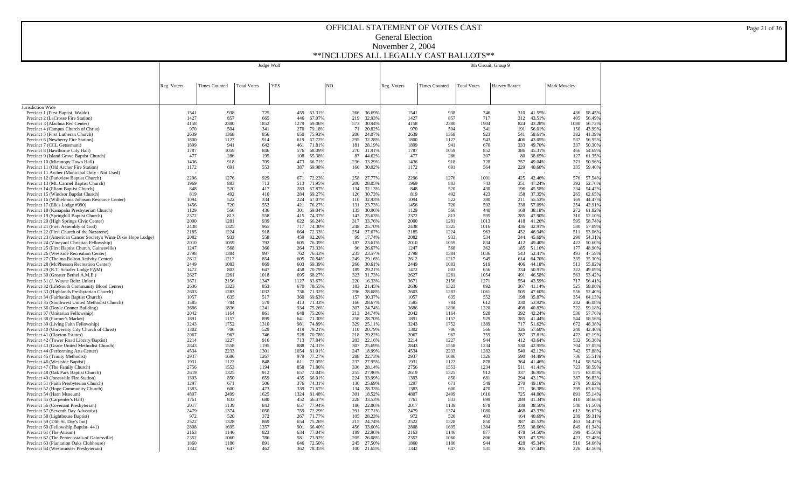|                                                                                             |                                                                                           |              | Judge Wolf   |  |             |                  |  |            |                  | 8th Circuit, Group 9 |                      |                    |               |                  |              |                  |
|---------------------------------------------------------------------------------------------|-------------------------------------------------------------------------------------------|--------------|--------------|--|-------------|------------------|--|------------|------------------|----------------------|----------------------|--------------------|---------------|------------------|--------------|------------------|
|                                                                                             |                                                                                           |              |              |  |             |                  |  |            |                  |                      |                      |                    |               |                  |              |                  |
|                                                                                             | <b>Total Votes</b><br><b>YES</b><br>N <sub>O</sub><br>Reg. Voters<br><b>Times Counted</b> |              |              |  |             |                  |  |            |                  |                      | <b>Times Counted</b> | <b>Total Votes</b> |               |                  | Mark Moseley |                  |
|                                                                                             |                                                                                           |              |              |  |             |                  |  |            |                  | Reg. Voters          |                      |                    | Harvey Baxter |                  |              |                  |
|                                                                                             |                                                                                           |              |              |  |             |                  |  |            |                  |                      |                      |                    |               |                  |              |                  |
| Jurisdiction Wide                                                                           |                                                                                           |              |              |  |             |                  |  |            |                  |                      |                      |                    |               |                  |              |                  |
| Precinct 1 (First Baptist, Waldo)                                                           | 1541                                                                                      | 938          | 725          |  | 459         | 63.31%           |  | 266        | 36.69%           | 1541                 | 938                  | 746                | 310           | 41.55%           | 436          | 58.459           |
| Precinct 2 (LaCrosse Fire Station)                                                          | 1427                                                                                      | 857          | 665          |  | 446         | 67.07%           |  | 219        | 32.939           | 1427                 | 857                  | 717                | 312           | 43.51%           | 405          | 56.499           |
| Precinct 3 (Alachua Rec Center)<br>Precinct 4 (Campus Church of Christ)                     | 4158<br>970                                                                               | 2380<br>504  | 1852<br>341  |  | 1279<br>270 | 69.06%<br>79.18% |  | 573<br>71  | 30.949<br>20.829 | 4158<br>970          | 2380<br>504          | 1904<br>341        | 824<br>191    | 43.28%<br>56.01% | 1080<br>150  | 56.729<br>43.999 |
| Precinct 5 (First Lutheran Church)                                                          | 2639                                                                                      | 1368         | 856          |  | 650         | 75.93%           |  | 206        | 24.079           | 2639                 | 1368                 | 923                | 541           | 58.61%           | 382          | 41.399           |
| Precinct 6 (Newberry Fire Station)                                                          | 1800                                                                                      | 1127         | 914          |  | 619         | 67.72%           |  | 295        | 32.289           | 1800                 | 1127                 | 943                | 406           | 43.05%           | 537          | 56.959           |
| Precinct 7 (CCL Getsemani)                                                                  | 1899<br>1787                                                                              | 941<br>1059  | 642<br>846   |  | 461         | 71.81%           |  | 181<br>270 | 28.199           | 1899<br>1787         | 941<br>1059          | 670<br>852         | 333           | 49.70%           | 337          | 50.309           |
| Precinct 8 (Hawthorne City Hall)<br>Precinct 9 (Island Grove Baptist Church)                | 477                                                                                       | 286          | 195          |  | 576<br>108  | 68.09%<br>55.38% |  | 87         | 31.919<br>44.629 | 477                  | 286                  | 207                | 386<br>80     | 45.31%<br>38.65% | 466<br>127   | 54.699<br>61.359 |
| Precinct 10 (Micanopy Town Hall)                                                            | 1436                                                                                      | 918          | 709          |  | 473         | 66.71%           |  | 236        | 33.299           | 1436                 | 918                  | 728                | 357           | 49.04%           | 371          | 50.969           |
| Precinct 11 (Old Archer Fire Station)                                                       | 1172                                                                                      | 691          | 553          |  | 387         | 69.98%           |  | 166        | 30.029           | 1172                 | 691                  | 564                | 229           | 40.60%           | 335          | 59.409           |
| Precinct 11 Archer (Municipal Only - Not Used)<br>Precinct 12 (Parkview Baptist Church)     | 2296                                                                                      | 1276         | 929          |  | 671         | 72.23%           |  | 258        | 27,779           | 2296                 | 1276                 | 1001               | 425           | 42.46%           | 576          | 57.549           |
| Precinct 13 (Mt. Carmel Baptist Church)                                                     | 1969                                                                                      | 883          | 713          |  | 513         | 71.95%           |  | 200        | 28.059           | 1969                 | 883                  | 743                | 351           | 47.24%           | 392          | 52.769           |
| Precinct 14 (Eliam Baptist Church)                                                          | 848                                                                                       | 520          | 417          |  | 283         | 67.87%           |  | 134        | 32.139           | 848                  | 520                  | 430                | 196           | 45.58%           | 234          | 54.429           |
| Precinct 15 (Windsor Baptist Church)                                                        | 819                                                                                       | 492          | 410          |  | 284         | 69.27%           |  | 126        | 30.739           | 819                  | 492<br>522           | 423<br>380         | 158           | 37.35%           | 265          | 62.659           |
| Precinct 16 (Wilhelmina Johnson Resource Center)<br>Precinct 17 (Elk's Lodge #990)          | 1094<br>1456                                                                              | 522<br>720   | 334<br>552   |  | 224<br>421  | 67.07%<br>76.27% |  | 110<br>131 | 32.939<br>23.739 | 1094<br>1456         | 720                  | 592                | 211<br>338    | 55.53%<br>57.09% | 169<br>254   | 44.479<br>42.919 |
| Precinct 18 (Kanapaha Presbyterian Church)                                                  | 1129                                                                                      | 566          | 436          |  | 301         | 69.04%           |  | 135        | 30.969           | 1129                 | 566                  | 440                | 168           | 38.18%           | 272          | 61.829           |
| Precinct 19 (Springhill Baptist Church)                                                     | 2372                                                                                      | 813          | 558          |  | 415         | 74.37%           |  | 143        | 25.639           | 2372                 | 813                  | 595                | 285           | 47.90%           | 310          | 52.109           |
| Precinct 20 (High Springs Civic Center)                                                     | 2000<br>2438                                                                              | 1281<br>1325 | 939<br>965   |  | 622<br>717  | 66.24%<br>74.30% |  | 317<br>248 | 33.769<br>25.709 | 2000<br>2438         | 1281<br>1325         | 1013<br>1016       | 418<br>436    | 41.26%<br>42.91% | 595<br>580   | 58.749<br>57.099 |
| Precinct 21 (First Assembly of God)<br>Precinct 22 (First Church of the Nazarene)           | 2185                                                                                      | 1224         | 918          |  | 664         | 72.33%           |  | 254        | 27.679           | 2185                 | 1224                 | 963                | 452           | 46.94%           | 511          | 53.069           |
| Precinct 23 (American Cancer Society's Winn-Dixie Hope Lodge)                               | 2082                                                                                      | 933          | 558          |  | 459         | 82.26%           |  | 99         | 17.749           | 2082                 | 933                  | 534                | 244           | 45.69%           | 290          | 54.319           |
| Precinct 24 (Vineyard Christian Fellowship)                                                 | 2010                                                                                      | 1059         | 792          |  | 605         | 76.39%           |  | 187        | 23.619           | 2010                 | 1059                 | 834                | 412           | 49.40%           | 422          | 50.609           |
| Precinct 25 (First Baptist Church, Gainesville)<br>Precinct 26 (Westside Recreation Center) | 1247<br>2798                                                                              | 568<br>1384  | 360<br>997   |  | 264<br>762  | 73.33%<br>76.43% |  | 96<br>235  | 26.679<br>23.579 | 1247<br>2798         | 568<br>1384          | 362<br>1036        | 185<br>543    | 51.10%<br>52.41% | 177<br>493   | 48.909<br>47.599 |
| Precinct 27 (Thelma Bolton Activity Center)                                                 | 2612                                                                                      | 1217         | 854          |  | 605         | 70.84%           |  | 249        | 29.169           | 2612                 | 1217                 | 949                | 614           | 64.70%           | 335          | 35.309           |
| Precinct 28 (McPherson Recreation Center)                                                   | 2449                                                                                      | 1083         | 869          |  | 603         | 69.39%           |  | 266        | 30.619           | 2449                 | 1083                 | 919                | 406           | 44.18%           | 513          | 55.829           |
| Precinct 29 (R.T. Schafer Lodge FAM)<br>Precinct 30 (Greater Bethel A.M.E.)                 | 1472<br>2627                                                                              | 803<br>1261  | 647<br>1018  |  | 458<br>695  | 70.79%<br>68.27% |  | 189<br>323 | 29.219<br>31.739 | 1472<br>2627         | 803<br>1261          | 656<br>1054        | 334<br>491    | 50.91%<br>46.58% | 322<br>563   | 49.099<br>53.429 |
| Precinct 31 (J. Wayne Reitz Union)                                                          | 3671                                                                                      | 2156         | 1347         |  | 1127        | 83.67%           |  | 220        | 16.339           | 3671                 | 2156                 | 1271               | 554           | 43.59%           | 717          | 56.419           |
| Precinct 32 (LifeSouth Community Blood Center)                                              | 2636                                                                                      | 1323         | 853          |  | 670         | 78.55%           |  | 183        | 21.459           | 2636                 | 1323                 | 892                | 367           | 41.14%           | 525          | 58.869           |
| Precinct 33 (Highlands Presbyterian Church)                                                 | 2603                                                                                      | 1283         | 1032         |  | 736         | 71.32%           |  | 296        | 28.689           | 2603                 | 1283                 | 1061               | 505           | 47.60%           | 556          | 52.409           |
| Precinct 34 (Fairbanks Baptist Church)<br>Precinct 35 (Southwest United Methodist Church)   | 1057<br>1585                                                                              | 635<br>784   | 517<br>579   |  | 360<br>413  | 69.63%<br>71.33% |  | 157<br>166 | 30.379<br>28.679 | 1057<br>1585         | 635<br>784           | 552<br>612         | 198<br>330    | 35.87%<br>53.92% | 354<br>282   | 64.139<br>46.089 |
| Precinct 36 (Doyle Conner Building)                                                         | 3686                                                                                      | 1836         | 1241         |  | 934         | 75.26%           |  | 307        | 24.749           | 3686                 | 1836                 | 1220               | 498           | 40.82%           | 722          | 59.18%           |
| Precinct 37 (Unitarian Fellowship)                                                          | 2042                                                                                      | 1164         | 861          |  | 648         | 75.26%           |  | 213        | 24.749           | 2042                 | 1164                 | 928                | 392           | 42.24%           | 536          | 57.76%           |
| Precinct 38 (Farmer's Market)<br>Precinct 39 (Living Faith Fellowship)                      | 1891<br>3243                                                                              | 1157<br>1752 | 899<br>1310  |  | 641<br>981  | 71.30%<br>74.89% |  | 258<br>329 | 28.709<br>25.119 | 1891<br>3243         | 1157<br>1752         | 929<br>1389        | 385<br>717    | 41.44%<br>51.62% | 544<br>672   | 58.56%<br>48.389 |
| Precinct 40 (University City Church of Christ)                                              | 1302                                                                                      | 706          | 529          |  | 419         | 79.21%           |  | 110        | 20.799           | 1302                 | 706                  | 566                | 326           | 57.60%           | 240          | 42.409           |
| Precinct 41 (Clayton Estates)                                                               | 2067                                                                                      | 967          | 746          |  | 528         | 70.78%           |  | 218        | 29.229           | 2067                 | 967                  | 759                | 287           | 37.81%           | 472          | 62.199           |
| Precinct 42 (Tower Road Library/Baptist)                                                    | 2214<br>2843                                                                              | 1227         | 916          |  | 713         | 77.84%           |  | 203<br>307 | 22.169           | 2214                 | 1227                 | 944<br>1234        | 412           | 43.64%           | 532          | 56.369           |
| Precinct 43 (Grace United Methodist Church)<br>Precinct 44 (Performing Arts Center)         | 4534                                                                                      | 1558<br>2233 | 1195<br>1301 |  | 888<br>1054 | 74.31%<br>81.01% |  | 247        | 25.699<br>18.999 | 2843<br>4534         | 1558<br>2233         | 1282               | 530<br>540    | 42.95%<br>42.12% | 704<br>742   | 57.05%<br>57.889 |
| Precinct 45 (Trinity Methodist)                                                             | 2937                                                                                      | 1686         | 1267         |  | 979         | 77.27%           |  | 288        | 22.73%           | 2937                 | 1686                 | 1326               | 590           | 44.49%           | 736          | 55.519           |
| Precinct 46 (Westside Baptist)                                                              | 1931                                                                                      | 1122         | 848          |  | 611         | 72.05%           |  | 237        | 27.95%           | 1931                 | 1122                 | 878                | 364           | 41.46%           | 514          | 58.549           |
| Precinct 47 (The Family Church)<br>Precinct 48 (Oak Park Baptist Church)                    | 2756<br>2619                                                                              | 1553<br>1325 | 1194<br>912  |  | 858<br>657  | 71.86%<br>72.04% |  | 336<br>255 | 28.14%<br>27.969 | 2756<br>2619         | 1553<br>1325         | 1234<br>912        | 511<br>337    | 41.41%<br>36.95% | 723<br>575   | 58.599<br>63.059 |
| Precinct 49 (Jonesville Fire Station)                                                       | 1393                                                                                      | 850          | 659          |  | 435         | 66.01%           |  | 224        | 33.999           | 1393                 | 850                  | 681                | 294           | 43.17%           | 387          | 56.839           |
| Precinct 51 (Faith Presbyterian Church)                                                     | 1297                                                                                      | 671          | 506          |  | 376         | 74.31%           |  | 130        | 25.699           | 1297                 | 671                  | 549                | 270           | 49.18%           | 279          | 50.829           |
| Precinct 52 (Hope Community Church)                                                         | 1383<br>4807                                                                              | 600<br>2499  | 473<br>1625  |  | 339         | 71.67%           |  | 134        | 28.339<br>18.529 | 1383<br>4807         | 600<br>2499          | 470                | 171           | 36.38%           | 299<br>891   | 63.629           |
| Precinct 54 (Harn Museum)<br>Precinct 55 (Carpenter's Hall)                                 | 1761                                                                                      | 833          | 680          |  | 1324<br>452 | 81.48%<br>66.47% |  | 301<br>228 | 33.539           | 1761                 | 833                  | 1616<br>699        | 725<br>289    | 44.86%<br>41.34% | 410          | 55.149<br>58.669 |
| Precinct 56 (Covenant Presbyterian)                                                         | 2017                                                                                      | 1139         | 843          |  | 657         | 77.94%           |  | 186        | 22.069           | 2017                 | 1139                 | 878                | 338           | 38.50%           | 540          | 61.509           |
| Precinct 57 (Seventh Day Adventist)                                                         | 2479                                                                                      | 1374         | 1050         |  | 759         | 72.29%           |  | 291        | 27.719           | 2479                 | 1374                 | 1080               | 468           | 43.33%           | 612          | 56.679           |
| Precinct 58 (Lighthouse Baptist)<br>Precinct 59 (13th St. Day's Inn)                        | 972<br>2522                                                                               | 520<br>1328  | 372<br>869   |  | 267<br>654  | 71.77%<br>75.26% |  | 105<br>215 | 28.239<br>24.749 | 972<br>2522          | 520<br>1328          | 403<br>850         | 164<br>387    | 40.69%<br>45.53% | 239<br>463   | 59.319<br>54.479 |
| Precinct 60 (Fellowship Baptist-441)                                                        | 2808                                                                                      | 1695         | 1357         |  | 901         | 66.40%           |  | 456        | 33.609           | 2808                 | 1695                 | 1384               | 535           | 38.66%           | 849          | 61.349           |
| Precinct 61 (The Atrium)                                                                    | 2163                                                                                      | 1146         | 823          |  | 634         | 77.04%           |  | 189        | 22.969           | 2163                 | 1146                 | 877                | 478           | 54.50%           | 399          | 45.509           |
| Precinct 62 (The Pentecostals of Gainesville)<br>Precinct 63 (Plantation Oaks Clubhouse)    | 2352<br>1860                                                                              | 1060<br>1186 | 786<br>891   |  | 581         | 73.92%<br>72.50% |  | 205<br>245 | 26.089<br>27.509 | 2352<br>1860         | 1060<br>1186         | 806<br>944         | 383<br>428    | 47.52%<br>45.34% | 423          | 52.489<br>54.66% |
| Precinct 64 (Westminster Presbyterian)                                                      | 1342                                                                                      | 647          | 462          |  | 646<br>362  | 78.35%           |  | 100        | 21.65%           | 1342                 | 647                  | 531                | 305           | 57.44%           | 516<br>226   | 42.56%           |

Page 21 of 36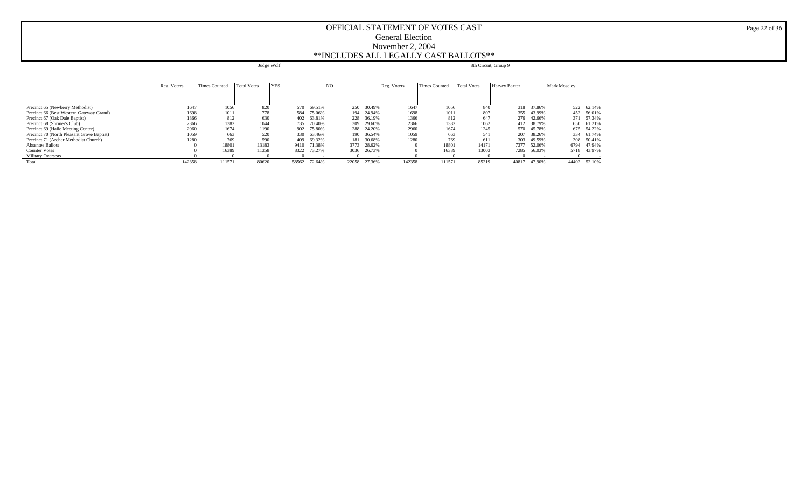|                                            |             |                      | Judge Wolf  |            |        |       |        |             |                      | 8th Circuit, Group 9 |               |            |              |            |
|--------------------------------------------|-------------|----------------------|-------------|------------|--------|-------|--------|-------------|----------------------|----------------------|---------------|------------|--------------|------------|
|                                            |             |                      |             |            |        |       |        |             |                      |                      |               |            |              |            |
|                                            | Reg. Voters | <b>Times Counted</b> | Total Votes | <b>YES</b> |        | NO    |        | Reg. Voters | <b>Times Counted</b> | <b>Total Votes</b>   | Harvey Baxter |            | Mark Moseley |            |
|                                            |             |                      |             |            |        |       |        |             |                      |                      |               |            |              |            |
| Precinct 65 (Newberry Methodist)           | 1647        | 1056                 | 820         | 570        | 69.51% | 250   | 30.49% | 1647        | 1056                 | 840                  |               | 318 37.86% |              | 522 62.14% |
| Precinct 66 (Best Western Gateway Grand)   | 1698        | 1011                 | 778         | 584        | 75.06% | 194   | 24.94% | 1698        | 1011                 | 807                  | 355           | 43.99%     | 452          | 56.01%     |
| Precinct 67 (Oak Dale Baptist)             | 1366        | 812                  | 630         | 402        | 63.81% | 228   | 36.19% | 1366        | 812                  | 647                  |               | 276 42.66% | 371          | 57.34%     |
| Precinct 68 (Shriner's Club)               | 2366        | 1382                 | 1044        | 735        | 70.40% | 309   | 29.60% | 2366        | 1382                 | 1062                 | 412           | 38.79%     | 650          | 61.21%     |
| Precinct 69 (Haile Meeting Center)         | 2960        | 1674                 | 1190        | 902        | 75.80% | 288   | 24.20% | 2960        | 1674                 | 1245                 | 570           | 45.78%     | 675          | 54.22%     |
| Precinct 70 (North Pleasant Grove Baptist) | 1059        | 663                  | 520         | 330        | 63.46% | 190   | 36.54% | 1059        | 663                  | 541                  | 207           | 38.26%     | 334          | 61.74%     |
| Precinct 71 (Archer Methodist Church)      | 1280        | 769                  | 590         | 409        | 69.32% | 181   | 30.68% | 1280        | 769                  | 611                  | 303           | 49.59%     | 308          | 50.41%     |
| <b>Absentee Ballots</b>                    |             | 18801                | 13183       | 9410       | 71.38% | 3773  | 28.62% |             | 18801                | 14171                | 7377          | 52.06%     | 6794         | 47.94%     |
| <b>Counter Votes</b>                       |             | 16389                | 11358       | 8322       | 73.27% | 3036  | 26.73% |             | 16389                | 13003                | 7285          | 56.03%     | 5718         | 43.97%     |
| Military Overseas                          |             |                      |             |            |        |       |        |             |                      |                      |               |            |              |            |
| Total                                      | 142358      | 111571               | 80620       | 58562      | 72.64% | 22058 | 27.36% | 142358      | 111571               | 85219                | 40817         | 47.90%     | 44402        | 52.10%     |

Page 22 of 36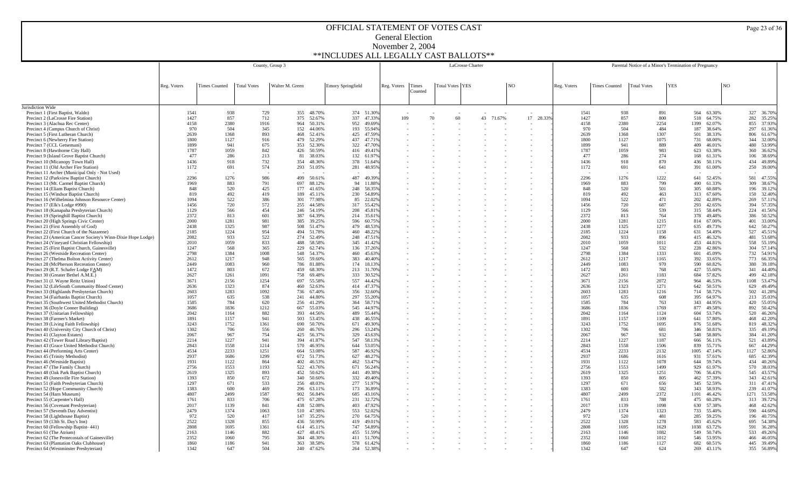| Total Votes YES<br> NO<br><b>YES</b><br><b>NO</b><br>Reg. Voters<br><b>Times Counted</b><br><b>Total Votes</b><br>Walter M. Green<br><b>Emory Springfield</b><br>Reg. Voters<br>Times<br>Reg. Voters<br><b>Times Counted</b><br><b>Total Votes</b><br>Counted<br>Jurisdiction Wide<br>938<br>355 48.70%<br>374 51.30%<br>938<br>564 63.30%<br>327 36.709<br>Precinct 1 (First Baptist, Waldo)<br>1541<br>729<br>1541<br>891<br>857<br>52.67%<br>70<br>857<br>518 64.75%<br>282 35.259<br>1427<br>375<br>337 47.33%<br>109<br>60<br>43<br>71.67%<br>1427<br>Precinct 2 (LaCrosse Fire Station)<br>712<br>17 28.33%<br>800<br>2380<br>855 37.939<br>2380<br>2254<br>Precinct 3 (Alachua Rec Center)<br>4158<br>1916<br>964<br>50.31%<br>952 49.69%<br>4158<br>1399<br>62.07%<br>Precinct 4 (Campus Church of Christ)<br>970<br>504<br>345<br>152<br>44.06%<br>193 55.94%<br>970<br>504<br>484<br>38.64%<br>297 61.369<br>187<br>2639<br>1368<br>893<br>52.41%<br>425<br>47.59%<br>2639<br>1368<br>1307<br>38.33%<br>806 61.679<br>Precinct 5 (First Lutheran Church)<br>468<br>501<br>Precinct 6 (Newberry Fire Station)<br>1800<br>1127<br>916<br>479<br>52.29%<br>437 47.71%<br>1800<br>1127<br>1075<br>731<br>68.00%<br>344 32.009<br>1899<br>941<br>675<br>353<br>52.30%<br>322 47.70%<br>1899<br>941<br>889<br>46.01%<br>480 53.99%<br>Precinct 7 (CCL Getsemani)<br>409<br>1059<br>50.59%<br>1059<br>360 36.629<br>1787<br>842<br>426<br>416 49.41%<br>1787<br>983<br>623<br>63.38%<br>Precinct 8 (Hawthorne City Hall)<br>477<br>286<br>213<br>38.03%<br>477<br>286<br>274<br>38.699<br>Precinct 9 (Island Grove Baptist Church)<br>81<br>132 61.97%<br>168<br>61.31%<br>106<br>1436<br>918<br>354<br>48.36%<br>1436<br>918<br>434 49.899<br>Precinct 10 (Micanopy Town Hall)<br>732<br>378 51.64%<br>870<br>436<br>50.11%<br>1172<br>574<br>Precinct 11 (Old Archer Fire Station)<br>691<br>293 51.05%<br>281 48.95%<br>1172<br>691<br>641<br>391 61.00%<br>250 39.009<br>Precinct 11 Archer (Municipal Only - Not Used)<br>2296<br>1276<br>986<br>499<br>50.61%<br>487 49.39%<br>2296<br>1276<br>1222<br>52.45%<br>581 47.559<br>Precinct 12 (Parkview Baptist Church)<br>641<br>Precinct 13 (Mt. Carmel Baptist Church)<br>1969<br>883<br>791<br>697<br>88.12%<br>94<br>11.88%<br>1969<br>883<br>799<br>490<br>61.33%<br>309 38.679<br>848<br>520<br>425<br>177<br>41.65%<br>248 58.35%<br>848<br>520<br>501<br>305<br>60.88%<br>196 39.129<br>Precinct 14 (Eliam Baptist Church)<br>819<br>492<br>419<br>230 54.89%<br>819<br>492<br>150 32.409<br>Precinct 15 (Windsor Baptist Church)<br>189<br>45.11%<br>463<br>313 67.60%<br>522<br>522<br>1094<br>386<br>301<br>77.98%<br>85<br>22.02%<br>1094<br>471<br>42.89%<br>269 57.119<br>Precinct 16 (Wilhelmina Johnson Resource Center)<br>202<br>720<br>572<br>720<br>1456<br>255<br>44.58%<br>317 55.42%<br>1456<br>687<br>293<br>42.65%<br>394 57.359<br>Precinct 17 (Elk's Lodge #990)<br>566<br>566<br>539<br>Precinct 18 (Kanapaha Presbyterian Church)<br>1129<br>454<br>246<br>54.19%<br>208 45.81%<br>1129<br>315 58.44%<br>224 41.569<br>813<br>813<br>Precinct 19 (Springhill Baptist Church)<br>2372<br>601<br>387<br>64.39%<br>214 35.61%<br>2372<br>764<br>378<br>49.48%<br>386 50.529<br>2000<br>1281<br>981<br>385<br>39.25%<br>596 60.75%<br>2000<br>1281<br>1215<br>814 67.00%<br>401 33,009<br>Precinct 20 (High Springs Civic Center)<br>1325<br>1325<br>Precinct 21 (First Assembly of God)<br>2438<br>987<br>508<br>51.47%<br>479 48.53%<br>2438<br>1277<br>635<br>49.73%<br>642 50.279<br>Precinct 22 (First Church of the Nazarene)<br>2185<br>1224<br>954<br>494<br>51.78%<br>460 48.22%<br>2185<br>1224<br>1158<br>54.49%<br>527 45.51<br>631<br>2082<br>933<br>522<br>274<br>52.49%<br>248 47.51%<br>2082<br>933<br>46.32%<br>481 53.689<br>Precinct 23 (American Cancer Society's Winn-Dixie Hope Lodge)<br>896<br>415<br>1059<br>2010<br>833<br>488<br>58.58%<br>345<br>2010<br>1059<br>1011<br>44.81%<br>558 55.199<br>Precinct 24 (Vineyard Christian Fellowship)<br>41.42%<br>453<br>229<br>62.74%<br>304 57.149<br>1247<br>568<br>365<br>136<br>1247<br>568<br>532<br>228<br>42.86%<br>Precinct 25 (First Baptist Church, Gainesville)<br>37.26%<br>2798<br>1384<br>2798<br>1384<br>1333<br>45.09%<br>732 54.91<br>Precinct 26 (Westside Recreation Center)<br>1008<br>548<br>54.37%<br>460<br>45.63%<br>601<br>1217<br>1217<br>66.359<br>Precinct 27 (Thelma Bolton Activity Center)<br>2612<br>948<br>565<br>59.60%<br>383<br>40.40%<br>2612<br>1165<br>392<br>33.65%<br>773<br>Precinct 28 (McPherson Recreation Center)<br>2449<br>1083<br>960<br>786<br>81.88%<br>174<br>2449<br>1083<br>970<br>590<br>60.82%<br>380<br>39.189<br>18.13%<br>1472<br>1472<br>803<br>44.409<br>Precinct 29 (R.T. Schafer Lodge FAM)<br>803<br>672<br>459<br>68.30%<br>213<br>31.70%<br>768<br>427<br>55.60%<br>341<br>Precinct 30 (Greater Bethel A.M.E.)<br>2627<br>1261<br>1091<br>758<br>69.48%<br>333<br>30.52%<br>2627<br>1261<br>1183<br>684<br>57.82%<br>499 42.189<br>Precinct 31 (J. Wayne Reitz Union)<br>3671<br>2156<br>1254<br>55.58%<br>557<br>44.42%<br>3671<br>2156<br>2072<br>964<br>46.53%<br>1108 53.479<br>697<br>1323<br>874<br>1323<br>629 49.499<br>2636<br>52.63%<br>414<br>47.37%<br>2636<br>1271<br>642<br>50.51%<br>Precinct 32 (LifeSouth Community Blood Center)<br>460<br>2603<br>1283<br>1092<br>67.40%<br>2603<br>1283<br>714 58.72%<br>502 41.289<br>Precinct 33 (Highlands Presbyterian Church)<br>736<br>356<br>32.60%<br>1216<br>44.80%<br>297<br>64.97%<br>213 35.039<br>Precinct 34 (Fairbanks Baptist Church)<br>1057<br>635<br>538<br>241<br>55.20%<br>1057<br>635<br>608<br>395<br>784<br>620<br>Precinct 35 (Southwest United Methodist Church)<br>1585<br>256<br>41.29%<br>364 58.71%<br>1585<br>784<br>763<br>343 44.95%<br>420 55.059<br>Precinct 36 (Doyle Conner Building)<br>3686<br>1836<br>1212<br>55.03%<br>545 44.97%<br>3686<br>1836<br>1769<br>49.58%<br>892 50.429<br>667<br>877<br>2042<br>44.56%<br>2042<br>520 46.269<br>Precinct 37 (Unitarian Fellowship)<br>1164<br>882<br>393<br>489 55.44%<br>1164<br>1124<br>604 53.74%<br>Precinct 38 (Farmer's Market)<br>1891<br>1157<br>941<br>503<br>53.45%<br>438<br>46.55%<br>1891<br>1157<br>1109<br>641 57.80%<br>468 42.209<br>3243<br>1752<br>1361<br>690<br>50.70%<br>671<br>3243<br>1752<br>1695<br>51.68%<br>819 48.329<br>Precinct 39 (Living Faith Fellowship)<br>49.30%<br>876<br>1302<br>1302<br>335 49.199<br>706<br>556<br>260<br>46.76%<br>296 53.24%<br>706<br>50.81%<br>Precinct 40 (University City Church of Christ)<br>681<br>346<br>2067<br>967<br>754<br>56.37%<br>967<br>932<br>58.80%<br>384 41.209<br>Precinct 41 (Clayton Estates)<br>425<br>329<br>43.63%<br>2067<br>548<br>1227<br>1227<br>2214<br>394<br>41.87%<br>547 58.13%<br>2214<br>1187<br>521 43.899<br>Precinct 42 (Tower Road Library/Baptist)<br>941<br>666<br>56.11%<br>1558<br>1558<br>Precinct 43 (Grace United Methodist Church)<br>2843<br>1214<br>570<br>46.95%<br>644<br>53.05%<br>2843<br>1506<br>839<br>55.71%<br>667 44.299<br>2233<br>2233<br>Precinct 44 (Performing Arts Center)<br>4534<br>1251<br>664<br>53.08%<br>587<br>46.92%<br>4534<br>2132<br>1005<br>47.14%<br>1127 52.869<br>2937<br>1686<br>672<br>51.73%<br>627<br>2937<br>1686<br>685 42.399<br>Precinct 45 (Trinity Methodist)<br>1299<br>48.27%<br>1616<br>931<br>57.61%<br>1122<br>1122<br>Precinct 46 (Westside Baptist)<br>1931<br>864<br>402<br>46.53%<br>462<br>53.47%<br>1931<br>1078<br>644<br>59.74%<br>434 40.269<br>2756<br>1553<br>1193<br>522<br>43.76%<br>671 56.24%<br>2756<br>1553<br>1499<br>929<br>61.97%<br>570 38.039<br>Precinct 47 (The Family Church)<br>2619<br>1325<br>441 49.38%<br>2619<br>1325<br>706<br>545 43.579<br>Precinct 48 (Oak Park Baptist Church)<br>893<br>452<br>50.62%<br>1251<br>56.43%<br>1393<br>850<br>672<br>340<br>50.60%<br>332 49.40%<br>1393<br>850<br>57.39%<br>343 42.619<br>Precinct 49 (Jonesville Fire Station)<br>805<br>462<br>671<br>1297<br>671<br>533<br>256<br>48.03%<br>277 51.97%<br>1297<br>656<br>345 52.59%<br>311 47.41<br>Precinct 51 (Faith Presbyterian Church)<br>1383<br>582<br>Precinct 52 (Hope Community Church)<br>600<br>469<br>296<br>63.11%<br>173 36.89%<br>1383<br>600<br>343<br>58.93%<br>239 41.079<br>2372<br>Precinct 54 (Harn Museum)<br>4807<br>2499<br>1587<br>902<br>56.84%<br>685 43.16%<br>4807<br>2499<br>1101<br>46.42%<br>1271 53.589<br>833<br>475<br>67.28%<br>231 32.72%<br>833<br>313 39.729<br>Precinct 55 (Carpenter's Hall)<br>1761<br>706<br>1761<br>788<br>475<br>60.28%<br>Precinct 56 (Covenant Presbyterian)<br>2017<br>1139<br>841<br>438<br>52.08%<br>403 47.92%<br>2017<br>1139<br>1098<br>630<br>57.38%<br>468 42.629<br>2479<br>1374<br>1063<br>510<br>47.98%<br>553 52.02%<br>2479<br>1374<br>1323<br>733<br>55.40%<br>590 44.609<br>Precinct 57 (Seventh Day Adventist)<br>$\sim$<br>972<br>520<br>35.25%<br>270 64.75%<br>972<br>520<br>481<br>59.25%<br>40.759<br>Precinct 58 (Lighthouse Baptist)<br>417<br>147<br>285<br>196<br>2522<br>1328<br>855<br>2522<br>1328<br>1278<br>Precinct 59 (13th St. Day's Inn)<br>436<br>50.99%<br>419 49.01%<br>583<br>45.62%<br>695<br>54.389<br>2808<br>36.289<br>1695<br>1361<br>2808<br>1695<br>1629<br>1038<br>63.72%<br>591<br>Precinct 60 (Fellowship Baptist-441)<br>614<br>45.11%<br>747 54.89%<br>533 49.269<br>Precinct 61 (The Atrium)<br>2163<br>1146<br>882<br>427<br>48.41%<br>455<br>51.59%<br>2163<br>1146<br>1082<br>549<br>50.74%<br>Precinct 62 (The Pentecostals of Gainesville)<br>2352<br>1060<br>795<br>384<br>48.30%<br>411 51.70%<br>2352<br>1060<br>1012<br>546<br>53.95%<br>466<br>46.059<br>1186<br>363<br>38.58%<br>1860<br>1186<br>60.51%<br>445 39.499<br>Precinct 63 (Plantation Oaks Clubhouse)<br>1860<br>941<br>578<br>61.42%<br>1127<br>682<br>1342<br>647<br>504<br>264 52.38%<br>1342<br>647<br>355 56.89% |                                        |  | County, Group 3 |        |  | LaCrosse Charter |  |  | Parental Notice of a Minor's Termination of Pregnancy |  |     |     |        |  |
|---------------------------------------------------------------------------------------------------------------------------------------------------------------------------------------------------------------------------------------------------------------------------------------------------------------------------------------------------------------------------------------------------------------------------------------------------------------------------------------------------------------------------------------------------------------------------------------------------------------------------------------------------------------------------------------------------------------------------------------------------------------------------------------------------------------------------------------------------------------------------------------------------------------------------------------------------------------------------------------------------------------------------------------------------------------------------------------------------------------------------------------------------------------------------------------------------------------------------------------------------------------------------------------------------------------------------------------------------------------------------------------------------------------------------------------------------------------------------------------------------------------------------------------------------------------------------------------------------------------------------------------------------------------------------------------------------------------------------------------------------------------------------------------------------------------------------------------------------------------------------------------------------------------------------------------------------------------------------------------------------------------------------------------------------------------------------------------------------------------------------------------------------------------------------------------------------------------------------------------------------------------------------------------------------------------------------------------------------------------------------------------------------------------------------------------------------------------------------------------------------------------------------------------------------------------------------------------------------------------------------------------------------------------------------------------------------------------------------------------------------------------------------------------------------------------------------------------------------------------------------------------------------------------------------------------------------------------------------------------------------------------------------------------------------------------------------------------------------------------------------------------------------------------------------------------------------------------------------------------------------------------------------------------------------------------------------------------------------------------------------------------------------------------------------------------------------------------------------------------------------------------------------------------------------------------------------------------------------------------------------------------------------------------------------------------------------------------------------------------------------------------------------------------------------------------------------------------------------------------------------------------------------------------------------------------------------------------------------------------------------------------------------------------------------------------------------------------------------------------------------------------------------------------------------------------------------------------------------------------------------------------------------------------------------------------------------------------------------------------------------------------------------------------------------------------------------------------------------------------------------------------------------------------------------------------------------------------------------------------------------------------------------------------------------------------------------------------------------------------------------------------------------------------------------------------------------------------------------------------------------------------------------------------------------------------------------------------------------------------------------------------------------------------------------------------------------------------------------------------------------------------------------------------------------------------------------------------------------------------------------------------------------------------------------------------------------------------------------------------------------------------------------------------------------------------------------------------------------------------------------------------------------------------------------------------------------------------------------------------------------------------------------------------------------------------------------------------------------------------------------------------------------------------------------------------------------------------------------------------------------------------------------------------------------------------------------------------------------------------------------------------------------------------------------------------------------------------------------------------------------------------------------------------------------------------------------------------------------------------------------------------------------------------------------------------------------------------------------------------------------------------------------------------------------------------------------------------------------------------------------------------------------------------------------------------------------------------------------------------------------------------------------------------------------------------------------------------------------------------------------------------------------------------------------------------------------------------------------------------------------------------------------------------------------------------------------------------------------------------------------------------------------------------------------------------------------------------------------------------------------------------------------------------------------------------------------------------------------------------------------------------------------------------------------------------------------------------------------------------------------------------------------------------------------------------------------------------------------------------------------------------------------------------------------------------------------------------------------------------------------------------------------------------------------------------------------------------------------------------------------------------------------------------------------------------------------------------------------------------------------------------------------------------------------------------------------------------------------------------------------------------------------------------------------------------------------------------------------------------------------------------------------------------------------------------------------------------------------------------------------------------------------------------------------------------------------------------------------------------------------------------------------------------------------------------------------------------------------------------------------------------------------------------------------------------------------------------------------------------------------------------------------------------------------------------------------------------------------------------------------------------------------------------------------------------------------------------------------------------------------------------------------------------------------------------------------------------------------------------------------------------------------------------------------------------------------------------------------------------------------------------------------------------------------------------------------------------------------------------------------------------------------------------------------------------------------------------------------------------------------------------------------------------------------------------------------------------------------------------------------------------------------------------------------------------------------------------------------------------------------------------------------------------------------------------------------------------------------------------------------------------------------------------------------------------------------------------------------------------------------------------------------------------------------------------------------------------|----------------------------------------|--|-----------------|--------|--|------------------|--|--|-------------------------------------------------------|--|-----|-----|--------|--|
|                                                                                                                                                                                                                                                                                                                                                                                                                                                                                                                                                                                                                                                                                                                                                                                                                                                                                                                                                                                                                                                                                                                                                                                                                                                                                                                                                                                                                                                                                                                                                                                                                                                                                                                                                                                                                                                                                                                                                                                                                                                                                                                                                                                                                                                                                                                                                                                                                                                                                                                                                                                                                                                                                                                                                                                                                                                                                                                                                                                                                                                                                                                                                                                                                                                                                                                                                                                                                                                                                                                                                                                                                                                                                                                                                                                                                                                                                                                                                                                                                                                                                                                                                                                                                                                                                                                                                                                                                                                                                                                                                                                                                                                                                                                                                                                                                                                                                                                                                                                                                                                                                                                                                                                                                                                                                                                                                                                                                                                                                                                                                                                                                                                                                                                                                                                                                                                                                                                                                                                                                                                                                                                                                                                                                                                                                                                                                                                                                                                                                                                                                                                                                                                                                                                                                                                                                                                                                                                                                                                                                                                                                                                                                                                                                                                                                                                                                                                                                                                                                                                                                                                                                                                                                                                                                                                                                                                                                                                                                                                                                                                                                                                                                                                                                                                                                                                                                                                                                                                                                                                                                                                                                                                                                                                                                                                                                                                                                                                                                                                                                                                                                                                                                                                                                                                                                                                                                                                                                                                                                                                                                                                                                                                                                                                                                                                                                                                                                                                                                               |                                        |  |                 |        |  |                  |  |  |                                                       |  |     |     |        |  |
|                                                                                                                                                                                                                                                                                                                                                                                                                                                                                                                                                                                                                                                                                                                                                                                                                                                                                                                                                                                                                                                                                                                                                                                                                                                                                                                                                                                                                                                                                                                                                                                                                                                                                                                                                                                                                                                                                                                                                                                                                                                                                                                                                                                                                                                                                                                                                                                                                                                                                                                                                                                                                                                                                                                                                                                                                                                                                                                                                                                                                                                                                                                                                                                                                                                                                                                                                                                                                                                                                                                                                                                                                                                                                                                                                                                                                                                                                                                                                                                                                                                                                                                                                                                                                                                                                                                                                                                                                                                                                                                                                                                                                                                                                                                                                                                                                                                                                                                                                                                                                                                                                                                                                                                                                                                                                                                                                                                                                                                                                                                                                                                                                                                                                                                                                                                                                                                                                                                                                                                                                                                                                                                                                                                                                                                                                                                                                                                                                                                                                                                                                                                                                                                                                                                                                                                                                                                                                                                                                                                                                                                                                                                                                                                                                                                                                                                                                                                                                                                                                                                                                                                                                                                                                                                                                                                                                                                                                                                                                                                                                                                                                                                                                                                                                                                                                                                                                                                                                                                                                                                                                                                                                                                                                                                                                                                                                                                                                                                                                                                                                                                                                                                                                                                                                                                                                                                                                                                                                                                                                                                                                                                                                                                                                                                                                                                                                                                                                                                                                               |                                        |  |                 |        |  |                  |  |  |                                                       |  |     |     |        |  |
|                                                                                                                                                                                                                                                                                                                                                                                                                                                                                                                                                                                                                                                                                                                                                                                                                                                                                                                                                                                                                                                                                                                                                                                                                                                                                                                                                                                                                                                                                                                                                                                                                                                                                                                                                                                                                                                                                                                                                                                                                                                                                                                                                                                                                                                                                                                                                                                                                                                                                                                                                                                                                                                                                                                                                                                                                                                                                                                                                                                                                                                                                                                                                                                                                                                                                                                                                                                                                                                                                                                                                                                                                                                                                                                                                                                                                                                                                                                                                                                                                                                                                                                                                                                                                                                                                                                                                                                                                                                                                                                                                                                                                                                                                                                                                                                                                                                                                                                                                                                                                                                                                                                                                                                                                                                                                                                                                                                                                                                                                                                                                                                                                                                                                                                                                                                                                                                                                                                                                                                                                                                                                                                                                                                                                                                                                                                                                                                                                                                                                                                                                                                                                                                                                                                                                                                                                                                                                                                                                                                                                                                                                                                                                                                                                                                                                                                                                                                                                                                                                                                                                                                                                                                                                                                                                                                                                                                                                                                                                                                                                                                                                                                                                                                                                                                                                                                                                                                                                                                                                                                                                                                                                                                                                                                                                                                                                                                                                                                                                                                                                                                                                                                                                                                                                                                                                                                                                                                                                                                                                                                                                                                                                                                                                                                                                                                                                                                                                                                                                               |                                        |  |                 |        |  |                  |  |  |                                                       |  |     |     |        |  |
|                                                                                                                                                                                                                                                                                                                                                                                                                                                                                                                                                                                                                                                                                                                                                                                                                                                                                                                                                                                                                                                                                                                                                                                                                                                                                                                                                                                                                                                                                                                                                                                                                                                                                                                                                                                                                                                                                                                                                                                                                                                                                                                                                                                                                                                                                                                                                                                                                                                                                                                                                                                                                                                                                                                                                                                                                                                                                                                                                                                                                                                                                                                                                                                                                                                                                                                                                                                                                                                                                                                                                                                                                                                                                                                                                                                                                                                                                                                                                                                                                                                                                                                                                                                                                                                                                                                                                                                                                                                                                                                                                                                                                                                                                                                                                                                                                                                                                                                                                                                                                                                                                                                                                                                                                                                                                                                                                                                                                                                                                                                                                                                                                                                                                                                                                                                                                                                                                                                                                                                                                                                                                                                                                                                                                                                                                                                                                                                                                                                                                                                                                                                                                                                                                                                                                                                                                                                                                                                                                                                                                                                                                                                                                                                                                                                                                                                                                                                                                                                                                                                                                                                                                                                                                                                                                                                                                                                                                                                                                                                                                                                                                                                                                                                                                                                                                                                                                                                                                                                                                                                                                                                                                                                                                                                                                                                                                                                                                                                                                                                                                                                                                                                                                                                                                                                                                                                                                                                                                                                                                                                                                                                                                                                                                                                                                                                                                                                                                                                                                               |                                        |  |                 |        |  |                  |  |  |                                                       |  |     |     |        |  |
|                                                                                                                                                                                                                                                                                                                                                                                                                                                                                                                                                                                                                                                                                                                                                                                                                                                                                                                                                                                                                                                                                                                                                                                                                                                                                                                                                                                                                                                                                                                                                                                                                                                                                                                                                                                                                                                                                                                                                                                                                                                                                                                                                                                                                                                                                                                                                                                                                                                                                                                                                                                                                                                                                                                                                                                                                                                                                                                                                                                                                                                                                                                                                                                                                                                                                                                                                                                                                                                                                                                                                                                                                                                                                                                                                                                                                                                                                                                                                                                                                                                                                                                                                                                                                                                                                                                                                                                                                                                                                                                                                                                                                                                                                                                                                                                                                                                                                                                                                                                                                                                                                                                                                                                                                                                                                                                                                                                                                                                                                                                                                                                                                                                                                                                                                                                                                                                                                                                                                                                                                                                                                                                                                                                                                                                                                                                                                                                                                                                                                                                                                                                                                                                                                                                                                                                                                                                                                                                                                                                                                                                                                                                                                                                                                                                                                                                                                                                                                                                                                                                                                                                                                                                                                                                                                                                                                                                                                                                                                                                                                                                                                                                                                                                                                                                                                                                                                                                                                                                                                                                                                                                                                                                                                                                                                                                                                                                                                                                                                                                                                                                                                                                                                                                                                                                                                                                                                                                                                                                                                                                                                                                                                                                                                                                                                                                                                                                                                                                                                               |                                        |  |                 |        |  |                  |  |  |                                                       |  |     |     |        |  |
|                                                                                                                                                                                                                                                                                                                                                                                                                                                                                                                                                                                                                                                                                                                                                                                                                                                                                                                                                                                                                                                                                                                                                                                                                                                                                                                                                                                                                                                                                                                                                                                                                                                                                                                                                                                                                                                                                                                                                                                                                                                                                                                                                                                                                                                                                                                                                                                                                                                                                                                                                                                                                                                                                                                                                                                                                                                                                                                                                                                                                                                                                                                                                                                                                                                                                                                                                                                                                                                                                                                                                                                                                                                                                                                                                                                                                                                                                                                                                                                                                                                                                                                                                                                                                                                                                                                                                                                                                                                                                                                                                                                                                                                                                                                                                                                                                                                                                                                                                                                                                                                                                                                                                                                                                                                                                                                                                                                                                                                                                                                                                                                                                                                                                                                                                                                                                                                                                                                                                                                                                                                                                                                                                                                                                                                                                                                                                                                                                                                                                                                                                                                                                                                                                                                                                                                                                                                                                                                                                                                                                                                                                                                                                                                                                                                                                                                                                                                                                                                                                                                                                                                                                                                                                                                                                                                                                                                                                                                                                                                                                                                                                                                                                                                                                                                                                                                                                                                                                                                                                                                                                                                                                                                                                                                                                                                                                                                                                                                                                                                                                                                                                                                                                                                                                                                                                                                                                                                                                                                                                                                                                                                                                                                                                                                                                                                                                                                                                                                                                               |                                        |  |                 |        |  |                  |  |  |                                                       |  |     |     |        |  |
|                                                                                                                                                                                                                                                                                                                                                                                                                                                                                                                                                                                                                                                                                                                                                                                                                                                                                                                                                                                                                                                                                                                                                                                                                                                                                                                                                                                                                                                                                                                                                                                                                                                                                                                                                                                                                                                                                                                                                                                                                                                                                                                                                                                                                                                                                                                                                                                                                                                                                                                                                                                                                                                                                                                                                                                                                                                                                                                                                                                                                                                                                                                                                                                                                                                                                                                                                                                                                                                                                                                                                                                                                                                                                                                                                                                                                                                                                                                                                                                                                                                                                                                                                                                                                                                                                                                                                                                                                                                                                                                                                                                                                                                                                                                                                                                                                                                                                                                                                                                                                                                                                                                                                                                                                                                                                                                                                                                                                                                                                                                                                                                                                                                                                                                                                                                                                                                                                                                                                                                                                                                                                                                                                                                                                                                                                                                                                                                                                                                                                                                                                                                                                                                                                                                                                                                                                                                                                                                                                                                                                                                                                                                                                                                                                                                                                                                                                                                                                                                                                                                                                                                                                                                                                                                                                                                                                                                                                                                                                                                                                                                                                                                                                                                                                                                                                                                                                                                                                                                                                                                                                                                                                                                                                                                                                                                                                                                                                                                                                                                                                                                                                                                                                                                                                                                                                                                                                                                                                                                                                                                                                                                                                                                                                                                                                                                                                                                                                                                                                               |                                        |  |                 |        |  |                  |  |  |                                                       |  |     |     |        |  |
|                                                                                                                                                                                                                                                                                                                                                                                                                                                                                                                                                                                                                                                                                                                                                                                                                                                                                                                                                                                                                                                                                                                                                                                                                                                                                                                                                                                                                                                                                                                                                                                                                                                                                                                                                                                                                                                                                                                                                                                                                                                                                                                                                                                                                                                                                                                                                                                                                                                                                                                                                                                                                                                                                                                                                                                                                                                                                                                                                                                                                                                                                                                                                                                                                                                                                                                                                                                                                                                                                                                                                                                                                                                                                                                                                                                                                                                                                                                                                                                                                                                                                                                                                                                                                                                                                                                                                                                                                                                                                                                                                                                                                                                                                                                                                                                                                                                                                                                                                                                                                                                                                                                                                                                                                                                                                                                                                                                                                                                                                                                                                                                                                                                                                                                                                                                                                                                                                                                                                                                                                                                                                                                                                                                                                                                                                                                                                                                                                                                                                                                                                                                                                                                                                                                                                                                                                                                                                                                                                                                                                                                                                                                                                                                                                                                                                                                                                                                                                                                                                                                                                                                                                                                                                                                                                                                                                                                                                                                                                                                                                                                                                                                                                                                                                                                                                                                                                                                                                                                                                                                                                                                                                                                                                                                                                                                                                                                                                                                                                                                                                                                                                                                                                                                                                                                                                                                                                                                                                                                                                                                                                                                                                                                                                                                                                                                                                                                                                                                                                               |                                        |  |                 |        |  |                  |  |  |                                                       |  |     |     |        |  |
|                                                                                                                                                                                                                                                                                                                                                                                                                                                                                                                                                                                                                                                                                                                                                                                                                                                                                                                                                                                                                                                                                                                                                                                                                                                                                                                                                                                                                                                                                                                                                                                                                                                                                                                                                                                                                                                                                                                                                                                                                                                                                                                                                                                                                                                                                                                                                                                                                                                                                                                                                                                                                                                                                                                                                                                                                                                                                                                                                                                                                                                                                                                                                                                                                                                                                                                                                                                                                                                                                                                                                                                                                                                                                                                                                                                                                                                                                                                                                                                                                                                                                                                                                                                                                                                                                                                                                                                                                                                                                                                                                                                                                                                                                                                                                                                                                                                                                                                                                                                                                                                                                                                                                                                                                                                                                                                                                                                                                                                                                                                                                                                                                                                                                                                                                                                                                                                                                                                                                                                                                                                                                                                                                                                                                                                                                                                                                                                                                                                                                                                                                                                                                                                                                                                                                                                                                                                                                                                                                                                                                                                                                                                                                                                                                                                                                                                                                                                                                                                                                                                                                                                                                                                                                                                                                                                                                                                                                                                                                                                                                                                                                                                                                                                                                                                                                                                                                                                                                                                                                                                                                                                                                                                                                                                                                                                                                                                                                                                                                                                                                                                                                                                                                                                                                                                                                                                                                                                                                                                                                                                                                                                                                                                                                                                                                                                                                                                                                                                                                               |                                        |  |                 |        |  |                  |  |  |                                                       |  |     |     |        |  |
|                                                                                                                                                                                                                                                                                                                                                                                                                                                                                                                                                                                                                                                                                                                                                                                                                                                                                                                                                                                                                                                                                                                                                                                                                                                                                                                                                                                                                                                                                                                                                                                                                                                                                                                                                                                                                                                                                                                                                                                                                                                                                                                                                                                                                                                                                                                                                                                                                                                                                                                                                                                                                                                                                                                                                                                                                                                                                                                                                                                                                                                                                                                                                                                                                                                                                                                                                                                                                                                                                                                                                                                                                                                                                                                                                                                                                                                                                                                                                                                                                                                                                                                                                                                                                                                                                                                                                                                                                                                                                                                                                                                                                                                                                                                                                                                                                                                                                                                                                                                                                                                                                                                                                                                                                                                                                                                                                                                                                                                                                                                                                                                                                                                                                                                                                                                                                                                                                                                                                                                                                                                                                                                                                                                                                                                                                                                                                                                                                                                                                                                                                                                                                                                                                                                                                                                                                                                                                                                                                                                                                                                                                                                                                                                                                                                                                                                                                                                                                                                                                                                                                                                                                                                                                                                                                                                                                                                                                                                                                                                                                                                                                                                                                                                                                                                                                                                                                                                                                                                                                                                                                                                                                                                                                                                                                                                                                                                                                                                                                                                                                                                                                                                                                                                                                                                                                                                                                                                                                                                                                                                                                                                                                                                                                                                                                                                                                                                                                                                                                               |                                        |  |                 |        |  |                  |  |  |                                                       |  |     |     |        |  |
|                                                                                                                                                                                                                                                                                                                                                                                                                                                                                                                                                                                                                                                                                                                                                                                                                                                                                                                                                                                                                                                                                                                                                                                                                                                                                                                                                                                                                                                                                                                                                                                                                                                                                                                                                                                                                                                                                                                                                                                                                                                                                                                                                                                                                                                                                                                                                                                                                                                                                                                                                                                                                                                                                                                                                                                                                                                                                                                                                                                                                                                                                                                                                                                                                                                                                                                                                                                                                                                                                                                                                                                                                                                                                                                                                                                                                                                                                                                                                                                                                                                                                                                                                                                                                                                                                                                                                                                                                                                                                                                                                                                                                                                                                                                                                                                                                                                                                                                                                                                                                                                                                                                                                                                                                                                                                                                                                                                                                                                                                                                                                                                                                                                                                                                                                                                                                                                                                                                                                                                                                                                                                                                                                                                                                                                                                                                                                                                                                                                                                                                                                                                                                                                                                                                                                                                                                                                                                                                                                                                                                                                                                                                                                                                                                                                                                                                                                                                                                                                                                                                                                                                                                                                                                                                                                                                                                                                                                                                                                                                                                                                                                                                                                                                                                                                                                                                                                                                                                                                                                                                                                                                                                                                                                                                                                                                                                                                                                                                                                                                                                                                                                                                                                                                                                                                                                                                                                                                                                                                                                                                                                                                                                                                                                                                                                                                                                                                                                                                                                               |                                        |  |                 |        |  |                  |  |  |                                                       |  |     |     |        |  |
|                                                                                                                                                                                                                                                                                                                                                                                                                                                                                                                                                                                                                                                                                                                                                                                                                                                                                                                                                                                                                                                                                                                                                                                                                                                                                                                                                                                                                                                                                                                                                                                                                                                                                                                                                                                                                                                                                                                                                                                                                                                                                                                                                                                                                                                                                                                                                                                                                                                                                                                                                                                                                                                                                                                                                                                                                                                                                                                                                                                                                                                                                                                                                                                                                                                                                                                                                                                                                                                                                                                                                                                                                                                                                                                                                                                                                                                                                                                                                                                                                                                                                                                                                                                                                                                                                                                                                                                                                                                                                                                                                                                                                                                                                                                                                                                                                                                                                                                                                                                                                                                                                                                                                                                                                                                                                                                                                                                                                                                                                                                                                                                                                                                                                                                                                                                                                                                                                                                                                                                                                                                                                                                                                                                                                                                                                                                                                                                                                                                                                                                                                                                                                                                                                                                                                                                                                                                                                                                                                                                                                                                                                                                                                                                                                                                                                                                                                                                                                                                                                                                                                                                                                                                                                                                                                                                                                                                                                                                                                                                                                                                                                                                                                                                                                                                                                                                                                                                                                                                                                                                                                                                                                                                                                                                                                                                                                                                                                                                                                                                                                                                                                                                                                                                                                                                                                                                                                                                                                                                                                                                                                                                                                                                                                                                                                                                                                                                                                                                                                               |                                        |  |                 |        |  |                  |  |  |                                                       |  |     |     |        |  |
|                                                                                                                                                                                                                                                                                                                                                                                                                                                                                                                                                                                                                                                                                                                                                                                                                                                                                                                                                                                                                                                                                                                                                                                                                                                                                                                                                                                                                                                                                                                                                                                                                                                                                                                                                                                                                                                                                                                                                                                                                                                                                                                                                                                                                                                                                                                                                                                                                                                                                                                                                                                                                                                                                                                                                                                                                                                                                                                                                                                                                                                                                                                                                                                                                                                                                                                                                                                                                                                                                                                                                                                                                                                                                                                                                                                                                                                                                                                                                                                                                                                                                                                                                                                                                                                                                                                                                                                                                                                                                                                                                                                                                                                                                                                                                                                                                                                                                                                                                                                                                                                                                                                                                                                                                                                                                                                                                                                                                                                                                                                                                                                                                                                                                                                                                                                                                                                                                                                                                                                                                                                                                                                                                                                                                                                                                                                                                                                                                                                                                                                                                                                                                                                                                                                                                                                                                                                                                                                                                                                                                                                                                                                                                                                                                                                                                                                                                                                                                                                                                                                                                                                                                                                                                                                                                                                                                                                                                                                                                                                                                                                                                                                                                                                                                                                                                                                                                                                                                                                                                                                                                                                                                                                                                                                                                                                                                                                                                                                                                                                                                                                                                                                                                                                                                                                                                                                                                                                                                                                                                                                                                                                                                                                                                                                                                                                                                                                                                                                                                               |                                        |  |                 |        |  |                  |  |  |                                                       |  |     |     |        |  |
|                                                                                                                                                                                                                                                                                                                                                                                                                                                                                                                                                                                                                                                                                                                                                                                                                                                                                                                                                                                                                                                                                                                                                                                                                                                                                                                                                                                                                                                                                                                                                                                                                                                                                                                                                                                                                                                                                                                                                                                                                                                                                                                                                                                                                                                                                                                                                                                                                                                                                                                                                                                                                                                                                                                                                                                                                                                                                                                                                                                                                                                                                                                                                                                                                                                                                                                                                                                                                                                                                                                                                                                                                                                                                                                                                                                                                                                                                                                                                                                                                                                                                                                                                                                                                                                                                                                                                                                                                                                                                                                                                                                                                                                                                                                                                                                                                                                                                                                                                                                                                                                                                                                                                                                                                                                                                                                                                                                                                                                                                                                                                                                                                                                                                                                                                                                                                                                                                                                                                                                                                                                                                                                                                                                                                                                                                                                                                                                                                                                                                                                                                                                                                                                                                                                                                                                                                                                                                                                                                                                                                                                                                                                                                                                                                                                                                                                                                                                                                                                                                                                                                                                                                                                                                                                                                                                                                                                                                                                                                                                                                                                                                                                                                                                                                                                                                                                                                                                                                                                                                                                                                                                                                                                                                                                                                                                                                                                                                                                                                                                                                                                                                                                                                                                                                                                                                                                                                                                                                                                                                                                                                                                                                                                                                                                                                                                                                                                                                                                                                               |                                        |  |                 |        |  |                  |  |  |                                                       |  |     |     |        |  |
|                                                                                                                                                                                                                                                                                                                                                                                                                                                                                                                                                                                                                                                                                                                                                                                                                                                                                                                                                                                                                                                                                                                                                                                                                                                                                                                                                                                                                                                                                                                                                                                                                                                                                                                                                                                                                                                                                                                                                                                                                                                                                                                                                                                                                                                                                                                                                                                                                                                                                                                                                                                                                                                                                                                                                                                                                                                                                                                                                                                                                                                                                                                                                                                                                                                                                                                                                                                                                                                                                                                                                                                                                                                                                                                                                                                                                                                                                                                                                                                                                                                                                                                                                                                                                                                                                                                                                                                                                                                                                                                                                                                                                                                                                                                                                                                                                                                                                                                                                                                                                                                                                                                                                                                                                                                                                                                                                                                                                                                                                                                                                                                                                                                                                                                                                                                                                                                                                                                                                                                                                                                                                                                                                                                                                                                                                                                                                                                                                                                                                                                                                                                                                                                                                                                                                                                                                                                                                                                                                                                                                                                                                                                                                                                                                                                                                                                                                                                                                                                                                                                                                                                                                                                                                                                                                                                                                                                                                                                                                                                                                                                                                                                                                                                                                                                                                                                                                                                                                                                                                                                                                                                                                                                                                                                                                                                                                                                                                                                                                                                                                                                                                                                                                                                                                                                                                                                                                                                                                                                                                                                                                                                                                                                                                                                                                                                                                                                                                                                                                               |                                        |  |                 |        |  |                  |  |  |                                                       |  |     |     |        |  |
|                                                                                                                                                                                                                                                                                                                                                                                                                                                                                                                                                                                                                                                                                                                                                                                                                                                                                                                                                                                                                                                                                                                                                                                                                                                                                                                                                                                                                                                                                                                                                                                                                                                                                                                                                                                                                                                                                                                                                                                                                                                                                                                                                                                                                                                                                                                                                                                                                                                                                                                                                                                                                                                                                                                                                                                                                                                                                                                                                                                                                                                                                                                                                                                                                                                                                                                                                                                                                                                                                                                                                                                                                                                                                                                                                                                                                                                                                                                                                                                                                                                                                                                                                                                                                                                                                                                                                                                                                                                                                                                                                                                                                                                                                                                                                                                                                                                                                                                                                                                                                                                                                                                                                                                                                                                                                                                                                                                                                                                                                                                                                                                                                                                                                                                                                                                                                                                                                                                                                                                                                                                                                                                                                                                                                                                                                                                                                                                                                                                                                                                                                                                                                                                                                                                                                                                                                                                                                                                                                                                                                                                                                                                                                                                                                                                                                                                                                                                                                                                                                                                                                                                                                                                                                                                                                                                                                                                                                                                                                                                                                                                                                                                                                                                                                                                                                                                                                                                                                                                                                                                                                                                                                                                                                                                                                                                                                                                                                                                                                                                                                                                                                                                                                                                                                                                                                                                                                                                                                                                                                                                                                                                                                                                                                                                                                                                                                                                                                                                                                               |                                        |  |                 |        |  |                  |  |  |                                                       |  |     |     |        |  |
|                                                                                                                                                                                                                                                                                                                                                                                                                                                                                                                                                                                                                                                                                                                                                                                                                                                                                                                                                                                                                                                                                                                                                                                                                                                                                                                                                                                                                                                                                                                                                                                                                                                                                                                                                                                                                                                                                                                                                                                                                                                                                                                                                                                                                                                                                                                                                                                                                                                                                                                                                                                                                                                                                                                                                                                                                                                                                                                                                                                                                                                                                                                                                                                                                                                                                                                                                                                                                                                                                                                                                                                                                                                                                                                                                                                                                                                                                                                                                                                                                                                                                                                                                                                                                                                                                                                                                                                                                                                                                                                                                                                                                                                                                                                                                                                                                                                                                                                                                                                                                                                                                                                                                                                                                                                                                                                                                                                                                                                                                                                                                                                                                                                                                                                                                                                                                                                                                                                                                                                                                                                                                                                                                                                                                                                                                                                                                                                                                                                                                                                                                                                                                                                                                                                                                                                                                                                                                                                                                                                                                                                                                                                                                                                                                                                                                                                                                                                                                                                                                                                                                                                                                                                                                                                                                                                                                                                                                                                                                                                                                                                                                                                                                                                                                                                                                                                                                                                                                                                                                                                                                                                                                                                                                                                                                                                                                                                                                                                                                                                                                                                                                                                                                                                                                                                                                                                                                                                                                                                                                                                                                                                                                                                                                                                                                                                                                                                                                                                                                               |                                        |  |                 |        |  |                  |  |  |                                                       |  |     |     |        |  |
|                                                                                                                                                                                                                                                                                                                                                                                                                                                                                                                                                                                                                                                                                                                                                                                                                                                                                                                                                                                                                                                                                                                                                                                                                                                                                                                                                                                                                                                                                                                                                                                                                                                                                                                                                                                                                                                                                                                                                                                                                                                                                                                                                                                                                                                                                                                                                                                                                                                                                                                                                                                                                                                                                                                                                                                                                                                                                                                                                                                                                                                                                                                                                                                                                                                                                                                                                                                                                                                                                                                                                                                                                                                                                                                                                                                                                                                                                                                                                                                                                                                                                                                                                                                                                                                                                                                                                                                                                                                                                                                                                                                                                                                                                                                                                                                                                                                                                                                                                                                                                                                                                                                                                                                                                                                                                                                                                                                                                                                                                                                                                                                                                                                                                                                                                                                                                                                                                                                                                                                                                                                                                                                                                                                                                                                                                                                                                                                                                                                                                                                                                                                                                                                                                                                                                                                                                                                                                                                                                                                                                                                                                                                                                                                                                                                                                                                                                                                                                                                                                                                                                                                                                                                                                                                                                                                                                                                                                                                                                                                                                                                                                                                                                                                                                                                                                                                                                                                                                                                                                                                                                                                                                                                                                                                                                                                                                                                                                                                                                                                                                                                                                                                                                                                                                                                                                                                                                                                                                                                                                                                                                                                                                                                                                                                                                                                                                                                                                                                                                               |                                        |  |                 |        |  |                  |  |  |                                                       |  |     |     |        |  |
|                                                                                                                                                                                                                                                                                                                                                                                                                                                                                                                                                                                                                                                                                                                                                                                                                                                                                                                                                                                                                                                                                                                                                                                                                                                                                                                                                                                                                                                                                                                                                                                                                                                                                                                                                                                                                                                                                                                                                                                                                                                                                                                                                                                                                                                                                                                                                                                                                                                                                                                                                                                                                                                                                                                                                                                                                                                                                                                                                                                                                                                                                                                                                                                                                                                                                                                                                                                                                                                                                                                                                                                                                                                                                                                                                                                                                                                                                                                                                                                                                                                                                                                                                                                                                                                                                                                                                                                                                                                                                                                                                                                                                                                                                                                                                                                                                                                                                                                                                                                                                                                                                                                                                                                                                                                                                                                                                                                                                                                                                                                                                                                                                                                                                                                                                                                                                                                                                                                                                                                                                                                                                                                                                                                                                                                                                                                                                                                                                                                                                                                                                                                                                                                                                                                                                                                                                                                                                                                                                                                                                                                                                                                                                                                                                                                                                                                                                                                                                                                                                                                                                                                                                                                                                                                                                                                                                                                                                                                                                                                                                                                                                                                                                                                                                                                                                                                                                                                                                                                                                                                                                                                                                                                                                                                                                                                                                                                                                                                                                                                                                                                                                                                                                                                                                                                                                                                                                                                                                                                                                                                                                                                                                                                                                                                                                                                                                                                                                                                                                               |                                        |  |                 |        |  |                  |  |  |                                                       |  |     |     |        |  |
|                                                                                                                                                                                                                                                                                                                                                                                                                                                                                                                                                                                                                                                                                                                                                                                                                                                                                                                                                                                                                                                                                                                                                                                                                                                                                                                                                                                                                                                                                                                                                                                                                                                                                                                                                                                                                                                                                                                                                                                                                                                                                                                                                                                                                                                                                                                                                                                                                                                                                                                                                                                                                                                                                                                                                                                                                                                                                                                                                                                                                                                                                                                                                                                                                                                                                                                                                                                                                                                                                                                                                                                                                                                                                                                                                                                                                                                                                                                                                                                                                                                                                                                                                                                                                                                                                                                                                                                                                                                                                                                                                                                                                                                                                                                                                                                                                                                                                                                                                                                                                                                                                                                                                                                                                                                                                                                                                                                                                                                                                                                                                                                                                                                                                                                                                                                                                                                                                                                                                                                                                                                                                                                                                                                                                                                                                                                                                                                                                                                                                                                                                                                                                                                                                                                                                                                                                                                                                                                                                                                                                                                                                                                                                                                                                                                                                                                                                                                                                                                                                                                                                                                                                                                                                                                                                                                                                                                                                                                                                                                                                                                                                                                                                                                                                                                                                                                                                                                                                                                                                                                                                                                                                                                                                                                                                                                                                                                                                                                                                                                                                                                                                                                                                                                                                                                                                                                                                                                                                                                                                                                                                                                                                                                                                                                                                                                                                                                                                                                                                               |                                        |  |                 |        |  |                  |  |  |                                                       |  |     |     |        |  |
|                                                                                                                                                                                                                                                                                                                                                                                                                                                                                                                                                                                                                                                                                                                                                                                                                                                                                                                                                                                                                                                                                                                                                                                                                                                                                                                                                                                                                                                                                                                                                                                                                                                                                                                                                                                                                                                                                                                                                                                                                                                                                                                                                                                                                                                                                                                                                                                                                                                                                                                                                                                                                                                                                                                                                                                                                                                                                                                                                                                                                                                                                                                                                                                                                                                                                                                                                                                                                                                                                                                                                                                                                                                                                                                                                                                                                                                                                                                                                                                                                                                                                                                                                                                                                                                                                                                                                                                                                                                                                                                                                                                                                                                                                                                                                                                                                                                                                                                                                                                                                                                                                                                                                                                                                                                                                                                                                                                                                                                                                                                                                                                                                                                                                                                                                                                                                                                                                                                                                                                                                                                                                                                                                                                                                                                                                                                                                                                                                                                                                                                                                                                                                                                                                                                                                                                                                                                                                                                                                                                                                                                                                                                                                                                                                                                                                                                                                                                                                                                                                                                                                                                                                                                                                                                                                                                                                                                                                                                                                                                                                                                                                                                                                                                                                                                                                                                                                                                                                                                                                                                                                                                                                                                                                                                                                                                                                                                                                                                                                                                                                                                                                                                                                                                                                                                                                                                                                                                                                                                                                                                                                                                                                                                                                                                                                                                                                                                                                                                                                               |                                        |  |                 |        |  |                  |  |  |                                                       |  |     |     |        |  |
|                                                                                                                                                                                                                                                                                                                                                                                                                                                                                                                                                                                                                                                                                                                                                                                                                                                                                                                                                                                                                                                                                                                                                                                                                                                                                                                                                                                                                                                                                                                                                                                                                                                                                                                                                                                                                                                                                                                                                                                                                                                                                                                                                                                                                                                                                                                                                                                                                                                                                                                                                                                                                                                                                                                                                                                                                                                                                                                                                                                                                                                                                                                                                                                                                                                                                                                                                                                                                                                                                                                                                                                                                                                                                                                                                                                                                                                                                                                                                                                                                                                                                                                                                                                                                                                                                                                                                                                                                                                                                                                                                                                                                                                                                                                                                                                                                                                                                                                                                                                                                                                                                                                                                                                                                                                                                                                                                                                                                                                                                                                                                                                                                                                                                                                                                                                                                                                                                                                                                                                                                                                                                                                                                                                                                                                                                                                                                                                                                                                                                                                                                                                                                                                                                                                                                                                                                                                                                                                                                                                                                                                                                                                                                                                                                                                                                                                                                                                                                                                                                                                                                                                                                                                                                                                                                                                                                                                                                                                                                                                                                                                                                                                                                                                                                                                                                                                                                                                                                                                                                                                                                                                                                                                                                                                                                                                                                                                                                                                                                                                                                                                                                                                                                                                                                                                                                                                                                                                                                                                                                                                                                                                                                                                                                                                                                                                                                                                                                                                                                               |                                        |  |                 |        |  |                  |  |  |                                                       |  |     |     |        |  |
|                                                                                                                                                                                                                                                                                                                                                                                                                                                                                                                                                                                                                                                                                                                                                                                                                                                                                                                                                                                                                                                                                                                                                                                                                                                                                                                                                                                                                                                                                                                                                                                                                                                                                                                                                                                                                                                                                                                                                                                                                                                                                                                                                                                                                                                                                                                                                                                                                                                                                                                                                                                                                                                                                                                                                                                                                                                                                                                                                                                                                                                                                                                                                                                                                                                                                                                                                                                                                                                                                                                                                                                                                                                                                                                                                                                                                                                                                                                                                                                                                                                                                                                                                                                                                                                                                                                                                                                                                                                                                                                                                                                                                                                                                                                                                                                                                                                                                                                                                                                                                                                                                                                                                                                                                                                                                                                                                                                                                                                                                                                                                                                                                                                                                                                                                                                                                                                                                                                                                                                                                                                                                                                                                                                                                                                                                                                                                                                                                                                                                                                                                                                                                                                                                                                                                                                                                                                                                                                                                                                                                                                                                                                                                                                                                                                                                                                                                                                                                                                                                                                                                                                                                                                                                                                                                                                                                                                                                                                                                                                                                                                                                                                                                                                                                                                                                                                                                                                                                                                                                                                                                                                                                                                                                                                                                                                                                                                                                                                                                                                                                                                                                                                                                                                                                                                                                                                                                                                                                                                                                                                                                                                                                                                                                                                                                                                                                                                                                                                                                               |                                        |  |                 |        |  |                  |  |  |                                                       |  |     |     |        |  |
|                                                                                                                                                                                                                                                                                                                                                                                                                                                                                                                                                                                                                                                                                                                                                                                                                                                                                                                                                                                                                                                                                                                                                                                                                                                                                                                                                                                                                                                                                                                                                                                                                                                                                                                                                                                                                                                                                                                                                                                                                                                                                                                                                                                                                                                                                                                                                                                                                                                                                                                                                                                                                                                                                                                                                                                                                                                                                                                                                                                                                                                                                                                                                                                                                                                                                                                                                                                                                                                                                                                                                                                                                                                                                                                                                                                                                                                                                                                                                                                                                                                                                                                                                                                                                                                                                                                                                                                                                                                                                                                                                                                                                                                                                                                                                                                                                                                                                                                                                                                                                                                                                                                                                                                                                                                                                                                                                                                                                                                                                                                                                                                                                                                                                                                                                                                                                                                                                                                                                                                                                                                                                                                                                                                                                                                                                                                                                                                                                                                                                                                                                                                                                                                                                                                                                                                                                                                                                                                                                                                                                                                                                                                                                                                                                                                                                                                                                                                                                                                                                                                                                                                                                                                                                                                                                                                                                                                                                                                                                                                                                                                                                                                                                                                                                                                                                                                                                                                                                                                                                                                                                                                                                                                                                                                                                                                                                                                                                                                                                                                                                                                                                                                                                                                                                                                                                                                                                                                                                                                                                                                                                                                                                                                                                                                                                                                                                                                                                                                                                               |                                        |  |                 |        |  |                  |  |  |                                                       |  |     |     |        |  |
|                                                                                                                                                                                                                                                                                                                                                                                                                                                                                                                                                                                                                                                                                                                                                                                                                                                                                                                                                                                                                                                                                                                                                                                                                                                                                                                                                                                                                                                                                                                                                                                                                                                                                                                                                                                                                                                                                                                                                                                                                                                                                                                                                                                                                                                                                                                                                                                                                                                                                                                                                                                                                                                                                                                                                                                                                                                                                                                                                                                                                                                                                                                                                                                                                                                                                                                                                                                                                                                                                                                                                                                                                                                                                                                                                                                                                                                                                                                                                                                                                                                                                                                                                                                                                                                                                                                                                                                                                                                                                                                                                                                                                                                                                                                                                                                                                                                                                                                                                                                                                                                                                                                                                                                                                                                                                                                                                                                                                                                                                                                                                                                                                                                                                                                                                                                                                                                                                                                                                                                                                                                                                                                                                                                                                                                                                                                                                                                                                                                                                                                                                                                                                                                                                                                                                                                                                                                                                                                                                                                                                                                                                                                                                                                                                                                                                                                                                                                                                                                                                                                                                                                                                                                                                                                                                                                                                                                                                                                                                                                                                                                                                                                                                                                                                                                                                                                                                                                                                                                                                                                                                                                                                                                                                                                                                                                                                                                                                                                                                                                                                                                                                                                                                                                                                                                                                                                                                                                                                                                                                                                                                                                                                                                                                                                                                                                                                                                                                                                                                               |                                        |  |                 |        |  |                  |  |  |                                                       |  |     |     |        |  |
|                                                                                                                                                                                                                                                                                                                                                                                                                                                                                                                                                                                                                                                                                                                                                                                                                                                                                                                                                                                                                                                                                                                                                                                                                                                                                                                                                                                                                                                                                                                                                                                                                                                                                                                                                                                                                                                                                                                                                                                                                                                                                                                                                                                                                                                                                                                                                                                                                                                                                                                                                                                                                                                                                                                                                                                                                                                                                                                                                                                                                                                                                                                                                                                                                                                                                                                                                                                                                                                                                                                                                                                                                                                                                                                                                                                                                                                                                                                                                                                                                                                                                                                                                                                                                                                                                                                                                                                                                                                                                                                                                                                                                                                                                                                                                                                                                                                                                                                                                                                                                                                                                                                                                                                                                                                                                                                                                                                                                                                                                                                                                                                                                                                                                                                                                                                                                                                                                                                                                                                                                                                                                                                                                                                                                                                                                                                                                                                                                                                                                                                                                                                                                                                                                                                                                                                                                                                                                                                                                                                                                                                                                                                                                                                                                                                                                                                                                                                                                                                                                                                                                                                                                                                                                                                                                                                                                                                                                                                                                                                                                                                                                                                                                                                                                                                                                                                                                                                                                                                                                                                                                                                                                                                                                                                                                                                                                                                                                                                                                                                                                                                                                                                                                                                                                                                                                                                                                                                                                                                                                                                                                                                                                                                                                                                                                                                                                                                                                                                                                               |                                        |  |                 |        |  |                  |  |  |                                                       |  |     |     |        |  |
|                                                                                                                                                                                                                                                                                                                                                                                                                                                                                                                                                                                                                                                                                                                                                                                                                                                                                                                                                                                                                                                                                                                                                                                                                                                                                                                                                                                                                                                                                                                                                                                                                                                                                                                                                                                                                                                                                                                                                                                                                                                                                                                                                                                                                                                                                                                                                                                                                                                                                                                                                                                                                                                                                                                                                                                                                                                                                                                                                                                                                                                                                                                                                                                                                                                                                                                                                                                                                                                                                                                                                                                                                                                                                                                                                                                                                                                                                                                                                                                                                                                                                                                                                                                                                                                                                                                                                                                                                                                                                                                                                                                                                                                                                                                                                                                                                                                                                                                                                                                                                                                                                                                                                                                                                                                                                                                                                                                                                                                                                                                                                                                                                                                                                                                                                                                                                                                                                                                                                                                                                                                                                                                                                                                                                                                                                                                                                                                                                                                                                                                                                                                                                                                                                                                                                                                                                                                                                                                                                                                                                                                                                                                                                                                                                                                                                                                                                                                                                                                                                                                                                                                                                                                                                                                                                                                                                                                                                                                                                                                                                                                                                                                                                                                                                                                                                                                                                                                                                                                                                                                                                                                                                                                                                                                                                                                                                                                                                                                                                                                                                                                                                                                                                                                                                                                                                                                                                                                                                                                                                                                                                                                                                                                                                                                                                                                                                                                                                                                                                               |                                        |  |                 |        |  |                  |  |  |                                                       |  |     |     |        |  |
|                                                                                                                                                                                                                                                                                                                                                                                                                                                                                                                                                                                                                                                                                                                                                                                                                                                                                                                                                                                                                                                                                                                                                                                                                                                                                                                                                                                                                                                                                                                                                                                                                                                                                                                                                                                                                                                                                                                                                                                                                                                                                                                                                                                                                                                                                                                                                                                                                                                                                                                                                                                                                                                                                                                                                                                                                                                                                                                                                                                                                                                                                                                                                                                                                                                                                                                                                                                                                                                                                                                                                                                                                                                                                                                                                                                                                                                                                                                                                                                                                                                                                                                                                                                                                                                                                                                                                                                                                                                                                                                                                                                                                                                                                                                                                                                                                                                                                                                                                                                                                                                                                                                                                                                                                                                                                                                                                                                                                                                                                                                                                                                                                                                                                                                                                                                                                                                                                                                                                                                                                                                                                                                                                                                                                                                                                                                                                                                                                                                                                                                                                                                                                                                                                                                                                                                                                                                                                                                                                                                                                                                                                                                                                                                                                                                                                                                                                                                                                                                                                                                                                                                                                                                                                                                                                                                                                                                                                                                                                                                                                                                                                                                                                                                                                                                                                                                                                                                                                                                                                                                                                                                                                                                                                                                                                                                                                                                                                                                                                                                                                                                                                                                                                                                                                                                                                                                                                                                                                                                                                                                                                                                                                                                                                                                                                                                                                                                                                                                                                               |                                        |  |                 |        |  |                  |  |  |                                                       |  |     |     |        |  |
|                                                                                                                                                                                                                                                                                                                                                                                                                                                                                                                                                                                                                                                                                                                                                                                                                                                                                                                                                                                                                                                                                                                                                                                                                                                                                                                                                                                                                                                                                                                                                                                                                                                                                                                                                                                                                                                                                                                                                                                                                                                                                                                                                                                                                                                                                                                                                                                                                                                                                                                                                                                                                                                                                                                                                                                                                                                                                                                                                                                                                                                                                                                                                                                                                                                                                                                                                                                                                                                                                                                                                                                                                                                                                                                                                                                                                                                                                                                                                                                                                                                                                                                                                                                                                                                                                                                                                                                                                                                                                                                                                                                                                                                                                                                                                                                                                                                                                                                                                                                                                                                                                                                                                                                                                                                                                                                                                                                                                                                                                                                                                                                                                                                                                                                                                                                                                                                                                                                                                                                                                                                                                                                                                                                                                                                                                                                                                                                                                                                                                                                                                                                                                                                                                                                                                                                                                                                                                                                                                                                                                                                                                                                                                                                                                                                                                                                                                                                                                                                                                                                                                                                                                                                                                                                                                                                                                                                                                                                                                                                                                                                                                                                                                                                                                                                                                                                                                                                                                                                                                                                                                                                                                                                                                                                                                                                                                                                                                                                                                                                                                                                                                                                                                                                                                                                                                                                                                                                                                                                                                                                                                                                                                                                                                                                                                                                                                                                                                                                                                               |                                        |  |                 |        |  |                  |  |  |                                                       |  |     |     |        |  |
|                                                                                                                                                                                                                                                                                                                                                                                                                                                                                                                                                                                                                                                                                                                                                                                                                                                                                                                                                                                                                                                                                                                                                                                                                                                                                                                                                                                                                                                                                                                                                                                                                                                                                                                                                                                                                                                                                                                                                                                                                                                                                                                                                                                                                                                                                                                                                                                                                                                                                                                                                                                                                                                                                                                                                                                                                                                                                                                                                                                                                                                                                                                                                                                                                                                                                                                                                                                                                                                                                                                                                                                                                                                                                                                                                                                                                                                                                                                                                                                                                                                                                                                                                                                                                                                                                                                                                                                                                                                                                                                                                                                                                                                                                                                                                                                                                                                                                                                                                                                                                                                                                                                                                                                                                                                                                                                                                                                                                                                                                                                                                                                                                                                                                                                                                                                                                                                                                                                                                                                                                                                                                                                                                                                                                                                                                                                                                                                                                                                                                                                                                                                                                                                                                                                                                                                                                                                                                                                                                                                                                                                                                                                                                                                                                                                                                                                                                                                                                                                                                                                                                                                                                                                                                                                                                                                                                                                                                                                                                                                                                                                                                                                                                                                                                                                                                                                                                                                                                                                                                                                                                                                                                                                                                                                                                                                                                                                                                                                                                                                                                                                                                                                                                                                                                                                                                                                                                                                                                                                                                                                                                                                                                                                                                                                                                                                                                                                                                                                                                               |                                        |  |                 |        |  |                  |  |  |                                                       |  |     |     |        |  |
|                                                                                                                                                                                                                                                                                                                                                                                                                                                                                                                                                                                                                                                                                                                                                                                                                                                                                                                                                                                                                                                                                                                                                                                                                                                                                                                                                                                                                                                                                                                                                                                                                                                                                                                                                                                                                                                                                                                                                                                                                                                                                                                                                                                                                                                                                                                                                                                                                                                                                                                                                                                                                                                                                                                                                                                                                                                                                                                                                                                                                                                                                                                                                                                                                                                                                                                                                                                                                                                                                                                                                                                                                                                                                                                                                                                                                                                                                                                                                                                                                                                                                                                                                                                                                                                                                                                                                                                                                                                                                                                                                                                                                                                                                                                                                                                                                                                                                                                                                                                                                                                                                                                                                                                                                                                                                                                                                                                                                                                                                                                                                                                                                                                                                                                                                                                                                                                                                                                                                                                                                                                                                                                                                                                                                                                                                                                                                                                                                                                                                                                                                                                                                                                                                                                                                                                                                                                                                                                                                                                                                                                                                                                                                                                                                                                                                                                                                                                                                                                                                                                                                                                                                                                                                                                                                                                                                                                                                                                                                                                                                                                                                                                                                                                                                                                                                                                                                                                                                                                                                                                                                                                                                                                                                                                                                                                                                                                                                                                                                                                                                                                                                                                                                                                                                                                                                                                                                                                                                                                                                                                                                                                                                                                                                                                                                                                                                                                                                                                                                               |                                        |  |                 |        |  |                  |  |  |                                                       |  |     |     |        |  |
|                                                                                                                                                                                                                                                                                                                                                                                                                                                                                                                                                                                                                                                                                                                                                                                                                                                                                                                                                                                                                                                                                                                                                                                                                                                                                                                                                                                                                                                                                                                                                                                                                                                                                                                                                                                                                                                                                                                                                                                                                                                                                                                                                                                                                                                                                                                                                                                                                                                                                                                                                                                                                                                                                                                                                                                                                                                                                                                                                                                                                                                                                                                                                                                                                                                                                                                                                                                                                                                                                                                                                                                                                                                                                                                                                                                                                                                                                                                                                                                                                                                                                                                                                                                                                                                                                                                                                                                                                                                                                                                                                                                                                                                                                                                                                                                                                                                                                                                                                                                                                                                                                                                                                                                                                                                                                                                                                                                                                                                                                                                                                                                                                                                                                                                                                                                                                                                                                                                                                                                                                                                                                                                                                                                                                                                                                                                                                                                                                                                                                                                                                                                                                                                                                                                                                                                                                                                                                                                                                                                                                                                                                                                                                                                                                                                                                                                                                                                                                                                                                                                                                                                                                                                                                                                                                                                                                                                                                                                                                                                                                                                                                                                                                                                                                                                                                                                                                                                                                                                                                                                                                                                                                                                                                                                                                                                                                                                                                                                                                                                                                                                                                                                                                                                                                                                                                                                                                                                                                                                                                                                                                                                                                                                                                                                                                                                                                                                                                                                                                               |                                        |  |                 |        |  |                  |  |  |                                                       |  |     |     |        |  |
|                                                                                                                                                                                                                                                                                                                                                                                                                                                                                                                                                                                                                                                                                                                                                                                                                                                                                                                                                                                                                                                                                                                                                                                                                                                                                                                                                                                                                                                                                                                                                                                                                                                                                                                                                                                                                                                                                                                                                                                                                                                                                                                                                                                                                                                                                                                                                                                                                                                                                                                                                                                                                                                                                                                                                                                                                                                                                                                                                                                                                                                                                                                                                                                                                                                                                                                                                                                                                                                                                                                                                                                                                                                                                                                                                                                                                                                                                                                                                                                                                                                                                                                                                                                                                                                                                                                                                                                                                                                                                                                                                                                                                                                                                                                                                                                                                                                                                                                                                                                                                                                                                                                                                                                                                                                                                                                                                                                                                                                                                                                                                                                                                                                                                                                                                                                                                                                                                                                                                                                                                                                                                                                                                                                                                                                                                                                                                                                                                                                                                                                                                                                                                                                                                                                                                                                                                                                                                                                                                                                                                                                                                                                                                                                                                                                                                                                                                                                                                                                                                                                                                                                                                                                                                                                                                                                                                                                                                                                                                                                                                                                                                                                                                                                                                                                                                                                                                                                                                                                                                                                                                                                                                                                                                                                                                                                                                                                                                                                                                                                                                                                                                                                                                                                                                                                                                                                                                                                                                                                                                                                                                                                                                                                                                                                                                                                                                                                                                                                                                               |                                        |  |                 |        |  |                  |  |  |                                                       |  |     |     |        |  |
|                                                                                                                                                                                                                                                                                                                                                                                                                                                                                                                                                                                                                                                                                                                                                                                                                                                                                                                                                                                                                                                                                                                                                                                                                                                                                                                                                                                                                                                                                                                                                                                                                                                                                                                                                                                                                                                                                                                                                                                                                                                                                                                                                                                                                                                                                                                                                                                                                                                                                                                                                                                                                                                                                                                                                                                                                                                                                                                                                                                                                                                                                                                                                                                                                                                                                                                                                                                                                                                                                                                                                                                                                                                                                                                                                                                                                                                                                                                                                                                                                                                                                                                                                                                                                                                                                                                                                                                                                                                                                                                                                                                                                                                                                                                                                                                                                                                                                                                                                                                                                                                                                                                                                                                                                                                                                                                                                                                                                                                                                                                                                                                                                                                                                                                                                                                                                                                                                                                                                                                                                                                                                                                                                                                                                                                                                                                                                                                                                                                                                                                                                                                                                                                                                                                                                                                                                                                                                                                                                                                                                                                                                                                                                                                                                                                                                                                                                                                                                                                                                                                                                                                                                                                                                                                                                                                                                                                                                                                                                                                                                                                                                                                                                                                                                                                                                                                                                                                                                                                                                                                                                                                                                                                                                                                                                                                                                                                                                                                                                                                                                                                                                                                                                                                                                                                                                                                                                                                                                                                                                                                                                                                                                                                                                                                                                                                                                                                                                                                                                               |                                        |  |                 |        |  |                  |  |  |                                                       |  |     |     |        |  |
|                                                                                                                                                                                                                                                                                                                                                                                                                                                                                                                                                                                                                                                                                                                                                                                                                                                                                                                                                                                                                                                                                                                                                                                                                                                                                                                                                                                                                                                                                                                                                                                                                                                                                                                                                                                                                                                                                                                                                                                                                                                                                                                                                                                                                                                                                                                                                                                                                                                                                                                                                                                                                                                                                                                                                                                                                                                                                                                                                                                                                                                                                                                                                                                                                                                                                                                                                                                                                                                                                                                                                                                                                                                                                                                                                                                                                                                                                                                                                                                                                                                                                                                                                                                                                                                                                                                                                                                                                                                                                                                                                                                                                                                                                                                                                                                                                                                                                                                                                                                                                                                                                                                                                                                                                                                                                                                                                                                                                                                                                                                                                                                                                                                                                                                                                                                                                                                                                                                                                                                                                                                                                                                                                                                                                                                                                                                                                                                                                                                                                                                                                                                                                                                                                                                                                                                                                                                                                                                                                                                                                                                                                                                                                                                                                                                                                                                                                                                                                                                                                                                                                                                                                                                                                                                                                                                                                                                                                                                                                                                                                                                                                                                                                                                                                                                                                                                                                                                                                                                                                                                                                                                                                                                                                                                                                                                                                                                                                                                                                                                                                                                                                                                                                                                                                                                                                                                                                                                                                                                                                                                                                                                                                                                                                                                                                                                                                                                                                                                                                               |                                        |  |                 |        |  |                  |  |  |                                                       |  |     |     |        |  |
|                                                                                                                                                                                                                                                                                                                                                                                                                                                                                                                                                                                                                                                                                                                                                                                                                                                                                                                                                                                                                                                                                                                                                                                                                                                                                                                                                                                                                                                                                                                                                                                                                                                                                                                                                                                                                                                                                                                                                                                                                                                                                                                                                                                                                                                                                                                                                                                                                                                                                                                                                                                                                                                                                                                                                                                                                                                                                                                                                                                                                                                                                                                                                                                                                                                                                                                                                                                                                                                                                                                                                                                                                                                                                                                                                                                                                                                                                                                                                                                                                                                                                                                                                                                                                                                                                                                                                                                                                                                                                                                                                                                                                                                                                                                                                                                                                                                                                                                                                                                                                                                                                                                                                                                                                                                                                                                                                                                                                                                                                                                                                                                                                                                                                                                                                                                                                                                                                                                                                                                                                                                                                                                                                                                                                                                                                                                                                                                                                                                                                                                                                                                                                                                                                                                                                                                                                                                                                                                                                                                                                                                                                                                                                                                                                                                                                                                                                                                                                                                                                                                                                                                                                                                                                                                                                                                                                                                                                                                                                                                                                                                                                                                                                                                                                                                                                                                                                                                                                                                                                                                                                                                                                                                                                                                                                                                                                                                                                                                                                                                                                                                                                                                                                                                                                                                                                                                                                                                                                                                                                                                                                                                                                                                                                                                                                                                                                                                                                                                                                               |                                        |  |                 |        |  |                  |  |  |                                                       |  |     |     |        |  |
|                                                                                                                                                                                                                                                                                                                                                                                                                                                                                                                                                                                                                                                                                                                                                                                                                                                                                                                                                                                                                                                                                                                                                                                                                                                                                                                                                                                                                                                                                                                                                                                                                                                                                                                                                                                                                                                                                                                                                                                                                                                                                                                                                                                                                                                                                                                                                                                                                                                                                                                                                                                                                                                                                                                                                                                                                                                                                                                                                                                                                                                                                                                                                                                                                                                                                                                                                                                                                                                                                                                                                                                                                                                                                                                                                                                                                                                                                                                                                                                                                                                                                                                                                                                                                                                                                                                                                                                                                                                                                                                                                                                                                                                                                                                                                                                                                                                                                                                                                                                                                                                                                                                                                                                                                                                                                                                                                                                                                                                                                                                                                                                                                                                                                                                                                                                                                                                                                                                                                                                                                                                                                                                                                                                                                                                                                                                                                                                                                                                                                                                                                                                                                                                                                                                                                                                                                                                                                                                                                                                                                                                                                                                                                                                                                                                                                                                                                                                                                                                                                                                                                                                                                                                                                                                                                                                                                                                                                                                                                                                                                                                                                                                                                                                                                                                                                                                                                                                                                                                                                                                                                                                                                                                                                                                                                                                                                                                                                                                                                                                                                                                                                                                                                                                                                                                                                                                                                                                                                                                                                                                                                                                                                                                                                                                                                                                                                                                                                                                                                               |                                        |  |                 |        |  |                  |  |  |                                                       |  |     |     |        |  |
|                                                                                                                                                                                                                                                                                                                                                                                                                                                                                                                                                                                                                                                                                                                                                                                                                                                                                                                                                                                                                                                                                                                                                                                                                                                                                                                                                                                                                                                                                                                                                                                                                                                                                                                                                                                                                                                                                                                                                                                                                                                                                                                                                                                                                                                                                                                                                                                                                                                                                                                                                                                                                                                                                                                                                                                                                                                                                                                                                                                                                                                                                                                                                                                                                                                                                                                                                                                                                                                                                                                                                                                                                                                                                                                                                                                                                                                                                                                                                                                                                                                                                                                                                                                                                                                                                                                                                                                                                                                                                                                                                                                                                                                                                                                                                                                                                                                                                                                                                                                                                                                                                                                                                                                                                                                                                                                                                                                                                                                                                                                                                                                                                                                                                                                                                                                                                                                                                                                                                                                                                                                                                                                                                                                                                                                                                                                                                                                                                                                                                                                                                                                                                                                                                                                                                                                                                                                                                                                                                                                                                                                                                                                                                                                                                                                                                                                                                                                                                                                                                                                                                                                                                                                                                                                                                                                                                                                                                                                                                                                                                                                                                                                                                                                                                                                                                                                                                                                                                                                                                                                                                                                                                                                                                                                                                                                                                                                                                                                                                                                                                                                                                                                                                                                                                                                                                                                                                                                                                                                                                                                                                                                                                                                                                                                                                                                                                                                                                                                                                               |                                        |  |                 |        |  |                  |  |  |                                                       |  |     |     |        |  |
|                                                                                                                                                                                                                                                                                                                                                                                                                                                                                                                                                                                                                                                                                                                                                                                                                                                                                                                                                                                                                                                                                                                                                                                                                                                                                                                                                                                                                                                                                                                                                                                                                                                                                                                                                                                                                                                                                                                                                                                                                                                                                                                                                                                                                                                                                                                                                                                                                                                                                                                                                                                                                                                                                                                                                                                                                                                                                                                                                                                                                                                                                                                                                                                                                                                                                                                                                                                                                                                                                                                                                                                                                                                                                                                                                                                                                                                                                                                                                                                                                                                                                                                                                                                                                                                                                                                                                                                                                                                                                                                                                                                                                                                                                                                                                                                                                                                                                                                                                                                                                                                                                                                                                                                                                                                                                                                                                                                                                                                                                                                                                                                                                                                                                                                                                                                                                                                                                                                                                                                                                                                                                                                                                                                                                                                                                                                                                                                                                                                                                                                                                                                                                                                                                                                                                                                                                                                                                                                                                                                                                                                                                                                                                                                                                                                                                                                                                                                                                                                                                                                                                                                                                                                                                                                                                                                                                                                                                                                                                                                                                                                                                                                                                                                                                                                                                                                                                                                                                                                                                                                                                                                                                                                                                                                                                                                                                                                                                                                                                                                                                                                                                                                                                                                                                                                                                                                                                                                                                                                                                                                                                                                                                                                                                                                                                                                                                                                                                                                                                               |                                        |  |                 |        |  |                  |  |  |                                                       |  |     |     |        |  |
|                                                                                                                                                                                                                                                                                                                                                                                                                                                                                                                                                                                                                                                                                                                                                                                                                                                                                                                                                                                                                                                                                                                                                                                                                                                                                                                                                                                                                                                                                                                                                                                                                                                                                                                                                                                                                                                                                                                                                                                                                                                                                                                                                                                                                                                                                                                                                                                                                                                                                                                                                                                                                                                                                                                                                                                                                                                                                                                                                                                                                                                                                                                                                                                                                                                                                                                                                                                                                                                                                                                                                                                                                                                                                                                                                                                                                                                                                                                                                                                                                                                                                                                                                                                                                                                                                                                                                                                                                                                                                                                                                                                                                                                                                                                                                                                                                                                                                                                                                                                                                                                                                                                                                                                                                                                                                                                                                                                                                                                                                                                                                                                                                                                                                                                                                                                                                                                                                                                                                                                                                                                                                                                                                                                                                                                                                                                                                                                                                                                                                                                                                                                                                                                                                                                                                                                                                                                                                                                                                                                                                                                                                                                                                                                                                                                                                                                                                                                                                                                                                                                                                                                                                                                                                                                                                                                                                                                                                                                                                                                                                                                                                                                                                                                                                                                                                                                                                                                                                                                                                                                                                                                                                                                                                                                                                                                                                                                                                                                                                                                                                                                                                                                                                                                                                                                                                                                                                                                                                                                                                                                                                                                                                                                                                                                                                                                                                                                                                                                                                               |                                        |  |                 |        |  |                  |  |  |                                                       |  |     |     |        |  |
|                                                                                                                                                                                                                                                                                                                                                                                                                                                                                                                                                                                                                                                                                                                                                                                                                                                                                                                                                                                                                                                                                                                                                                                                                                                                                                                                                                                                                                                                                                                                                                                                                                                                                                                                                                                                                                                                                                                                                                                                                                                                                                                                                                                                                                                                                                                                                                                                                                                                                                                                                                                                                                                                                                                                                                                                                                                                                                                                                                                                                                                                                                                                                                                                                                                                                                                                                                                                                                                                                                                                                                                                                                                                                                                                                                                                                                                                                                                                                                                                                                                                                                                                                                                                                                                                                                                                                                                                                                                                                                                                                                                                                                                                                                                                                                                                                                                                                                                                                                                                                                                                                                                                                                                                                                                                                                                                                                                                                                                                                                                                                                                                                                                                                                                                                                                                                                                                                                                                                                                                                                                                                                                                                                                                                                                                                                                                                                                                                                                                                                                                                                                                                                                                                                                                                                                                                                                                                                                                                                                                                                                                                                                                                                                                                                                                                                                                                                                                                                                                                                                                                                                                                                                                                                                                                                                                                                                                                                                                                                                                                                                                                                                                                                                                                                                                                                                                                                                                                                                                                                                                                                                                                                                                                                                                                                                                                                                                                                                                                                                                                                                                                                                                                                                                                                                                                                                                                                                                                                                                                                                                                                                                                                                                                                                                                                                                                                                                                                                                                               |                                        |  |                 |        |  |                  |  |  |                                                       |  |     |     |        |  |
|                                                                                                                                                                                                                                                                                                                                                                                                                                                                                                                                                                                                                                                                                                                                                                                                                                                                                                                                                                                                                                                                                                                                                                                                                                                                                                                                                                                                                                                                                                                                                                                                                                                                                                                                                                                                                                                                                                                                                                                                                                                                                                                                                                                                                                                                                                                                                                                                                                                                                                                                                                                                                                                                                                                                                                                                                                                                                                                                                                                                                                                                                                                                                                                                                                                                                                                                                                                                                                                                                                                                                                                                                                                                                                                                                                                                                                                                                                                                                                                                                                                                                                                                                                                                                                                                                                                                                                                                                                                                                                                                                                                                                                                                                                                                                                                                                                                                                                                                                                                                                                                                                                                                                                                                                                                                                                                                                                                                                                                                                                                                                                                                                                                                                                                                                                                                                                                                                                                                                                                                                                                                                                                                                                                                                                                                                                                                                                                                                                                                                                                                                                                                                                                                                                                                                                                                                                                                                                                                                                                                                                                                                                                                                                                                                                                                                                                                                                                                                                                                                                                                                                                                                                                                                                                                                                                                                                                                                                                                                                                                                                                                                                                                                                                                                                                                                                                                                                                                                                                                                                                                                                                                                                                                                                                                                                                                                                                                                                                                                                                                                                                                                                                                                                                                                                                                                                                                                                                                                                                                                                                                                                                                                                                                                                                                                                                                                                                                                                                                                               |                                        |  |                 |        |  |                  |  |  |                                                       |  |     |     |        |  |
|                                                                                                                                                                                                                                                                                                                                                                                                                                                                                                                                                                                                                                                                                                                                                                                                                                                                                                                                                                                                                                                                                                                                                                                                                                                                                                                                                                                                                                                                                                                                                                                                                                                                                                                                                                                                                                                                                                                                                                                                                                                                                                                                                                                                                                                                                                                                                                                                                                                                                                                                                                                                                                                                                                                                                                                                                                                                                                                                                                                                                                                                                                                                                                                                                                                                                                                                                                                                                                                                                                                                                                                                                                                                                                                                                                                                                                                                                                                                                                                                                                                                                                                                                                                                                                                                                                                                                                                                                                                                                                                                                                                                                                                                                                                                                                                                                                                                                                                                                                                                                                                                                                                                                                                                                                                                                                                                                                                                                                                                                                                                                                                                                                                                                                                                                                                                                                                                                                                                                                                                                                                                                                                                                                                                                                                                                                                                                                                                                                                                                                                                                                                                                                                                                                                                                                                                                                                                                                                                                                                                                                                                                                                                                                                                                                                                                                                                                                                                                                                                                                                                                                                                                                                                                                                                                                                                                                                                                                                                                                                                                                                                                                                                                                                                                                                                                                                                                                                                                                                                                                                                                                                                                                                                                                                                                                                                                                                                                                                                                                                                                                                                                                                                                                                                                                                                                                                                                                                                                                                                                                                                                                                                                                                                                                                                                                                                                                                                                                                                                               |                                        |  |                 |        |  |                  |  |  |                                                       |  |     |     |        |  |
|                                                                                                                                                                                                                                                                                                                                                                                                                                                                                                                                                                                                                                                                                                                                                                                                                                                                                                                                                                                                                                                                                                                                                                                                                                                                                                                                                                                                                                                                                                                                                                                                                                                                                                                                                                                                                                                                                                                                                                                                                                                                                                                                                                                                                                                                                                                                                                                                                                                                                                                                                                                                                                                                                                                                                                                                                                                                                                                                                                                                                                                                                                                                                                                                                                                                                                                                                                                                                                                                                                                                                                                                                                                                                                                                                                                                                                                                                                                                                                                                                                                                                                                                                                                                                                                                                                                                                                                                                                                                                                                                                                                                                                                                                                                                                                                                                                                                                                                                                                                                                                                                                                                                                                                                                                                                                                                                                                                                                                                                                                                                                                                                                                                                                                                                                                                                                                                                                                                                                                                                                                                                                                                                                                                                                                                                                                                                                                                                                                                                                                                                                                                                                                                                                                                                                                                                                                                                                                                                                                                                                                                                                                                                                                                                                                                                                                                                                                                                                                                                                                                                                                                                                                                                                                                                                                                                                                                                                                                                                                                                                                                                                                                                                                                                                                                                                                                                                                                                                                                                                                                                                                                                                                                                                                                                                                                                                                                                                                                                                                                                                                                                                                                                                                                                                                                                                                                                                                                                                                                                                                                                                                                                                                                                                                                                                                                                                                                                                                                                                               |                                        |  |                 |        |  |                  |  |  |                                                       |  |     |     |        |  |
|                                                                                                                                                                                                                                                                                                                                                                                                                                                                                                                                                                                                                                                                                                                                                                                                                                                                                                                                                                                                                                                                                                                                                                                                                                                                                                                                                                                                                                                                                                                                                                                                                                                                                                                                                                                                                                                                                                                                                                                                                                                                                                                                                                                                                                                                                                                                                                                                                                                                                                                                                                                                                                                                                                                                                                                                                                                                                                                                                                                                                                                                                                                                                                                                                                                                                                                                                                                                                                                                                                                                                                                                                                                                                                                                                                                                                                                                                                                                                                                                                                                                                                                                                                                                                                                                                                                                                                                                                                                                                                                                                                                                                                                                                                                                                                                                                                                                                                                                                                                                                                                                                                                                                                                                                                                                                                                                                                                                                                                                                                                                                                                                                                                                                                                                                                                                                                                                                                                                                                                                                                                                                                                                                                                                                                                                                                                                                                                                                                                                                                                                                                                                                                                                                                                                                                                                                                                                                                                                                                                                                                                                                                                                                                                                                                                                                                                                                                                                                                                                                                                                                                                                                                                                                                                                                                                                                                                                                                                                                                                                                                                                                                                                                                                                                                                                                                                                                                                                                                                                                                                                                                                                                                                                                                                                                                                                                                                                                                                                                                                                                                                                                                                                                                                                                                                                                                                                                                                                                                                                                                                                                                                                                                                                                                                                                                                                                                                                                                                                                               |                                        |  |                 |        |  |                  |  |  |                                                       |  |     |     |        |  |
|                                                                                                                                                                                                                                                                                                                                                                                                                                                                                                                                                                                                                                                                                                                                                                                                                                                                                                                                                                                                                                                                                                                                                                                                                                                                                                                                                                                                                                                                                                                                                                                                                                                                                                                                                                                                                                                                                                                                                                                                                                                                                                                                                                                                                                                                                                                                                                                                                                                                                                                                                                                                                                                                                                                                                                                                                                                                                                                                                                                                                                                                                                                                                                                                                                                                                                                                                                                                                                                                                                                                                                                                                                                                                                                                                                                                                                                                                                                                                                                                                                                                                                                                                                                                                                                                                                                                                                                                                                                                                                                                                                                                                                                                                                                                                                                                                                                                                                                                                                                                                                                                                                                                                                                                                                                                                                                                                                                                                                                                                                                                                                                                                                                                                                                                                                                                                                                                                                                                                                                                                                                                                                                                                                                                                                                                                                                                                                                                                                                                                                                                                                                                                                                                                                                                                                                                                                                                                                                                                                                                                                                                                                                                                                                                                                                                                                                                                                                                                                                                                                                                                                                                                                                                                                                                                                                                                                                                                                                                                                                                                                                                                                                                                                                                                                                                                                                                                                                                                                                                                                                                                                                                                                                                                                                                                                                                                                                                                                                                                                                                                                                                                                                                                                                                                                                                                                                                                                                                                                                                                                                                                                                                                                                                                                                                                                                                                                                                                                                                                               |                                        |  |                 |        |  |                  |  |  |                                                       |  |     |     |        |  |
|                                                                                                                                                                                                                                                                                                                                                                                                                                                                                                                                                                                                                                                                                                                                                                                                                                                                                                                                                                                                                                                                                                                                                                                                                                                                                                                                                                                                                                                                                                                                                                                                                                                                                                                                                                                                                                                                                                                                                                                                                                                                                                                                                                                                                                                                                                                                                                                                                                                                                                                                                                                                                                                                                                                                                                                                                                                                                                                                                                                                                                                                                                                                                                                                                                                                                                                                                                                                                                                                                                                                                                                                                                                                                                                                                                                                                                                                                                                                                                                                                                                                                                                                                                                                                                                                                                                                                                                                                                                                                                                                                                                                                                                                                                                                                                                                                                                                                                                                                                                                                                                                                                                                                                                                                                                                                                                                                                                                                                                                                                                                                                                                                                                                                                                                                                                                                                                                                                                                                                                                                                                                                                                                                                                                                                                                                                                                                                                                                                                                                                                                                                                                                                                                                                                                                                                                                                                                                                                                                                                                                                                                                                                                                                                                                                                                                                                                                                                                                                                                                                                                                                                                                                                                                                                                                                                                                                                                                                                                                                                                                                                                                                                                                                                                                                                                                                                                                                                                                                                                                                                                                                                                                                                                                                                                                                                                                                                                                                                                                                                                                                                                                                                                                                                                                                                                                                                                                                                                                                                                                                                                                                                                                                                                                                                                                                                                                                                                                                                                                               |                                        |  |                 |        |  |                  |  |  |                                                       |  |     |     |        |  |
|                                                                                                                                                                                                                                                                                                                                                                                                                                                                                                                                                                                                                                                                                                                                                                                                                                                                                                                                                                                                                                                                                                                                                                                                                                                                                                                                                                                                                                                                                                                                                                                                                                                                                                                                                                                                                                                                                                                                                                                                                                                                                                                                                                                                                                                                                                                                                                                                                                                                                                                                                                                                                                                                                                                                                                                                                                                                                                                                                                                                                                                                                                                                                                                                                                                                                                                                                                                                                                                                                                                                                                                                                                                                                                                                                                                                                                                                                                                                                                                                                                                                                                                                                                                                                                                                                                                                                                                                                                                                                                                                                                                                                                                                                                                                                                                                                                                                                                                                                                                                                                                                                                                                                                                                                                                                                                                                                                                                                                                                                                                                                                                                                                                                                                                                                                                                                                                                                                                                                                                                                                                                                                                                                                                                                                                                                                                                                                                                                                                                                                                                                                                                                                                                                                                                                                                                                                                                                                                                                                                                                                                                                                                                                                                                                                                                                                                                                                                                                                                                                                                                                                                                                                                                                                                                                                                                                                                                                                                                                                                                                                                                                                                                                                                                                                                                                                                                                                                                                                                                                                                                                                                                                                                                                                                                                                                                                                                                                                                                                                                                                                                                                                                                                                                                                                                                                                                                                                                                                                                                                                                                                                                                                                                                                                                                                                                                                                                                                                                                                               |                                        |  |                 |        |  |                  |  |  |                                                       |  |     |     |        |  |
|                                                                                                                                                                                                                                                                                                                                                                                                                                                                                                                                                                                                                                                                                                                                                                                                                                                                                                                                                                                                                                                                                                                                                                                                                                                                                                                                                                                                                                                                                                                                                                                                                                                                                                                                                                                                                                                                                                                                                                                                                                                                                                                                                                                                                                                                                                                                                                                                                                                                                                                                                                                                                                                                                                                                                                                                                                                                                                                                                                                                                                                                                                                                                                                                                                                                                                                                                                                                                                                                                                                                                                                                                                                                                                                                                                                                                                                                                                                                                                                                                                                                                                                                                                                                                                                                                                                                                                                                                                                                                                                                                                                                                                                                                                                                                                                                                                                                                                                                                                                                                                                                                                                                                                                                                                                                                                                                                                                                                                                                                                                                                                                                                                                                                                                                                                                                                                                                                                                                                                                                                                                                                                                                                                                                                                                                                                                                                                                                                                                                                                                                                                                                                                                                                                                                                                                                                                                                                                                                                                                                                                                                                                                                                                                                                                                                                                                                                                                                                                                                                                                                                                                                                                                                                                                                                                                                                                                                                                                                                                                                                                                                                                                                                                                                                                                                                                                                                                                                                                                                                                                                                                                                                                                                                                                                                                                                                                                                                                                                                                                                                                                                                                                                                                                                                                                                                                                                                                                                                                                                                                                                                                                                                                                                                                                                                                                                                                                                                                                                                               |                                        |  |                 |        |  |                  |  |  |                                                       |  |     |     |        |  |
|                                                                                                                                                                                                                                                                                                                                                                                                                                                                                                                                                                                                                                                                                                                                                                                                                                                                                                                                                                                                                                                                                                                                                                                                                                                                                                                                                                                                                                                                                                                                                                                                                                                                                                                                                                                                                                                                                                                                                                                                                                                                                                                                                                                                                                                                                                                                                                                                                                                                                                                                                                                                                                                                                                                                                                                                                                                                                                                                                                                                                                                                                                                                                                                                                                                                                                                                                                                                                                                                                                                                                                                                                                                                                                                                                                                                                                                                                                                                                                                                                                                                                                                                                                                                                                                                                                                                                                                                                                                                                                                                                                                                                                                                                                                                                                                                                                                                                                                                                                                                                                                                                                                                                                                                                                                                                                                                                                                                                                                                                                                                                                                                                                                                                                                                                                                                                                                                                                                                                                                                                                                                                                                                                                                                                                                                                                                                                                                                                                                                                                                                                                                                                                                                                                                                                                                                                                                                                                                                                                                                                                                                                                                                                                                                                                                                                                                                                                                                                                                                                                                                                                                                                                                                                                                                                                                                                                                                                                                                                                                                                                                                                                                                                                                                                                                                                                                                                                                                                                                                                                                                                                                                                                                                                                                                                                                                                                                                                                                                                                                                                                                                                                                                                                                                                                                                                                                                                                                                                                                                                                                                                                                                                                                                                                                                                                                                                                                                                                                                                               | Precinct 64 (Westminster Presbyterian) |  | 240             | 47.62% |  |                  |  |  |                                                       |  | 624 | 269 | 43.11% |  |

Page 23 of 36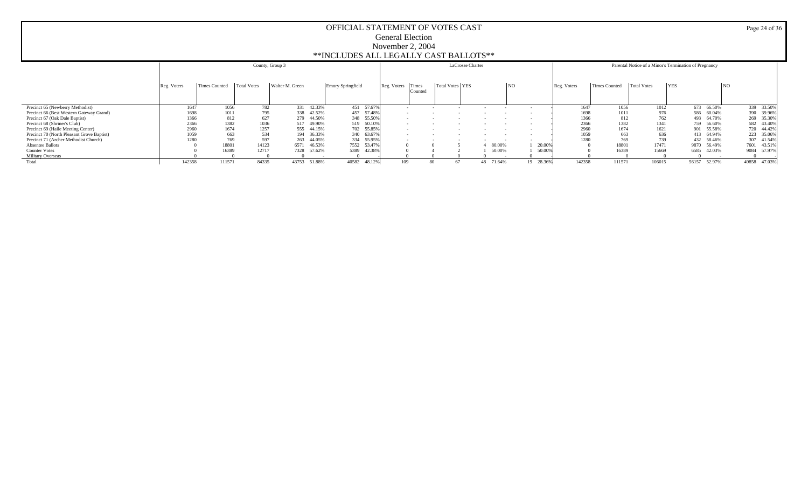|                                            |             |                      |                    | County, Group 3 |                   |             |                  | LaCrosse Charter |           |                 |             |                      | Parental Notice of a Minor's Termination of Pregnancy |                 |              |
|--------------------------------------------|-------------|----------------------|--------------------|-----------------|-------------------|-------------|------------------|------------------|-----------|-----------------|-------------|----------------------|-------------------------------------------------------|-----------------|--------------|
|                                            | Reg. Voters | <b>Times Counted</b> | <b>Total Votes</b> | Walter M. Green | Emory Springfield | Reg. Voters | Times<br>Counted | Total Votes YES  |           | NO <sub>1</sub> | Reg. Voters | <b>Times Counted</b> | <b>YES</b><br><b>Total Votes</b>                      | NO.             |              |
| Precinct 65 (Newberry Methodist)           | 1647        | 1056                 | 782                | 331 42.33%      | 451 57.67%        |             |                  |                  |           | $\sim$          | 1647        | 1056                 | 1012                                                  | 673 66.50%      | 339 33.50%   |
| Precinct 66 (Best Western Gateway Grand)   | 1698        | 1011                 | 795                | 338 42.52%      | 457 57.48%        |             |                  |                  |           |                 | 1698        | 1011                 | 976                                                   | 586 60.04%      | 390 39.96%   |
| Precinct 67 (Oak Dale Baptist)             | 1366        |                      | 627<br>812         | 279 44.50%      | 348 55.50%        |             |                  |                  |           |                 | 1366        | 812                  | 762                                                   | 493 64.70%      | 269 35.30%   |
| Precinct 68 (Shriner's Club)               | 2366        | 1382                 | 1036               | 517 49.90%      | 519 50.10%        |             |                  |                  |           |                 | 2366        | 1382                 | 1341                                                  | 56.60%<br>759   | 582 43.40%   |
| Precinct 69 (Haile Meeting Center)         | 2960        | 1674                 | 1257               | 555 44.15%      | 702 55.85%        |             |                  |                  |           |                 | 2960        | 1674                 | 1621                                                  | 901 55.58%      | 720 44.42%   |
| Precinct 70 (North Pleasant Grove Baptist) | 1059        |                      | 534<br>663         | 194 36.33%      | 340 63.67%        |             |                  |                  |           |                 | 1059        | 663                  | 636                                                   | 413 64.94%      | 223 35.06%   |
| Precinct 71 (Archer Methodist Church)      | 1280        |                      | 597<br>769         | 263 44.05%      | 334 55.95%        |             |                  |                  |           |                 | 1280        | 769                  | 739                                                   | 432 58.46%      | 307 41.54%   |
| Absentee Ballots                           |             | 18801                | 14123              | 6571<br>46.53%  | 7552 53.47%       |             |                  |                  | 80.00%    | 20.00%          |             | 18801                | 17471                                                 | 9870<br>56.49%  | 7601 43.51%  |
| <b>Counter Votes</b>                       |             | 16389                | 12717              | 7328 57.62%     | 5389 42.38%       |             |                  |                  | 50,00%    | 50.009          |             | 16389                | 15669                                                 | 42.03%<br>6585  | 9084 57.97%  |
| <b>Military Overseas</b>                   |             |                      |                    |                 |                   |             |                  |                  |           |                 |             |                      |                                                       |                 |              |
| Total                                      | 142358      | 111571               | 84335              | 43753<br>51.88% | 40582 48.12%      | 109         | 80               |                  | 48 71.64% | 19 28.36%       | 142358      | 111571               | 106015                                                | 56157<br>52.97% | 49858 47.03% |

Page 24 of 36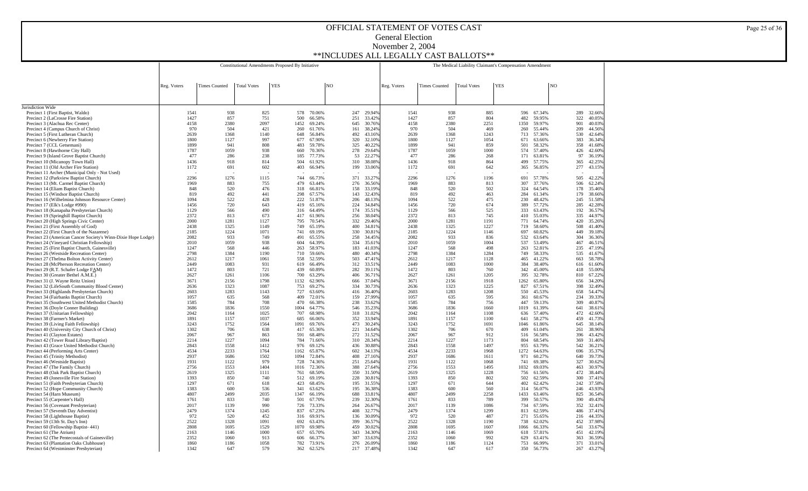|                                                                                                             |              |                      |                    | Constitutional Amendments Proposed By Initiative |                  |    |            |                  |              |                      | The Medical Liability Claimant's Compensation Amendment |            |             |                  |    |            |                  |
|-------------------------------------------------------------------------------------------------------------|--------------|----------------------|--------------------|--------------------------------------------------|------------------|----|------------|------------------|--------------|----------------------|---------------------------------------------------------|------------|-------------|------------------|----|------------|------------------|
|                                                                                                             |              |                      |                    |                                                  |                  |    |            |                  |              |                      |                                                         |            |             |                  |    |            |                  |
|                                                                                                             | Reg. Voters  | <b>Times Counted</b> | <b>Total Votes</b> | <b>YES</b>                                       |                  | NO |            |                  | Reg. Voters  | <b>Times Counted</b> | <b>Total Votes</b>                                      | <b>YES</b> |             |                  | NO |            |                  |
|                                                                                                             |              |                      |                    |                                                  |                  |    |            |                  |              |                      |                                                         |            |             |                  |    |            |                  |
| Jurisdiction Wide                                                                                           |              |                      |                    |                                                  |                  |    |            |                  |              |                      |                                                         |            |             |                  |    |            |                  |
| Precinct 1 (First Baptist, Waldo)                                                                           | 1541         | 938                  | 825                | 578                                              | 70.06%           |    | 247        | 29.94%           | 1541         | 938                  | 885                                                     |            |             | 596 67.34%       |    | 289        | 32.669           |
| Precinct 2 (LaCrosse Fire Station)                                                                          | 1427         | 857<br>2380          | 751                | 500                                              | 66.58%           |    | 251        | 33.42%           | 1427         | 857<br>2380          | 804<br>2251                                             |            | 482         | 59.95%           |    | 322        | 40.05%           |
| Precinct 3 (Alachua Rec Center)<br>Precinct 4 (Campus Church of Christ)                                     | 4158<br>970  | 504                  | 2097<br>421        | 1452<br>260                                      | 69.24%<br>61.76% |    | 645<br>161 | 30.76%<br>38.24% | 4158<br>970  | 504                  | 469                                                     |            | 1350<br>260 | 59.97%<br>55.44% |    | 901<br>209 | 40.03%<br>44.569 |
| Precinct 5 (First Lutheran Church)                                                                          | 2639         | 1368                 | 1140               | 648                                              | 56.84%           |    | 492        | 43.16%           | 2639         | 1368                 | 1243                                                    |            | 713         | 57.36%           |    | 530        | 42.649           |
| Precinct 6 (Newberry Fire Station)<br>Precinct 7 (CCL Getsemani)                                            | 1800<br>1899 | 1127<br>941          | 997<br>808         | 677<br>483                                       | 67.90%<br>59.78% |    | 320<br>325 | 32.10%<br>40.22% | 1800<br>1899 | 1127<br>941          | 1054<br>859                                             |            | 671<br>501  | 63.66%<br>58.32% |    | 383<br>358 | 36.349<br>41.689 |
| Precinct 8 (Hawthorne City Hall)                                                                            | 1787         | 1059                 | 938                | 660                                              | 70.36%           |    | 278        | 29.64%           | 1787         | 1059                 | 1000                                                    |            | 574         | 57.40%           |    | 426        | 42.609           |
| Precinct 9 (Island Grove Baptist Church)                                                                    | 477          | 286                  | 238                | 185                                              | 77.73%           |    | 53         | 22.27%           | 477          | 286                  | 268                                                     |            | 171         | 63.81%           |    | 97         | 36.199           |
| Precinct 10 (Micanopy Town Hall)<br>Precinct 11 (Old Archer Fire Station)                                   | 1436<br>1172 | 918<br>691           | 814<br>602         | 504<br>403                                       | 61.92%<br>66.94% |    | 310<br>199 | 38.08%<br>33.06% | 1436<br>1172 | 918<br>691           | 864<br>642                                              |            | 499<br>365  | 57.75%<br>56.85% |    | 365<br>277 | 42.259<br>43.15% |
| Precinct 11 Archer (Municipal Only - Not Used)                                                              |              |                      |                    |                                                  |                  |    |            |                  |              |                      |                                                         |            |             |                  |    |            |                  |
| Precinct 12 (Parkview Baptist Church)                                                                       | 2296         | 1276                 | 1115               | 744                                              | 66.73%           |    | 371        | 33.27%           | 2296         | 1276                 | 1196                                                    |            | 691         | 57.78%           |    | 505        | 42.229           |
| Precinct 13 (Mt. Carmel Baptist Church)<br>Precinct 14 (Eliam Baptist Church)                               | 1969<br>848  | 883<br>520           | 755<br>476         | 479<br>318                                       | 63.44%<br>66.81% |    | 276<br>158 | 36.56%<br>33.19% | 1969<br>848  | 883<br>520           | 813<br>502                                              |            | 307<br>324  | 37.76%<br>64.54% |    | 506<br>178 | 62.249<br>35.469 |
| Precinct 15 (Windsor Baptist Church)                                                                        | 819          | 492                  | 441                | 298                                              | 67.57%           |    | 143        | 32.43%           | 819          | 492                  | 463                                                     |            | 284         | 61.34%           |    | 179        | 38.669           |
| Precinct 16 (Wilhelmina Johnson Resource Center)                                                            | 1094         | 522                  | 428                | 222                                              | 51.87%           |    | 206        | 48.13%           | 1094         | 522                  | 475                                                     |            | 230         | 48.42%           |    | 245        | 51.589           |
| Precinct 17 (Elk's Lodge #990)                                                                              | 1456         | 720                  | 643                | 419                                              | 65.16%           |    | 224        | 34.84%           | 1456         | 720                  | 674                                                     |            | 389         | 57.72%           |    | 285        | 42.289           |
| Precinct 18 (Kanapaha Presbyterian Church)<br>Precinct 19 (Springhill Baptist Church)                       | 1129<br>2372 | 566<br>813           | 490<br>673         | 316<br>417                                       | 64.49%<br>61.96% |    | 174<br>256 | 35.51%<br>38.04% | 1129<br>2372 | 566<br>813           | 525<br>745                                              |            | 333<br>410  | 63.43%<br>55.03% |    | 192<br>335 | 36.579<br>44.979 |
| Precinct 20 (High Springs Civic Center)                                                                     | 2000         | 1281                 | 1127               | 795                                              | 70.54%           |    | 332        | 29.46%           | 2000         | 1281                 | 1191                                                    |            | 771         | 64.74%           |    | 420        | 35.269           |
| Precinct 21 (First Assembly of God)                                                                         | 2438         | 1325                 | 1149               | 749                                              | 65.19%           |    | 400        | 34.819           | 2438         | 1325                 | 1227                                                    |            | 719         | 58.60%           |    | 508        | 41.409           |
| Precinct 22 (First Church of the Nazarene)<br>Precinct 23 (American Cancer Society's Winn-Dixie Hope Lodge) | 2185<br>2082 | 1224<br>933          | 1071<br>749        | 741<br>491                                       | 69.19%<br>65.55% |    | 330<br>258 | 30.819<br>34.45% | 2185<br>2082 | 1224<br>933          | 1146<br>836                                             |            | 697<br>532  | 60.82%<br>63.64% |    | 449<br>304 | 39.189<br>36.369 |
| Precinct 24 (Vineyard Christian Fellowship)                                                                 | 2010         | 1059                 | 938                | 604                                              | 64.39%           |    | 334        | 35.61%           | 2010         | 1059                 | 1004                                                    |            | 537         | 53.49%           |    | 467        | 46.519           |
| Precinct 25 (First Baptist Church, Gainesville)                                                             | 1247         | 568                  | 446                | 263                                              | 58.97%           |    | 183        | 41.03%           | 1247         | 568                  | 498                                                     |            | 263         | 52.81%           |    | 235        | 47.199           |
| Precinct 26 (Westside Recreation Center)                                                                    | 2798<br>2612 | 1384<br>1217         | 1190<br>1061       | 710<br>558                                       | 59.66%<br>52.59% |    | 480<br>503 | 40.34%<br>47.41% | 2798<br>2612 | 1384<br>1217         | 1284<br>1128                                            |            | 749<br>465  | 58.33%<br>41.22% |    | 535<br>663 | 41.679           |
| Precinct 27 (Thelma Bolton Activity Center)<br>Precinct 28 (McPherson Recreation Center)                    | 2449         | 1083                 | 931                | 619                                              | 66.49%           |    | 312        | 33.51%           | 2449         | 1083                 | 1000                                                    |            | 384         | 38.40%           |    | 616        | 58.789<br>61.609 |
| Precinct 29 (R.T. Schafer Lodge FAM)                                                                        | 1472         | 803                  | 721                | 439                                              | 60.89%           |    | 282        | 39.11%           | 1472         | 803                  | 760                                                     |            | 342         | 45.00%           |    | 418        | 55.009           |
| Precinct 30 (Greater Bethel A.M.E.)                                                                         | 2627         | 1261                 | 1106               | 700                                              | 63.29%           |    | 406        | 36.71%           | 2627         | 1261                 | 1205                                                    |            | 395         | 32.78%           |    | 810        | 67.229           |
| Precinct 31 (J. Wayne Reitz Union)<br>Precinct 32 (LifeSouth Community Blood Center)                        | 3671<br>2636 | 2156<br>1323         | 1798<br>1087       | 1132<br>753                                      | 62.96%<br>69.27% |    | 666<br>334 | 37.04%<br>30.73% | 3671<br>2636 | 2156<br>1323         | 1918<br>1225                                            |            | 1262<br>827 | 65.80%<br>67.51% |    | 656<br>398 | 34.209<br>32.49% |
| Precinct 33 (Highlands Presbyterian Church)                                                                 | 2603         | 1283                 | 1143               | 727                                              | 63.60%           |    | 416        | 36.40%           | 2603         | 1283                 | 1208                                                    |            | 550         | 45.53%           |    | 658        | 54.479           |
| Precinct 34 (Fairbanks Baptist Church)                                                                      | 1057         | 635                  | 568                | 409                                              | 72.01%           |    | 159        | 27.99%           | 1057         | 635                  | 595                                                     |            | 361         | 60.67%           |    | 234        | 39.339           |
| Precinct 35 (Southwest United Methodist Church)<br>Precinct 36 (Doyle Conner Building)                      | 1585<br>3686 | 784<br>1836          | 708<br>1550        | 470<br>1004                                      | 66.38%<br>64.77% |    | 238<br>546 | 33.62%<br>35.23% | 1585<br>3686 | 784<br>1836          | 756<br>1660                                             |            | 447<br>1019 | 59.13%<br>61.39% |    | 309<br>641 | 40.879<br>38.619 |
| Precinct 37 (Unitarian Fellowship)                                                                          | 2042         | 1164                 | 1025               | 707                                              | 68.98%           |    | 318        | 31.02%           | 2042         | 1164                 | 1108                                                    |            | 636         | 57.40%           |    | 472        | 42.609           |
| Precinct 38 (Farmer's Market)                                                                               | 1891         | 1157                 | 1037               | 685                                              | 66.06%           |    | 352        | 33.94%           | 1891         | 1157                 | 1100                                                    |            | 641         | 58.27%           |    | 459        | 41.739           |
| Precinct 39 (Living Faith Fellowship)<br>Precinct 40 (University City Church of Christ)                     | 3243<br>1302 | 1752<br>706          | 1564<br>638        | 1091<br>417                                      | 69.76%<br>65.36% |    | 473<br>221 | 30.24%<br>34.64% | 3243<br>1302 | 1752<br>706          | 1691<br>670                                             |            | 1046<br>409 | 61.86%<br>61.04% |    | 645<br>261 | 38.149<br>38.969 |
| Precinct 41 (Clayton Estates)                                                                               | 2067         | 967                  | 863                | 591                                              | 68.48%           |    | 272        | 31.52%           | 2067         | 967                  | 912                                                     |            | 516         | 56.58%           |    | 396        | 43.429           |
| Precinct 42 (Tower Road Library/Baptist)                                                                    | 2214         | 1227                 | 1094               | 784                                              | 71.66%           |    | 310        | 28.34%           | 2214         | 1227                 | 1173                                                    |            | 804         | 68.54%           |    | 369        | 31.469           |
| Precinct 43 (Grace United Methodist Church)                                                                 | 2843<br>4534 | 1558<br>2233         | 1412<br>1764       | 976<br>1162                                      | 69.12%<br>65.87% |    | 436<br>602 | 30.88%<br>34.13% | 2843<br>4534 | 1558<br>2233         | 1497<br>1968                                            |            | 955<br>1272 | 63.79%<br>64.63% |    | 542<br>696 | 36.219<br>35.379 |
| Precinct 44 (Performing Arts Center)<br>Precinct 45 (Trinity Methodist)                                     | 2937         | 1686                 | 1502               | 1094                                             | 72.84%           |    | 408        | 27.16%           | 2937         | 1686                 | 1611                                                    |            | 971         | 60.27%           |    | 640        | 39.739           |
| Precinct 46 (Westside Baptist)                                                                              | 1931         | 1122                 | 979                | 728                                              | 74.36%           |    | 251        | 25.64%           | 1931         | 1122                 | 1068                                                    |            | 741         | 69.38%           |    | 327        | 30.629           |
| Precinct 47 (The Family Church)                                                                             | 2756<br>2619 | 1553                 | 1404               | 1016                                             | 72.36%           |    | 388<br>350 | 27.64%           | 2756         | 1553                 | 1495                                                    |            | 1032        | 69.03%           |    | 463<br>472 | 30.979           |
| Precinct 48 (Oak Park Baptist Church)<br>Precinct 49 (Jonesville Fire Station)                              | 1393         | 1325<br>850          | 1111<br>740        | 761<br>512                                       | 68.50%<br>69.19% |    | 228        | 31.50%<br>30.81% | 2619<br>1393 | 1325<br>850          | 1228<br>802                                             |            | 756<br>502  | 61.56%<br>62.59% |    | 300        | 38.449<br>37.419 |
| Precinct 51 (Faith Presbyterian Church)                                                                     | 1297         | 671                  | 618                | 423                                              | 68.45%           |    | 195        | 31.55%           | 1297         | 671                  | 644                                                     |            | 402         | 62.42%           |    | 242        | 37.589           |
| Precinct 52 (Hope Community Church)                                                                         | 1383         | 600                  | 536                | 341                                              | 63.62%           |    | 195        | 36.389           | 1383         | 600                  | 560                                                     |            | 314         | 56.07%           |    | 246        | 43.939           |
| Precinct 54 (Harn Museum)<br>Precinct 55 (Carpenter's Hall)                                                 | 4807<br>1761 | 2499<br>833          | 2035<br>740        | 1347<br>501                                      | 66.19%<br>67.70% |    | 688<br>239 | 33.819<br>32.30% | 4807<br>1761 | 2499<br>833          | 2258<br>789                                             |            | 1433<br>399 | 63.46%<br>50.57% |    | 825<br>390 | 36.549<br>49.439 |
| Precinct 56 (Covenant Presbyterian)                                                                         | 2017         | 1139                 | 990                | 726                                              | 73.33%           |    | 264        | 26.67%           | 2017         | 1139                 | 1086                                                    |            | 734         | 67.59%           |    | 352        | 32.419           |
| Precinct 57 (Seventh Day Adventist)                                                                         | 2479         | 1374                 | 1245               | 837                                              | 67.23%           |    | 408        | 32.77%           | 2479         | 1374                 | 1299                                                    |            | 813         | 62.59%           |    | 486        | 37.419           |
| Precinct 58 (Lighthouse Baptist)<br>Precinct 59 (13th St. Day's Inn)                                        | 972<br>2522  | 520<br>1328          | 452<br>1091        | 316<br>692                                       | 69.91%<br>63.43% |    | 136<br>399 | 30.09%<br>36.57% | 972<br>2522  | 520<br>1328          | 487<br>1190                                             |            | 271<br>738  | 55.65%<br>62.02% |    | 216<br>452 | 44.359<br>37.989 |
| Precinct 60 (Fellowship Baptist-441)                                                                        | 2808         | 1695                 | 1529               | 1070                                             | 69.98%           |    | 459        | 30.02%           | 2808         | 1695                 | 1607                                                    |            | 1066        | 66.33%           |    | 541        | 33.679           |
| Precinct 61 (The Atrium)                                                                                    | 2163         | 1146                 | 1000               | 657                                              | 65.70%           |    | 343        | 34.30%           | 2163         | 1146                 | 1069                                                    |            | 618         | 57.81%           |    | 451        | 42.19%           |
| Precinct 62 (The Pentecostals of Gainesville)<br>Precinct 63 (Plantation Oaks Clubhouse)                    | 2352<br>1860 | 1060<br>1186         | 913<br>1058        | 606<br>782                                       | 66.37%<br>73.91% |    | 307<br>276 | 33.63%<br>26.09% | 2352<br>1860 | 1060<br>1186         | 992<br>1124                                             |            | 629<br>753  | 63.41%<br>66.99% |    | 363<br>371 | 36.59%<br>33.019 |
| Precinct 64 (Westminster Presbyterian)                                                                      | 1342         | 647                  | 579                | 362                                              | 62.52%           |    | 217        | 37.48%           | 1342         | 647                  | 617                                                     |            | 350         | 56.73%           |    | 267        | 43.27%           |

Page 25 of 36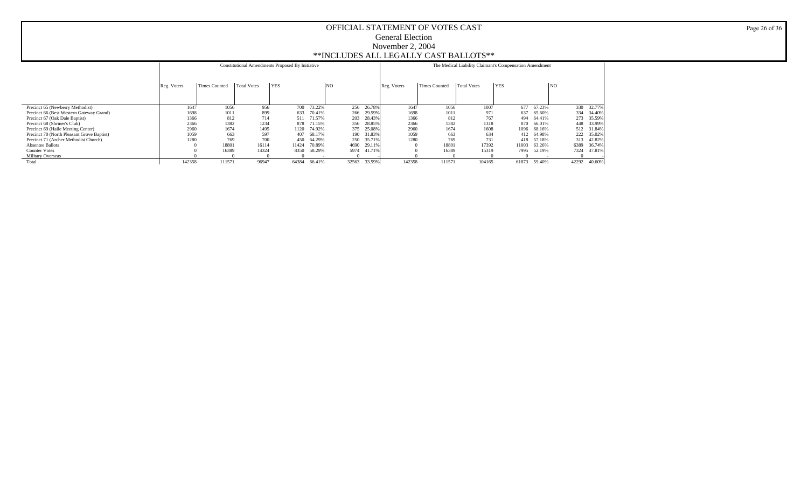|                                            |             |               |                    | Constitutional Amendments Proposed By Initiative |        |       |        |             |                      | The Medical Liability Claimant's Compensation Amendment |            |            |                |            |
|--------------------------------------------|-------------|---------------|--------------------|--------------------------------------------------|--------|-------|--------|-------------|----------------------|---------------------------------------------------------|------------|------------|----------------|------------|
|                                            | Reg. Voters | Times Counted | <b>Total Votes</b> | <b>YES</b>                                       |        | NO    |        | Reg. Voters | <b>Times Counted</b> | <b>Total Votes</b>                                      | <b>YES</b> |            | N <sub>O</sub> |            |
|                                            |             |               |                    |                                                  |        |       |        |             |                      |                                                         |            |            |                |            |
| Precinct 65 (Newberry Methodist)           | 1647        | 1056          | 956                | 700                                              | 73.22% | 256   | 26.78% | 1647        | 1056                 | 1007                                                    | 677        | 67.23%     |                | 330 32.77% |
| Precinct 66 (Best Western Gateway Grand)   | 1698        | 1011          | 899                | 633                                              | 70.41% | 266   | 29.59% | 1698        | 1011                 | 971                                                     | 637        | 65.60%     |                | 334 34.40% |
| Precinct 67 (Oak Dale Baptist)             | 1366        | 812           | 714                | 511                                              | 71.57% | 203   | 28.43% | 1366        | 812                  | 767                                                     | 494        | 64.41%     |                | 273 35.59% |
| Precinct 68 (Shriner's Club)               | 2366        | 1382          | 1234               | 878                                              | 71.15% | 356   | 28.85% | 2366        | 1382                 | 1318                                                    |            | 870 66.01% |                | 448 33.99% |
| Precinct 69 (Haile Meeting Center)         | 2960        | 1674          | 1495               | 1120                                             | 74.92% | 375   | 25.08% | 2960        | 1674                 | 1608                                                    | 1096       | 68.16%     |                | 512 31.84% |
| Precinct 70 (North Pleasant Grove Baptist) | 1059        | 663           | 597                | 407                                              | 68.17% | 190   | 31.83% | 1059        | 663                  | 634                                                     |            | 412 64.98% |                | 222 35.02% |
| Precinct 71 (Archer Methodist Church)      | 1280        | 769           | 700                | 450                                              | 64.29% | 250   | 35.71% | 1280        | 769                  | 731                                                     |            | 418 57.18% |                | 313 42.82% |
| <b>Absentee Ballots</b>                    |             | 18801         | 16114              | 11424                                            | 70.89% | 4690  | 29.11% |             | 1880                 | 17392                                                   | 11003      | 63.26%     | 6389           | 36.74%     |
| <b>Counter Votes</b>                       |             | 16389         | 14324              | 8350                                             | 58.29% | 5974  | 41.71% |             | 16389                | 15319                                                   | 7995       | 52.19%     | 7324           | 47.81%     |
| <b>Military Overseas</b>                   |             |               |                    |                                                  |        |       |        |             |                      |                                                         |            |            |                |            |
| Total                                      | 142358      | 111571        | 96947              | 64384                                            | 66.41% | 32563 | 33.59% | 142358      | 111571               | 104165                                                  | 61873      | 59.40%     | 42292          | 40.60%     |

Page 26 of 36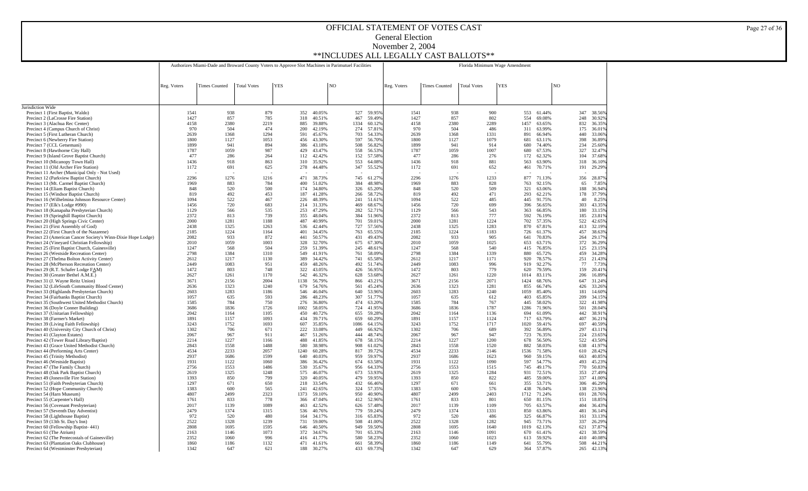|                                                                                           |                                                                                                   |                      |                    |            |             |                  | Florida Minimum Wage Amendment |             |                  |              |                      |                    |              |              |                      |                |            |                  |
|-------------------------------------------------------------------------------------------|---------------------------------------------------------------------------------------------------|----------------------|--------------------|------------|-------------|------------------|--------------------------------|-------------|------------------|--------------|----------------------|--------------------|--------------|--------------|----------------------|----------------|------------|------------------|
|                                                                                           | Authorizes Miami-Dade and Broward County Voters to Approve Slot Machines in Parimutuel Facilities |                      |                    |            |             |                  |                                |             |                  |              |                      |                    |              |              |                      |                |            |                  |
|                                                                                           | Reg. Voters                                                                                       | <b>Times Counted</b> | <b>Total Votes</b> | <b>YES</b> |             |                  | NO                             |             |                  | Reg. Voters  | <b>Times Counted</b> | <b>Total Votes</b> | <b>YES</b>   |              |                      | N <sub>O</sub> |            |                  |
|                                                                                           |                                                                                                   |                      |                    |            |             |                  |                                |             |                  |              |                      |                    |              |              |                      |                |            |                  |
|                                                                                           |                                                                                                   |                      |                    |            |             |                  |                                |             |                  |              |                      |                    |              |              |                      |                |            |                  |
| Jurisdiction Wide                                                                         |                                                                                                   |                      |                    |            |             |                  |                                |             |                  |              |                      |                    |              |              |                      |                |            |                  |
| Precinct 1 (First Baptist, Waldo)<br>Precinct 2 (LaCrosse Fire Station)                   | 1541<br>1427                                                                                      | 938<br>857           | 879<br>785         |            | 352<br>318  | 40.05%<br>40.51% |                                | 527<br>467  | 59.95%<br>59.49% | 1541<br>1427 | 938<br>857           |                    | 900<br>802   | 554          | 553 61.44%<br>69.08% | 248            | 347        | 38.56%<br>30.92% |
| Precinct 3 (Alachua Rec Center)                                                           | 4158                                                                                              | 2380                 | 2219               |            | 885         | 39.88%           |                                | 1334        | 60.12%           | 4158         | 2380                 |                    | 2289         | 1457         | 63.65%               |                | 832        | 36.35%           |
| Precinct 4 (Campus Church of Christ)                                                      | 970                                                                                               | 504                  | 474                |            | 200         | 42.19%           |                                | 274         | 57.819           | 970          | 504                  |                    | 486          | 311          | 63.99%               | 175            |            | 36.01%           |
| Precinct 5 (First Lutheran Church)<br>Precinct 6 (Newberry Fire Station)                  | 2639<br>1800                                                                                      | 1368<br>1127         | 1294<br>1053       |            | 591<br>456  | 45.67%<br>43.30% |                                | 703<br>597  | 54.33%<br>56.70% | 2639<br>1800 | 1368<br>1127         | 1331               | 1079         | 891<br>681   | 66.94%<br>63.11%     | 440<br>398     |            | 33.06%<br>36.89% |
| Precinct 7 (CCL Getsemani)                                                                | 1899                                                                                              | 941                  | 894                |            | 386         | 43.18%           |                                | 508         | 56.82%           | 1899         | 941                  |                    | 914          | 680          | 74.40%               | 234            |            | 25.60%           |
| Precinct 8 (Hawthorne City Hall)                                                          | 1787                                                                                              | 1059                 | 987                |            | 429         | 43.47%           |                                | 558         | 56.539           | 1787         | 1059                 |                    | 1007         | 680          | 67.53%               | 327            |            | 32.47%           |
| Precinct 9 (Island Grove Baptist Church)<br>Precinct 10 (Micanopy Town Hall)              | 477<br>1436                                                                                       | 286<br>918           | 264<br>863         |            | 112<br>310  | 42.42%<br>35.92% |                                | 152<br>553  | 57.589<br>64.089 | 477<br>1436  | 286<br>918           |                    | 276<br>881   | 172<br>563   | 62.32%<br>63.90%     | 104<br>318     |            | 37.68%<br>36.10% |
| Precinct 11 (Old Archer Fire Station)                                                     | 1172                                                                                              | 691                  | 625                |            | 278         | 44.48%           |                                | 347         | 55.529           | 1172         | 691                  |                    | 652          | 461          | 70.71%               | 191            |            | 29.29%           |
| Precinct 11 Archer (Municipal Only - Not Used)                                            |                                                                                                   |                      |                    |            |             |                  |                                |             |                  |              |                      |                    |              |              |                      |                |            |                  |
| Precinct 12 (Parkview Baptist Church)                                                     | 2296<br>1969                                                                                      | 1276                 | 1216<br>784        |            | 471         | 38.73%           |                                | 745<br>384  | 61.279           | 2296         | 1276<br>883          |                    | 1233         | 877          | 71.13%               |                | 356        | 28.87%           |
| Precinct 13 (Mt. Carmel Baptist Church)<br>Precinct 14 (Eliam Baptist Church)             | 848                                                                                               | 883<br>520           | 500                |            | 400<br>174  | 51.02%<br>34.80% |                                | 326         | 48.98%<br>65.20% | 1969<br>848  | 520                  |                    | 828<br>509   | 763<br>321   | 92.15%<br>63.06%     |                | 65<br>188  | 7.85%<br>36.94%  |
| Precinct 15 (Windsor Baptist Church)                                                      | 819                                                                                               | 492                  | 453                |            | 187         | 41.28%           |                                | 266         | 58.72%           | 819          | 492                  |                    | 471          | 293          | 62.21%               | 178            |            | 37.79%           |
| Precinct 16 (Wilhelmina Johnson Resource Center)                                          | 1094                                                                                              | 522                  | 467                |            | 226         | 48.39%           |                                | 241         | 51.61%           | 1094         | 522                  |                    | 485          | 445          | 91.75%               |                | 40         | 8.25%            |
| Precinct 17 (Elk's Lodge #990)<br>Precinct 18 (Kanapaha Presbyterian Church)              | 1456<br>1129                                                                                      | 720<br>566           | 683<br>535         |            | 214<br>253  | 31.33%<br>47.29% |                                | 469<br>282  | 68.679<br>52.71% | 1456<br>1129 | 720<br>566           |                    | 699<br>543   | 396<br>363   | 56.65%<br>66.85%     |                | 303<br>180 | 43.35%<br>33.15% |
| Precinct 19 (Springhill Baptist Church)                                                   | 2372                                                                                              | 813                  | 739                |            | 355         | 48.04%           |                                | 384         | 51.96%           | 2372         | 813                  |                    | 777          | 592          | 76.19%               | 185            |            | 23.81%           |
| Precinct 20 (High Springs Civic Center)                                                   | 2000                                                                                              | 1281                 | 1188               |            | 487         | 40.99%           |                                | 701         | 59.01%           | 2000         | 1281                 | 1224               |              | 702          | 57.35%               | 522            |            | 42.65%           |
| Precinct 21 (First Assembly of God)<br>Precinct 22 (First Church of the Nazarene)         | 2438<br>2185                                                                                      | 1325<br>1224         | 1263<br>1164       |            | 536<br>401  | 42.44%<br>34.45% |                                | 727<br>763  | 57.56%<br>65.559 | 2438<br>2185 | 1325<br>1224         |                    | 1283<br>1183 | 870<br>726   | 67.81%<br>61.37%     | 413<br>457     |            | 32.19%<br>38.63% |
| Precinct 23 (American Cancer Society's Winn-Dixie Hope Lodge)                             | 2082                                                                                              | 933                  | 872                |            | 441         | 50.57%           |                                | 431         | 49.439           | 2082         | 933                  |                    | 905          | 641          | 70.83%               | 264            |            | 29.17%           |
| Precinct 24 (Vineyard Christian Fellowship)                                               | 2010                                                                                              | 1059                 | 1003               |            | 328         | 32.70%           |                                | 675         | 67.309           | 2010         | 1059                 |                    | 1025         | 653          | 63.71%               | 372            |            | 36.29%           |
| Precinct 25 (First Baptist Church, Gainesville)                                           | 1247<br>2798                                                                                      | 568<br>1384          | 504<br>1310        |            | 259<br>549  | 51.39%<br>41.91% |                                | 245<br>761  | 48.619<br>58.099 | 1247<br>2798 | 568<br>1384          |                    | 540<br>1339  | 415<br>880   | 76.85%<br>65.72%     | 125<br>459     |            | 23.15%           |
| Precinct 26 (Westside Recreation Center)<br>Precinct 27 (Thelma Bolton Activity Center)   | 2612                                                                                              | 1217                 | 1130               |            | 389         | 34.42%           |                                | 741         | 65.589           | 2612         | 1217                 | 1171               |              | 920          | 78.57%               | 251            |            | 34.28%<br>21.43% |
| Precinct 28 (McPherson Recreation Center)                                                 | 2449                                                                                              | 1083                 | 951                |            | 459         | 48.26%           |                                | 492         | 51.74%           | 2449         | 1083                 |                    | 996          | 919          | 92.27%               |                | 77         | 7.73%            |
| Precinct 29 (R.T. Schafer Lodge FAM)                                                      | 1472                                                                                              | 803                  | 748                |            | 322         | 43.05%           |                                | 426         | 56.95%           | 1472         | 803                  |                    | 779          | 620          | 79.59%               |                | 159        | 20.41%           |
| Precinct 30 (Greater Bethel A.M.E.)<br>Precinct 31 (J. Wayne Reitz Union)                 | 2627<br>3671                                                                                      | 1261<br>2156         | 1170<br>2004       |            | 542<br>1138 | 46.32%<br>56.79% |                                | 628<br>866  | 53.68%<br>43.21% | 2627<br>3671 | 1261<br>2156         | 2071               | 1220         | 1014<br>1424 | 83.11%<br>68.76%     | 206<br>647     |            | 16.89%<br>31.24% |
| Precinct 32 (LifeSouth Community Blood Center)                                            | 2636                                                                                              | 1323                 | 1240               |            | 679         | 54.76%           |                                | 561         | 45.24%           | 2636         | 1323                 | 1281               |              | 855          | 66.74%               |                | 426        | 33.26%           |
| Precinct 33 (Highlands Presbyterian Church)                                               | 2603                                                                                              | 1283                 | 1186               |            | 546         | 46.04%           |                                | 640         | 53.96%           | 2603         | 1283                 |                    | 1240         | 1059         | 85.40%               | 181            |            | 14.60%           |
| Precinct 34 (Fairbanks Baptist Church)<br>Precinct 35 (Southwest United Methodist Church) | 1057<br>1585                                                                                      | 635<br>784           | 593<br>750         |            | 286<br>276  | 48.23%<br>36.80% |                                | 307<br>474  | 51.779<br>63.209 | 1057<br>1585 | 635<br>784           |                    | 612<br>767   | 403<br>445   | 65.85%<br>58.02%     | 209<br>322     |            | 34.15%<br>41.98% |
| Precinct 36 (Doyle Conner Building)                                                       | 3686                                                                                              | 1836                 | 1726               |            | 1002        | 58.05%           |                                | 724         | 41.95%           | 3686         | 1836                 | 1787               |              | 1286         | 71.96%               | 501            |            | 28.04%           |
| Precinct 37 (Unitarian Fellowship)                                                        | 2042                                                                                              | 1164                 | 1105               |            | 450         | 40.72%           |                                | 655         | 59.289           | 2042         | 1164                 |                    | 1136         | 694          | 61.09%               | 442            |            | 38.91%           |
| Precinct 38 (Farmer's Market)<br>Precinct 39 (Living Faith Fellowship)                    | 1891<br>3243                                                                                      | 1157<br>1752         | 1093<br>1693       |            | 434<br>607  | 39.71%<br>35.85% |                                | 659<br>1086 | 60.299<br>64.159 | 1891<br>3243 | 1157<br>1752         |                    | 1124<br>1717 | 717<br>1020  | 63.79%<br>59.41%     | 407<br>697     |            | 36.21%<br>40.59% |
| Precinct 40 (University City Church of Christ)                                            | 1302                                                                                              | 706                  | 671                |            | 222         | 33.08%           |                                | 449         | 66.92%           | 1302         | 706                  |                    | 689          | 392          | 56.89%               | 297            |            | 43.11%           |
| Precinct 41 (Clayton Estates)                                                             | 2067                                                                                              | 967                  | 911                |            | 467         | 51.26%           |                                | 444         | 48.74%           | 2067         | 967                  |                    | 947          | 723          | 76.35%               | 224            |            | 23.65%           |
| Precinct 42 (Tower Road Library/Baptist)                                                  | 2214<br>2843                                                                                      | 1227<br>1558         | 1166<br>1488       |            | 488<br>580  | 41.85%<br>38.98% |                                | 678<br>908  | 58.15%<br>61.02% | 2214<br>2843 | 1227<br>1558         |                    | 1200<br>1520 | 678<br>882   | 56.50%<br>58.03%     | 522<br>638     |            | 43.50%<br>41.97% |
| Precinct 43 (Grace United Methodist Church)<br>Precinct 44 (Performing Arts Center)       | 4534                                                                                              | 2233                 | 2057               |            | 1240        | 60.28%           |                                | 817         | 39.72%           | 4534         | 2233                 | 2146               |              | 1536         | 71.58%               | 610            |            | 28.42%           |
| Precinct 45 (Trinity Methodist)                                                           | 2937                                                                                              | 1686                 | 1599               |            | 640         | 40.03%           |                                | 959         | 59.97%           | 2937         | 1686                 |                    | 1623         | 960          | 59.15%               | 663            |            | 40.85%           |
| Precinct 46 (Westside Baptist)                                                            | 1931<br>2756                                                                                      | 1122<br>1553         | 1060<br>1486       |            | 386<br>530  | 36.42%<br>35.67% |                                | 674<br>956  | 63.58%<br>64.33% | 1931<br>2756 | 1122<br>1553         |                    | 1090<br>1515 | 597<br>745   | 54.77%<br>49.17%     | 493<br>770     |            | 45.23%<br>50.83% |
| Precinct 47 (The Family Church)<br>Precinct 48 (Oak Park Baptist Church)                  | 2619                                                                                              | 1325                 | 1248               |            | 575         | 46.07%           |                                | 673         | 53.93%           | 2619         | 1325                 | 1284               |              | 931          | 72.51%               | 353            |            | 27.49%           |
| Precinct 49 (Jonesville Fire Station)                                                     | 1393                                                                                              | 850                  | 799                |            | 320         | 40.05%           |                                | 479         | 59.95%           | 1393         | 850                  |                    | 822          | 485          | 59.00%               | 337            |            | 41.00%           |
| Precinct 51 (Faith Presbyterian Church)                                                   | 1297                                                                                              | 671                  | 650                |            | 218         | 33.54%           |                                | 432         | 66.46%           | 1297         | 671                  |                    | 661          | 355          | 53.71%               | 306            |            | 46.29%           |
| Precinct 52 (Hope Community Church)<br>Precinct 54 (Harn Museum)                          | 1383<br>4807                                                                                      | 600<br>2499          | 565<br>2323        |            | 241<br>1373 | 42.65%<br>59.10% |                                | 324<br>950  | 57.359<br>40.909 | 1383<br>4807 | 600<br>2499          | 2403               | 576          | 438<br>1712  | 76.04%<br>71.24%     | 138<br>691     |            | 23.96%<br>28.76% |
| Precinct 55 (Carpenter's Hall)                                                            | 1761                                                                                              | 833                  | 778                |            | 366         | 47.04%           |                                | 412         | 52.969           | 1761         | 833                  |                    | 801          | 650          | 81.15%               | 151            |            | 18.85%           |
| Precinct 56 (Covenant Presbyterian)                                                       | 2017                                                                                              | 1139                 | 1089               |            | 463         | 42.52%           |                                | 626         | 57.489           | 2017         | 1139                 |                    | 1109         | 705          | 63.57%               | 404            |            | 36.43%           |
| Precinct 57 (Seventh Day Adventist)<br>Precinct 58 (Lighthouse Baptist)                   | 2479<br>972                                                                                       | 1374<br>520          | 1315<br>480        |            | 536<br>164  | 40.76%<br>34.17% |                                | 779<br>316  | 59.249<br>65.839 | 2479<br>972  | 1374<br>520          | 1331               | 486          | 850<br>325   | 63.86%<br>66.87%     | 481<br>161     |            | 36.14%<br>33.13% |
| Precinct 59 (13th St. Day's Inn)                                                          | 2522                                                                                              | 1328                 | 1239               |            | 731         | 59.00%           |                                | 508         | 41.00%           | 2522         | 1328                 |                    | 1282         | 945          | 73.71%               | 337            |            | 26.29%           |
| Precinct 60 (Fellowship Baptist-441)                                                      | 2808                                                                                              | 1695                 | 1595               |            | 646         | 40.50%           |                                | 949         | 59.50%           | 2808         | 1695                 |                    | 1640         | 1019         | 62.13%               | 621            |            | 37.87%           |
| Precinct 61 (The Atrium)<br>Precinct 62 (The Pentecostals of Gainesville)                 | 2163<br>2352                                                                                      | 1146<br>1060         | 1073<br>996        |            | 372<br>416  | 34.67%<br>41.77% |                                | 701<br>580  | 65.33%<br>58.23% | 2163<br>2352 | 1146<br>1060         | 1091               | 1023         | 670<br>613   | 61.41%<br>59.92%     | 421<br>410     |            | 38.59%<br>40.08% |
| Precinct 63 (Plantation Oaks Clubhouse)                                                   | 1860                                                                                              | 1186                 | 1132               |            | 471         | 41.61%           |                                | 661         | 58.39%           | 1860         | 1186                 |                    | 1149         | 641          | 55.79%               |                | 508        | 44.21%           |
| Precinct 64 (Westminster Presbyterian)                                                    | 1342                                                                                              | 647                  | 621                |            | 188         | 30.27%           |                                | 433         | 69.73%           | 1342         | 647                  |                    | 629          | 364          | 57.87%               |                | 265        | 42.13%           |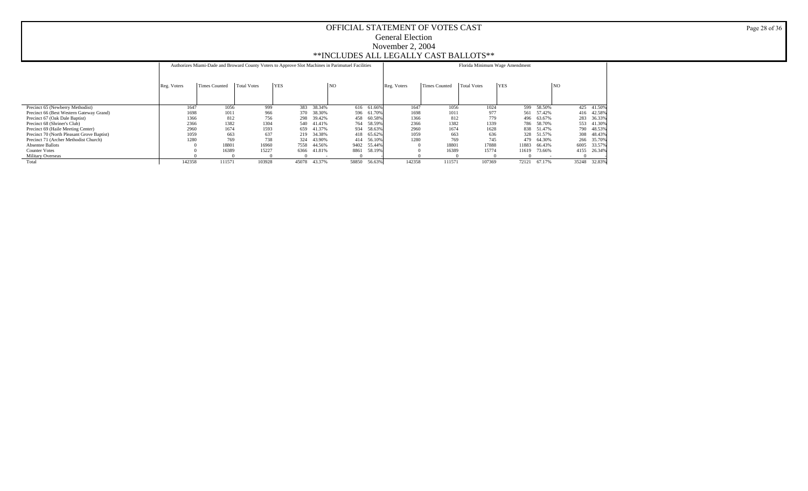|                                            |             |               | Authorizes Miami-Dade and Broward County Voters to Approve Slot Machines in Parimutuel Facilities |            |        |           |        |             |               | Florida Minimum Wage Amendment |            |            |                |              |  |  |  |  |  |  |  |
|--------------------------------------------|-------------|---------------|---------------------------------------------------------------------------------------------------|------------|--------|-----------|--------|-------------|---------------|--------------------------------|------------|------------|----------------|--------------|--|--|--|--|--|--|--|
|                                            | Reg. Voters | Times Counted | <b>Total Votes</b>                                                                                | <b>YES</b> |        | <b>NO</b> |        | Reg. Voters | Times Counted | Total Votes                    | <b>YES</b> |            | N <sub>O</sub> |              |  |  |  |  |  |  |  |
|                                            |             |               |                                                                                                   |            |        |           |        |             |               |                                |            |            |                |              |  |  |  |  |  |  |  |
| Precinct 65 (Newberry Methodist)           | 1647        | 1056          | 999                                                                                               | 383        | 38.34% | 616       | 61.66% | 1647        | 1056          | 1024                           |            | 599 58.50% |                | 425 41.50%   |  |  |  |  |  |  |  |
| Precinct 66 (Best Western Gateway Grand)   | 1698        | 1011          | 966                                                                                               | 370        | 38.30% | 596       | 61.70% | 1698        | 1011          | 977                            | 561        | 57.42%     |                | 416 42.58%   |  |  |  |  |  |  |  |
| Precinct 67 (Oak Dale Baptist)             | 1366        | 812           | 756                                                                                               | 298        | 39.42% | 458       | 60.58% | 1366        | 812           | 779                            | 496        | 63.67%     |                | 283 36.33%   |  |  |  |  |  |  |  |
| Precinct 68 (Shriner's Club)               | 2366        | 1382          | 1304                                                                                              | 540        | 41.41% | 764       | 58.59% | 2366        | 1382          | 1339                           | 786        | 58.70%     |                | 553 41.30%   |  |  |  |  |  |  |  |
| Precinct 69 (Haile Meeting Center)         | 2960        | 1674          | 1593                                                                                              | 659        | 41.37% | 934       | 58.63% | 2960        | 1674          | 1628                           | 838        | 51.47%     |                | 790 48.53%   |  |  |  |  |  |  |  |
| Precinct 70 (North Pleasant Grove Baptist) | 1059        | 663           | 637                                                                                               | 219        | 34.38% | 418       | 65.62% | 1059        | 663           | 636                            | 328        | 51.57%     |                | 308 48.43%   |  |  |  |  |  |  |  |
| Precinct 71 (Archer Methodist Church)      | 1280        | 769           | 738                                                                                               | 324        | 43.90% | 414       | 56.10% | 1280        | 769           | 745                            | 479        | 64.30%     |                | 266 35.70%   |  |  |  |  |  |  |  |
| <b>Absentee Ballots</b>                    |             | 18801         | 16960                                                                                             | 7558       | 44.56% | 9402      | 55.44% |             | 18801         | 17888                          | 11883      | 66.43%     | 6005           | 33.57%       |  |  |  |  |  |  |  |
| <b>Counter Votes</b>                       |             | 16389         | 15227                                                                                             | 6366       | 41.81% | 8861      | 58.19% |             | 16389         | 15774                          | 11619      | 73.66%     | 4155           | 26.34%       |  |  |  |  |  |  |  |
| <b>Military Overseas</b>                   |             |               |                                                                                                   |            |        |           |        |             |               |                                |            |            |                |              |  |  |  |  |  |  |  |
| Total                                      | 142358      | 111571        | 103928                                                                                            | 45078      | 43.37% | 58850     | 56.63% | 142358      | 111571        | 107369                         | 72121      | 67.17%     |                | 35248 32.83% |  |  |  |  |  |  |  |

Page 28 of 36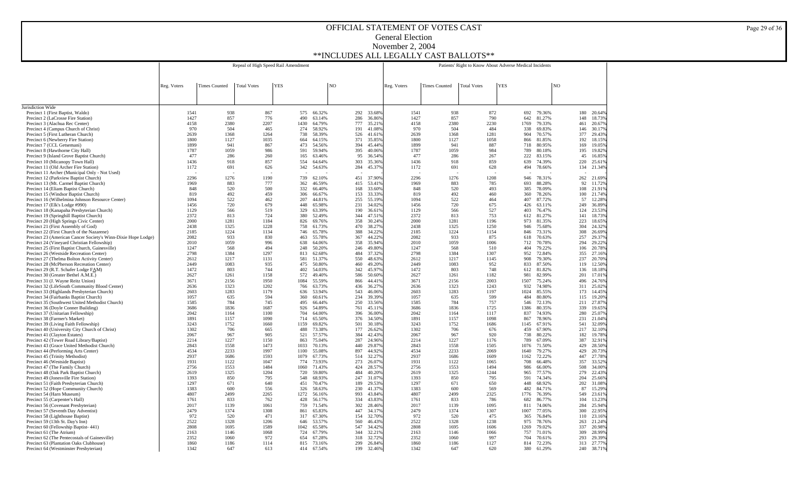|                                                                                                | Repeal of High Speed Rail Amendment |                      |                    |            |             |                  |            |                  | Patients' Right to Know About Adverse Medical Incidents |                      |                    |            |             |                  |                |            |                      |
|------------------------------------------------------------------------------------------------|-------------------------------------|----------------------|--------------------|------------|-------------|------------------|------------|------------------|---------------------------------------------------------|----------------------|--------------------|------------|-------------|------------------|----------------|------------|----------------------|
|                                                                                                |                                     |                      |                    |            |             |                  |            |                  |                                                         |                      |                    |            |             |                  |                |            |                      |
|                                                                                                | Reg. Voters                         | <b>Times Counted</b> | <b>Total Votes</b> | <b>YES</b> |             |                  | NO         |                  | Reg. Voters                                             | <b>Times Counted</b> | <b>Total Votes</b> | <b>YES</b> |             |                  | N <sub>O</sub> |            |                      |
|                                                                                                |                                     |                      |                    |            |             |                  |            |                  |                                                         |                      |                    |            |             |                  |                |            |                      |
| Jurisdiction Wide                                                                              |                                     |                      |                    |            |             |                  |            |                  |                                                         |                      |                    |            |             |                  |                |            |                      |
| Precinct 1 (First Baptist, Waldo)                                                              | 1541                                | 938                  | 867                |            | 575         | 66.32%           | 292        | 33.68%           | 1541                                                    | 938                  | 872                |            |             | 692 79.36%       |                | 180        | 20.64%               |
| Precinct 2 (LaCrosse Fire Station)<br>Precinct 3 (Alachua Rec Center)                          | 1427<br>4158                        | 857<br>2380          | 776<br>2207        |            | 490<br>1430 | 63.14%<br>64.79% | 286<br>777 | 36.86%<br>35.219 | 1427<br>4158                                            | 857<br>2380          | 790<br>2230        |            | 642<br>1769 | 81.27%<br>79.33% |                | 148<br>461 | 18.73%<br>20.67%     |
| Precinct 4 (Campus Church of Christ)                                                           | 970                                 | 504                  | 465                |            | 274         | 58.92%           | 191        | 41.08%           | 970                                                     | 504                  | 484                |            | 338         | 69.83%           |                | 146        | 30.17%               |
| Precinct 5 (First Lutheran Church)                                                             | 2639                                | 1368                 | 1264               |            | 738         | 58.39%           | 526        | 41.619           | 2639                                                    | 1368                 | 1281               |            | 904         | 70.57%           |                | 377        | 29.43%               |
| Precinct 6 (Newberry Fire Station)<br>Precinct 7 (CCL Getsemani)                               | 1800<br>1899                        | 1127<br>941          | 1035<br>867        |            | 664<br>473  | 64.15%           | 371<br>394 | 35.859<br>45.449 | 1800<br>1899                                            | 1127<br>941          | 1058<br>887        |            | 866<br>718  | 81.85%<br>80.95% |                | 192        | 18.15%<br>19.05%     |
| Precinct 8 (Hawthorne City Hall)                                                               | 1787                                | 1059                 | 986                |            | 591         | 54.56%<br>59.94% | 395        | 40.069           | 1787                                                    | 1059                 | 984                |            | 789         | 80.18%           |                | 169<br>195 | 19.82%               |
| Precinct 9 (Island Grove Baptist Church)                                                       | 477                                 | 286                  | 260                |            | 165         | 63.46%           | 95         | 36.549           | 477                                                     | 286                  | 267                |            | 222         | 83.15%           |                | 45         | 16.85%               |
| Precinct 10 (Micanopy Town Hall)                                                               | 1436                                | 918                  | 857                |            | 554         | 64.64%           | 303        | 35.369           | 1436                                                    | 918                  | 859                |            | 639         | 74.39%           |                | 220        | 25.61%               |
| Precinct 11 (Old Archer Fire Station)<br>Precinct 11 Archer (Municipal Only - Not Used)        | 1172                                | 691                  | 626                |            | 342         | 54.63%           | 284        | 45.379           | 1172                                                    | 691                  | 628                |            | 494         | 78.66%           |                | 134        | 21.34%               |
| Precinct 12 (Parkview Baptist Church)                                                          | 2296                                | 1276                 | 1190               |            | 739         | 62.10%           | 451        | 37.909           | 2296                                                    | 1276                 | 1208               |            | 946         | 78.31%           |                | 262        | 21.69%               |
| Precinct 13 (Mt. Carmel Baptist Church)                                                        | 1969                                | 883                  | 777                |            | 362         | 46.59%           | 415        | 53.419           | 1969                                                    | 883                  | 785                |            | 693         | 88.28%           |                | 92         | 11.72%               |
| Precinct 14 (Eliam Baptist Church)<br>Precinct 15 (Windsor Baptist Church)                     | 848<br>819                          | 520<br>492           | 500<br>459         |            | 332<br>306  | 66.40%<br>66.67% | 168<br>153 | 33.60%<br>33.33% | 848<br>819                                              | 520<br>492           | 493<br>460         |            | 385<br>360  | 78.09%<br>78.26% |                | 108<br>100 | 21.91%<br>21.74%     |
| Precinct 16 (Wilhelmina Johnson Resource Center)                                               | 1094                                | 522                  | 462                |            | 207         | 44.81%           | 255        | 55.19%           | 1094                                                    | 522                  | 464                |            | 407         | 87.72%           |                | 57         | 12.28%               |
| Precinct 17 (Elk's Lodge #990)                                                                 | 1456                                | 720                  | 679                |            | 448         | 65.98%           | 231        | 34.02%           | 1456                                                    | 720                  | 675                |            | 426         | 63.11%           |                | 249        | 36.89%               |
| Precinct 18 (Kanapaha Presbyterian Church)                                                     | 1129                                | 566                  | 519                |            | 329         | 63.39%           | 190        | 36.619           | 1129                                                    | 566                  | 527                |            | 403         | 76.47%           |                | 124        | 23.53%               |
| Precinct 19 (Springhill Baptist Church)<br>Precinct 20 (High Springs Civic Center)             | 2372<br>2000                        | 813<br>1281          | 724<br>1184        |            | 380<br>826  | 52.49%<br>69.76% | 344<br>358 | 47.519<br>30.24% | 2372<br>2000                                            | 813<br>1281          | 753<br>1196        |            | 612<br>973  | 81.27%<br>81.35% |                | 141<br>223 | 18.73%<br>18.65%     |
| Precinct 21 (First Assembly of God)                                                            | 2438                                | 1325                 | 1228               |            | 758         | 61.73%           | 470        | 38.279           | 2438                                                    | 1325                 | 1250               |            | 946         | 75.68%           |                | 304        | 24.32%               |
| Precinct 22 (First Church of the Nazarene)                                                     | 2185                                | 1224                 | 1134               |            | 746         | 65.78%           | 388        | 34.229           | 2185                                                    | 1224                 | 1154               |            | 846         | 73.31%           |                | 308        | 26.69%               |
| Precinct 23 (American Cancer Society's Winn-Dixie Hope Lodge)                                  | 2082<br>2010                        | 933<br>1059          | 830<br>996         |            | 463<br>638  | 55.78%<br>64.06% | 367<br>358 | 44.229<br>35.949 | 2082<br>2010                                            | 933<br>1059          | 875<br>1006        |            | 618<br>712  | 70.63%<br>70.78% |                | 257<br>294 | 29.37%<br>29.22%     |
| Precinct 24 (Vineyard Christian Fellowship)<br>Precinct 25 (First Baptist Church, Gainesville) | 1247                                | 568                  | 494                |            | 248         | 50.20%           | 246        | 49.809           | 1247                                                    | 568                  | 510                |            | 404         | 79.22%           |                | 106        | 20.78%               |
| Precinct 26 (Westside Recreation Center)                                                       | 2798                                | 1384                 | 1297               |            | 813         | 62.68%           | 484        | 37.329           | 2798                                                    | 1384                 | 1307               |            | 952         | 72.84%           |                | 355        | 27.16%               |
| Precinct 27 (Thelma Bolton Activity Center)                                                    | 2612                                | 1217                 | 1131               |            | 581         | 51.37%           | 550        | 48.639           | 2612                                                    | 1217                 | 1145               |            | 908         | 79.30%           |                | 237        | 20.70%               |
| Precinct 28 (McPherson Recreation Center)<br>Precinct 29 (R.T. Schafer Lodge FAM)              | 2449<br>1472                        | 1083<br>803          | 935<br>744         |            | 475<br>402  | 50.80%<br>54.03% | 460<br>342 | 49.209<br>45.979 | 2449<br>1472                                            | 1083<br>803          | 952<br>748         |            | 833<br>612  | 87.50%<br>81.82% |                | 119<br>136 | 12.50%<br>18.18%     |
| Precinct 30 (Greater Bethel A.M.E.)                                                            | 2627                                | 1261                 | 1158               |            | 572         | 49.40%           | 586        | 50.60%           | 2627                                                    | 1261                 | 1182               |            | 981         | 82.99%           |                | 201        | 17.01%               |
| Precinct 31 (J. Wayne Reitz Union)                                                             | 3671                                | 2156                 | 1950               |            | 1084        | 55.59%           | 866        | 44.419           | 3671                                                    | 2156                 | 2003               |            | 1507        | 75.24%           |                | 496        | 24.76%               |
| Precinct 32 (LifeSouth Community Blood Center)                                                 | 2636                                | 1323                 | 1202               |            | 766         | 63.73%           | 436        | 36.27%           | 2636                                                    | 1323                 | 1243               |            | 932         | 74.98%           |                | 311        | 25.02%               |
| Precinct 33 (Highlands Presbyterian Church)<br>Precinct 34 (Fairbanks Baptist Church)          | 2603<br>1057                        | 1283<br>635          | 1179<br>594        |            | 636<br>360  | 53.94%<br>60.61% | 543<br>234 | 46.06%<br>39.39% | 2603<br>1057                                            | 1283<br>635          | 1197<br>599        |            | 1024<br>484 | 85.55%<br>80.80% |                | 173<br>115 | 14.45%<br>19.20%     |
| Precinct 35 (Southwest United Methodist Church)                                                | 1585                                | 784                  | 745                |            | 495         | 66.44%           | 250        | 33.56%           | 1585                                                    | 784                  | 757                |            | 546         | 72.13%           |                | 211        | 27.87%               |
| Precinct 36 (Doyle Conner Building)                                                            | 3686                                | 1836                 | 1687               |            | 926         | 54.89%           | 761        | 45.119           | 3686                                                    | 1836                 | 1725               |            | 1386        | 80.35%           |                | 339        | 19.65%               |
| Precinct 37 (Unitarian Fellowship)<br>Precinct 38 (Farmer's Market)                            | 2042<br>1891                        | 1164<br>1157         | 1100<br>1090       |            | 704<br>714  | 64.00%<br>65.50% | 396<br>376 | 36,009<br>34.50% | 2042<br>1891                                            | 1164<br>1157         | 1117<br>1098       |            | 837<br>867  | 74.93%<br>78.96% |                | 280<br>231 | 25.07%<br>21.04%     |
| Precinct 39 (Living Faith Fellowship)                                                          | 3243                                | 1752                 | 1660               |            | 1159        | 69.82%           | 501        | 30.18%           | 3243                                                    | 1752                 | 1686               |            | 1145        | 67.91%           |                | 541        | 32.09%               |
| Precinct 40 (University City Church of Christ)                                                 | 1302                                | 706                  | 665                |            | 488         | 73.38%           | 177        | 26.62%           | 1302                                                    | 706                  | 676                |            | 459         | 67.90%           |                | 217        | 32.10%               |
| Precinct 41 (Clayton Estates)                                                                  | 2067<br>2214                        | 967                  | 905<br>1150        |            | 521         | 57.57%           | 384<br>287 | 42.43%<br>24.96% | 2067<br>2214                                            | 967<br>1227          | 920<br>1176        |            | 738<br>789  | 80.22%           |                | 182        | 19.78%               |
| Precinct 42 (Tower Road Library/Baptist)<br>Precinct 43 (Grace United Methodist Church)        | 2843                                | 1227<br>1558         | 1473               |            | 863<br>1033 | 75.04%<br>70.13% | 440        | 29.87%           | 2843                                                    | 1558                 | 1505               |            | 1076        | 67.09%<br>71.50% |                | 387<br>429 | 32.91%<br>28.50%     |
| Precinct 44 (Performing Arts Center)                                                           | 4534                                | 2233                 | 1997               |            | 1100        | 55.08%           | 897        | 44.92%           | 4534                                                    | 2233                 | 2069               |            | 1640        | 79.27%           |                | 429        | 20.73%               |
| Precinct 45 (Trinity Methodist)                                                                | 2937                                | 1686                 | 1593               |            | 1079        | 67.73%           | 514        | 32.27%           | 2937                                                    | 1686                 | 1609               |            | 1162        | 72.22%           |                | 447        | 27.78%               |
| Precinct 46 (Westside Baptist)<br>Precinct 47 (The Family Church)                              | 1931<br>2756                        | 1122<br>1553         | 1047<br>1484       |            | 774<br>1060 | 73.93%<br>71.43% | 273<br>424 | 26.07%<br>28.57% | 1931<br>2756                                            | 1122<br>1553         | 1065<br>1494       |            | 708<br>986  | 66.48%<br>66.00% |                | 357<br>508 | 33.52%<br>34,00%     |
| Precinct 48 (Oak Park Baptist Church)                                                          | 2619                                | 1325                 | 1204               |            | 720         | 59.80%           | 484        | 40.20%           | 2619                                                    | 1325                 | 1244               |            | 965         | 77.57%           |                | 279        | 22.43%               |
| Precinct 49 (Jonesville Fire Station)                                                          | 1393                                | 850                  | 795                |            | 548         | 68.93%           | 247        | 31.079           | 1393                                                    | 850                  | 795                |            | 591         | 74.34%           |                | 204        | 25.66%               |
| Precinct 51 (Faith Presbyterian Church)                                                        | 1297<br>1383                        | 671                  | 640<br>556         |            | 451         | 70.47%           | 189        | 29.539           | 1297<br>1383                                            | 671                  | 650                |            | 448         | 68.92%           |                | 202<br>87  | 31.08%               |
| Precinct 52 (Hope Community Church)<br>Precinct 54 (Harn Museum)                               | 4807                                | 600<br>2499          | 2265               |            | 326<br>1272 | 58.63%<br>56.16% | 230<br>993 | 41.379<br>43.849 | 4807                                                    | 600<br>2499          | 569<br>2325        |            | 482<br>1776 | 84.71%<br>76.39% |                | 549        | 15.29%<br>23.61%     |
| Precinct 55 (Carpenter's Hall)                                                                 | 1761                                | 833                  | 762                |            | 428         | 56.17%           | 334        | 43.839           | 1761                                                    | 833                  | 786                |            | 682         | 86.77%           |                | 104        | 13.23%               |
| Precinct 56 (Covenant Presbyterian)                                                            | 2017                                | 1139                 | 1061               |            | 759         | 71.54%           | 302        | 28.469           | 2017                                                    | 1139                 | 1095               |            | 811         | 74.06%           |                | 284        | 25.94%               |
| Precinct 57 (Seventh Day Adventist)<br>Precinct 58 (Lighthouse Baptist)                        | 2479<br>972                         | 1374<br>520          | 1308<br>471        |            | 861<br>317  | 65.83%<br>67.30% | 447<br>154 | 34.179<br>32.709 | 2479<br>972                                             | 1374<br>520          | 1307<br>475        |            | 1007<br>365 | 77.05%<br>76.84% |                | 300<br>110 | 22.95%<br>23.16%     |
| Precinct 59 (13th St. Day's Inn)                                                               | 2522                                | 1328                 | 1206               |            | 646         | 53.57%           | 560        | 46.43%           | 2522                                                    | 1328                 | 1238               |            | 975         | 78.76%           |                | 263        | 21.24%               |
| Precinct 60 (Fellowship Baptist-441)                                                           | 2808                                | 1695                 | 1589               |            | 1042        | 65.58%           | 547        | 34.429           | 2808                                                    | 1695                 | 1606               |            | 1269        | 79.02%           |                | 337        | 20.98%               |
| Precinct 61 (The Atrium)                                                                       | 2163                                | 1146                 | 1068               |            | 724         | 67.79%           | 344        | 32.219           | 2163                                                    | 1146                 | 1066               |            | 757         | 71.01%           |                | 309        | 28.99%               |
| Precinct 62 (The Pentecostals of Gainesville)<br>Precinct 63 (Plantation Oaks Clubhouse)       | 2352<br>1860                        | 1060<br>1186         | 972<br>1114        |            | 654<br>815  | 67.28%<br>73.16% | 318<br>299 | 32.72%<br>26.84% | 2352<br>1860                                            | 1060<br>1186         | 997<br>1127        |            | 704<br>814  | 70.61%<br>72.23% |                | 293        | 29.39%<br>313 27.77% |
| Precinct 64 (Westminster Presbyterian)                                                         | 1342                                | 647                  | 613                |            | 414         | 67.54%           | 199        | 32.46%           | 1342                                                    | 647                  | 620                |            | 380         | 61.29%           |                |            | 240 38.71%           |

Page 29 of 36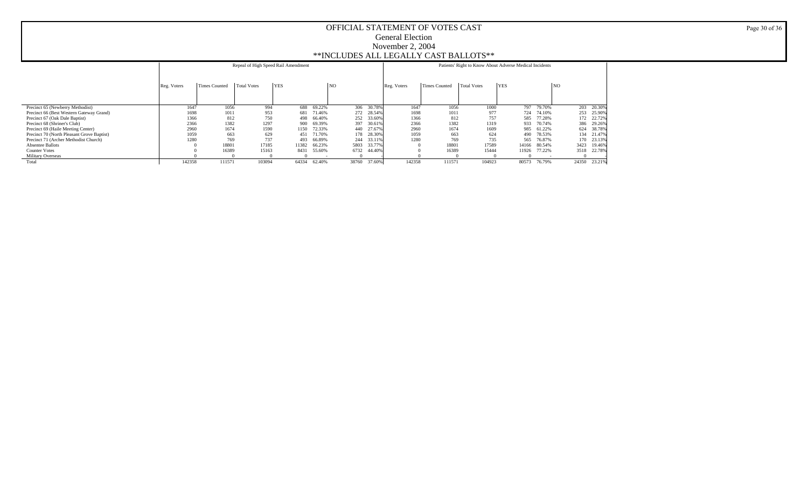|                                            |             |               | Repeal of High Speed Rail Amendment |            |        |       |        |             | Patients' Right to Know About Adverse Medical Incidents |             |                 |            |      |              |  |  |  |  |  |  |  |
|--------------------------------------------|-------------|---------------|-------------------------------------|------------|--------|-------|--------|-------------|---------------------------------------------------------|-------------|-----------------|------------|------|--------------|--|--|--|--|--|--|--|
|                                            | Reg. Voters | Times Counted | <b>Total Votes</b>                  | <b>YES</b> |        | NO    |        | Reg. Voters | Times Counted                                           | Total Votes | $ {\rm \,}$ YES |            | NQ   |              |  |  |  |  |  |  |  |
| Precinct 65 (Newberry Methodist)           | 1647        | 1056          | 994                                 | 688        | 69.22% | 306   | 30.78% | 1647        | 1056                                                    | 1000        |                 | 797 79.70% |      | 203 20.30%   |  |  |  |  |  |  |  |
| Precinct 66 (Best Western Gateway Grand)   | 1698        | 1011          | 953                                 | 681        | 71.46% | 272   | 28.54% | 1698        | 1011                                                    | 977         |                 | 724 74.10% |      | 253 25.90%   |  |  |  |  |  |  |  |
| Precinct 67 (Oak Dale Baptist)             | 1366        | 812           | 750                                 | 498        | 66.40% | 252   | 33.60% | 1366        | 812                                                     | 757         | 585             | 77.28%     |      | 172 22.72%   |  |  |  |  |  |  |  |
| Precinct 68 (Shriner's Club)               | 2366        | 1382          | 1297                                | 900        | 69.39% | 397   | 30.61% | 2366        | 1382                                                    | 1319        | 933             | 70.74%     |      | 386 29.26%   |  |  |  |  |  |  |  |
| Precinct 69 (Haile Meeting Center)         | 2960        | 1674          | 1590                                | 1150       | 72.33% | 440   | 27.67% | 2960        | 1674                                                    | 1609        | 985             | 61.22%     |      | 624 38.78%   |  |  |  |  |  |  |  |
| Precinct 70 (North Pleasant Grove Baptist) | 1059        | 663           | 629                                 | 451        | 71.70% | 178   | 28.30% | 1059        | 663                                                     | 624         | 490             | 78.53%     |      | 134 21.47%   |  |  |  |  |  |  |  |
| Precinct 71 (Archer Methodist Church)      | 1280        | 769           | 737                                 | 493        | 66.89% | 244   | 33.11% | 1280        | 769                                                     | 735         | 565             | 76.87%     |      | 170 23.13%   |  |  |  |  |  |  |  |
| <b>Absentee Ballots</b>                    |             | 18801         | 17185                               | 11382      | 66.23% | 5803  | 33.77% |             | 18801                                                   | 17589       | 14166           | 80.54%     | 3423 | 19.46%       |  |  |  |  |  |  |  |
| <b>Counter Votes</b>                       |             | 16389         | 15163                               | 8431       | 55.60% | 6732  | 44.40% |             | 16389                                                   | 15444       | 11926           | 77.22%     |      | 3518 22.78%  |  |  |  |  |  |  |  |
| <b>Military Overseas</b>                   |             |               |                                     |            |        |       |        |             |                                                         |             |                 |            |      |              |  |  |  |  |  |  |  |
| Total                                      | 142358      | 111571        | 103094                              | 64334      | 62.40% | 38760 | 37.60% | 142358      | 111571                                                  | 104923      | 80573           | 76.79%     |      | 24350 23.21% |  |  |  |  |  |  |  |

Page 30 of 36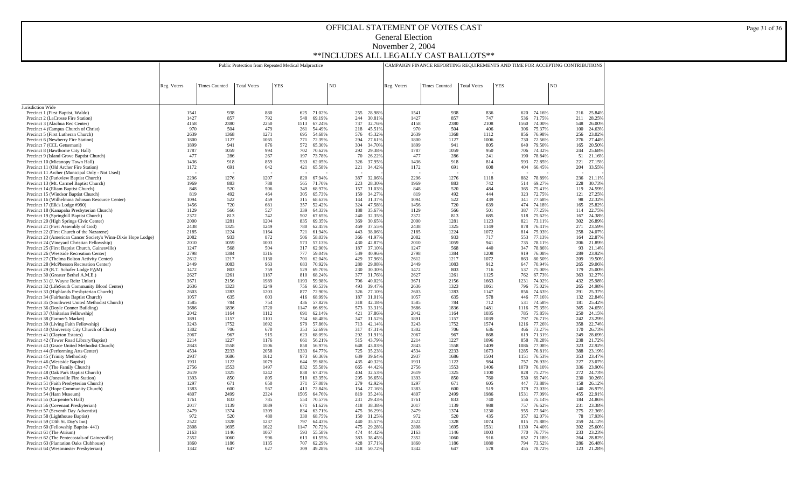|                                                                                                             |              |                      | Public Protection from Repeated Medical Malpractice |            |             |                  |    |            |                  |              | CAMPAIGN FINANCE REPORTING REQUIREMENTS AND TIME FOR ACCEPTING CONTRIBUTIONS |                    |            |             |                  |            |            |                  |
|-------------------------------------------------------------------------------------------------------------|--------------|----------------------|-----------------------------------------------------|------------|-------------|------------------|----|------------|------------------|--------------|------------------------------------------------------------------------------|--------------------|------------|-------------|------------------|------------|------------|------------------|
|                                                                                                             |              |                      |                                                     |            |             |                  |    |            |                  |              |                                                                              |                    |            |             |                  |            |            |                  |
|                                                                                                             | Reg. Voters  | <b>Times Counted</b> | <b>Total Votes</b>                                  | <b>YES</b> |             |                  | NO |            |                  | Reg. Voters  | <b>Times Counted</b>                                                         | <b>Total Votes</b> | <b>YES</b> |             |                  | NO         |            |                  |
|                                                                                                             |              |                      |                                                     |            |             |                  |    |            |                  |              |                                                                              |                    |            |             |                  |            |            |                  |
|                                                                                                             |              |                      |                                                     |            |             |                  |    |            |                  |              |                                                                              |                    |            |             |                  |            |            |                  |
| Jurisdiction Wide<br>Precinct 1 (First Baptist, Waldo)                                                      | 1541         | 938                  | 880                                                 |            | 625         | 71.02%           |    | 255        | 28.98%           | 1541         | 938                                                                          | 836                |            | 620         | 74.16%           |            | 216        | 25.849           |
| Precinct 2 (LaCrosse Fire Station)                                                                          | 1427         | 857                  | 792                                                 |            | 548         | 69.19%           |    | 244        | 30.819           | 1427         | 857                                                                          | 747                |            | 536         | 71.75%           | 211        |            | 28.259           |
| Precinct 3 (Alachua Rec Center)<br>Precinct 4 (Campus Church of Christ)                                     | 4158<br>970  | 2380<br>504          | 2250<br>479                                         |            | 1513<br>261 | 67.24%<br>54.49% |    | 737<br>218 | 32.76%<br>45.519 | 4158<br>970  | 2380<br>504                                                                  | 2108<br>406        |            | 1560<br>306 | 74.00%<br>75.37% |            | 548<br>100 | 26.009<br>24.639 |
| Precinct 5 (First Lutheran Church)                                                                          | 2639         | 1368                 | 1271                                                |            | 695         | 54.68%           |    | 576        | 45.32%           | 2639         | 1368                                                                         | 1112               |            | 856         | 76.98%           | 256        |            | 23.029           |
| Precinct 6 (Newberry Fire Station)                                                                          | 1800         | 1127                 | 1065                                                |            | 771         | 72.39%           |    | 294        | 27.619           | 1800         | 1127                                                                         | 1006               |            | 730         | 72.56%           |            | 276        | 27.449           |
| Precinct 7 (CCL Getsemani)<br>Precinct 8 (Hawthorne City Hall)                                              | 1899<br>1787 | 941<br>1059          | 876<br>994                                          |            | 572<br>702  | 65.30%<br>70.62% |    | 304<br>292 | 34.70%<br>29.38% | 1899<br>1787 | 941<br>1059                                                                  | 805<br>950         |            | 640<br>706  | 79.50%<br>74.32% | 165<br>244 |            | 20.509<br>25.689 |
| Precinct 9 (Island Grove Baptist Church)                                                                    | 477          | 286                  | 267                                                 |            | 197         | 73.78%           |    | 70         | 26.22%           | 477          | 286                                                                          | 241                |            | 190         | 78.84%           |            | 51         | 21.169           |
| Precinct 10 (Micanopy Town Hall)                                                                            | 1436         | 918                  | 859                                                 |            | 533         | 62.05%           |    | 326        | 37.95%           | 1436         | 918                                                                          | 814                |            | 593         | 72.85%           | 221        |            | 27.159           |
| Precinct 11 (Old Archer Fire Station)<br>Precinct 11 Archer (Municipal Only - Not Used)                     | 1172         | 691                  | 642                                                 |            | 421         | 65.58%           |    | 221        | 34.42%           | 1172         | 691                                                                          | 608                |            | 404         | 66.45%           | 204        |            | 33.559           |
| Precinct 12 (Parkview Baptist Church)                                                                       | 2296         | 1276                 | 1207                                                |            | 820         | 67.94%           |    | 387        | 32.06%           | 2296         | 1276                                                                         | 1118               |            | 882         | 78.89%           | 236        |            | 21.119           |
| Precinct 13 (Mt. Carmel Baptist Church)                                                                     | 1969         | 883                  | 788                                                 |            | 565         | 71.70%           |    | 223        | 28.30%           | 1969         | 883                                                                          | 742                |            | 514         | 69.27%           | 228        |            | 30.73%           |
| Precinct 14 (Eliam Baptist Church)<br>Precinct 15 (Windsor Baptist Church)                                  | 848<br>819   | 520<br>492           | 506<br>464                                          |            | 349<br>305  | 68.97%<br>65.73% |    | 157<br>159 | 31.03%<br>34.27% | 848<br>819   | 520<br>492                                                                   | 484<br>444         |            | 365<br>323  | 75.41%<br>72.75% | 121        | 119        | 24.59%<br>27.259 |
| Precinct 16 (Wilhelmina Johnson Resource Center)                                                            | 1094         | 522                  | 459                                                 |            | 315         | 68.63%           |    | 144        | 31.379           | 1094         | 522                                                                          | 439                |            | 341         | 77.68%           |            | 98         | 22.329           |
| Precinct 17 (Elk's Lodge #990)                                                                              | 1456         | 720                  | 681                                                 |            | 357         | 52.42%           |    | 324        | 47.589           | 1456         | 720                                                                          | 639                |            | 474         | 74.18%           | 165        |            | 25.829           |
| Precinct 18 (Kanapaha Presbyterian Church)<br>Precinct 19 (Springhill Baptist Church)                       | 1129<br>2372 | 566<br>813           | 527<br>742                                          |            | 339<br>502  | 64.33%<br>67.65% |    | 188<br>240 | 35.679<br>32.359 | 1129<br>2372 | 566<br>813                                                                   | 501<br>685         |            | 387<br>518  | 77.25%<br>75.62% | 114<br>167 |            | 22.759<br>24.389 |
| Precinct 20 (High Springs Civic Center)                                                                     | 2000         | 1281                 | 1204                                                |            | 835         | 69.35%           |    | 369        | 30.659           | 2000         | 1281                                                                         | 1123               |            | 821         | 73.11%           | 302        |            | 26.899           |
| Precinct 21 (First Assembly of God)                                                                         | 2438         | 1325                 | 1249                                                |            | 780         | 62.45%           |    | 469        | 37.559           | 2438         | 1325                                                                         | 1149               |            | 878         | 76.41%           | 271        |            | 23.599           |
| Precinct 22 (First Church of the Nazarene)<br>Precinct 23 (American Cancer Society's Winn-Dixie Hope Lodge) | 2185<br>2082 | 1224<br>933          | 1164<br>872                                         |            | 721<br>506  | 61.94%<br>58.03% |    | 443<br>366 | 38.069<br>41.979 | 2185<br>2082 | 1224<br>933                                                                  | 1072<br>717        |            | 814<br>553  | 75.93%<br>77.13% | 258<br>164 |            | 24.079<br>22.879 |
| Precinct 24 (Vineyard Christian Fellowship)                                                                 | 2010         | 1059                 | 1003                                                |            | 573         | 57.13%           |    | 430        | 42.879           | 2010         | 1059                                                                         | 941                |            | 735         | 78.11%           | 206        |            | 21.899           |
| Precinct 25 (First Baptist Church, Gainesville)                                                             | 1247         | 568                  | 504                                                 |            | 317         | 62.90%           |    | 187        | 37.109           | 1247         | 568                                                                          | 440                |            | 347         | 78.86%           |            | 93         | 21.149           |
| Precinct 26 (Westside Recreation Center)<br>Precinct 27 (Thelma Bolton Activity Center)                     | 2798<br>2612 | 1384<br>1217         | 1316<br>1130                                        |            | 777<br>701  | 59.04%<br>62.04% |    | 539<br>429 | 40.969<br>37.969 | 2798<br>2612 | 1384<br>1217                                                                 | 1208<br>1072       |            | 919<br>863  | 76.08%<br>80.50% | 289<br>209 |            | 23.929<br>19.509 |
| Precinct 28 (McPherson Recreation Center)                                                                   | 2449         | 1083                 | 963                                                 |            | 683         | 70.92%           |    | 280        | 29.089           | 2449         | 1083                                                                         | 912                |            | 647         | 70.94%           | 265        |            | 29.069           |
| Precinct 29 (R.T. Schafer Lodge FAM)                                                                        | 1472         | 803                  | 759                                                 |            | 529         | 69.70%           |    | 230        | 30.30%           | 1472         | 803                                                                          | 716                |            | 537         | 75.00%           | 179        |            | 25.009           |
| Precinct 30 (Greater Bethel A.M.E.)<br>Precinct 31 (J. Wayne Reitz Union)                                   | 2627<br>3671 | 1261<br>2156         | 1187<br>1989                                        |            | 810<br>1193 | 68.24%<br>59.98% |    | 377<br>796 | 31.76%<br>40.02% | 2627<br>3671 | 1261<br>2156                                                                 | 1125<br>1663       |            | 762<br>1231 | 67.73%<br>74.02% | 363<br>432 |            | 32.279<br>25.98% |
| Precinct 32 (LifeSouth Community Blood Center)                                                              | 2636         | 1323                 | 1249                                                |            | 756         | 60.53%           |    | 493        | 39.479           | 2636         | 1323                                                                         | 1061               |            | 796         | 75.02%           | 265        |            | 24.989           |
| Precinct 33 (Highlands Presbyterian Church)                                                                 | 2603         | 1283                 | 1203                                                |            | 877         | 72.90%           |    | 326        | 27.10%           | 2603         | 1283                                                                         | 1147               |            | 856         | 74.63%           | 291        |            | 25.379           |
| Precinct 34 (Fairbanks Baptist Church)<br>Precinct 35 (Southwest United Methodist Church)                   | 1057<br>1585 | 635<br>784           | 603<br>754                                          |            | 416<br>436  | 68.99%<br>57.82% |    | 187<br>318 | 31.019<br>42.18% | 1057<br>1585 | 635<br>784                                                                   | 578<br>712         |            | 446<br>531  | 77.16%<br>74.58% | 181        | 132        | 22.849<br>25.429 |
| Precinct 36 (Doyle Conner Building)                                                                         | 3686         | 1836                 | 1720                                                |            | 1147        | 66.69%           |    | 573        | 33.319           | 3686         | 1836                                                                         | 1481               |            | 1116        | 75.35%           | 365        |            | 24.659           |
| Precinct 37 (Unitarian Fellowship)                                                                          | 2042         | 1164                 | 1112                                                |            | 691         | 62.14%           |    | 421        | 37.869           | 2042         | 1164                                                                         | 1035               |            | 785         | 75.85%           | 250        |            | 24.159           |
| Precinct 38 (Farmer's Market)                                                                               | 1891         | 1157<br>1752         | 1101<br>1692                                        |            | 754         | 68.48%           |    | 347        | 31.52%           | 1891         | 1157<br>1752                                                                 | 1039<br>1574       |            | 797         | 76.71%           | 242        |            | 23.299<br>22.749 |
| Precinct 39 (Living Faith Fellowship)<br>Precinct 40 (University City Church of Christ)                     | 3243<br>1302 | 706                  | 670                                                 |            | 979<br>353  | 57.86%<br>52.69% |    | 713<br>317 | 42.14%<br>47.319 | 3243<br>1302 | 706                                                                          | 636                |            | 1216<br>466 | 77.26%<br>73.27% | 358        | 170        | 26.739           |
| Precinct 41 (Clayton Estates)                                                                               | 2067         | 967                  | 915                                                 |            | 623         | 68.09%           |    | 292        | 31.919           | 2067         | 967                                                                          | 868                |            | 619         | 71.31%           | 249        |            | 28.699           |
| Precinct 42 (Tower Road Library/Baptist)                                                                    | 2214<br>2843 | 1227<br>1558         | 1176<br>1506                                        |            | 661<br>858  | 56.21%<br>56.97% |    | 515<br>648 | 43.79%<br>43.03% | 2214<br>2843 | 1227<br>1558                                                                 | 1096<br>1409       |            | 858<br>1086 | 78.28%<br>77.08% | 238<br>323 |            | 21.729<br>22.92% |
| Precinct 43 (Grace United Methodist Church)<br>Precinct 44 (Performing Arts Center)                         | 4534         | 2233                 | 2058                                                |            | 1333        | 64.77%           |    | 725        | 35.23%           | 4534         | 2233                                                                         | 1673               |            | 1285        | 76.81%           | 388        |            | 23.19%           |
| Precinct 45 (Trinity Methodist)                                                                             | 2937         | 1686                 | 1612                                                |            | 973         | 60.36%           |    | 639        | 39.64%           | 2937         | 1686                                                                         | 1504               |            | 1151        | 76.53%           | 353        |            | 23.479           |
| Precinct 46 (Westside Baptist)                                                                              | 1931         | 1122                 | 1079                                                |            | 644         | 59.68%           |    | 435        | 40.32%           | 1931         | 1122                                                                         | 984<br>1406        |            | 757         | 76.93%           | 227        |            | 23.079           |
| Precinct 47 (The Family Church)<br>Precinct 48 (Oak Park Baptist Church)                                    | 2756<br>2619 | 1553<br>1325         | 1497<br>1242                                        |            | 832<br>838  | 55.58%<br>67.47% |    | 665<br>404 | 44.42%<br>32.53% | 2756<br>2619 | 1553<br>1325                                                                 | 1100               |            | 1070<br>828 | 76.10%<br>75.27% | 336<br>272 |            | 23.909<br>24.73% |
| Precinct 49 (Jonesville Fire Station)                                                                       | 1393         | 850                  | 805                                                 |            | 510         | 63.35%           |    | 295        | 36.65%           | 1393         | 850                                                                          | 760                |            | 530         | 69.74%           | 230        |            | 30.26%           |
| Precinct 51 (Faith Presbyterian Church)                                                                     | 1297         | 671                  | 650                                                 |            | 371         | 57.08%           |    | 279        | 42.92%           | 1297         | 671                                                                          | 605                |            | 447         | 73.88%           | 158        |            | 26.12%           |
| Precinct 52 (Hope Community Church)<br>Precinct 54 (Harn Museum)                                            | 1383<br>4807 | 600<br>2499          | 567<br>2324                                         |            | 413<br>1505 | 72.84%<br>64.76% |    | 154<br>819 | 27.16%<br>35.24% | 1383<br>4807 | 600<br>2499                                                                  | 519<br>1986        |            | 379<br>1531 | 73.03%<br>77.09% | 140<br>455 |            | 26.979<br>22.919 |
| Precinct 55 (Carpenter's Hall)                                                                              | 1761         | 833                  | 785                                                 |            | 554         | 70.57%           |    | 231        | 29.43%           | 1761         | 833                                                                          | 740                |            | 556         | 75.14%           | 184        |            | 24.86%           |
| Precinct 56 (Covenant Presbyterian)                                                                         | 2017         | 1139                 | 1089                                                |            | 671         | 61.62%           |    | 418        | 38.38%           | 2017         | 1139                                                                         | 988                |            | 757         | 76.62%           | 231        |            | 23.389           |
| Precinct 57 (Seventh Day Adventist)<br>Precinct 58 (Lighthouse Baptist)                                     | 2479<br>972  | 1374<br>520          | 1309<br>480                                         |            | 834<br>330  | 63.71%<br>68.75% |    | 475<br>150 | 36.29%<br>31.259 | 2479<br>972  | 1374<br>520                                                                  | 1230<br>435        |            | 955<br>357  | 77.64%<br>82.07% | 275        | 78         | 22.369<br>17.939 |
| Precinct 59 (13th St. Day's Inn)                                                                            | 2522         | 1328                 | 1237                                                |            | 797         | 64.43%           |    | 440        | 35.579           | 2522         | 1328                                                                         | 1074               |            | 815         | 75.88%           | 259        |            | 24.129           |
| Precinct 60 (Fellowship Baptist-441)                                                                        | 2808         | 1695                 | 1622                                                |            | 1147        | 70.72%           |    | 475        | 29.289           | 2808         | 1695                                                                         | 1531               |            | 1139        | 74.40%           | 392        |            | 25.609           |
| Precinct 61 (The Atrium)<br>Precinct 62 (The Pentecostals of Gainesville)                                   | 2163<br>2352 | 1146<br>1060         | 1067<br>996                                         |            | 593<br>613  | 55.58%<br>61.55% |    | 474<br>383 | 44.42%<br>38.45% | 2163<br>2352 | 1146<br>1060                                                                 | 1003<br>916        |            | 770<br>652  | 76.77%<br>71.18% | 233<br>264 |            | 23.239<br>28.829 |
| Precinct 63 (Plantation Oaks Clubhouse)                                                                     | 1860         | 1186                 | 1135                                                |            | 707         | 62.29%           |    | 428        | 37.71%           | 1860         | 1186                                                                         | 1080               |            | 794         | 73.52%           | 286        |            | 26.48%           |
| Precinct 64 (Westminster Presbyterian)                                                                      | 1342         | 647                  | 627                                                 |            | 309         | 49.28%           |    | 318        | 50.72%           | 1342         | 647                                                                          | 578                |            | 455         | 78.72%           |            | 123        | 21.28%           |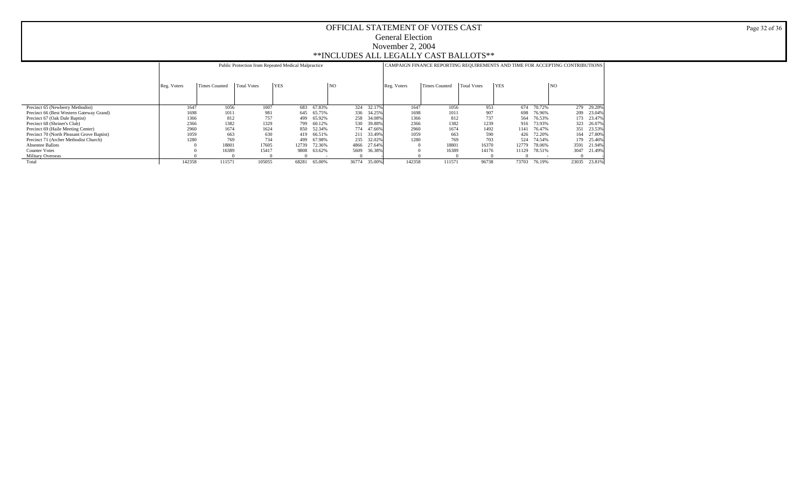|                                            |             |               | Public Protection from Repeated Medical Malpractice |            |        |       |        | CAMPAIGN FINANCE REPORTING REQUIREMENTS AND TIME FOR ACCEPTING CONTRIBUTIONS |                      |                    |            |        |       |        |
|--------------------------------------------|-------------|---------------|-----------------------------------------------------|------------|--------|-------|--------|------------------------------------------------------------------------------|----------------------|--------------------|------------|--------|-------|--------|
|                                            | Reg. Voters | Times Counted | Total Votes                                         | <b>YES</b> |        | NO    |        | Reg. Voters                                                                  | <b>Times Counted</b> | <b>Total Votes</b> | <b>YES</b> |        | NO    |        |
|                                            |             |               |                                                     |            |        |       |        |                                                                              |                      |                    |            |        |       |        |
| Precinct 65 (Newberry Methodist)           | 1647        | 1056          | 1007                                                | 683        | 67.83% | 324   | 32.17% | 1647                                                                         | 1056                 | 953                | 674        | 70.72% | 279   | 29.28% |
| Precinct 66 (Best Western Gateway Grand)   | 1698        | 1011          | 981                                                 | 645        | 65.75% | 336   | 34.25% | 1698                                                                         | 1011                 | 907                | 698        | 76.96% | 209   | 23.04% |
| Precinct 67 (Oak Dale Baptist)             | 1366        | 812           | 757                                                 | 499        | 65.92% | 258   | 34.08% | 1366                                                                         | 812                  | 737                | 564        | 76.53% | 173   | 23.47% |
| Precinct 68 (Shriner's Club)               | 2366        | 1382          | 1329                                                | 799        | 60.12% | 530   | 39.88% | 2366                                                                         | 1382                 | 1239               | 916        | 73.93% | 323   | 26.07% |
| Precinct 69 (Haile Meeting Center)         | 2960        | 1674          | 1624                                                | 850        | 52.34% | 774   | 47.66% | 2960                                                                         | 1674                 | 1492               | 1141       | 76.47% | 351   | 23.539 |
| Precinct 70 (North Pleasant Grove Baptist) | 1059        | 663           | 630                                                 | 419        | 66.51% | 211   | 33.49% | 1059                                                                         | 663                  | 590                | 426        | 72.20% | 164   | 27.80% |
| Precinct 71 (Archer Methodist Church)      | 1280        | 769           | 734                                                 | 499        | 67.98% | 235   | 32.02% | 1280                                                                         | 769                  | 703                | 524        | 74.54% | 179   | 25.46% |
| <b>Absentee Ballots</b>                    |             | 18801         | 17605                                               | 12739      | 72.36% | 4866  | 27.64% |                                                                              | 18801                | 16370              | 12779      | 78.06% | 3591  | 21.94% |
| <b>Counter Votes</b>                       |             | 16389         | 15417                                               | 9808       | 63.62% | 5609  | 36.38% |                                                                              | 16389                | 14176              | 11129      | 78.51% | 3047  | 21.49% |
| <b>Military Overseas</b>                   |             |               |                                                     |            |        |       |        |                                                                              |                      |                    |            |        |       |        |
| Total                                      | 142358      | 111571        | 105055                                              | 68281      | 65.00% | 36774 | 35,00% | 142358                                                                       | 11157                | 96738              | 73703      | 76.19% | 23035 | 23.81% |

Page 32 of 36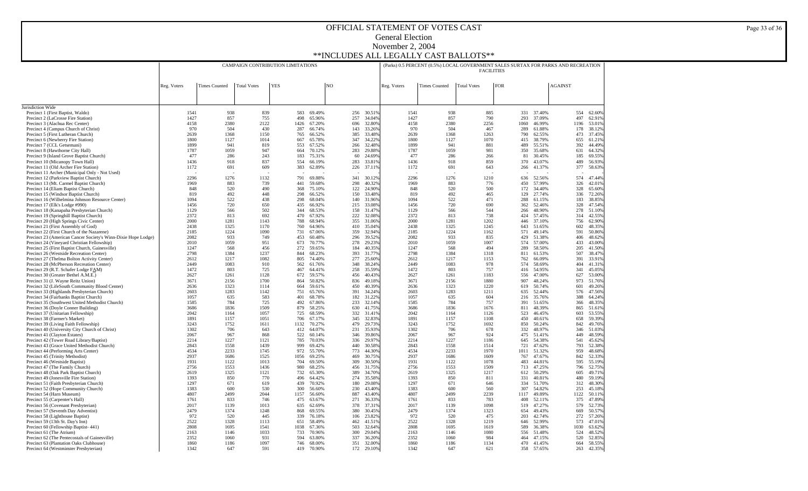|                                                                                           |              |                      | CAMPAIGN CONTRIBUTION LIMITATIONS |            |                                 |    |            |                  |              | (Parks) 0.5 PERCENT (0.5%) LOCAL GOVERNMENT SALES SURTAX FOR PARKS AND RECREATION |                    | <b>FACILITIES</b> |             |                  |                |                  |
|-------------------------------------------------------------------------------------------|--------------|----------------------|-----------------------------------|------------|---------------------------------|----|------------|------------------|--------------|-----------------------------------------------------------------------------------|--------------------|-------------------|-------------|------------------|----------------|------------------|
|                                                                                           | Reg. Voters  | <b>Times Counted</b> | <b>Total Votes</b>                | <b>YES</b> |                                 | NO |            |                  | Reg. Voters  | <b>Times Counted</b>                                                              | <b>Total Votes</b> | FOR               |             |                  | <b>AGAINST</b> |                  |
|                                                                                           |              |                      |                                   |            |                                 |    |            |                  |              |                                                                                   |                    |                   |             |                  |                |                  |
| Jurisdiction Wide                                                                         |              |                      |                                   |            |                                 |    |            |                  |              |                                                                                   |                    |                   |             |                  |                |                  |
| Precinct 1 (First Baptist, Waldo)                                                         | 1541         | 938                  | 839                               |            | 583<br>69.49%                   |    | 256        | 30.51%           | 1541         | 938                                                                               | 885                |                   | 331         | 37.40%           | 554            | 62.60%           |
| Precinct 2 (LaCrosse Fire Station)<br>Precinct 3 (Alachua Rec Center)                     | 1427<br>4158 | 857<br>2380          | 755<br>2122                       |            | 498<br>65.96%<br>1426<br>67.20% |    | 257<br>696 | 34.04%<br>32.80% | 1427<br>4158 | 857<br>2380                                                                       | 790<br>2256        |                   | 293<br>1060 | 37.09%<br>46.99% | 497<br>1196    | 62.91%<br>53.01% |
| Precinct 4 (Campus Church of Christ)                                                      | 970          | 504                  | 430                               |            | 287<br>66.74%                   |    | 143        | 33.26%           | 970          | 504                                                                               | 467                |                   | 289         | 61.88%           | 178            | 38.12%           |
| Precinct 5 (First Lutheran Church)                                                        | 2639         | 1368                 | 1150                              |            | 765<br>66.52%                   |    | 385        | 33.48%           | 2639         | 1368                                                                              | 1263               |                   | 790         | 62.55%           | 473            | 37.45%           |
| Precinct 6 (Newberry Fire Station)                                                        | 1800         | 1127                 | 1014                              |            | 667<br>65.78%                   |    | 347        | 34.22%           | 1800         | 1127                                                                              | 1070               |                   | 415         | 38.79%           | 655            | 61.21%           |
| Precinct 7 (CCL Getsemani)                                                                | 1899         | 941                  | 819                               |            | 553<br>67.52%                   |    | 266        | 32.48%           | 1899         | 941                                                                               | 881                |                   | 489         | 55.51%           | 392            | 44.49%           |
| Precinct 8 (Hawthorne City Hall)                                                          | 1787         | 1059                 | 947                               |            | 664<br>70.12%                   |    | 283        | 29.88%           | 1787         | 1059                                                                              | 981                |                   | 350         | 35.68%           | 631            | 64.32%           |
| Precinct 9 (Island Grove Baptist Church)                                                  | 477          | 286                  | 243                               |            | 183<br>75.31%                   |    | 60         | 24.69%           | 477          | 286                                                                               | 266                |                   | 81          | 30.45%           | 185            | 69.55%           |
| Precinct 10 (Micanopy Town Hall)                                                          | 1436<br>1172 | 918<br>691           | 837                               |            | 554<br>66.19%<br>383<br>62.89%  |    | 283        | 33.81%<br>37.11% | 1436<br>1172 | 918<br>691                                                                        | 859<br>643         |                   | 370         | 43.07%<br>41.37% | 489<br>377     | 56.93%<br>58.63% |
| Precinct 11 (Old Archer Fire Station)<br>Precinct 11 Archer (Municipal Only - Not Used)   |              |                      | 609                               |            |                                 |    | 226        |                  |              |                                                                                   |                    |                   | 266         |                  |                |                  |
| Precinct 12 (Parkview Baptist Church)                                                     | 2296         | 1276                 | 1132                              |            | 791<br>69.88%                   |    | 341        | 30.12%           | 2296         | 1276                                                                              | 1210               |                   | 636         | 52.56%           | 574            | 47.44%           |
| Precinct 13 (Mt. Carmel Baptist Church)                                                   | 1969         | 883                  | 739                               |            | 441<br>59.68%                   |    | 298        | 40.32%           | 1969         | 883                                                                               | 776                |                   | 450         | 57.99%           | 326            | 42.01%           |
| Precinct 14 (Eliam Baptist Church)                                                        | 848          | 520                  | 490                               |            | 368<br>75.10%                   |    | 122        | 24.90%           | 848          | 520                                                                               | 500                |                   | 172         | 34.40%           | 328            | 65.60%           |
| Precinct 15 (Windsor Baptist Church)                                                      | 819          | 492                  | 448                               |            | 298<br>66.52%                   |    | 150        | 33.48%           | 819          | 492                                                                               | 465                |                   | 129         | 27.74%           | 336            | 72.26%           |
| Precinct 16 (Wilhelmina Johnson Resource Center)                                          | 1094         | 522                  | 438                               |            | 68.04%<br>298                   |    | 140        | 31.96%           | 1094         | 522                                                                               | 471                |                   | 288         | 61.15%           | 183            | 38.85%           |
| Precinct 17 (Elk's Lodge #990)                                                            | 1456         | 720                  | 650                               |            | 435<br>66.92%                   |    | 215        | 33.08%           | 1456         | 720                                                                               | 690                |                   | 362         | 52.46%           | 328            | 47.54%           |
| Precinct 18 (Kanapaha Presbyterian Church)<br>Precinct 19 (Springhill Baptist Church)     | 1129<br>2372 | 566<br>813           | 502<br>692                        |            | 344<br>68.53%<br>470<br>67.92%  |    | 158<br>222 | 31.47%<br>32.08% | 1129<br>2372 | 566<br>813                                                                        | 544<br>738         |                   | 266<br>424  | 48.90%<br>57.45% | 278<br>314     | 51.10%<br>42.55% |
| Precinct 20 (High Springs Civic Center)                                                   | 2000         | 1281                 | 1143                              |            | 788<br>68.94%                   |    | 355        | 31.06%           | 2000         | 1281                                                                              | 1202               |                   | 446         | 37.10%           | 756            | 62.90%           |
| Precinct 21 (First Assembly of God)                                                       | 2438         | 1325                 | 1170                              |            | 760<br>64.96%                   |    | 410        | 35.04%           | 2438         | 1325                                                                              | 1245               |                   | 643         | 51.65%           | 602            | 48.35%           |
| Precinct 22 (First Church of the Nazarene)                                                | 2185         | 1224                 | 1090                              |            | 731<br>67.06%                   |    | 359        | 32.94%           | 2185         | 1224                                                                              | 1162               |                   | 571         | 49.14%           | 591            | 50.86%           |
| Precinct 23 (American Cancer Society's Winn-Dixie Hope Lodge)                             | 2082         | 933                  | 749                               |            | 453<br>60.48%                   |    | 296        | 39.52%           | 2082         | 933                                                                               | 835                |                   | 429         | 51.38%           | 406            | 48.62%           |
| Precinct 24 (Vineyard Christian Fellowship)                                               | 2010         | 1059                 | 951                               |            | 673<br>70.77%                   |    | 278        | 29.23%           | 2010         | 1059                                                                              | 1007               |                   | 574         | 57.00%           | 433            | 43.00%           |
| Precinct 25 (First Baptist Church, Gainesville)                                           | 1247         | 568                  | 456                               |            | 272<br>59.65%                   |    | 184        | 40.35%           | 1247         | 568                                                                               | 494                |                   | 289         | 58.50%           | 205            | 41.50%           |
| Precinct 26 (Westside Recreation Center)<br>Precinct 27 (Thelma Bolton Activity Center)   | 2798<br>2612 | 1384<br>1217         | 1237<br>1082                      |            | 844<br>68.23%<br>805<br>74.40%  |    | 393<br>277 | 31.77%<br>25.60% | 2798<br>2612 | 1384<br>1217                                                                      | 1318<br>1153       |                   | 811<br>762  | 61.53%<br>66.09% | 507<br>391     | 38.47%<br>33.91% |
| Precinct 28 (McPherson Recreation Center)                                                 | 2449         | 1083                 | 910                               |            | 562<br>61.76%                   |    | 348        | 38.24%           | 2449         | 1083                                                                              | 978                |                   | 574         | 58.69%           | 404            | 41.31%           |
| Precinct 29 (R.T. Schafer Lodge FAM)                                                      | 1472         | 803                  | 725                               |            | 467<br>64.41%                   |    | 258        | 35.59%           | 1472         | 803                                                                               | 757                |                   | 416         | 54.95%           | 341            | 45.05%           |
| Precinct 30 (Greater Bethel A.M.E.)                                                       | 2627         | 1261                 | 1128                              |            | 672<br>59.57%                   |    | 456        | 40.43%           | 2627         | 1261                                                                              | 1183               |                   | 556         | 47.00%           | 627            | 53.00%           |
| Precinct 31 (J. Wayne Reitz Union)                                                        | 3671         | 2156                 | 1700                              |            | 50.82%<br>864                   |    | 836        | 49.18%           | 3671         | 2156                                                                              | 1880               |                   | 907         | 48.24%           | 973            | 51.76%           |
| Precinct 32 (LifeSouth Community Blood Center)                                            | 2636         | 1323                 | 1114                              |            | 59.61%<br>664                   |    | 450        | 40.39%           | 2636         | 1323                                                                              | 1220               |                   | 619         | 50.74%           | 601            | 49.26%           |
| Precinct 33 (Highlands Presbyterian Church)                                               | 2603         | 1283                 | 1142                              |            | 751<br>65.76%                   |    | 391        | 34.24%           | 2603         | 1283                                                                              | 1211               |                   | 635         | 52.44%           | 576            | 47.56%           |
| Precinct 34 (Fairbanks Baptist Church)<br>Precinct 35 (Southwest United Methodist Church) | 1057<br>1585 | 635<br>784           | 583<br>725                        |            | 401<br>68.78%<br>492<br>67.86%  |    | 182<br>233 | 31.22%<br>32.14% | 1057<br>1585 | 635<br>784                                                                        | 604<br>757         |                   | 216<br>391  | 35.76%<br>51.65% | 388<br>366     | 64.24%<br>48.35% |
| Precinct 36 (Doyle Conner Building)                                                       | 3686         | 1836                 | 1509                              |            | 879<br>58.25%                   |    | 630        | 41.75%           | 3686         | 1836                                                                              | 1676               |                   | 811         | 48.39%           | 865            | 51.61%           |
| Precinct 37 (Unitarian Fellowship)                                                        | 2042         | 1164                 | 1057                              |            | 725<br>68.59%                   |    | 332        | 31.41%           | 2042         | 1164                                                                              | 1126               |                   | 523         | 46.45%           | 603            | 53.55%           |
| Precinct 38 (Farmer's Market)                                                             | 1891         | 1157                 | 1051                              |            | 706<br>67.17%                   |    | 345        | 32.83%           | 1891         | 1157                                                                              | 1108               |                   | 450         | 40.61%           | 658            | 59.39%           |
| Precinct 39 (Living Faith Fellowship)                                                     | 3243         | 1752                 | 1611                              | 1132       | 70.27%                          |    | 479        | 29.73%           | 3243         | 1752                                                                              | 1692               |                   | 850         | 50.24%           | 842            | 49.76%           |
| Precinct 40 (University City Church of Christ)                                            | 1302         | 706                  | 643                               |            | 412<br>64.07%                   |    | 231        | 35.93%           | 1302         | 706                                                                               | 678                |                   | 332         | 48.97%           | 346            | 51.03%           |
| Precinct 41 (Clayton Estates)                                                             | 2067         | 967                  | 868                               |            | 522<br>60.14%                   |    | 346        | 39.86%           | 2067         | 967                                                                               | 924                |                   | 475         | 51.41%           | 449            | 48.59%           |
| Precinct 42 (Tower Road Library/Baptist)<br>Precinct 43 (Grace United Methodist Church)   | 2214<br>2843 | 1227<br>1558         | 1121<br>1439                      |            | 785<br>70.03%<br>999<br>69.42%  |    | 336<br>440 | 29.97%<br>30.58% | 2214<br>2843 | 1227<br>1558                                                                      | 1186<br>1514       |                   | 645<br>721  | 54.38%<br>47.62% | 541<br>793     | 45.62%<br>52.38% |
| Precinct 44 (Performing Arts Center)                                                      | 4534         | 2233                 | 1745                              |            | 972<br>55.70%                   |    | 773        | 44.30%           | 4534         | 2233                                                                              | 1970               |                   | 1011        | 51.32%           | 959            | 48.68%           |
| Precinct 45 (Trinity Methodist)                                                           | 2937         | 1686                 | 1525                              |            | 69.25%<br>1056                  |    | 469        | 30.75%           | 2937         | 1686                                                                              | 1609               |                   | 767         | 47.67%           | 842            | 52.33%           |
| Precinct 46 (Westside Baptist)                                                            | 1931         | 1122                 | 1013                              |            | 704<br>69.50%                   |    | 309        | 30.50%           | 1931         | 1122                                                                              | 1078               |                   | 483         | 44.81%           | 595            | 55.19%           |
| Precinct 47 (The Family Church)                                                           | 2756         | 1553                 | 1436                              |            | 980<br>68.25%                   |    | 456        | 31.75%           | 2756         | 1553                                                                              | 1509               |                   | 713         | 47.25%           | 796            | 52.75%           |
| Precinct 48 (Oak Park Baptist Church)                                                     | 2619         | 1325                 | 1121                              |            | 732<br>65.30%                   |    | 389        | 34.70%           | 2619         | 1325                                                                              | 1217               |                   | 612         | 50.29%           | 605            | 49.71%           |
| Precinct 49 (Jonesville Fire Station)                                                     | 1393         | 850                  | 770                               |            | 64.42%<br>496                   |    | 274        | 35.58%           | 1393         | 850                                                                               | 811                |                   | 331         | 40.81%           | 480            | 59.19%           |
| Precinct 51 (Faith Presbyterian Church)                                                   | 1297<br>1383 | 671<br>600           | 619<br>530                        |            | 439<br>70.92%<br>300<br>56.60%  |    | 180<br>230 | 29.08%<br>43.40% | 1297<br>1383 | 671<br>600                                                                        | 646<br>560         |                   | 334<br>307  | 51.70%<br>54.82% | 312<br>253     | 48.30%           |
| Precinct 52 (Hope Community Church)<br>Precinct 54 (Harn Museum)                          | 4807         | 2499                 | 2044                              | 1157       | 56.60%                          |    | 887        | 43.40%           | 4807         | 2499                                                                              | 2239               |                   | 1117        | 49.89%           | 1122           | 45.18%<br>50.11% |
| Precinct 55 (Carpenter's Hall)                                                            | 1761         | 833                  | 746                               |            | 475<br>63.67%                   |    | 271        | 36.33%           | 1761         | 833                                                                               | 783                |                   | 408         | 52.11%           | 375            | 47.89%           |
| Precinct 56 (Covenant Presbyterian)                                                       | 2017         | 1139                 | 1013                              |            | 635<br>62.69%                   |    | 378        | 37.31%           | 2017         | 1139                                                                              | 1098               |                   | 519         | 47.27%           | 579            | 52.73%           |
| Precinct 57 (Seventh Day Adventist)                                                       | 2479         | 1374                 | 1248                              |            | 868<br>69.55%                   |    | 380        | 30.45%           | 2479         | 1374                                                                              | 1323               |                   | 654         | 49.43%           | 669            | 50.57%           |
| Precinct 58 (Lighthouse Baptist)                                                          | 972          | 520                  | 445                               |            | 339<br>76.18%                   |    | 106        | 23.82%           | 972          | 520                                                                               | 475                |                   | 203         | 42.74%           | 272            | 57.26%           |
| Precinct 59 (13th St. Day's Inn)                                                          | 2522         | 1328                 | 1113                              |            | 58.49%<br>651                   |    | 462        | 41.51%           | 2522         | 1328                                                                              | 1219               |                   | 646         | 52.99%           | 573            | 47.01%           |
| Precinct 60 (Fellowship Baptist-441)                                                      | 2808         | 1695                 | 1541                              |            | 1038<br>67.36%                  |    | 503        | 32.64%           | 2808         | 1695                                                                              | 1619               |                   | 589         | 36.38%           | 1030           | 63.62%           |
| Precinct 61 (The Atrium)<br>Precinct 62 (The Pentecostals of Gainesville)                 | 2163<br>2352 | 1146<br>1060         | 1033<br>931                       |            | 733<br>70.96%<br>594<br>63.80%  |    | 300<br>337 | 29.04%<br>36.20% | 2163<br>2352 | 1146<br>1060                                                                      | 1080<br>984        |                   | 556<br>464  | 51.48%<br>47.15% | 524<br>520     | 48.52%<br>52.85% |
| Precinct 63 (Plantation Oaks Clubhouse)                                                   | 1860         | 1186                 | 1097                              |            | 746<br>68.00%                   |    | 351        | 32.00%           | 1860         | 1186                                                                              | 1134               |                   | 470         | 41.45%           | 664            | 58.55%           |
| Precinct 64 (Westminster Presbyterian)                                                    | 1342         | 647                  | 591                               |            | 419<br>70.90%                   |    |            | 172 29.10%       | 1342         | 647                                                                               | 621                |                   | 358 57.65%  |                  | 263            | 42.35%           |

Page 33 of 36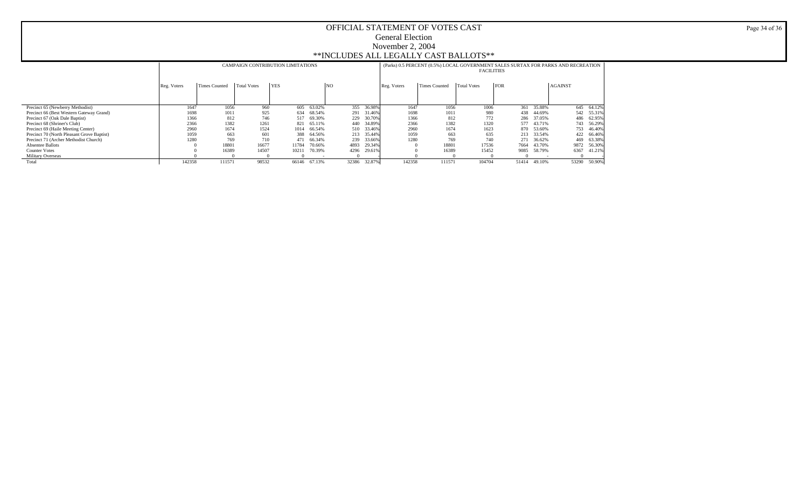|                                            |             |                      |             | CAMPAIGN CONTRIBUTION LIMITATIONS |        |       |        | (Parks) 0.5 PERCENT (0.5%) LOCAL GOVERNMENT SALES SURTAX FOR PARKS AND RECREATION | <b>FACILITIES</b>    |                    |            |        |                |        |
|--------------------------------------------|-------------|----------------------|-------------|-----------------------------------|--------|-------|--------|-----------------------------------------------------------------------------------|----------------------|--------------------|------------|--------|----------------|--------|
|                                            | Reg. Voters | <b>Times Counted</b> | Total Votes | <b>YES</b>                        |        | NO    |        | Reg. Voters                                                                       | <b>Times Counted</b> | <b>Total Votes</b> | <b>FOR</b> |        | <b>AGAINST</b> |        |
|                                            |             |                      |             |                                   |        |       |        |                                                                                   |                      |                    |            |        |                |        |
| Precinct 65 (Newberry Methodist)           | 1647        | 1056                 | 960         | 605                               | 63.02% | 355   | 36.98% | 1647                                                                              | 1056                 | 1006               | 361        | 35.88% | 645            | 64.12% |
| Precinct 66 (Best Western Gateway Grand)   | 1698        | 1011                 | 925         | 634                               | 68.54% | 291   | 31.46% | 1698                                                                              | 1011                 | 980                | 438        | 44.69% | 542            | 55.31% |
| Precinct 67 (Oak Dale Baptist)             | 1366        | 812                  | 746         | 517                               | 69.30% | 229   | 30.70% | 1366                                                                              | 812                  | 772                | 286        | 37.05% | 486            | 62.95% |
| Precinct 68 (Shriner's Club)               | 2366        | 1382                 | 1261        | 821                               | 65.11% | 440   | 34.89% | 2366                                                                              | 1382                 | 1320               | 577        | 43.71% | 743            | 56.29% |
| Precinct 69 (Haile Meeting Center)         | 2960        | 1674                 | 1524        | 1014                              | 66.54% | 510   | 33.46% | 2960                                                                              | 1674                 | 1623               | 870        | 53.60% | 753            | 46.40% |
| Precinct 70 (North Pleasant Grove Baptist) | 1059        | 663                  | 601         | 388                               | 64.56% | 213   | 35.44% | 1059                                                                              | 663                  | 635                | 213        | 33.54% | 422            | 66.46% |
| Precinct 71 (Archer Methodist Church)      | 1280        | 769                  | 710         | 471                               | 66.34% | 239   | 33.66% | 1280                                                                              | 769                  | 740                | 271        | 36.62% | 469            | 63.38% |
| <b>Absentee Ballots</b>                    |             | 1880                 | 16677       | 11784                             | 70.66% | 4893  | 29.34% | $\Omega$                                                                          | 18801                | 17536              | 7664       | 43.70% | 9872           | 56.30% |
| <b>Counter Votes</b>                       |             | 16389                | 14507       | 10211                             | 70.39% | 4296  | 29.61% |                                                                                   | 16389                | 15452              | 9085       | 58.79% | 6367           | 41.21% |
| <b>Military Overseas</b>                   |             |                      |             |                                   |        |       |        |                                                                                   |                      |                    |            |        |                |        |
| Total                                      | 142358      | 111571               | 98532       | 66146                             | 67.13% | 32386 | 32.87% | 142358                                                                            | 111571               | 104704             | 51414      | 49.10% | 53290          | 50.90% |

Page 34 of 36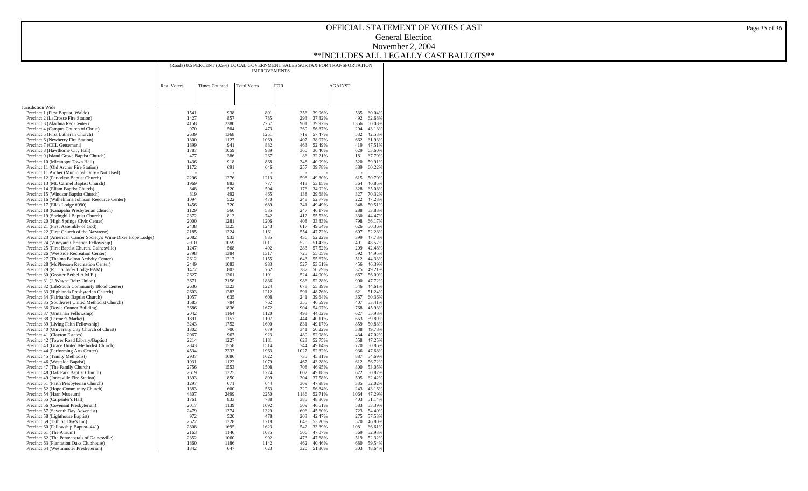| <b>Times Counted</b><br><b>Total Votes</b><br>FOR<br><b>AGAINST</b><br>Reg. Voters<br>Jurisdiction Wide<br>938<br>891<br>Precinct 1 (First Baptist, Waldo)<br>1541<br>356<br>39.96%<br>535<br>60.04%<br>1427<br>857<br>785<br>293<br>37.32%<br>492<br>62.68%<br>Precinct 2 (LaCrosse Fire Station)<br>2380<br>2257<br>Precinct 3 (Alachua Rec Center)<br>4158<br>901<br>39.92%<br>1356<br>60.08%<br>970<br>204<br>Precinct 4 (Campus Church of Christ)<br>504<br>473<br>269<br>56.87%<br>43.13%<br>2639<br>Precinct 5 (First Lutheran Church)<br>1368<br>1251<br>719<br>57.47%<br>532<br>42.53%<br>Precinct 6 (Newberry Fire Station)<br>1800<br>1127<br>1069<br>407<br>38.07%<br>662<br>61.93%<br>Precinct 7 (CCL Getsemani)<br>941<br>419<br>1899<br>882<br>463<br>52.49%<br>47.51%<br>Precinct 8 (Hawthorne City Hall)<br>1787<br>1059<br>989<br>360<br>36.40%<br>629<br>63.60%<br>Precinct 9 (Island Grove Baptist Church)<br>286<br>32.21%<br>67.79%<br>477<br>267<br>86<br>181<br>Precinct 10 (Micanopy Town Hall)<br>1436<br>918<br>520<br>59.91%<br>868<br>348<br>40.09%<br>Precinct 11 (Old Archer Fire Station)<br>1172<br>691<br>646<br>257<br>39.78%<br>389<br>60.22%<br>Precinct 11 Archer (Municipal Only - Not Used)<br>Precinct 12 (Parkview Baptist Church)<br>2296<br>1276<br>1213<br>598<br>49.30%<br>615<br>50.70%<br>Precinct 13 (Mt. Carmel Baptist Church)<br>1969<br>883<br>777<br>413<br>53.15%<br>364<br>46.85%<br>Precinct 14 (Eliam Baptist Church)<br>520<br>504<br>176<br>34.92%<br>328<br>65.08%<br>848<br>492<br>Precinct 15 (Windsor Baptist Church)<br>819<br>465<br>138<br>29.68%<br>327<br>70.32%<br>522<br>222<br>Precinct 16 (Wilhelmina Johnson Resource Center)<br>1094<br>470<br>248<br>52.77%<br>47.23%<br>720<br>341<br>Precinct 17 (Elk's Lodge #990)<br>1456<br>689<br>49.49%<br>348<br>50.51%<br>Precinct 18 (Kanapaha Presbyterian Church)<br>1129<br>566<br>535<br>247<br>46.17%<br>288<br>53.83%<br>Precinct 19 (Springhill Baptist Church)<br>813<br>742<br>330<br>2372<br>412<br>55.53%<br>44.47%<br>Precinct 20 (High Springs Civic Center)<br>2000<br>1281<br>1206<br>408<br>33.83%<br>798<br>66.17%<br>Precinct 21 (First Assembly of God)<br>2438<br>1325<br>1243<br>626<br>617<br>49.64%<br>50.36%<br>2185<br>1224<br>1161<br>607<br>Precinct 22 (First Church of the Nazarene)<br>554<br>47.72%<br>52.28%<br>Precinct 23 (American Cancer Society's Winn-Dixie Hope Lodge)<br>2082<br>933<br>835<br>436<br>399<br>52.22%<br>47.78%<br>1059<br>Precinct 24 (Vineyard Christian Fellowship)<br>2010<br>1011<br>520<br>51.43%<br>491<br>48.57%<br>Precinct 25 (First Baptist Church, Gainesville)<br>1247<br>568<br>492<br>283<br>57.52%<br>209<br>42.48%<br>2798<br>Precinct 26 (Westside Recreation Center)<br>1384<br>1317<br>725<br>55.05%<br>592<br>44.95%<br>Precinct 27 (Thelma Bolton Activity Center)<br>2612<br>1217<br>1155<br>643<br>55.67%<br>512<br>44.33%<br>1083<br>983<br>Precinct 28 (McPherson Recreation Center)<br>2449<br>527<br>53.61%<br>456<br>46.39%<br>Precinct 29 (R.T. Schafer Lodge FAM)<br>1472<br>803<br>762<br>387<br>50.79%<br>375<br>49.21%<br>Precinct 30 (Greater Bethel A.M.E.)<br>2627<br>1261<br>1191<br>524<br>44.00%<br>667<br>56.00%<br>Precinct 31 (J. Wayne Reitz Union)<br>3671<br>2156<br>1886<br>986<br>52.28%<br>900<br>47.72%<br>Precinct 32 (LifeSouth Community Blood Center)<br>1323<br>678<br>2636<br>1224<br>55.39%<br>546<br>44.61%<br>Precinct 33 (Highlands Presbyterian Church)<br>2603<br>1283<br>1212<br>591<br>48.76%<br>621<br>51.24%<br>Precinct 34 (Fairbanks Baptist Church)<br>1057<br>635<br>608<br>241<br>39.64%<br>367<br>60.36%<br>Precinct 35 (Southwest United Methodist Church)<br>784<br>762<br>46.59%<br>407<br>1585<br>355<br>53.41%<br>Precinct 36 (Doyle Conner Building)<br>1836<br>1672<br>904<br>54.07%<br>768<br>45.93%<br>3686<br>Precinct 37 (Unitarian Fellowship)<br>2042<br>1164<br>1120<br>493<br>44.02%<br>627<br>55.98%<br>Precinct 38 (Farmer's Market)<br>1891<br>1157<br>1107<br>444<br>40.11%<br>663<br>59.89%<br>1690<br>Precinct 39 (Living Faith Fellowship)<br>3243<br>1752<br>831<br>49.17%<br>859<br>50.83%<br>Precinct 40 (University City Church of Christ)<br>1302<br>706<br>679<br>341<br>50.22%<br>338<br>49.78%<br>Precinct 41 (Clayton Estates)<br>2067<br>967<br>923<br>489<br>52.98%<br>434<br>47.02%<br>1227<br>Precinct 42 (Tower Road Library/Baptist)<br>2214<br>1181<br>623<br>52.75%<br>558<br>47.25%<br>Precinct 43 (Grace United Methodist Church)<br>2843<br>1558<br>1514<br>744<br>49.14%<br>770<br>50.86%<br>Precinct 44 (Performing Arts Center)<br>4534<br>2233<br>1963<br>1027<br>52.32%<br>936<br>47.68%<br>Precinct 45 (Trinity Methodist)<br>2937<br>1686<br>1622<br>887<br>735<br>45.31%<br>54.69%<br>Precinct 46 (Westside Baptist)<br>1931<br>1122<br>1079<br>467<br>43.28%<br>612<br>56.72%<br>Precinct 47 (The Family Church)<br>2756<br>1553<br>1508<br>708<br>46.95%<br>800<br>53.05%<br>2619<br>1325<br>1224<br>602<br>622<br>Precinct 48 (Oak Park Baptist Church)<br>49.18%<br>50.82%<br>1393<br>850<br>809<br>304<br>505<br>Precinct 49 (Jonesville Fire Station)<br>37.58%<br>62.42%<br>Precinct 51 (Faith Presbyterian Church)<br>1297<br>671<br>644<br>309<br>47.98%<br>335<br>52.02%<br>Precinct 52 (Hope Community Church)<br>1383<br>600<br>563<br>320<br>56.84%<br>243<br>43.16%<br>Precinct 54 (Harn Museum)<br>2499<br>4807<br>2250<br>1186<br>52.71%<br>1064<br>47.29%<br>Precinct 55 (Carpenter's Hall)<br>1761<br>833<br>788<br>385<br>48.86%<br>403<br>51.14%<br>Precinct 56 (Covenant Presbyterian)<br>2017<br>1139<br>1092<br>509<br>583<br>53.39%<br>46.61%<br>1374<br>Precinct 57 (Seventh Day Adventist)<br>2479<br>1329<br>606<br>723<br>54.40%<br>45.60%<br>972<br>275<br>Precinct 58 (Lighthouse Baptist)<br>520<br>478<br>203<br>42.47%<br>57.53%<br>Precinct 59 (13th St. Day's Inn)<br>2522<br>1328<br>1218<br>648<br>53.20%<br>570<br>46.80%<br>Precinct 60 (Fellowship Baptist-441)<br>1695<br>542<br>2808<br>1623<br>33.39%<br>1081<br>66.61%<br>Precinct 61 (The Atrium)<br>2163<br>1146<br>1075<br>506<br>47.07%<br>569<br>52.93%<br>2352<br>1060<br>992<br>473<br>519<br>52.32%<br>Precinct 62 (The Pentecostals of Gainesville)<br>47.68%<br>Precinct 63 (Plantation Oaks Clubhouse)<br>1186<br>1142<br>40.46%<br>59.54%<br>1860<br>462<br>680<br>Precinct 64 (Westminster Presbyterian)<br>320<br>303<br>1342<br>647<br>623<br>51.36%<br>48.64% |  | (Roads) 0.5 PERCENT (0.5%) LOCAL GOVERNMENT SALES SURTAX FOR TRANSPORTATION<br><b>IMPROVEMENTS</b> |  |  |
|---------------------------------------------------------------------------------------------------------------------------------------------------------------------------------------------------------------------------------------------------------------------------------------------------------------------------------------------------------------------------------------------------------------------------------------------------------------------------------------------------------------------------------------------------------------------------------------------------------------------------------------------------------------------------------------------------------------------------------------------------------------------------------------------------------------------------------------------------------------------------------------------------------------------------------------------------------------------------------------------------------------------------------------------------------------------------------------------------------------------------------------------------------------------------------------------------------------------------------------------------------------------------------------------------------------------------------------------------------------------------------------------------------------------------------------------------------------------------------------------------------------------------------------------------------------------------------------------------------------------------------------------------------------------------------------------------------------------------------------------------------------------------------------------------------------------------------------------------------------------------------------------------------------------------------------------------------------------------------------------------------------------------------------------------------------------------------------------------------------------------------------------------------------------------------------------------------------------------------------------------------------------------------------------------------------------------------------------------------------------------------------------------------------------------------------------------------------------------------------------------------------------------------------------------------------------------------------------------------------------------------------------------------------------------------------------------------------------------------------------------------------------------------------------------------------------------------------------------------------------------------------------------------------------------------------------------------------------------------------------------------------------------------------------------------------------------------------------------------------------------------------------------------------------------------------------------------------------------------------------------------------------------------------------------------------------------------------------------------------------------------------------------------------------------------------------------------------------------------------------------------------------------------------------------------------------------------------------------------------------------------------------------------------------------------------------------------------------------------------------------------------------------------------------------------------------------------------------------------------------------------------------------------------------------------------------------------------------------------------------------------------------------------------------------------------------------------------------------------------------------------------------------------------------------------------------------------------------------------------------------------------------------------------------------------------------------------------------------------------------------------------------------------------------------------------------------------------------------------------------------------------------------------------------------------------------------------------------------------------------------------------------------------------------------------------------------------------------------------------------------------------------------------------------------------------------------------------------------------------------------------------------------------------------------------------------------------------------------------------------------------------------------------------------------------------------------------------------------------------------------------------------------------------------------------------------------------------------------------------------------------------------------------------------------------------------------------------------------------------------------------------------------------------------------------------------------------------------------------------------------------------------------------------------------------------------------------------------------------------------------------------------------------------------------------------------------------------------------------------------------------------------------------------------------------------------------------------------------------------------------------------------------------------------------------------------------------------------------------------------------------------------------------------------------------------------------------------------------------------------------------------------------------------------------------------------------------------------------------------------------------------------------------------------------------------------------------------------------------------------------------------------------------------------------------------------------------------------------------|--|----------------------------------------------------------------------------------------------------|--|--|
|                                                                                                                                                                                                                                                                                                                                                                                                                                                                                                                                                                                                                                                                                                                                                                                                                                                                                                                                                                                                                                                                                                                                                                                                                                                                                                                                                                                                                                                                                                                                                                                                                                                                                                                                                                                                                                                                                                                                                                                                                                                                                                                                                                                                                                                                                                                                                                                                                                                                                                                                                                                                                                                                                                                                                                                                                                                                                                                                                                                                                                                                                                                                                                                                                                                                                                                                                                                                                                                                                                                                                                                                                                                                                                                                                                                                                                                                                                                                                                                                                                                                                                                                                                                                                                                                                                                                                                                                                                                                                                                                                                                                                                                                                                                                                                                                                                                                                                                                                                                                                                                                                                                                                                                                                                                                                                                                                                                                                                                                                                                                                                                                                                                                                                                                                                                                                                                                                                                                                                                                                                                                                                                                                                                                                                                                                                                                                                                                                                                                                 |  |                                                                                                    |  |  |
|                                                                                                                                                                                                                                                                                                                                                                                                                                                                                                                                                                                                                                                                                                                                                                                                                                                                                                                                                                                                                                                                                                                                                                                                                                                                                                                                                                                                                                                                                                                                                                                                                                                                                                                                                                                                                                                                                                                                                                                                                                                                                                                                                                                                                                                                                                                                                                                                                                                                                                                                                                                                                                                                                                                                                                                                                                                                                                                                                                                                                                                                                                                                                                                                                                                                                                                                                                                                                                                                                                                                                                                                                                                                                                                                                                                                                                                                                                                                                                                                                                                                                                                                                                                                                                                                                                                                                                                                                                                                                                                                                                                                                                                                                                                                                                                                                                                                                                                                                                                                                                                                                                                                                                                                                                                                                                                                                                                                                                                                                                                                                                                                                                                                                                                                                                                                                                                                                                                                                                                                                                                                                                                                                                                                                                                                                                                                                                                                                                                                                 |  |                                                                                                    |  |  |
|                                                                                                                                                                                                                                                                                                                                                                                                                                                                                                                                                                                                                                                                                                                                                                                                                                                                                                                                                                                                                                                                                                                                                                                                                                                                                                                                                                                                                                                                                                                                                                                                                                                                                                                                                                                                                                                                                                                                                                                                                                                                                                                                                                                                                                                                                                                                                                                                                                                                                                                                                                                                                                                                                                                                                                                                                                                                                                                                                                                                                                                                                                                                                                                                                                                                                                                                                                                                                                                                                                                                                                                                                                                                                                                                                                                                                                                                                                                                                                                                                                                                                                                                                                                                                                                                                                                                                                                                                                                                                                                                                                                                                                                                                                                                                                                                                                                                                                                                                                                                                                                                                                                                                                                                                                                                                                                                                                                                                                                                                                                                                                                                                                                                                                                                                                                                                                                                                                                                                                                                                                                                                                                                                                                                                                                                                                                                                                                                                                                                                 |  |                                                                                                    |  |  |
|                                                                                                                                                                                                                                                                                                                                                                                                                                                                                                                                                                                                                                                                                                                                                                                                                                                                                                                                                                                                                                                                                                                                                                                                                                                                                                                                                                                                                                                                                                                                                                                                                                                                                                                                                                                                                                                                                                                                                                                                                                                                                                                                                                                                                                                                                                                                                                                                                                                                                                                                                                                                                                                                                                                                                                                                                                                                                                                                                                                                                                                                                                                                                                                                                                                                                                                                                                                                                                                                                                                                                                                                                                                                                                                                                                                                                                                                                                                                                                                                                                                                                                                                                                                                                                                                                                                                                                                                                                                                                                                                                                                                                                                                                                                                                                                                                                                                                                                                                                                                                                                                                                                                                                                                                                                                                                                                                                                                                                                                                                                                                                                                                                                                                                                                                                                                                                                                                                                                                                                                                                                                                                                                                                                                                                                                                                                                                                                                                                                                                 |  |                                                                                                    |  |  |
|                                                                                                                                                                                                                                                                                                                                                                                                                                                                                                                                                                                                                                                                                                                                                                                                                                                                                                                                                                                                                                                                                                                                                                                                                                                                                                                                                                                                                                                                                                                                                                                                                                                                                                                                                                                                                                                                                                                                                                                                                                                                                                                                                                                                                                                                                                                                                                                                                                                                                                                                                                                                                                                                                                                                                                                                                                                                                                                                                                                                                                                                                                                                                                                                                                                                                                                                                                                                                                                                                                                                                                                                                                                                                                                                                                                                                                                                                                                                                                                                                                                                                                                                                                                                                                                                                                                                                                                                                                                                                                                                                                                                                                                                                                                                                                                                                                                                                                                                                                                                                                                                                                                                                                                                                                                                                                                                                                                                                                                                                                                                                                                                                                                                                                                                                                                                                                                                                                                                                                                                                                                                                                                                                                                                                                                                                                                                                                                                                                                                                 |  |                                                                                                    |  |  |
|                                                                                                                                                                                                                                                                                                                                                                                                                                                                                                                                                                                                                                                                                                                                                                                                                                                                                                                                                                                                                                                                                                                                                                                                                                                                                                                                                                                                                                                                                                                                                                                                                                                                                                                                                                                                                                                                                                                                                                                                                                                                                                                                                                                                                                                                                                                                                                                                                                                                                                                                                                                                                                                                                                                                                                                                                                                                                                                                                                                                                                                                                                                                                                                                                                                                                                                                                                                                                                                                                                                                                                                                                                                                                                                                                                                                                                                                                                                                                                                                                                                                                                                                                                                                                                                                                                                                                                                                                                                                                                                                                                                                                                                                                                                                                                                                                                                                                                                                                                                                                                                                                                                                                                                                                                                                                                                                                                                                                                                                                                                                                                                                                                                                                                                                                                                                                                                                                                                                                                                                                                                                                                                                                                                                                                                                                                                                                                                                                                                                                 |  |                                                                                                    |  |  |
|                                                                                                                                                                                                                                                                                                                                                                                                                                                                                                                                                                                                                                                                                                                                                                                                                                                                                                                                                                                                                                                                                                                                                                                                                                                                                                                                                                                                                                                                                                                                                                                                                                                                                                                                                                                                                                                                                                                                                                                                                                                                                                                                                                                                                                                                                                                                                                                                                                                                                                                                                                                                                                                                                                                                                                                                                                                                                                                                                                                                                                                                                                                                                                                                                                                                                                                                                                                                                                                                                                                                                                                                                                                                                                                                                                                                                                                                                                                                                                                                                                                                                                                                                                                                                                                                                                                                                                                                                                                                                                                                                                                                                                                                                                                                                                                                                                                                                                                                                                                                                                                                                                                                                                                                                                                                                                                                                                                                                                                                                                                                                                                                                                                                                                                                                                                                                                                                                                                                                                                                                                                                                                                                                                                                                                                                                                                                                                                                                                                                                 |  |                                                                                                    |  |  |
|                                                                                                                                                                                                                                                                                                                                                                                                                                                                                                                                                                                                                                                                                                                                                                                                                                                                                                                                                                                                                                                                                                                                                                                                                                                                                                                                                                                                                                                                                                                                                                                                                                                                                                                                                                                                                                                                                                                                                                                                                                                                                                                                                                                                                                                                                                                                                                                                                                                                                                                                                                                                                                                                                                                                                                                                                                                                                                                                                                                                                                                                                                                                                                                                                                                                                                                                                                                                                                                                                                                                                                                                                                                                                                                                                                                                                                                                                                                                                                                                                                                                                                                                                                                                                                                                                                                                                                                                                                                                                                                                                                                                                                                                                                                                                                                                                                                                                                                                                                                                                                                                                                                                                                                                                                                                                                                                                                                                                                                                                                                                                                                                                                                                                                                                                                                                                                                                                                                                                                                                                                                                                                                                                                                                                                                                                                                                                                                                                                                                                 |  |                                                                                                    |  |  |
|                                                                                                                                                                                                                                                                                                                                                                                                                                                                                                                                                                                                                                                                                                                                                                                                                                                                                                                                                                                                                                                                                                                                                                                                                                                                                                                                                                                                                                                                                                                                                                                                                                                                                                                                                                                                                                                                                                                                                                                                                                                                                                                                                                                                                                                                                                                                                                                                                                                                                                                                                                                                                                                                                                                                                                                                                                                                                                                                                                                                                                                                                                                                                                                                                                                                                                                                                                                                                                                                                                                                                                                                                                                                                                                                                                                                                                                                                                                                                                                                                                                                                                                                                                                                                                                                                                                                                                                                                                                                                                                                                                                                                                                                                                                                                                                                                                                                                                                                                                                                                                                                                                                                                                                                                                                                                                                                                                                                                                                                                                                                                                                                                                                                                                                                                                                                                                                                                                                                                                                                                                                                                                                                                                                                                                                                                                                                                                                                                                                                                 |  |                                                                                                    |  |  |
|                                                                                                                                                                                                                                                                                                                                                                                                                                                                                                                                                                                                                                                                                                                                                                                                                                                                                                                                                                                                                                                                                                                                                                                                                                                                                                                                                                                                                                                                                                                                                                                                                                                                                                                                                                                                                                                                                                                                                                                                                                                                                                                                                                                                                                                                                                                                                                                                                                                                                                                                                                                                                                                                                                                                                                                                                                                                                                                                                                                                                                                                                                                                                                                                                                                                                                                                                                                                                                                                                                                                                                                                                                                                                                                                                                                                                                                                                                                                                                                                                                                                                                                                                                                                                                                                                                                                                                                                                                                                                                                                                                                                                                                                                                                                                                                                                                                                                                                                                                                                                                                                                                                                                                                                                                                                                                                                                                                                                                                                                                                                                                                                                                                                                                                                                                                                                                                                                                                                                                                                                                                                                                                                                                                                                                                                                                                                                                                                                                                                                 |  |                                                                                                    |  |  |
|                                                                                                                                                                                                                                                                                                                                                                                                                                                                                                                                                                                                                                                                                                                                                                                                                                                                                                                                                                                                                                                                                                                                                                                                                                                                                                                                                                                                                                                                                                                                                                                                                                                                                                                                                                                                                                                                                                                                                                                                                                                                                                                                                                                                                                                                                                                                                                                                                                                                                                                                                                                                                                                                                                                                                                                                                                                                                                                                                                                                                                                                                                                                                                                                                                                                                                                                                                                                                                                                                                                                                                                                                                                                                                                                                                                                                                                                                                                                                                                                                                                                                                                                                                                                                                                                                                                                                                                                                                                                                                                                                                                                                                                                                                                                                                                                                                                                                                                                                                                                                                                                                                                                                                                                                                                                                                                                                                                                                                                                                                                                                                                                                                                                                                                                                                                                                                                                                                                                                                                                                                                                                                                                                                                                                                                                                                                                                                                                                                                                                 |  |                                                                                                    |  |  |
|                                                                                                                                                                                                                                                                                                                                                                                                                                                                                                                                                                                                                                                                                                                                                                                                                                                                                                                                                                                                                                                                                                                                                                                                                                                                                                                                                                                                                                                                                                                                                                                                                                                                                                                                                                                                                                                                                                                                                                                                                                                                                                                                                                                                                                                                                                                                                                                                                                                                                                                                                                                                                                                                                                                                                                                                                                                                                                                                                                                                                                                                                                                                                                                                                                                                                                                                                                                                                                                                                                                                                                                                                                                                                                                                                                                                                                                                                                                                                                                                                                                                                                                                                                                                                                                                                                                                                                                                                                                                                                                                                                                                                                                                                                                                                                                                                                                                                                                                                                                                                                                                                                                                                                                                                                                                                                                                                                                                                                                                                                                                                                                                                                                                                                                                                                                                                                                                                                                                                                                                                                                                                                                                                                                                                                                                                                                                                                                                                                                                                 |  |                                                                                                    |  |  |
|                                                                                                                                                                                                                                                                                                                                                                                                                                                                                                                                                                                                                                                                                                                                                                                                                                                                                                                                                                                                                                                                                                                                                                                                                                                                                                                                                                                                                                                                                                                                                                                                                                                                                                                                                                                                                                                                                                                                                                                                                                                                                                                                                                                                                                                                                                                                                                                                                                                                                                                                                                                                                                                                                                                                                                                                                                                                                                                                                                                                                                                                                                                                                                                                                                                                                                                                                                                                                                                                                                                                                                                                                                                                                                                                                                                                                                                                                                                                                                                                                                                                                                                                                                                                                                                                                                                                                                                                                                                                                                                                                                                                                                                                                                                                                                                                                                                                                                                                                                                                                                                                                                                                                                                                                                                                                                                                                                                                                                                                                                                                                                                                                                                                                                                                                                                                                                                                                                                                                                                                                                                                                                                                                                                                                                                                                                                                                                                                                                                                                 |  |                                                                                                    |  |  |
|                                                                                                                                                                                                                                                                                                                                                                                                                                                                                                                                                                                                                                                                                                                                                                                                                                                                                                                                                                                                                                                                                                                                                                                                                                                                                                                                                                                                                                                                                                                                                                                                                                                                                                                                                                                                                                                                                                                                                                                                                                                                                                                                                                                                                                                                                                                                                                                                                                                                                                                                                                                                                                                                                                                                                                                                                                                                                                                                                                                                                                                                                                                                                                                                                                                                                                                                                                                                                                                                                                                                                                                                                                                                                                                                                                                                                                                                                                                                                                                                                                                                                                                                                                                                                                                                                                                                                                                                                                                                                                                                                                                                                                                                                                                                                                                                                                                                                                                                                                                                                                                                                                                                                                                                                                                                                                                                                                                                                                                                                                                                                                                                                                                                                                                                                                                                                                                                                                                                                                                                                                                                                                                                                                                                                                                                                                                                                                                                                                                                                 |  |                                                                                                    |  |  |
|                                                                                                                                                                                                                                                                                                                                                                                                                                                                                                                                                                                                                                                                                                                                                                                                                                                                                                                                                                                                                                                                                                                                                                                                                                                                                                                                                                                                                                                                                                                                                                                                                                                                                                                                                                                                                                                                                                                                                                                                                                                                                                                                                                                                                                                                                                                                                                                                                                                                                                                                                                                                                                                                                                                                                                                                                                                                                                                                                                                                                                                                                                                                                                                                                                                                                                                                                                                                                                                                                                                                                                                                                                                                                                                                                                                                                                                                                                                                                                                                                                                                                                                                                                                                                                                                                                                                                                                                                                                                                                                                                                                                                                                                                                                                                                                                                                                                                                                                                                                                                                                                                                                                                                                                                                                                                                                                                                                                                                                                                                                                                                                                                                                                                                                                                                                                                                                                                                                                                                                                                                                                                                                                                                                                                                                                                                                                                                                                                                                                                 |  |                                                                                                    |  |  |
|                                                                                                                                                                                                                                                                                                                                                                                                                                                                                                                                                                                                                                                                                                                                                                                                                                                                                                                                                                                                                                                                                                                                                                                                                                                                                                                                                                                                                                                                                                                                                                                                                                                                                                                                                                                                                                                                                                                                                                                                                                                                                                                                                                                                                                                                                                                                                                                                                                                                                                                                                                                                                                                                                                                                                                                                                                                                                                                                                                                                                                                                                                                                                                                                                                                                                                                                                                                                                                                                                                                                                                                                                                                                                                                                                                                                                                                                                                                                                                                                                                                                                                                                                                                                                                                                                                                                                                                                                                                                                                                                                                                                                                                                                                                                                                                                                                                                                                                                                                                                                                                                                                                                                                                                                                                                                                                                                                                                                                                                                                                                                                                                                                                                                                                                                                                                                                                                                                                                                                                                                                                                                                                                                                                                                                                                                                                                                                                                                                                                                 |  |                                                                                                    |  |  |
|                                                                                                                                                                                                                                                                                                                                                                                                                                                                                                                                                                                                                                                                                                                                                                                                                                                                                                                                                                                                                                                                                                                                                                                                                                                                                                                                                                                                                                                                                                                                                                                                                                                                                                                                                                                                                                                                                                                                                                                                                                                                                                                                                                                                                                                                                                                                                                                                                                                                                                                                                                                                                                                                                                                                                                                                                                                                                                                                                                                                                                                                                                                                                                                                                                                                                                                                                                                                                                                                                                                                                                                                                                                                                                                                                                                                                                                                                                                                                                                                                                                                                                                                                                                                                                                                                                                                                                                                                                                                                                                                                                                                                                                                                                                                                                                                                                                                                                                                                                                                                                                                                                                                                                                                                                                                                                                                                                                                                                                                                                                                                                                                                                                                                                                                                                                                                                                                                                                                                                                                                                                                                                                                                                                                                                                                                                                                                                                                                                                                                 |  |                                                                                                    |  |  |
|                                                                                                                                                                                                                                                                                                                                                                                                                                                                                                                                                                                                                                                                                                                                                                                                                                                                                                                                                                                                                                                                                                                                                                                                                                                                                                                                                                                                                                                                                                                                                                                                                                                                                                                                                                                                                                                                                                                                                                                                                                                                                                                                                                                                                                                                                                                                                                                                                                                                                                                                                                                                                                                                                                                                                                                                                                                                                                                                                                                                                                                                                                                                                                                                                                                                                                                                                                                                                                                                                                                                                                                                                                                                                                                                                                                                                                                                                                                                                                                                                                                                                                                                                                                                                                                                                                                                                                                                                                                                                                                                                                                                                                                                                                                                                                                                                                                                                                                                                                                                                                                                                                                                                                                                                                                                                                                                                                                                                                                                                                                                                                                                                                                                                                                                                                                                                                                                                                                                                                                                                                                                                                                                                                                                                                                                                                                                                                                                                                                                                 |  |                                                                                                    |  |  |
|                                                                                                                                                                                                                                                                                                                                                                                                                                                                                                                                                                                                                                                                                                                                                                                                                                                                                                                                                                                                                                                                                                                                                                                                                                                                                                                                                                                                                                                                                                                                                                                                                                                                                                                                                                                                                                                                                                                                                                                                                                                                                                                                                                                                                                                                                                                                                                                                                                                                                                                                                                                                                                                                                                                                                                                                                                                                                                                                                                                                                                                                                                                                                                                                                                                                                                                                                                                                                                                                                                                                                                                                                                                                                                                                                                                                                                                                                                                                                                                                                                                                                                                                                                                                                                                                                                                                                                                                                                                                                                                                                                                                                                                                                                                                                                                                                                                                                                                                                                                                                                                                                                                                                                                                                                                                                                                                                                                                                                                                                                                                                                                                                                                                                                                                                                                                                                                                                                                                                                                                                                                                                                                                                                                                                                                                                                                                                                                                                                                                                 |  |                                                                                                    |  |  |
|                                                                                                                                                                                                                                                                                                                                                                                                                                                                                                                                                                                                                                                                                                                                                                                                                                                                                                                                                                                                                                                                                                                                                                                                                                                                                                                                                                                                                                                                                                                                                                                                                                                                                                                                                                                                                                                                                                                                                                                                                                                                                                                                                                                                                                                                                                                                                                                                                                                                                                                                                                                                                                                                                                                                                                                                                                                                                                                                                                                                                                                                                                                                                                                                                                                                                                                                                                                                                                                                                                                                                                                                                                                                                                                                                                                                                                                                                                                                                                                                                                                                                                                                                                                                                                                                                                                                                                                                                                                                                                                                                                                                                                                                                                                                                                                                                                                                                                                                                                                                                                                                                                                                                                                                                                                                                                                                                                                                                                                                                                                                                                                                                                                                                                                                                                                                                                                                                                                                                                                                                                                                                                                                                                                                                                                                                                                                                                                                                                                                                 |  |                                                                                                    |  |  |
|                                                                                                                                                                                                                                                                                                                                                                                                                                                                                                                                                                                                                                                                                                                                                                                                                                                                                                                                                                                                                                                                                                                                                                                                                                                                                                                                                                                                                                                                                                                                                                                                                                                                                                                                                                                                                                                                                                                                                                                                                                                                                                                                                                                                                                                                                                                                                                                                                                                                                                                                                                                                                                                                                                                                                                                                                                                                                                                                                                                                                                                                                                                                                                                                                                                                                                                                                                                                                                                                                                                                                                                                                                                                                                                                                                                                                                                                                                                                                                                                                                                                                                                                                                                                                                                                                                                                                                                                                                                                                                                                                                                                                                                                                                                                                                                                                                                                                                                                                                                                                                                                                                                                                                                                                                                                                                                                                                                                                                                                                                                                                                                                                                                                                                                                                                                                                                                                                                                                                                                                                                                                                                                                                                                                                                                                                                                                                                                                                                                                                 |  |                                                                                                    |  |  |
|                                                                                                                                                                                                                                                                                                                                                                                                                                                                                                                                                                                                                                                                                                                                                                                                                                                                                                                                                                                                                                                                                                                                                                                                                                                                                                                                                                                                                                                                                                                                                                                                                                                                                                                                                                                                                                                                                                                                                                                                                                                                                                                                                                                                                                                                                                                                                                                                                                                                                                                                                                                                                                                                                                                                                                                                                                                                                                                                                                                                                                                                                                                                                                                                                                                                                                                                                                                                                                                                                                                                                                                                                                                                                                                                                                                                                                                                                                                                                                                                                                                                                                                                                                                                                                                                                                                                                                                                                                                                                                                                                                                                                                                                                                                                                                                                                                                                                                                                                                                                                                                                                                                                                                                                                                                                                                                                                                                                                                                                                                                                                                                                                                                                                                                                                                                                                                                                                                                                                                                                                                                                                                                                                                                                                                                                                                                                                                                                                                                                                 |  |                                                                                                    |  |  |
|                                                                                                                                                                                                                                                                                                                                                                                                                                                                                                                                                                                                                                                                                                                                                                                                                                                                                                                                                                                                                                                                                                                                                                                                                                                                                                                                                                                                                                                                                                                                                                                                                                                                                                                                                                                                                                                                                                                                                                                                                                                                                                                                                                                                                                                                                                                                                                                                                                                                                                                                                                                                                                                                                                                                                                                                                                                                                                                                                                                                                                                                                                                                                                                                                                                                                                                                                                                                                                                                                                                                                                                                                                                                                                                                                                                                                                                                                                                                                                                                                                                                                                                                                                                                                                                                                                                                                                                                                                                                                                                                                                                                                                                                                                                                                                                                                                                                                                                                                                                                                                                                                                                                                                                                                                                                                                                                                                                                                                                                                                                                                                                                                                                                                                                                                                                                                                                                                                                                                                                                                                                                                                                                                                                                                                                                                                                                                                                                                                                                                 |  |                                                                                                    |  |  |
|                                                                                                                                                                                                                                                                                                                                                                                                                                                                                                                                                                                                                                                                                                                                                                                                                                                                                                                                                                                                                                                                                                                                                                                                                                                                                                                                                                                                                                                                                                                                                                                                                                                                                                                                                                                                                                                                                                                                                                                                                                                                                                                                                                                                                                                                                                                                                                                                                                                                                                                                                                                                                                                                                                                                                                                                                                                                                                                                                                                                                                                                                                                                                                                                                                                                                                                                                                                                                                                                                                                                                                                                                                                                                                                                                                                                                                                                                                                                                                                                                                                                                                                                                                                                                                                                                                                                                                                                                                                                                                                                                                                                                                                                                                                                                                                                                                                                                                                                                                                                                                                                                                                                                                                                                                                                                                                                                                                                                                                                                                                                                                                                                                                                                                                                                                                                                                                                                                                                                                                                                                                                                                                                                                                                                                                                                                                                                                                                                                                                                 |  |                                                                                                    |  |  |
|                                                                                                                                                                                                                                                                                                                                                                                                                                                                                                                                                                                                                                                                                                                                                                                                                                                                                                                                                                                                                                                                                                                                                                                                                                                                                                                                                                                                                                                                                                                                                                                                                                                                                                                                                                                                                                                                                                                                                                                                                                                                                                                                                                                                                                                                                                                                                                                                                                                                                                                                                                                                                                                                                                                                                                                                                                                                                                                                                                                                                                                                                                                                                                                                                                                                                                                                                                                                                                                                                                                                                                                                                                                                                                                                                                                                                                                                                                                                                                                                                                                                                                                                                                                                                                                                                                                                                                                                                                                                                                                                                                                                                                                                                                                                                                                                                                                                                                                                                                                                                                                                                                                                                                                                                                                                                                                                                                                                                                                                                                                                                                                                                                                                                                                                                                                                                                                                                                                                                                                                                                                                                                                                                                                                                                                                                                                                                                                                                                                                                 |  |                                                                                                    |  |  |
|                                                                                                                                                                                                                                                                                                                                                                                                                                                                                                                                                                                                                                                                                                                                                                                                                                                                                                                                                                                                                                                                                                                                                                                                                                                                                                                                                                                                                                                                                                                                                                                                                                                                                                                                                                                                                                                                                                                                                                                                                                                                                                                                                                                                                                                                                                                                                                                                                                                                                                                                                                                                                                                                                                                                                                                                                                                                                                                                                                                                                                                                                                                                                                                                                                                                                                                                                                                                                                                                                                                                                                                                                                                                                                                                                                                                                                                                                                                                                                                                                                                                                                                                                                                                                                                                                                                                                                                                                                                                                                                                                                                                                                                                                                                                                                                                                                                                                                                                                                                                                                                                                                                                                                                                                                                                                                                                                                                                                                                                                                                                                                                                                                                                                                                                                                                                                                                                                                                                                                                                                                                                                                                                                                                                                                                                                                                                                                                                                                                                                 |  |                                                                                                    |  |  |
|                                                                                                                                                                                                                                                                                                                                                                                                                                                                                                                                                                                                                                                                                                                                                                                                                                                                                                                                                                                                                                                                                                                                                                                                                                                                                                                                                                                                                                                                                                                                                                                                                                                                                                                                                                                                                                                                                                                                                                                                                                                                                                                                                                                                                                                                                                                                                                                                                                                                                                                                                                                                                                                                                                                                                                                                                                                                                                                                                                                                                                                                                                                                                                                                                                                                                                                                                                                                                                                                                                                                                                                                                                                                                                                                                                                                                                                                                                                                                                                                                                                                                                                                                                                                                                                                                                                                                                                                                                                                                                                                                                                                                                                                                                                                                                                                                                                                                                                                                                                                                                                                                                                                                                                                                                                                                                                                                                                                                                                                                                                                                                                                                                                                                                                                                                                                                                                                                                                                                                                                                                                                                                                                                                                                                                                                                                                                                                                                                                                                                 |  |                                                                                                    |  |  |
|                                                                                                                                                                                                                                                                                                                                                                                                                                                                                                                                                                                                                                                                                                                                                                                                                                                                                                                                                                                                                                                                                                                                                                                                                                                                                                                                                                                                                                                                                                                                                                                                                                                                                                                                                                                                                                                                                                                                                                                                                                                                                                                                                                                                                                                                                                                                                                                                                                                                                                                                                                                                                                                                                                                                                                                                                                                                                                                                                                                                                                                                                                                                                                                                                                                                                                                                                                                                                                                                                                                                                                                                                                                                                                                                                                                                                                                                                                                                                                                                                                                                                                                                                                                                                                                                                                                                                                                                                                                                                                                                                                                                                                                                                                                                                                                                                                                                                                                                                                                                                                                                                                                                                                                                                                                                                                                                                                                                                                                                                                                                                                                                                                                                                                                                                                                                                                                                                                                                                                                                                                                                                                                                                                                                                                                                                                                                                                                                                                                                                 |  |                                                                                                    |  |  |
|                                                                                                                                                                                                                                                                                                                                                                                                                                                                                                                                                                                                                                                                                                                                                                                                                                                                                                                                                                                                                                                                                                                                                                                                                                                                                                                                                                                                                                                                                                                                                                                                                                                                                                                                                                                                                                                                                                                                                                                                                                                                                                                                                                                                                                                                                                                                                                                                                                                                                                                                                                                                                                                                                                                                                                                                                                                                                                                                                                                                                                                                                                                                                                                                                                                                                                                                                                                                                                                                                                                                                                                                                                                                                                                                                                                                                                                                                                                                                                                                                                                                                                                                                                                                                                                                                                                                                                                                                                                                                                                                                                                                                                                                                                                                                                                                                                                                                                                                                                                                                                                                                                                                                                                                                                                                                                                                                                                                                                                                                                                                                                                                                                                                                                                                                                                                                                                                                                                                                                                                                                                                                                                                                                                                                                                                                                                                                                                                                                                                                 |  |                                                                                                    |  |  |
|                                                                                                                                                                                                                                                                                                                                                                                                                                                                                                                                                                                                                                                                                                                                                                                                                                                                                                                                                                                                                                                                                                                                                                                                                                                                                                                                                                                                                                                                                                                                                                                                                                                                                                                                                                                                                                                                                                                                                                                                                                                                                                                                                                                                                                                                                                                                                                                                                                                                                                                                                                                                                                                                                                                                                                                                                                                                                                                                                                                                                                                                                                                                                                                                                                                                                                                                                                                                                                                                                                                                                                                                                                                                                                                                                                                                                                                                                                                                                                                                                                                                                                                                                                                                                                                                                                                                                                                                                                                                                                                                                                                                                                                                                                                                                                                                                                                                                                                                                                                                                                                                                                                                                                                                                                                                                                                                                                                                                                                                                                                                                                                                                                                                                                                                                                                                                                                                                                                                                                                                                                                                                                                                                                                                                                                                                                                                                                                                                                                                                 |  |                                                                                                    |  |  |
|                                                                                                                                                                                                                                                                                                                                                                                                                                                                                                                                                                                                                                                                                                                                                                                                                                                                                                                                                                                                                                                                                                                                                                                                                                                                                                                                                                                                                                                                                                                                                                                                                                                                                                                                                                                                                                                                                                                                                                                                                                                                                                                                                                                                                                                                                                                                                                                                                                                                                                                                                                                                                                                                                                                                                                                                                                                                                                                                                                                                                                                                                                                                                                                                                                                                                                                                                                                                                                                                                                                                                                                                                                                                                                                                                                                                                                                                                                                                                                                                                                                                                                                                                                                                                                                                                                                                                                                                                                                                                                                                                                                                                                                                                                                                                                                                                                                                                                                                                                                                                                                                                                                                                                                                                                                                                                                                                                                                                                                                                                                                                                                                                                                                                                                                                                                                                                                                                                                                                                                                                                                                                                                                                                                                                                                                                                                                                                                                                                                                                 |  |                                                                                                    |  |  |
|                                                                                                                                                                                                                                                                                                                                                                                                                                                                                                                                                                                                                                                                                                                                                                                                                                                                                                                                                                                                                                                                                                                                                                                                                                                                                                                                                                                                                                                                                                                                                                                                                                                                                                                                                                                                                                                                                                                                                                                                                                                                                                                                                                                                                                                                                                                                                                                                                                                                                                                                                                                                                                                                                                                                                                                                                                                                                                                                                                                                                                                                                                                                                                                                                                                                                                                                                                                                                                                                                                                                                                                                                                                                                                                                                                                                                                                                                                                                                                                                                                                                                                                                                                                                                                                                                                                                                                                                                                                                                                                                                                                                                                                                                                                                                                                                                                                                                                                                                                                                                                                                                                                                                                                                                                                                                                                                                                                                                                                                                                                                                                                                                                                                                                                                                                                                                                                                                                                                                                                                                                                                                                                                                                                                                                                                                                                                                                                                                                                                                 |  |                                                                                                    |  |  |
|                                                                                                                                                                                                                                                                                                                                                                                                                                                                                                                                                                                                                                                                                                                                                                                                                                                                                                                                                                                                                                                                                                                                                                                                                                                                                                                                                                                                                                                                                                                                                                                                                                                                                                                                                                                                                                                                                                                                                                                                                                                                                                                                                                                                                                                                                                                                                                                                                                                                                                                                                                                                                                                                                                                                                                                                                                                                                                                                                                                                                                                                                                                                                                                                                                                                                                                                                                                                                                                                                                                                                                                                                                                                                                                                                                                                                                                                                                                                                                                                                                                                                                                                                                                                                                                                                                                                                                                                                                                                                                                                                                                                                                                                                                                                                                                                                                                                                                                                                                                                                                                                                                                                                                                                                                                                                                                                                                                                                                                                                                                                                                                                                                                                                                                                                                                                                                                                                                                                                                                                                                                                                                                                                                                                                                                                                                                                                                                                                                                                                 |  |                                                                                                    |  |  |
|                                                                                                                                                                                                                                                                                                                                                                                                                                                                                                                                                                                                                                                                                                                                                                                                                                                                                                                                                                                                                                                                                                                                                                                                                                                                                                                                                                                                                                                                                                                                                                                                                                                                                                                                                                                                                                                                                                                                                                                                                                                                                                                                                                                                                                                                                                                                                                                                                                                                                                                                                                                                                                                                                                                                                                                                                                                                                                                                                                                                                                                                                                                                                                                                                                                                                                                                                                                                                                                                                                                                                                                                                                                                                                                                                                                                                                                                                                                                                                                                                                                                                                                                                                                                                                                                                                                                                                                                                                                                                                                                                                                                                                                                                                                                                                                                                                                                                                                                                                                                                                                                                                                                                                                                                                                                                                                                                                                                                                                                                                                                                                                                                                                                                                                                                                                                                                                                                                                                                                                                                                                                                                                                                                                                                                                                                                                                                                                                                                                                                 |  |                                                                                                    |  |  |
|                                                                                                                                                                                                                                                                                                                                                                                                                                                                                                                                                                                                                                                                                                                                                                                                                                                                                                                                                                                                                                                                                                                                                                                                                                                                                                                                                                                                                                                                                                                                                                                                                                                                                                                                                                                                                                                                                                                                                                                                                                                                                                                                                                                                                                                                                                                                                                                                                                                                                                                                                                                                                                                                                                                                                                                                                                                                                                                                                                                                                                                                                                                                                                                                                                                                                                                                                                                                                                                                                                                                                                                                                                                                                                                                                                                                                                                                                                                                                                                                                                                                                                                                                                                                                                                                                                                                                                                                                                                                                                                                                                                                                                                                                                                                                                                                                                                                                                                                                                                                                                                                                                                                                                                                                                                                                                                                                                                                                                                                                                                                                                                                                                                                                                                                                                                                                                                                                                                                                                                                                                                                                                                                                                                                                                                                                                                                                                                                                                                                                 |  |                                                                                                    |  |  |
|                                                                                                                                                                                                                                                                                                                                                                                                                                                                                                                                                                                                                                                                                                                                                                                                                                                                                                                                                                                                                                                                                                                                                                                                                                                                                                                                                                                                                                                                                                                                                                                                                                                                                                                                                                                                                                                                                                                                                                                                                                                                                                                                                                                                                                                                                                                                                                                                                                                                                                                                                                                                                                                                                                                                                                                                                                                                                                                                                                                                                                                                                                                                                                                                                                                                                                                                                                                                                                                                                                                                                                                                                                                                                                                                                                                                                                                                                                                                                                                                                                                                                                                                                                                                                                                                                                                                                                                                                                                                                                                                                                                                                                                                                                                                                                                                                                                                                                                                                                                                                                                                                                                                                                                                                                                                                                                                                                                                                                                                                                                                                                                                                                                                                                                                                                                                                                                                                                                                                                                                                                                                                                                                                                                                                                                                                                                                                                                                                                                                                 |  |                                                                                                    |  |  |
|                                                                                                                                                                                                                                                                                                                                                                                                                                                                                                                                                                                                                                                                                                                                                                                                                                                                                                                                                                                                                                                                                                                                                                                                                                                                                                                                                                                                                                                                                                                                                                                                                                                                                                                                                                                                                                                                                                                                                                                                                                                                                                                                                                                                                                                                                                                                                                                                                                                                                                                                                                                                                                                                                                                                                                                                                                                                                                                                                                                                                                                                                                                                                                                                                                                                                                                                                                                                                                                                                                                                                                                                                                                                                                                                                                                                                                                                                                                                                                                                                                                                                                                                                                                                                                                                                                                                                                                                                                                                                                                                                                                                                                                                                                                                                                                                                                                                                                                                                                                                                                                                                                                                                                                                                                                                                                                                                                                                                                                                                                                                                                                                                                                                                                                                                                                                                                                                                                                                                                                                                                                                                                                                                                                                                                                                                                                                                                                                                                                                                 |  |                                                                                                    |  |  |
|                                                                                                                                                                                                                                                                                                                                                                                                                                                                                                                                                                                                                                                                                                                                                                                                                                                                                                                                                                                                                                                                                                                                                                                                                                                                                                                                                                                                                                                                                                                                                                                                                                                                                                                                                                                                                                                                                                                                                                                                                                                                                                                                                                                                                                                                                                                                                                                                                                                                                                                                                                                                                                                                                                                                                                                                                                                                                                                                                                                                                                                                                                                                                                                                                                                                                                                                                                                                                                                                                                                                                                                                                                                                                                                                                                                                                                                                                                                                                                                                                                                                                                                                                                                                                                                                                                                                                                                                                                                                                                                                                                                                                                                                                                                                                                                                                                                                                                                                                                                                                                                                                                                                                                                                                                                                                                                                                                                                                                                                                                                                                                                                                                                                                                                                                                                                                                                                                                                                                                                                                                                                                                                                                                                                                                                                                                                                                                                                                                                                                 |  |                                                                                                    |  |  |
|                                                                                                                                                                                                                                                                                                                                                                                                                                                                                                                                                                                                                                                                                                                                                                                                                                                                                                                                                                                                                                                                                                                                                                                                                                                                                                                                                                                                                                                                                                                                                                                                                                                                                                                                                                                                                                                                                                                                                                                                                                                                                                                                                                                                                                                                                                                                                                                                                                                                                                                                                                                                                                                                                                                                                                                                                                                                                                                                                                                                                                                                                                                                                                                                                                                                                                                                                                                                                                                                                                                                                                                                                                                                                                                                                                                                                                                                                                                                                                                                                                                                                                                                                                                                                                                                                                                                                                                                                                                                                                                                                                                                                                                                                                                                                                                                                                                                                                                                                                                                                                                                                                                                                                                                                                                                                                                                                                                                                                                                                                                                                                                                                                                                                                                                                                                                                                                                                                                                                                                                                                                                                                                                                                                                                                                                                                                                                                                                                                                                                 |  |                                                                                                    |  |  |
|                                                                                                                                                                                                                                                                                                                                                                                                                                                                                                                                                                                                                                                                                                                                                                                                                                                                                                                                                                                                                                                                                                                                                                                                                                                                                                                                                                                                                                                                                                                                                                                                                                                                                                                                                                                                                                                                                                                                                                                                                                                                                                                                                                                                                                                                                                                                                                                                                                                                                                                                                                                                                                                                                                                                                                                                                                                                                                                                                                                                                                                                                                                                                                                                                                                                                                                                                                                                                                                                                                                                                                                                                                                                                                                                                                                                                                                                                                                                                                                                                                                                                                                                                                                                                                                                                                                                                                                                                                                                                                                                                                                                                                                                                                                                                                                                                                                                                                                                                                                                                                                                                                                                                                                                                                                                                                                                                                                                                                                                                                                                                                                                                                                                                                                                                                                                                                                                                                                                                                                                                                                                                                                                                                                                                                                                                                                                                                                                                                                                                 |  |                                                                                                    |  |  |
|                                                                                                                                                                                                                                                                                                                                                                                                                                                                                                                                                                                                                                                                                                                                                                                                                                                                                                                                                                                                                                                                                                                                                                                                                                                                                                                                                                                                                                                                                                                                                                                                                                                                                                                                                                                                                                                                                                                                                                                                                                                                                                                                                                                                                                                                                                                                                                                                                                                                                                                                                                                                                                                                                                                                                                                                                                                                                                                                                                                                                                                                                                                                                                                                                                                                                                                                                                                                                                                                                                                                                                                                                                                                                                                                                                                                                                                                                                                                                                                                                                                                                                                                                                                                                                                                                                                                                                                                                                                                                                                                                                                                                                                                                                                                                                                                                                                                                                                                                                                                                                                                                                                                                                                                                                                                                                                                                                                                                                                                                                                                                                                                                                                                                                                                                                                                                                                                                                                                                                                                                                                                                                                                                                                                                                                                                                                                                                                                                                                                                 |  |                                                                                                    |  |  |
|                                                                                                                                                                                                                                                                                                                                                                                                                                                                                                                                                                                                                                                                                                                                                                                                                                                                                                                                                                                                                                                                                                                                                                                                                                                                                                                                                                                                                                                                                                                                                                                                                                                                                                                                                                                                                                                                                                                                                                                                                                                                                                                                                                                                                                                                                                                                                                                                                                                                                                                                                                                                                                                                                                                                                                                                                                                                                                                                                                                                                                                                                                                                                                                                                                                                                                                                                                                                                                                                                                                                                                                                                                                                                                                                                                                                                                                                                                                                                                                                                                                                                                                                                                                                                                                                                                                                                                                                                                                                                                                                                                                                                                                                                                                                                                                                                                                                                                                                                                                                                                                                                                                                                                                                                                                                                                                                                                                                                                                                                                                                                                                                                                                                                                                                                                                                                                                                                                                                                                                                                                                                                                                                                                                                                                                                                                                                                                                                                                                                                 |  |                                                                                                    |  |  |
|                                                                                                                                                                                                                                                                                                                                                                                                                                                                                                                                                                                                                                                                                                                                                                                                                                                                                                                                                                                                                                                                                                                                                                                                                                                                                                                                                                                                                                                                                                                                                                                                                                                                                                                                                                                                                                                                                                                                                                                                                                                                                                                                                                                                                                                                                                                                                                                                                                                                                                                                                                                                                                                                                                                                                                                                                                                                                                                                                                                                                                                                                                                                                                                                                                                                                                                                                                                                                                                                                                                                                                                                                                                                                                                                                                                                                                                                                                                                                                                                                                                                                                                                                                                                                                                                                                                                                                                                                                                                                                                                                                                                                                                                                                                                                                                                                                                                                                                                                                                                                                                                                                                                                                                                                                                                                                                                                                                                                                                                                                                                                                                                                                                                                                                                                                                                                                                                                                                                                                                                                                                                                                                                                                                                                                                                                                                                                                                                                                                                                 |  |                                                                                                    |  |  |
|                                                                                                                                                                                                                                                                                                                                                                                                                                                                                                                                                                                                                                                                                                                                                                                                                                                                                                                                                                                                                                                                                                                                                                                                                                                                                                                                                                                                                                                                                                                                                                                                                                                                                                                                                                                                                                                                                                                                                                                                                                                                                                                                                                                                                                                                                                                                                                                                                                                                                                                                                                                                                                                                                                                                                                                                                                                                                                                                                                                                                                                                                                                                                                                                                                                                                                                                                                                                                                                                                                                                                                                                                                                                                                                                                                                                                                                                                                                                                                                                                                                                                                                                                                                                                                                                                                                                                                                                                                                                                                                                                                                                                                                                                                                                                                                                                                                                                                                                                                                                                                                                                                                                                                                                                                                                                                                                                                                                                                                                                                                                                                                                                                                                                                                                                                                                                                                                                                                                                                                                                                                                                                                                                                                                                                                                                                                                                                                                                                                                                 |  |                                                                                                    |  |  |
|                                                                                                                                                                                                                                                                                                                                                                                                                                                                                                                                                                                                                                                                                                                                                                                                                                                                                                                                                                                                                                                                                                                                                                                                                                                                                                                                                                                                                                                                                                                                                                                                                                                                                                                                                                                                                                                                                                                                                                                                                                                                                                                                                                                                                                                                                                                                                                                                                                                                                                                                                                                                                                                                                                                                                                                                                                                                                                                                                                                                                                                                                                                                                                                                                                                                                                                                                                                                                                                                                                                                                                                                                                                                                                                                                                                                                                                                                                                                                                                                                                                                                                                                                                                                                                                                                                                                                                                                                                                                                                                                                                                                                                                                                                                                                                                                                                                                                                                                                                                                                                                                                                                                                                                                                                                                                                                                                                                                                                                                                                                                                                                                                                                                                                                                                                                                                                                                                                                                                                                                                                                                                                                                                                                                                                                                                                                                                                                                                                                                                 |  |                                                                                                    |  |  |
|                                                                                                                                                                                                                                                                                                                                                                                                                                                                                                                                                                                                                                                                                                                                                                                                                                                                                                                                                                                                                                                                                                                                                                                                                                                                                                                                                                                                                                                                                                                                                                                                                                                                                                                                                                                                                                                                                                                                                                                                                                                                                                                                                                                                                                                                                                                                                                                                                                                                                                                                                                                                                                                                                                                                                                                                                                                                                                                                                                                                                                                                                                                                                                                                                                                                                                                                                                                                                                                                                                                                                                                                                                                                                                                                                                                                                                                                                                                                                                                                                                                                                                                                                                                                                                                                                                                                                                                                                                                                                                                                                                                                                                                                                                                                                                                                                                                                                                                                                                                                                                                                                                                                                                                                                                                                                                                                                                                                                                                                                                                                                                                                                                                                                                                                                                                                                                                                                                                                                                                                                                                                                                                                                                                                                                                                                                                                                                                                                                                                                 |  |                                                                                                    |  |  |
|                                                                                                                                                                                                                                                                                                                                                                                                                                                                                                                                                                                                                                                                                                                                                                                                                                                                                                                                                                                                                                                                                                                                                                                                                                                                                                                                                                                                                                                                                                                                                                                                                                                                                                                                                                                                                                                                                                                                                                                                                                                                                                                                                                                                                                                                                                                                                                                                                                                                                                                                                                                                                                                                                                                                                                                                                                                                                                                                                                                                                                                                                                                                                                                                                                                                                                                                                                                                                                                                                                                                                                                                                                                                                                                                                                                                                                                                                                                                                                                                                                                                                                                                                                                                                                                                                                                                                                                                                                                                                                                                                                                                                                                                                                                                                                                                                                                                                                                                                                                                                                                                                                                                                                                                                                                                                                                                                                                                                                                                                                                                                                                                                                                                                                                                                                                                                                                                                                                                                                                                                                                                                                                                                                                                                                                                                                                                                                                                                                                                                 |  |                                                                                                    |  |  |
|                                                                                                                                                                                                                                                                                                                                                                                                                                                                                                                                                                                                                                                                                                                                                                                                                                                                                                                                                                                                                                                                                                                                                                                                                                                                                                                                                                                                                                                                                                                                                                                                                                                                                                                                                                                                                                                                                                                                                                                                                                                                                                                                                                                                                                                                                                                                                                                                                                                                                                                                                                                                                                                                                                                                                                                                                                                                                                                                                                                                                                                                                                                                                                                                                                                                                                                                                                                                                                                                                                                                                                                                                                                                                                                                                                                                                                                                                                                                                                                                                                                                                                                                                                                                                                                                                                                                                                                                                                                                                                                                                                                                                                                                                                                                                                                                                                                                                                                                                                                                                                                                                                                                                                                                                                                                                                                                                                                                                                                                                                                                                                                                                                                                                                                                                                                                                                                                                                                                                                                                                                                                                                                                                                                                                                                                                                                                                                                                                                                                                 |  |                                                                                                    |  |  |
|                                                                                                                                                                                                                                                                                                                                                                                                                                                                                                                                                                                                                                                                                                                                                                                                                                                                                                                                                                                                                                                                                                                                                                                                                                                                                                                                                                                                                                                                                                                                                                                                                                                                                                                                                                                                                                                                                                                                                                                                                                                                                                                                                                                                                                                                                                                                                                                                                                                                                                                                                                                                                                                                                                                                                                                                                                                                                                                                                                                                                                                                                                                                                                                                                                                                                                                                                                                                                                                                                                                                                                                                                                                                                                                                                                                                                                                                                                                                                                                                                                                                                                                                                                                                                                                                                                                                                                                                                                                                                                                                                                                                                                                                                                                                                                                                                                                                                                                                                                                                                                                                                                                                                                                                                                                                                                                                                                                                                                                                                                                                                                                                                                                                                                                                                                                                                                                                                                                                                                                                                                                                                                                                                                                                                                                                                                                                                                                                                                                                                 |  |                                                                                                    |  |  |
|                                                                                                                                                                                                                                                                                                                                                                                                                                                                                                                                                                                                                                                                                                                                                                                                                                                                                                                                                                                                                                                                                                                                                                                                                                                                                                                                                                                                                                                                                                                                                                                                                                                                                                                                                                                                                                                                                                                                                                                                                                                                                                                                                                                                                                                                                                                                                                                                                                                                                                                                                                                                                                                                                                                                                                                                                                                                                                                                                                                                                                                                                                                                                                                                                                                                                                                                                                                                                                                                                                                                                                                                                                                                                                                                                                                                                                                                                                                                                                                                                                                                                                                                                                                                                                                                                                                                                                                                                                                                                                                                                                                                                                                                                                                                                                                                                                                                                                                                                                                                                                                                                                                                                                                                                                                                                                                                                                                                                                                                                                                                                                                                                                                                                                                                                                                                                                                                                                                                                                                                                                                                                                                                                                                                                                                                                                                                                                                                                                                                                 |  |                                                                                                    |  |  |
|                                                                                                                                                                                                                                                                                                                                                                                                                                                                                                                                                                                                                                                                                                                                                                                                                                                                                                                                                                                                                                                                                                                                                                                                                                                                                                                                                                                                                                                                                                                                                                                                                                                                                                                                                                                                                                                                                                                                                                                                                                                                                                                                                                                                                                                                                                                                                                                                                                                                                                                                                                                                                                                                                                                                                                                                                                                                                                                                                                                                                                                                                                                                                                                                                                                                                                                                                                                                                                                                                                                                                                                                                                                                                                                                                                                                                                                                                                                                                                                                                                                                                                                                                                                                                                                                                                                                                                                                                                                                                                                                                                                                                                                                                                                                                                                                                                                                                                                                                                                                                                                                                                                                                                                                                                                                                                                                                                                                                                                                                                                                                                                                                                                                                                                                                                                                                                                                                                                                                                                                                                                                                                                                                                                                                                                                                                                                                                                                                                                                                 |  |                                                                                                    |  |  |
|                                                                                                                                                                                                                                                                                                                                                                                                                                                                                                                                                                                                                                                                                                                                                                                                                                                                                                                                                                                                                                                                                                                                                                                                                                                                                                                                                                                                                                                                                                                                                                                                                                                                                                                                                                                                                                                                                                                                                                                                                                                                                                                                                                                                                                                                                                                                                                                                                                                                                                                                                                                                                                                                                                                                                                                                                                                                                                                                                                                                                                                                                                                                                                                                                                                                                                                                                                                                                                                                                                                                                                                                                                                                                                                                                                                                                                                                                                                                                                                                                                                                                                                                                                                                                                                                                                                                                                                                                                                                                                                                                                                                                                                                                                                                                                                                                                                                                                                                                                                                                                                                                                                                                                                                                                                                                                                                                                                                                                                                                                                                                                                                                                                                                                                                                                                                                                                                                                                                                                                                                                                                                                                                                                                                                                                                                                                                                                                                                                                                                 |  |                                                                                                    |  |  |
|                                                                                                                                                                                                                                                                                                                                                                                                                                                                                                                                                                                                                                                                                                                                                                                                                                                                                                                                                                                                                                                                                                                                                                                                                                                                                                                                                                                                                                                                                                                                                                                                                                                                                                                                                                                                                                                                                                                                                                                                                                                                                                                                                                                                                                                                                                                                                                                                                                                                                                                                                                                                                                                                                                                                                                                                                                                                                                                                                                                                                                                                                                                                                                                                                                                                                                                                                                                                                                                                                                                                                                                                                                                                                                                                                                                                                                                                                                                                                                                                                                                                                                                                                                                                                                                                                                                                                                                                                                                                                                                                                                                                                                                                                                                                                                                                                                                                                                                                                                                                                                                                                                                                                                                                                                                                                                                                                                                                                                                                                                                                                                                                                                                                                                                                                                                                                                                                                                                                                                                                                                                                                                                                                                                                                                                                                                                                                                                                                                                                                 |  |                                                                                                    |  |  |
|                                                                                                                                                                                                                                                                                                                                                                                                                                                                                                                                                                                                                                                                                                                                                                                                                                                                                                                                                                                                                                                                                                                                                                                                                                                                                                                                                                                                                                                                                                                                                                                                                                                                                                                                                                                                                                                                                                                                                                                                                                                                                                                                                                                                                                                                                                                                                                                                                                                                                                                                                                                                                                                                                                                                                                                                                                                                                                                                                                                                                                                                                                                                                                                                                                                                                                                                                                                                                                                                                                                                                                                                                                                                                                                                                                                                                                                                                                                                                                                                                                                                                                                                                                                                                                                                                                                                                                                                                                                                                                                                                                                                                                                                                                                                                                                                                                                                                                                                                                                                                                                                                                                                                                                                                                                                                                                                                                                                                                                                                                                                                                                                                                                                                                                                                                                                                                                                                                                                                                                                                                                                                                                                                                                                                                                                                                                                                                                                                                                                                 |  |                                                                                                    |  |  |
|                                                                                                                                                                                                                                                                                                                                                                                                                                                                                                                                                                                                                                                                                                                                                                                                                                                                                                                                                                                                                                                                                                                                                                                                                                                                                                                                                                                                                                                                                                                                                                                                                                                                                                                                                                                                                                                                                                                                                                                                                                                                                                                                                                                                                                                                                                                                                                                                                                                                                                                                                                                                                                                                                                                                                                                                                                                                                                                                                                                                                                                                                                                                                                                                                                                                                                                                                                                                                                                                                                                                                                                                                                                                                                                                                                                                                                                                                                                                                                                                                                                                                                                                                                                                                                                                                                                                                                                                                                                                                                                                                                                                                                                                                                                                                                                                                                                                                                                                                                                                                                                                                                                                                                                                                                                                                                                                                                                                                                                                                                                                                                                                                                                                                                                                                                                                                                                                                                                                                                                                                                                                                                                                                                                                                                                                                                                                                                                                                                                                                 |  |                                                                                                    |  |  |
|                                                                                                                                                                                                                                                                                                                                                                                                                                                                                                                                                                                                                                                                                                                                                                                                                                                                                                                                                                                                                                                                                                                                                                                                                                                                                                                                                                                                                                                                                                                                                                                                                                                                                                                                                                                                                                                                                                                                                                                                                                                                                                                                                                                                                                                                                                                                                                                                                                                                                                                                                                                                                                                                                                                                                                                                                                                                                                                                                                                                                                                                                                                                                                                                                                                                                                                                                                                                                                                                                                                                                                                                                                                                                                                                                                                                                                                                                                                                                                                                                                                                                                                                                                                                                                                                                                                                                                                                                                                                                                                                                                                                                                                                                                                                                                                                                                                                                                                                                                                                                                                                                                                                                                                                                                                                                                                                                                                                                                                                                                                                                                                                                                                                                                                                                                                                                                                                                                                                                                                                                                                                                                                                                                                                                                                                                                                                                                                                                                                                                 |  |                                                                                                    |  |  |

Page 35 of 36